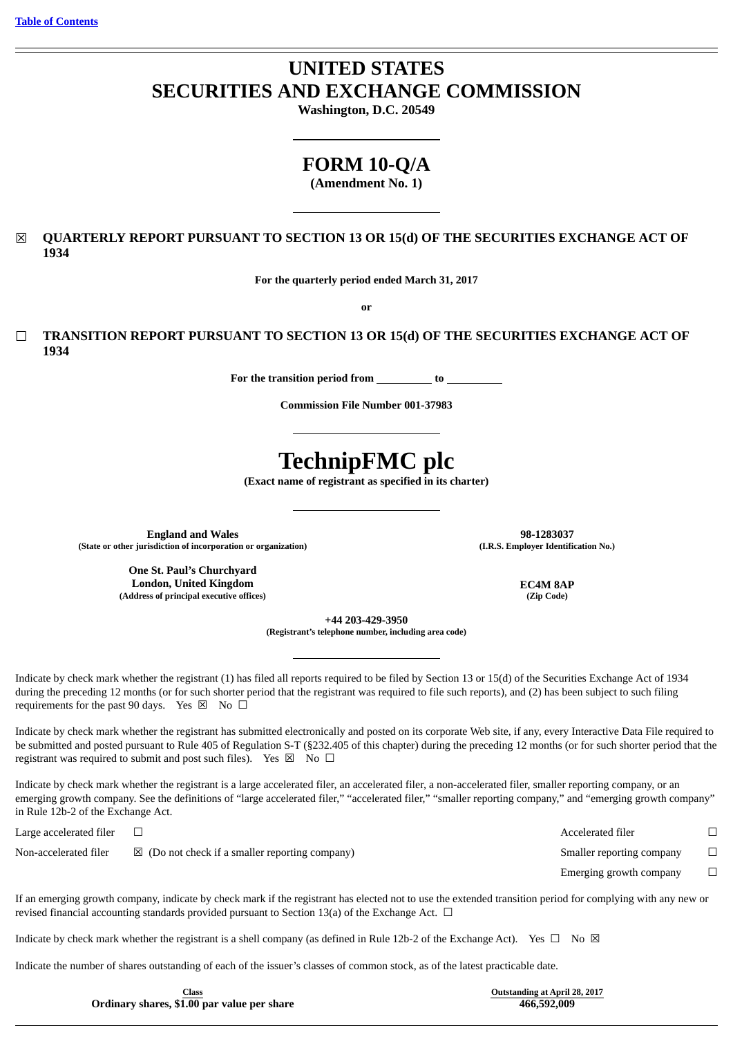# **UNITED STATES SECURITIES AND EXCHANGE COMMISSION**

**Washington, D.C. 20549**

## **FORM 10-Q/A**

**(Amendment No. 1)**

## ☒ **QUARTERLY REPORT PURSUANT TO SECTION 13 OR 15(d) OF THE SECURITIES EXCHANGE ACT OF 1934**

**For the quarterly period ended March 31, 2017**

**or**

☐ **TRANSITION REPORT PURSUANT TO SECTION 13 OR 15(d) OF THE SECURITIES EXCHANGE ACT OF 1934**

**For the transition period from to**

**Commission File Number 001-37983**

# **TechnipFMC plc**

**(Exact name of registrant as specified in its charter)**

**England and Wales 98-1283037 (State or other jurisdiction of incorporation or organization) (I.R.S. Employer Identification No.)**

**One St. Paul's Churchyard London, United Kingdom EC4M 8AP (Address of principal executive offices) (Zip Code)**

**+44 203-429-3950**

**(Registrant's telephone number, including area code)**

Indicate by check mark whether the registrant (1) has filed all reports required to be filed by Section 13 or 15(d) of the Securities Exchange Act of 1934 during the preceding 12 months (or for such shorter period that the registrant was required to file such reports), and (2) has been subject to such filing requirements for the past 90 days. Yes  $\boxtimes$  No  $\Box$ 

Indicate by check mark whether the registrant has submitted electronically and posted on its corporate Web site, if any, every Interactive Data File required to be submitted and posted pursuant to Rule 405 of Regulation S-T (§232.405 of this chapter) during the preceding 12 months (or for such shorter period that the registrant was required to submit and post such files). Yes  $\boxtimes$  No  $\Box$ 

Indicate by check mark whether the registrant is a large accelerated filer, an accelerated filer, a non-accelerated filer, smaller reporting company, or an emerging growth company. See the definitions of "large accelerated filer," "accelerated filer," "smaller reporting company," and "emerging growth company" in Rule 12b-2 of the Exchange Act.

| Large accelerated filer |                                                           | Accelerated filer         |  |
|-------------------------|-----------------------------------------------------------|---------------------------|--|
| Non-accelerated filer   | $\boxtimes$ (Do not check if a smaller reporting company) | Smaller reporting company |  |
|                         |                                                           | Emerging growth company   |  |

If an emerging growth company, indicate by check mark if the registrant has elected not to use the extended transition period for complying with any new or revised financial accounting standards provided pursuant to Section 13(a) of the Exchange Act.  $\Box$ 

Indicate by check mark whether the registrant is a shell company (as defined in Rule 12b-2 of the Exchange Act). Yes  $\Box$  No  $\boxtimes$ 

Indicate the number of shares outstanding of each of the issuer's classes of common stock, as of the latest practicable date.

**Class Outstanding at April 28, 2017 Ordinary** shares,  $$1.00$  par value per share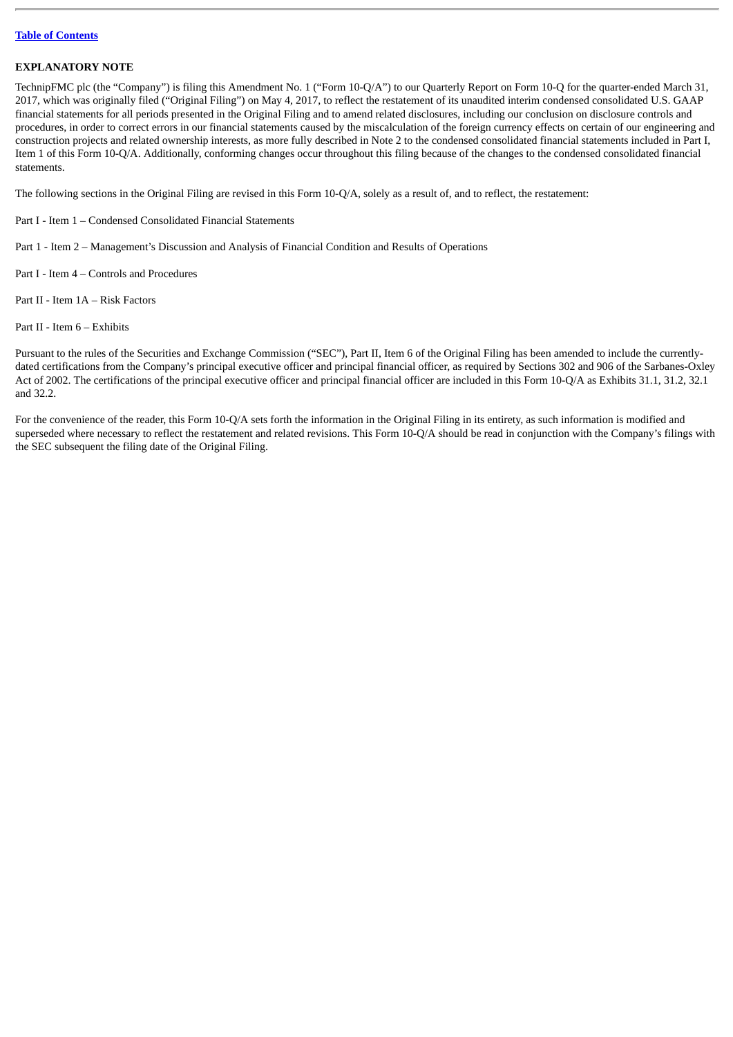#### **EXPLANATORY NOTE**

TechnipFMC plc (the "Company") is filing this Amendment No. 1 ("Form 10-Q/A") to our Quarterly Report on Form 10-Q for the quarter-ended March 31, 2017, which was originally filed ("Original Filing") on May 4, 2017, to reflect the restatement of its unaudited interim condensed consolidated U.S. GAAP financial statements for all periods presented in the Original Filing and to amend related disclosures, including our conclusion on disclosure controls and procedures, in order to correct errors in our financial statements caused by the miscalculation of the foreign currency effects on certain of our engineering and construction projects and related ownership interests, as more fully described in Note 2 to the condensed consolidated financial statements included in Part I, Item 1 of this Form 10-Q/A. Additionally, conforming changes occur throughout this filing because of the changes to the condensed consolidated financial statements.

The following sections in the Original Filing are revised in this Form 10-Q/A, solely as a result of, and to reflect, the restatement:

- Part I Item 1 Condensed Consolidated Financial Statements
- Part 1 Item 2 Management's Discussion and Analysis of Financial Condition and Results of Operations
- Part I Item 4 Controls and Procedures
- Part II Item 1A Risk Factors
- Part II Item 6 Exhibits

Pursuant to the rules of the Securities and Exchange Commission ("SEC"), Part II, Item 6 of the Original Filing has been amended to include the currentlydated certifications from the Company's principal executive officer and principal financial officer, as required by Sections 302 and 906 of the Sarbanes-Oxley Act of 2002. The certifications of the principal executive officer and principal financial officer are included in this Form 10-Q/A as Exhibits 31.1, 31.2, 32.1 and 32.2.

For the convenience of the reader, this Form 10-Q/A sets forth the information in the Original Filing in its entirety, as such information is modified and superseded where necessary to reflect the restatement and related revisions. This Form 10-Q/A should be read in conjunction with the Company's filings with the SEC subsequent the filing date of the Original Filing.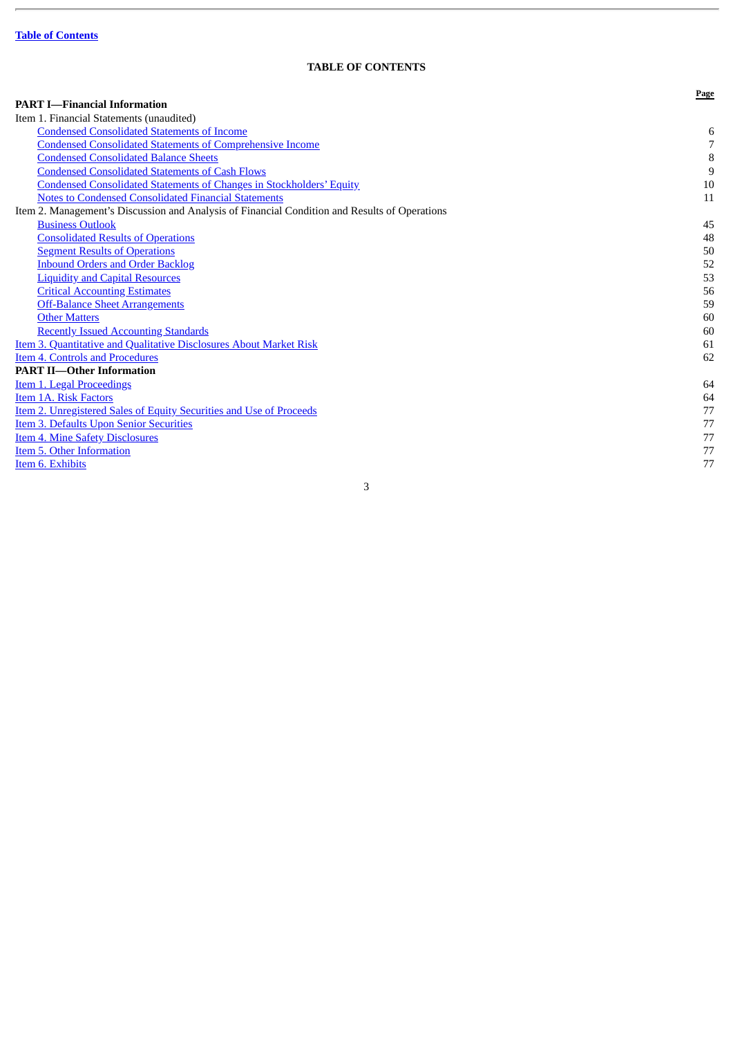L.

## **TABLE OF CONTENTS**

<span id="page-3-0"></span>

|                                                                                               | Page           |
|-----------------------------------------------------------------------------------------------|----------------|
| <b>PART I-Financial Information</b>                                                           |                |
| Item 1. Financial Statements (unaudited)                                                      |                |
| <b>Condensed Consolidated Statements of Income</b>                                            | 6              |
| <b>Condensed Consolidated Statements of Comprehensive Income</b>                              | $\overline{7}$ |
| <b>Condensed Consolidated Balance Sheets</b>                                                  | $\, 8$         |
| <b>Condensed Consolidated Statements of Cash Flows</b>                                        | 9              |
| <b>Condensed Consolidated Statements of Changes in Stockholders' Equity</b>                   | 10             |
| <b>Notes to Condensed Consolidated Financial Statements</b>                                   | 11             |
| Item 2. Management's Discussion and Analysis of Financial Condition and Results of Operations |                |
| <b>Business Outlook</b>                                                                       | 45             |
| <b>Consolidated Results of Operations</b>                                                     | 48             |
| <b>Segment Results of Operations</b>                                                          | 50             |
| <b>Inbound Orders and Order Backlog</b>                                                       | 52             |
| <b>Liquidity and Capital Resources</b>                                                        | 53             |
| <b>Critical Accounting Estimates</b>                                                          | 56             |
| <b>Off-Balance Sheet Arrangements</b>                                                         | 59             |
| <b>Other Matters</b>                                                                          | 60             |
| <b>Recently Issued Accounting Standards</b>                                                   | 60             |
| <b>Item 3. Quantitative and Qualitative Disclosures About Market Risk</b>                     | 61             |
| <b>Item 4. Controls and Procedures</b>                                                        | 62             |
| <b>PART II-Other Information</b>                                                              |                |
| Item 1. Legal Proceedings                                                                     | 64             |
| Item 1A. Risk Factors                                                                         | 64             |
| Item 2. Unregistered Sales of Equity Securities and Use of Proceeds                           | 77             |
| <b>Item 3. Defaults Upon Senior Securities</b>                                                | 77             |
| <b>Item 4. Mine Safety Disclosures</b>                                                        | 77             |
| Item 5. Other Information                                                                     | 77             |
| Item 6. Exhibits                                                                              | 77             |
|                                                                                               |                |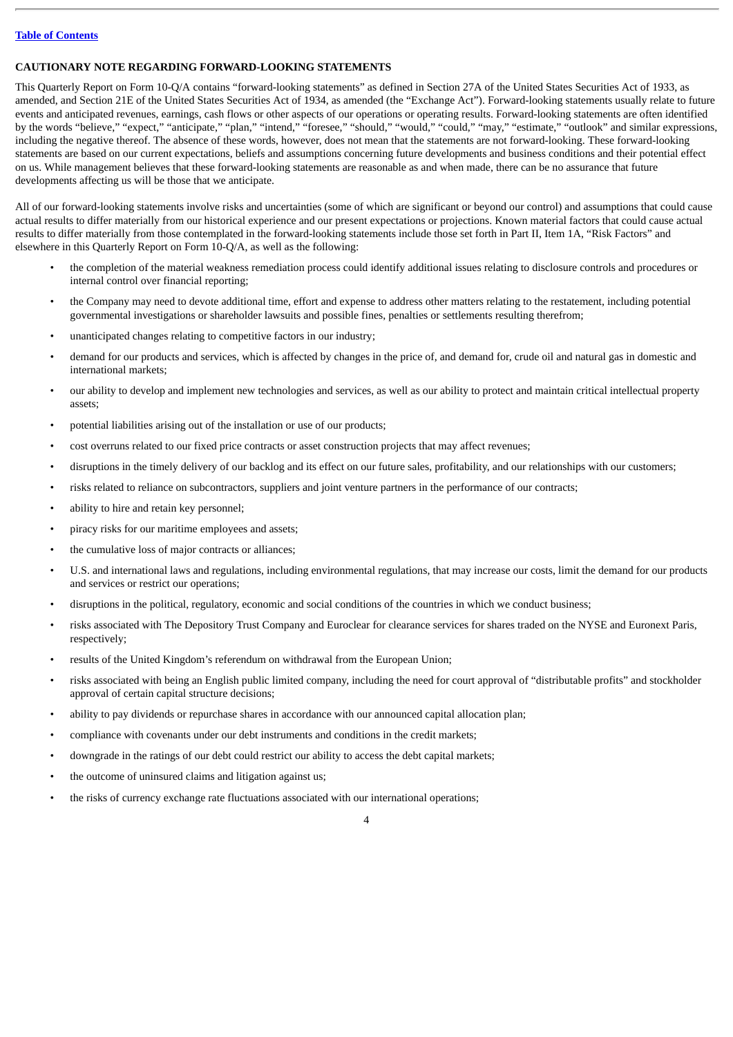## **CAUTIONARY NOTE REGARDING FORWARD-LOOKING STATEMENTS**

This Quarterly Report on Form 10-Q/A contains "forward-looking statements" as defined in Section 27A of the United States Securities Act of 1933, as amended, and Section 21E of the United States Securities Act of 1934, as amended (the "Exchange Act"). Forward-looking statements usually relate to future events and anticipated revenues, earnings, cash flows or other aspects of our operations or operating results. Forward-looking statements are often identified by the words "believe," "expect," "anticipate," "plan," "intend," "foresee," "should," "would," "could," "may," "estimate," "outlook" and similar expressions, including the negative thereof. The absence of these words, however, does not mean that the statements are not forward-looking. These forward-looking statements are based on our current expectations, beliefs and assumptions concerning future developments and business conditions and their potential effect on us. While management believes that these forward-looking statements are reasonable as and when made, there can be no assurance that future developments affecting us will be those that we anticipate.

All of our forward-looking statements involve risks and uncertainties (some of which are significant or beyond our control) and assumptions that could cause actual results to differ materially from our historical experience and our present expectations or projections. Known material factors that could cause actual results to differ materially from those contemplated in the forward-looking statements include those set forth in Part II, Item 1A, "Risk Factors" and elsewhere in this Quarterly Report on Form 10-Q/A, as well as the following:

- the completion of the material weakness remediation process could identify additional issues relating to disclosure controls and procedures or internal control over financial reporting;
- the Company may need to devote additional time, effort and expense to address other matters relating to the restatement, including potential governmental investigations or shareholder lawsuits and possible fines, penalties or settlements resulting therefrom;
- unanticipated changes relating to competitive factors in our industry;
- demand for our products and services, which is affected by changes in the price of, and demand for, crude oil and natural gas in domestic and international markets;
- our ability to develop and implement new technologies and services, as well as our ability to protect and maintain critical intellectual property assets;
- potential liabilities arising out of the installation or use of our products;
- cost overruns related to our fixed price contracts or asset construction projects that may affect revenues;
- disruptions in the timely delivery of our backlog and its effect on our future sales, profitability, and our relationships with our customers;
- risks related to reliance on subcontractors, suppliers and joint venture partners in the performance of our contracts;
- ability to hire and retain key personnel;
- piracy risks for our maritime employees and assets;
- the cumulative loss of major contracts or alliances:
- U.S. and international laws and regulations, including environmental regulations, that may increase our costs, limit the demand for our products and services or restrict our operations;
- disruptions in the political, regulatory, economic and social conditions of the countries in which we conduct business;
- risks associated with The Depository Trust Company and Euroclear for clearance services for shares traded on the NYSE and Euronext Paris, respectively;
- results of the United Kingdom's referendum on withdrawal from the European Union;
- risks associated with being an English public limited company, including the need for court approval of "distributable profits" and stockholder approval of certain capital structure decisions;
- ability to pay dividends or repurchase shares in accordance with our announced capital allocation plan;
- compliance with covenants under our debt instruments and conditions in the credit markets;
- downgrade in the ratings of our debt could restrict our ability to access the debt capital markets;
- the outcome of uninsured claims and litigation against us;
- the risks of currency exchange rate fluctuations associated with our international operations;

 $\overline{A}$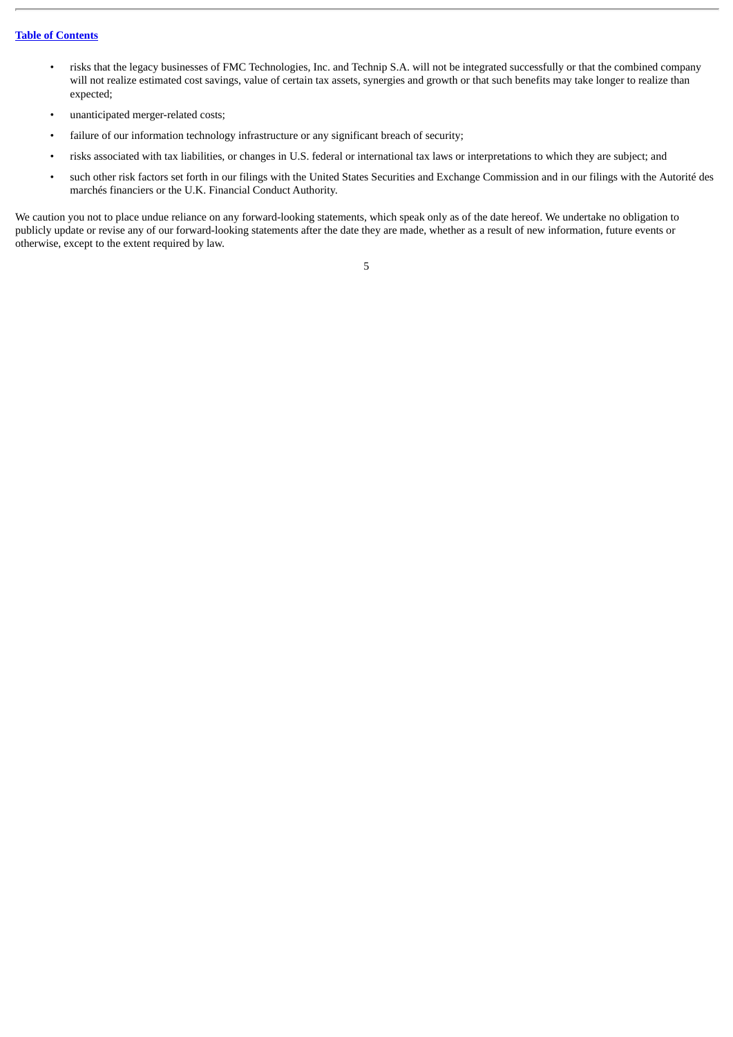- risks that the legacy businesses of FMC Technologies, Inc. and Technip S.A. will not be integrated successfully or that the combined company will not realize estimated cost savings, value of certain tax assets, synergies and growth or that such benefits may take longer to realize than expected;
- unanticipated merger-related costs;
- failure of our information technology infrastructure or any significant breach of security;
- risks associated with tax liabilities, or changes in U.S. federal or international tax laws or interpretations to which they are subject; and
- such other risk factors set forth in our filings with the United States Securities and Exchange Commission and in our filings with the Autorité des marchés financiers or the U.K. Financial Conduct Authority.

We caution you not to place undue reliance on any forward-looking statements, which speak only as of the date hereof. We undertake no obligation to publicly update or revise any of our forward-looking statements after the date they are made, whether as a result of new information, future events or otherwise, except to the extent required by law.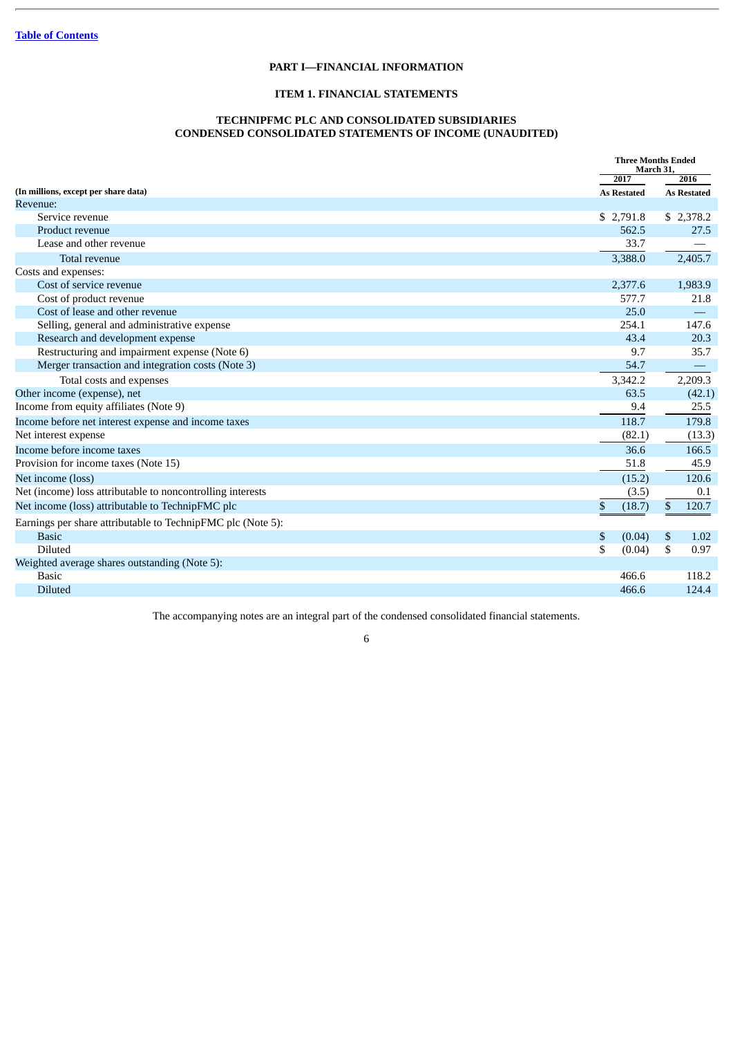## **PART I—FINANCIAL INFORMATION**

## **ITEM 1. FINANCIAL STATEMENTS**

## **TECHNIPFMC PLC AND CONSOLIDATED SUBSIDIARIES CONDENSED CONSOLIDATED STATEMENTS OF INCOME (UNAUDITED)**

<span id="page-6-0"></span>

|                                                             |                    | <b>Three Months Ended</b><br>March 31, |
|-------------------------------------------------------------|--------------------|----------------------------------------|
|                                                             | 2017               | 2016                                   |
| (In millions, except per share data)                        | <b>As Restated</b> | <b>As Restated</b>                     |
| Revenue:                                                    |                    |                                        |
| Service revenue                                             | \$2,791.8          | \$2,378.2                              |
| Product revenue                                             | 562.5              | 27.5                                   |
| Lease and other revenue                                     | 33.7               |                                        |
| Total revenue                                               | 3,388.0            | 2,405.7                                |
| Costs and expenses:                                         |                    |                                        |
| Cost of service revenue                                     | 2,377.6            | 1,983.9                                |
| Cost of product revenue                                     | 577.7              | 21.8                                   |
| Cost of lease and other revenue                             | 25.0               |                                        |
| Selling, general and administrative expense                 | 254.1              | 147.6                                  |
| Research and development expense                            | 43.4               | 20.3                                   |
| Restructuring and impairment expense (Note 6)               | 9.7                | 35.7                                   |
| Merger transaction and integration costs (Note 3)           | 54.7               |                                        |
| Total costs and expenses                                    | 3,342.2            | 2,209.3                                |
| Other income (expense), net                                 | 63.5               | (42.1)                                 |
| Income from equity affiliates (Note 9)                      | 9.4                | 25.5                                   |
| Income before net interest expense and income taxes         | 118.7              | 179.8                                  |
| Net interest expense                                        | (82.1)             | (13.3)                                 |
| Income before income taxes                                  | 36.6               | 166.5                                  |
| Provision for income taxes (Note 15)                        | 51.8               | 45.9                                   |
| Net income (loss)                                           | (15.2)             | 120.6                                  |
| Net (income) loss attributable to noncontrolling interests  | (3.5)              | 0.1                                    |
| Net income (loss) attributable to TechnipFMC plc            | \$<br>(18.7)       | 120.7<br>\$                            |
| Earnings per share attributable to TechnipFMC plc (Note 5): |                    |                                        |
| <b>Basic</b>                                                | \$<br>(0.04)       | \$<br>1.02                             |
| <b>Diluted</b>                                              | \$<br>(0.04)       | 0.97<br>\$                             |
| Weighted average shares outstanding (Note 5):               |                    |                                        |
| <b>Basic</b>                                                | 466.6              | 118.2                                  |
| <b>Diluted</b>                                              | 466.6              | 124.4                                  |
|                                                             |                    |                                        |

The accompanying notes are an integral part of the condensed consolidated financial statements.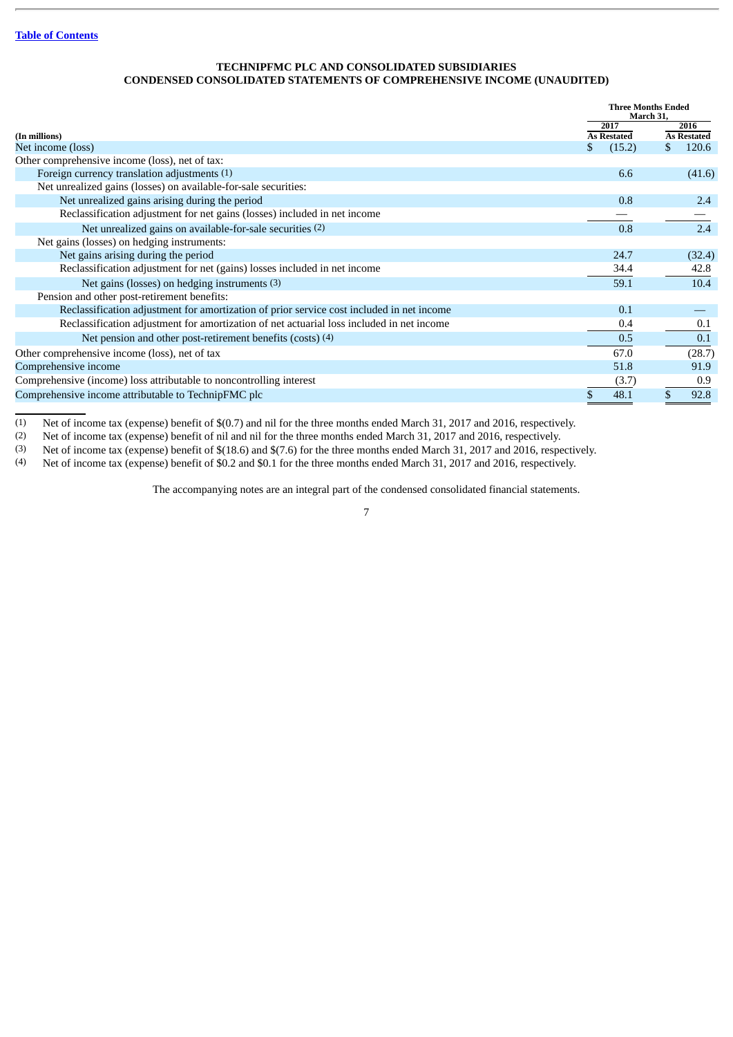## **TECHNIPFMC PLC AND CONSOLIDATED SUBSIDIARIES CONDENSED CONSOLIDATED STATEMENTS OF COMPREHENSIVE INCOME (UNAUDITED)**

<span id="page-7-0"></span>

|                                                                                           |   |                    |     | <b>Three Months Ended</b><br>March 31, |  |  |
|-------------------------------------------------------------------------------------------|---|--------------------|-----|----------------------------------------|--|--|
|                                                                                           |   | 2017               |     | 2016                                   |  |  |
| (In millions)                                                                             |   | <b>As Restated</b> |     | <b>As Restated</b>                     |  |  |
| Net income (loss)                                                                         | S | (15.2)             | \$. | 120.6                                  |  |  |
| Other comprehensive income (loss), net of tax:                                            |   |                    |     |                                        |  |  |
| Foreign currency translation adjustments (1)                                              |   | 6.6                |     | (41.6)                                 |  |  |
| Net unrealized gains (losses) on available-for-sale securities:                           |   |                    |     |                                        |  |  |
| Net unrealized gains arising during the period                                            |   | 0.8                |     | 2.4                                    |  |  |
| Reclassification adjustment for net gains (losses) included in net income                 |   |                    |     |                                        |  |  |
| Net unrealized gains on available-for-sale securities (2)                                 |   | 0.8                |     | 2.4                                    |  |  |
| Net gains (losses) on hedging instruments:                                                |   |                    |     |                                        |  |  |
| Net gains arising during the period                                                       |   | 24.7               |     | (32.4)                                 |  |  |
| Reclassification adjustment for net (gains) losses included in net income                 |   | 34.4               |     | 42.8                                   |  |  |
| Net gains (losses) on hedging instruments (3)                                             |   | 59.1               |     | 10.4                                   |  |  |
| Pension and other post-retirement benefits:                                               |   |                    |     |                                        |  |  |
| Reclassification adjustment for amortization of prior service cost included in net income |   | 0.1                |     |                                        |  |  |
| Reclassification adjustment for amortization of net actuarial loss included in net income |   | 0.4                |     | 0.1                                    |  |  |
| Net pension and other post-retirement benefits (costs) (4)                                |   | 0.5                |     | 0.1                                    |  |  |
| Other comprehensive income (loss), net of tax                                             |   | 67.0               |     | (28.7)                                 |  |  |
| Comprehensive income                                                                      |   | 51.8               |     | 91.9                                   |  |  |
| Comprehensive (income) loss attributable to noncontrolling interest                       |   | (3.7)              |     | 0.9                                    |  |  |
| Comprehensive income attributable to TechnipFMC plc                                       |   | 48.1               |     | 92.8                                   |  |  |

(1) Net of income tax (expense) benefit of \$(0.7) and nil for the three months ended March 31, 2017 and 2016, respectively.

(2) Net of income tax (expense) benefit of nil and nil for the three months ended March 31, 2017 and 2016, respectively.<br>(3) Net of income tax (expense) benefit of \$(18.6) and \$(7.6) for the three months ended March 31, 20

Net of income tax (expense) benefit of \$(18.6) and \$(7.6) for the three months ended March 31, 2017 and 2016, respectively.

(4) Net of income tax (expense) benefit of \$0.2 and \$0.1 for the three months ended March 31, 2017 and 2016, respectively.

The accompanying notes are an integral part of the condensed consolidated financial statements.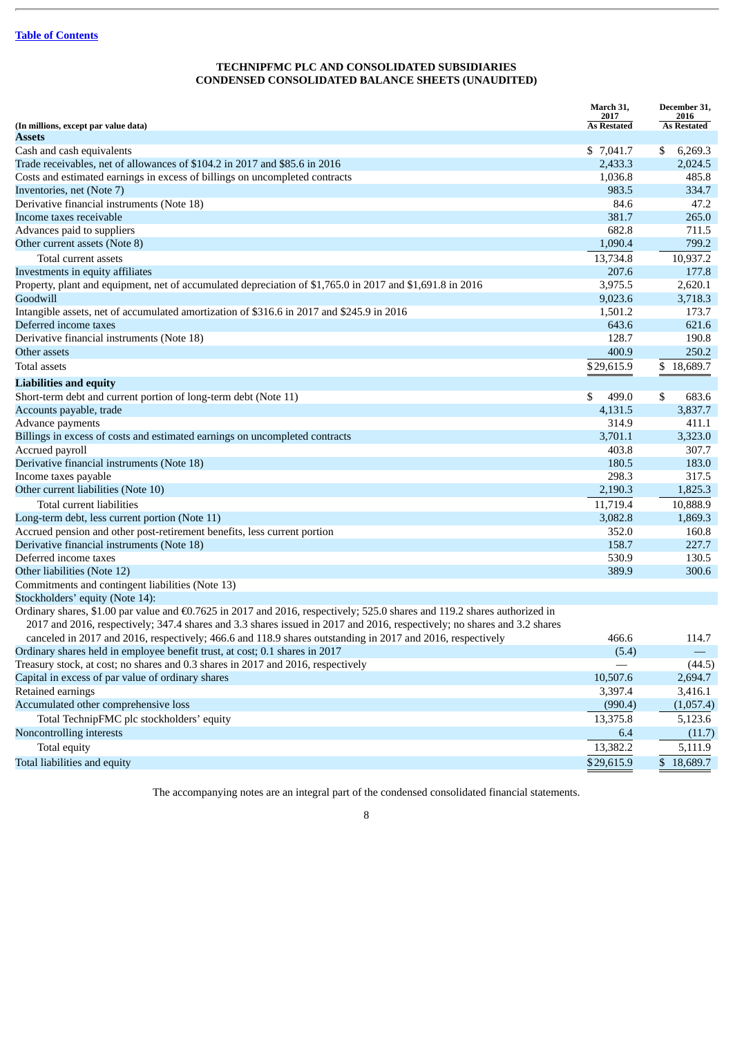## **TECHNIPFMC PLC AND CONSOLIDATED SUBSIDIARIES CONDENSED CONSOLIDATED BALANCE SHEETS (UNAUDITED)**

<span id="page-8-0"></span>

|                                                                                                                           | March 31,                  | December 31,               |
|---------------------------------------------------------------------------------------------------------------------------|----------------------------|----------------------------|
| (In millions, except par value data)                                                                                      | 2017<br><b>As Restated</b> | 2016<br><b>As Restated</b> |
| Assets                                                                                                                    |                            |                            |
| Cash and cash equivalents                                                                                                 | \$7,041.7                  | 6,269.3<br>\$              |
| Trade receivables, net of allowances of \$104.2 in 2017 and \$85.6 in 2016                                                | 2,433.3                    | 2,024.5                    |
| Costs and estimated earnings in excess of billings on uncompleted contracts                                               | 1,036.8                    | 485.8                      |
| Inventories, net (Note 7)                                                                                                 | 983.5                      | 334.7                      |
| Derivative financial instruments (Note 18)                                                                                | 84.6                       | 47.2                       |
| Income taxes receivable                                                                                                   | 381.7                      | 265.0                      |
| Advances paid to suppliers                                                                                                | 682.8                      | 711.5                      |
| Other current assets (Note 8)                                                                                             | 1,090.4                    | 799.2                      |
| Total current assets                                                                                                      | 13,734.8                   | 10,937.2                   |
| Investments in equity affiliates                                                                                          | 207.6                      | 177.8                      |
| Property, plant and equipment, net of accumulated depreciation of \$1,765.0 in 2017 and \$1,691.8 in 2016                 | 3,975.5                    | 2,620.1                    |
| Goodwill                                                                                                                  | 9,023.6                    | 3,718.3                    |
| Intangible assets, net of accumulated amortization of \$316.6 in 2017 and \$245.9 in 2016                                 | 1,501.2                    | 173.7                      |
| Deferred income taxes                                                                                                     | 643.6                      | 621.6                      |
| Derivative financial instruments (Note 18)                                                                                | 128.7                      | 190.8                      |
| Other assets                                                                                                              | 400.9                      | 250.2                      |
| <b>Total assets</b>                                                                                                       | \$29,615.9                 | \$18,689.7                 |
| <b>Liabilities and equity</b>                                                                                             |                            |                            |
| Short-term debt and current portion of long-term debt (Note 11)                                                           | \$<br>499.0                | \$<br>683.6                |
| Accounts payable, trade                                                                                                   | 4,131.5                    | 3,837.7                    |
| Advance payments                                                                                                          | 314.9                      | 411.1                      |
| Billings in excess of costs and estimated earnings on uncompleted contracts                                               | 3,701.1                    | 3,323.0                    |
| Accrued payroll                                                                                                           | 403.8                      | 307.7                      |
| Derivative financial instruments (Note 18)                                                                                | 180.5                      | 183.0                      |
| Income taxes payable                                                                                                      | 298.3                      | 317.5                      |
| Other current liabilities (Note 10)                                                                                       | 2,190.3                    | 1,825.3                    |
| Total current liabilities                                                                                                 | 11,719.4                   | 10,888.9                   |
| Long-term debt, less current portion (Note 11)                                                                            | 3,082.8                    | 1,869.3                    |
| Accrued pension and other post-retirement benefits, less current portion                                                  | 352.0                      | 160.8                      |
| Derivative financial instruments (Note 18)                                                                                | 158.7                      | 227.7                      |
| Deferred income taxes                                                                                                     | 530.9                      | 130.5                      |
| Other liabilities (Note 12)                                                                                               | 389.9                      | 300.6                      |
| Commitments and contingent liabilities (Note 13)                                                                          |                            |                            |
| Stockholders' equity (Note 14):                                                                                           |                            |                            |
| Ordinary shares, \$1.00 par value and €0.7625 in 2017 and 2016, respectively; 525.0 shares and 119.2 shares authorized in |                            |                            |
| 2017 and 2016, respectively; 347.4 shares and 3.3 shares issued in 2017 and 2016, respectively; no shares and 3.2 shares  |                            |                            |
| canceled in 2017 and 2016, respectively; 466.6 and 118.9 shares outstanding in 2017 and 2016, respectively                | 466.6                      | 114.7                      |
| Ordinary shares held in employee benefit trust, at cost; 0.1 shares in 2017                                               | (5.4)                      |                            |
| Treasury stock, at cost; no shares and 0.3 shares in 2017 and 2016, respectively                                          |                            | (44.5)                     |
| Capital in excess of par value of ordinary shares                                                                         | 10,507.6                   | 2,694.7                    |
| Retained earnings                                                                                                         | 3,397.4                    | 3,416.1                    |
| Accumulated other comprehensive loss                                                                                      | (990.4)                    | (1,057.4)                  |
| Total TechnipFMC plc stockholders' equity                                                                                 | 13,375.8                   | 5,123.6                    |
| Noncontrolling interests                                                                                                  | 6.4                        | (11.7)                     |
| Total equity                                                                                                              | 13,382.2                   | 5,111.9                    |
| Total liabilities and equity                                                                                              | \$29,615.9                 | \$18,689.7                 |

The accompanying notes are an integral part of the condensed consolidated financial statements.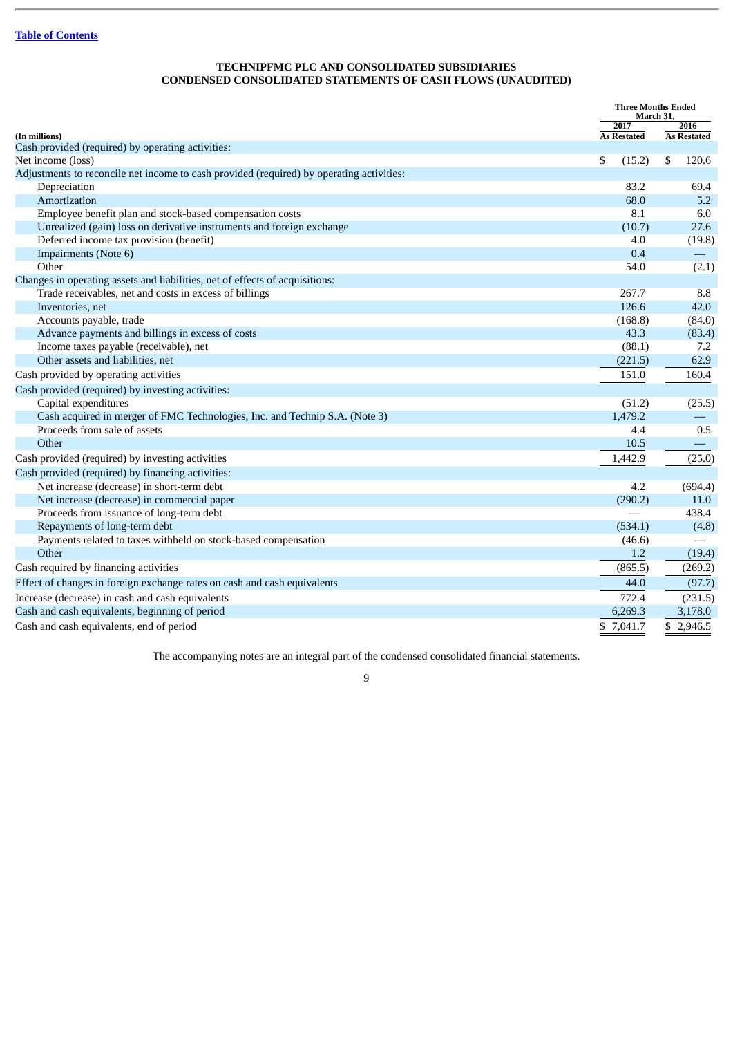## **TECHNIPFMC PLC AND CONSOLIDATED SUBSIDIARIES CONDENSED CONSOLIDATED STATEMENTS OF CASH FLOWS (UNAUDITED)**

<span id="page-9-0"></span>

|                                                                                          | <b>Three Months Ended</b><br>March 31, |                          |  |
|------------------------------------------------------------------------------------------|----------------------------------------|--------------------------|--|
|                                                                                          | 2017                                   | 2016                     |  |
| (In millions)<br>Cash provided (required) by operating activities:                       | <b>As Restated</b>                     | <b>As Restated</b>       |  |
| Net income (loss)                                                                        | \$<br>(15.2)                           | \$<br>120.6              |  |
| Adjustments to reconcile net income to cash provided (required) by operating activities: |                                        |                          |  |
| Depreciation                                                                             | 83.2                                   | 69.4                     |  |
| Amortization                                                                             | 68.0                                   | 5.2                      |  |
| Employee benefit plan and stock-based compensation costs                                 | 8.1                                    | 6.0                      |  |
| Unrealized (gain) loss on derivative instruments and foreign exchange                    | (10.7)                                 | 27.6                     |  |
| Deferred income tax provision (benefit)                                                  | 4.0                                    | (19.8)                   |  |
| Impairments (Note 6)                                                                     | 0.4                                    |                          |  |
| Other                                                                                    | 54.0                                   | (2.1)                    |  |
| Changes in operating assets and liabilities, net of effects of acquisitions:             |                                        |                          |  |
| Trade receivables, net and costs in excess of billings                                   | 267.7                                  | 8.8                      |  |
| Inventories, net                                                                         | 126.6                                  | 42.0                     |  |
| Accounts payable, trade                                                                  | (168.8)                                | (84.0)                   |  |
| Advance payments and billings in excess of costs                                         | 43.3                                   | (83.4)                   |  |
| Income taxes payable (receivable), net                                                   | (88.1)                                 | 7.2                      |  |
| Other assets and liabilities, net                                                        | (221.5)                                | 62.9                     |  |
| Cash provided by operating activities                                                    | 151.0                                  | 160.4                    |  |
| Cash provided (required) by investing activities:                                        |                                        |                          |  |
| Capital expenditures                                                                     | (51.2)                                 | (25.5)                   |  |
| Cash acquired in merger of FMC Technologies, Inc. and Technip S.A. (Note 3)              | 1,479.2                                | $\overline{\phantom{0}}$ |  |
| Proceeds from sale of assets                                                             | 4.4                                    | 0.5                      |  |
| Other                                                                                    | 10.5                                   |                          |  |
| Cash provided (required) by investing activities                                         | 1,442.9                                | (25.0)                   |  |
| Cash provided (required) by financing activities:                                        |                                        |                          |  |
| Net increase (decrease) in short-term debt                                               | 4.2                                    | (694.4)                  |  |
| Net increase (decrease) in commercial paper                                              | (290.2)                                | 11.0                     |  |
| Proceeds from issuance of long-term debt                                                 |                                        | 438.4                    |  |
| Repayments of long-term debt                                                             | (534.1)                                | (4.8)                    |  |
| Payments related to taxes withheld on stock-based compensation                           | (46.6)                                 |                          |  |
| Other                                                                                    | 1.2                                    | (19.4)                   |  |
| Cash required by financing activities                                                    | (865.5)                                | (269.2)                  |  |
| Effect of changes in foreign exchange rates on cash and cash equivalents                 | 44.0                                   | (97.7)                   |  |
| Increase (decrease) in cash and cash equivalents                                         | 772.4                                  | (231.5)                  |  |
| Cash and cash equivalents, beginning of period                                           | 6,269.3                                | 3,178.0                  |  |
| Cash and cash equivalents, end of period                                                 | \$7,041.7                              | \$2,946.5                |  |

The accompanying notes are an integral part of the condensed consolidated financial statements.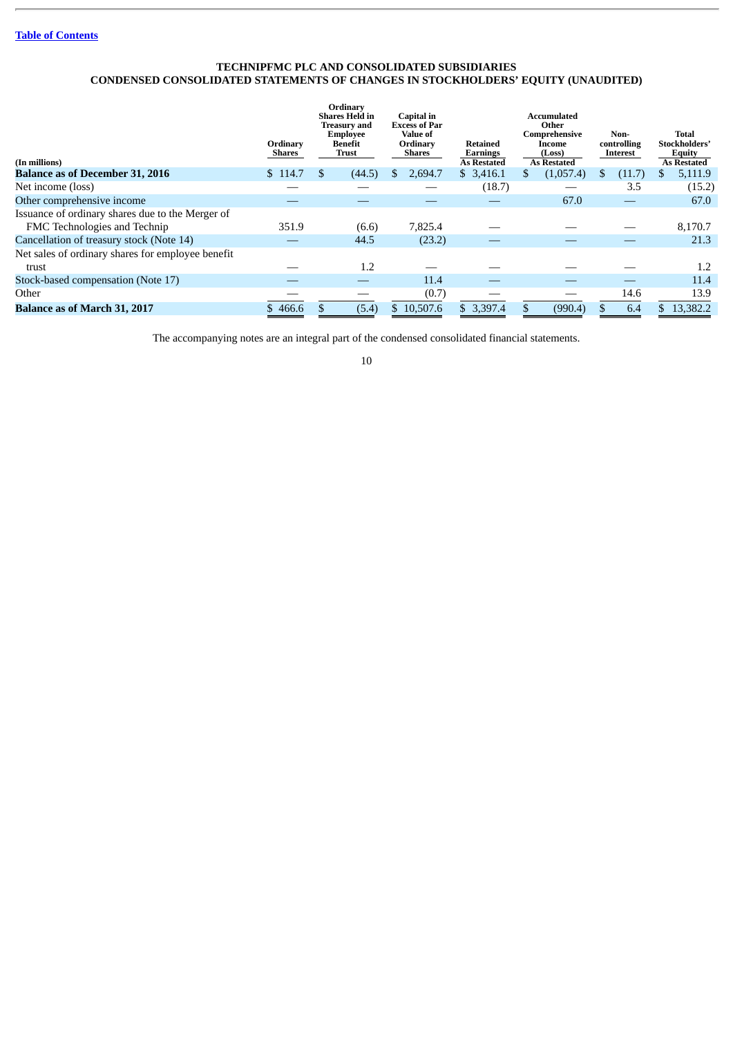## **TECHNIPFMC PLC AND CONSOLIDATED SUBSIDIARIES CONDENSED CONSOLIDATED STATEMENTS OF CHANGES IN STOCKHOLDERS' EQUITY (UNAUDITED)**

<span id="page-10-0"></span>

| (In millions)                                     | Ordinary<br>Shares |    | Ordinary<br><b>Shares Held in</b><br>Treasury and<br>Employee<br>Benefit<br>Trust | Capital in<br><b>Excess of Par</b><br>Value of<br>Ordinary<br>Shares | <b>Retained</b><br>Earnings<br><b>As Restated</b> | Accumulated<br>Other<br>Comprehensive<br>Income<br>(Loss)<br><b>As Restated</b> |   | Non-<br>controlling<br>Interest |    | Total<br>Stockholders'<br><b>Equity</b><br><b>As Restated</b> |
|---------------------------------------------------|--------------------|----|-----------------------------------------------------------------------------------|----------------------------------------------------------------------|---------------------------------------------------|---------------------------------------------------------------------------------|---|---------------------------------|----|---------------------------------------------------------------|
| <b>Balance as of December 31, 2016</b>            | \$114.7            | £. | (44.5)                                                                            | 2,694.7                                                              | \$3,416.1                                         | \$<br>(1,057.4)                                                                 | S | (11.7)                          | S. | 5,111.9                                                       |
| Net income (loss)                                 |                    |    |                                                                                   |                                                                      | (18.7)                                            |                                                                                 |   | 3.5                             |    | (15.2)                                                        |
| Other comprehensive income                        |                    |    |                                                                                   |                                                                      |                                                   | 67.0                                                                            |   |                                 |    | 67.0                                                          |
| Issuance of ordinary shares due to the Merger of  |                    |    |                                                                                   |                                                                      |                                                   |                                                                                 |   |                                 |    |                                                               |
| FMC Technologies and Technip                      | 351.9              |    | (6.6)                                                                             | 7,825.4                                                              |                                                   |                                                                                 |   |                                 |    | 8,170.7                                                       |
| Cancellation of treasury stock (Note 14)          |                    |    | 44.5                                                                              | (23.2)                                                               |                                                   |                                                                                 |   |                                 |    | 21.3                                                          |
| Net sales of ordinary shares for employee benefit |                    |    |                                                                                   |                                                                      |                                                   |                                                                                 |   |                                 |    |                                                               |
| trust                                             |                    |    | 1.2                                                                               |                                                                      |                                                   |                                                                                 |   |                                 |    | 1.2                                                           |
| Stock-based compensation (Note 17)                |                    |    |                                                                                   | 11.4                                                                 |                                                   |                                                                                 |   |                                 |    | 11.4                                                          |
| Other                                             |                    |    |                                                                                   | (0.7)                                                                |                                                   |                                                                                 |   | 14.6                            |    | 13.9                                                          |
| <b>Balance as of March 31, 2017</b>               | \$466.6            |    | (5.4)                                                                             | \$10.507.6                                                           | \$3,397.4                                         | (990.4)                                                                         |   | 6.4                             |    | 13.382.2                                                      |

The accompanying notes are an integral part of the condensed consolidated financial statements.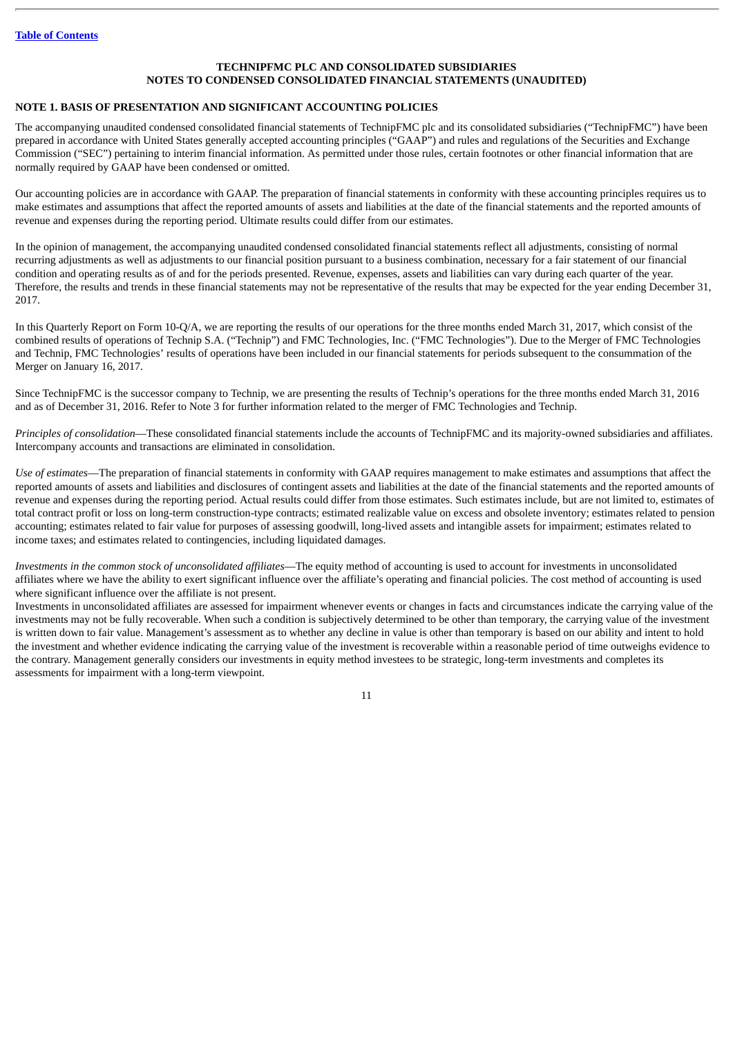## **TECHNIPFMC PLC AND CONSOLIDATED SUBSIDIARIES NOTES TO CONDENSED CONSOLIDATED FINANCIAL STATEMENTS (UNAUDITED)**

#### <span id="page-11-0"></span>**NOTE 1. BASIS OF PRESENTATION AND SIGNIFICANT ACCOUNTING POLICIES**

The accompanying unaudited condensed consolidated financial statements of TechnipFMC plc and its consolidated subsidiaries ("TechnipFMC") have been prepared in accordance with United States generally accepted accounting principles ("GAAP") and rules and regulations of the Securities and Exchange Commission ("SEC") pertaining to interim financial information. As permitted under those rules, certain footnotes or other financial information that are normally required by GAAP have been condensed or omitted.

Our accounting policies are in accordance with GAAP. The preparation of financial statements in conformity with these accounting principles requires us to make estimates and assumptions that affect the reported amounts of assets and liabilities at the date of the financial statements and the reported amounts of revenue and expenses during the reporting period. Ultimate results could differ from our estimates.

In the opinion of management, the accompanying unaudited condensed consolidated financial statements reflect all adjustments, consisting of normal recurring adjustments as well as adjustments to our financial position pursuant to a business combination, necessary for a fair statement of our financial condition and operating results as of and for the periods presented. Revenue, expenses, assets and liabilities can vary during each quarter of the year. Therefore, the results and trends in these financial statements may not be representative of the results that may be expected for the year ending December 31, 2017.

In this Quarterly Report on Form 10-Q/A, we are reporting the results of our operations for the three months ended March 31, 2017, which consist of the combined results of operations of Technip S.A. ("Technip") and FMC Technologies, Inc. ("FMC Technologies"). Due to the Merger of FMC Technologies and Technip, FMC Technologies' results of operations have been included in our financial statements for periods subsequent to the consummation of the Merger on January 16, 2017.

Since TechnipFMC is the successor company to Technip, we are presenting the results of Technip's operations for the three months ended March 31, 2016 and as of December 31, 2016. Refer to Note 3 for further information related to the merger of FMC Technologies and Technip.

*Principles of consolidation*—These consolidated financial statements include the accounts of TechnipFMC and its majority-owned subsidiaries and affiliates. Intercompany accounts and transactions are eliminated in consolidation.

*Use of estimates*—The preparation of financial statements in conformity with GAAP requires management to make estimates and assumptions that affect the reported amounts of assets and liabilities and disclosures of contingent assets and liabilities at the date of the financial statements and the reported amounts of revenue and expenses during the reporting period. Actual results could differ from those estimates. Such estimates include, but are not limited to, estimates of total contract profit or loss on long-term construction-type contracts; estimated realizable value on excess and obsolete inventory; estimates related to pension accounting; estimates related to fair value for purposes of assessing goodwill, long-lived assets and intangible assets for impairment; estimates related to income taxes; and estimates related to contingencies, including liquidated damages.

*Investments in the common stock of unconsolidated affiliates*—The equity method of accounting is used to account for investments in unconsolidated affiliates where we have the ability to exert significant influence over the affiliate's operating and financial policies. The cost method of accounting is used where significant influence over the affiliate is not present.

Investments in unconsolidated affiliates are assessed for impairment whenever events or changes in facts and circumstances indicate the carrying value of the investments may not be fully recoverable. When such a condition is subjectively determined to be other than temporary, the carrying value of the investment is written down to fair value. Management's assessment as to whether any decline in value is other than temporary is based on our ability and intent to hold the investment and whether evidence indicating the carrying value of the investment is recoverable within a reasonable period of time outweighs evidence to the contrary. Management generally considers our investments in equity method investees to be strategic, long-term investments and completes its assessments for impairment with a long-term viewpoint.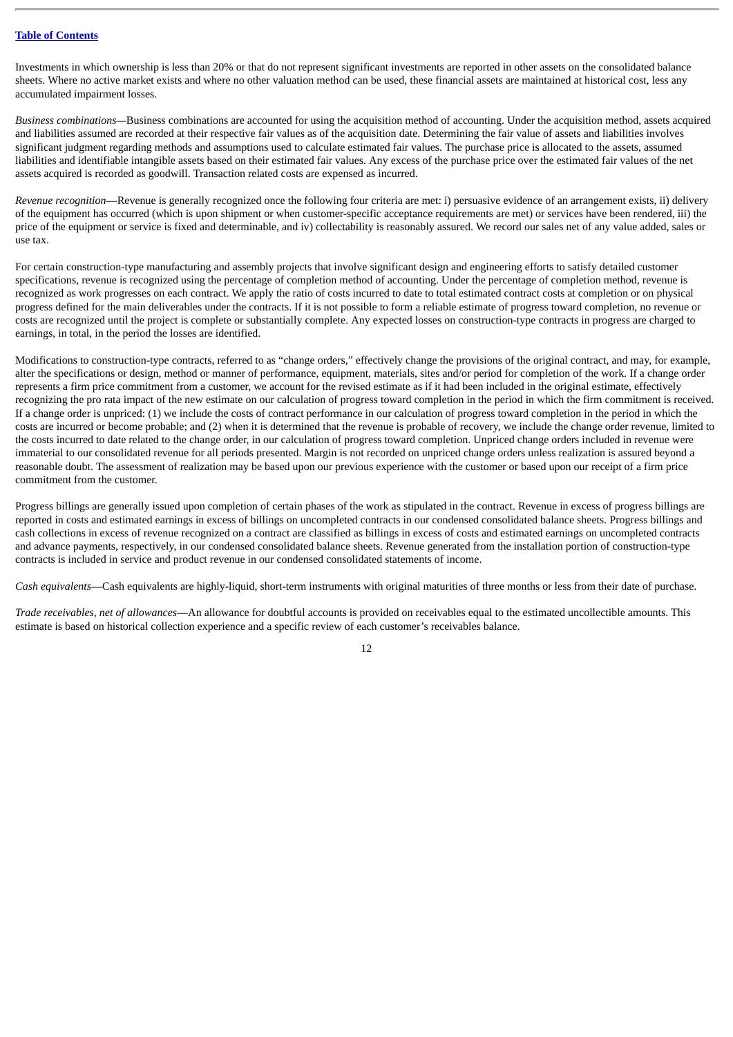Investments in which ownership is less than 20% or that do not represent significant investments are reported in other assets on the consolidated balance sheets. Where no active market exists and where no other valuation method can be used, these financial assets are maintained at historical cost, less any accumulated impairment losses.

*Business combinations—*Business combinations are accounted for using the acquisition method of accounting. Under the acquisition method, assets acquired and liabilities assumed are recorded at their respective fair values as of the acquisition date. Determining the fair value of assets and liabilities involves significant judgment regarding methods and assumptions used to calculate estimated fair values. The purchase price is allocated to the assets, assumed liabilities and identifiable intangible assets based on their estimated fair values. Any excess of the purchase price over the estimated fair values of the net assets acquired is recorded as goodwill. Transaction related costs are expensed as incurred.

*Revenue recognition*—Revenue is generally recognized once the following four criteria are met: i) persuasive evidence of an arrangement exists, ii) delivery of the equipment has occurred (which is upon shipment or when customer-specific acceptance requirements are met) or services have been rendered, iii) the price of the equipment or service is fixed and determinable, and iv) collectability is reasonably assured. We record our sales net of any value added, sales or use tax.

For certain construction-type manufacturing and assembly projects that involve significant design and engineering efforts to satisfy detailed customer specifications, revenue is recognized using the percentage of completion method of accounting. Under the percentage of completion method, revenue is recognized as work progresses on each contract. We apply the ratio of costs incurred to date to total estimated contract costs at completion or on physical progress defined for the main deliverables under the contracts. If it is not possible to form a reliable estimate of progress toward completion, no revenue or costs are recognized until the project is complete or substantially complete. Any expected losses on construction-type contracts in progress are charged to earnings, in total, in the period the losses are identified.

Modifications to construction-type contracts, referred to as "change orders," effectively change the provisions of the original contract, and may, for example, alter the specifications or design, method or manner of performance, equipment, materials, sites and/or period for completion of the work. If a change order represents a firm price commitment from a customer, we account for the revised estimate as if it had been included in the original estimate, effectively recognizing the pro rata impact of the new estimate on our calculation of progress toward completion in the period in which the firm commitment is received. If a change order is unpriced: (1) we include the costs of contract performance in our calculation of progress toward completion in the period in which the costs are incurred or become probable; and (2) when it is determined that the revenue is probable of recovery, we include the change order revenue, limited to the costs incurred to date related to the change order, in our calculation of progress toward completion. Unpriced change orders included in revenue were immaterial to our consolidated revenue for all periods presented. Margin is not recorded on unpriced change orders unless realization is assured beyond a reasonable doubt. The assessment of realization may be based upon our previous experience with the customer or based upon our receipt of a firm price commitment from the customer.

Progress billings are generally issued upon completion of certain phases of the work as stipulated in the contract. Revenue in excess of progress billings are reported in costs and estimated earnings in excess of billings on uncompleted contracts in our condensed consolidated balance sheets. Progress billings and cash collections in excess of revenue recognized on a contract are classified as billings in excess of costs and estimated earnings on uncompleted contracts and advance payments, respectively, in our condensed consolidated balance sheets. Revenue generated from the installation portion of construction-type contracts is included in service and product revenue in our condensed consolidated statements of income.

*Cash equivalents*—Cash equivalents are highly-liquid, short-term instruments with original maturities of three months or less from their date of purchase.

*Trade receivables, net of allowances*—An allowance for doubtful accounts is provided on receivables equal to the estimated uncollectible amounts. This estimate is based on historical collection experience and a specific review of each customer's receivables balance.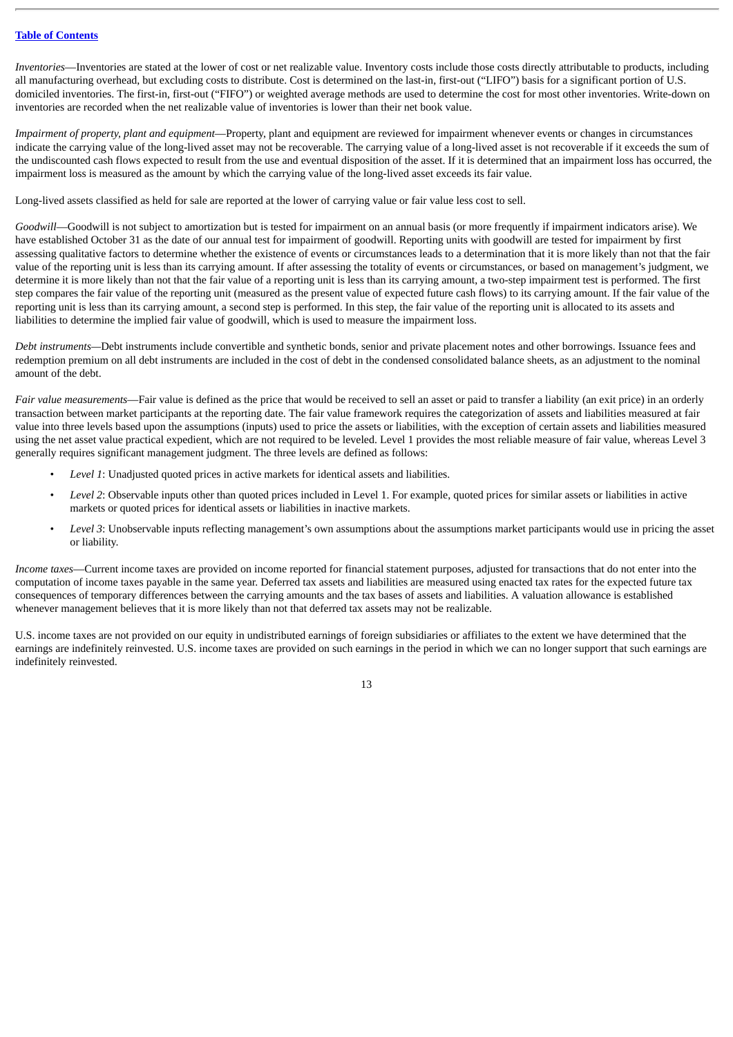*Inventories*—Inventories are stated at the lower of cost or net realizable value. Inventory costs include those costs directly attributable to products, including all manufacturing overhead, but excluding costs to distribute. Cost is determined on the last-in, first-out ("LIFO") basis for a significant portion of U.S. domiciled inventories. The first-in, first-out ("FIFO") or weighted average methods are used to determine the cost for most other inventories. Write-down on inventories are recorded when the net realizable value of inventories is lower than their net book value.

*Impairment of property, plant and equipment*—Property, plant and equipment are reviewed for impairment whenever events or changes in circumstances indicate the carrying value of the long-lived asset may not be recoverable. The carrying value of a long-lived asset is not recoverable if it exceeds the sum of the undiscounted cash flows expected to result from the use and eventual disposition of the asset. If it is determined that an impairment loss has occurred, the impairment loss is measured as the amount by which the carrying value of the long-lived asset exceeds its fair value.

Long-lived assets classified as held for sale are reported at the lower of carrying value or fair value less cost to sell.

*Goodwill*—Goodwill is not subject to amortization but is tested for impairment on an annual basis (or more frequently if impairment indicators arise). We have established October 31 as the date of our annual test for impairment of goodwill. Reporting units with goodwill are tested for impairment by first assessing qualitative factors to determine whether the existence of events or circumstances leads to a determination that it is more likely than not that the fair value of the reporting unit is less than its carrying amount. If after assessing the totality of events or circumstances, or based on management's judgment, we determine it is more likely than not that the fair value of a reporting unit is less than its carrying amount, a two-step impairment test is performed. The first step compares the fair value of the reporting unit (measured as the present value of expected future cash flows) to its carrying amount. If the fair value of the reporting unit is less than its carrying amount, a second step is performed. In this step, the fair value of the reporting unit is allocated to its assets and liabilities to determine the implied fair value of goodwill, which is used to measure the impairment loss.

*Debt instruments—*Debt instruments include convertible and synthetic bonds, senior and private placement notes and other borrowings. Issuance fees and redemption premium on all debt instruments are included in the cost of debt in the condensed consolidated balance sheets, as an adjustment to the nominal amount of the debt.

*Fair value measurements*—Fair value is defined as the price that would be received to sell an asset or paid to transfer a liability (an exit price) in an orderly transaction between market participants at the reporting date. The fair value framework requires the categorization of assets and liabilities measured at fair value into three levels based upon the assumptions (inputs) used to price the assets or liabilities, with the exception of certain assets and liabilities measured using the net asset value practical expedient, which are not required to be leveled. Level 1 provides the most reliable measure of fair value, whereas Level 3 generally requires significant management judgment. The three levels are defined as follows:

- *Level 1*: Unadjusted quoted prices in active markets for identical assets and liabilities.
- *Level 2*: Observable inputs other than quoted prices included in Level 1. For example, quoted prices for similar assets or liabilities in active markets or quoted prices for identical assets or liabilities in inactive markets.
- *Level 3*: Unobservable inputs reflecting management's own assumptions about the assumptions market participants would use in pricing the asset or liability.

*Income taxes*—Current income taxes are provided on income reported for financial statement purposes, adjusted for transactions that do not enter into the computation of income taxes payable in the same year. Deferred tax assets and liabilities are measured using enacted tax rates for the expected future tax consequences of temporary differences between the carrying amounts and the tax bases of assets and liabilities. A valuation allowance is established whenever management believes that it is more likely than not that deferred tax assets may not be realizable.

U.S. income taxes are not provided on our equity in undistributed earnings of foreign subsidiaries or affiliates to the extent we have determined that the earnings are indefinitely reinvested. U.S. income taxes are provided on such earnings in the period in which we can no longer support that such earnings are indefinitely reinvested.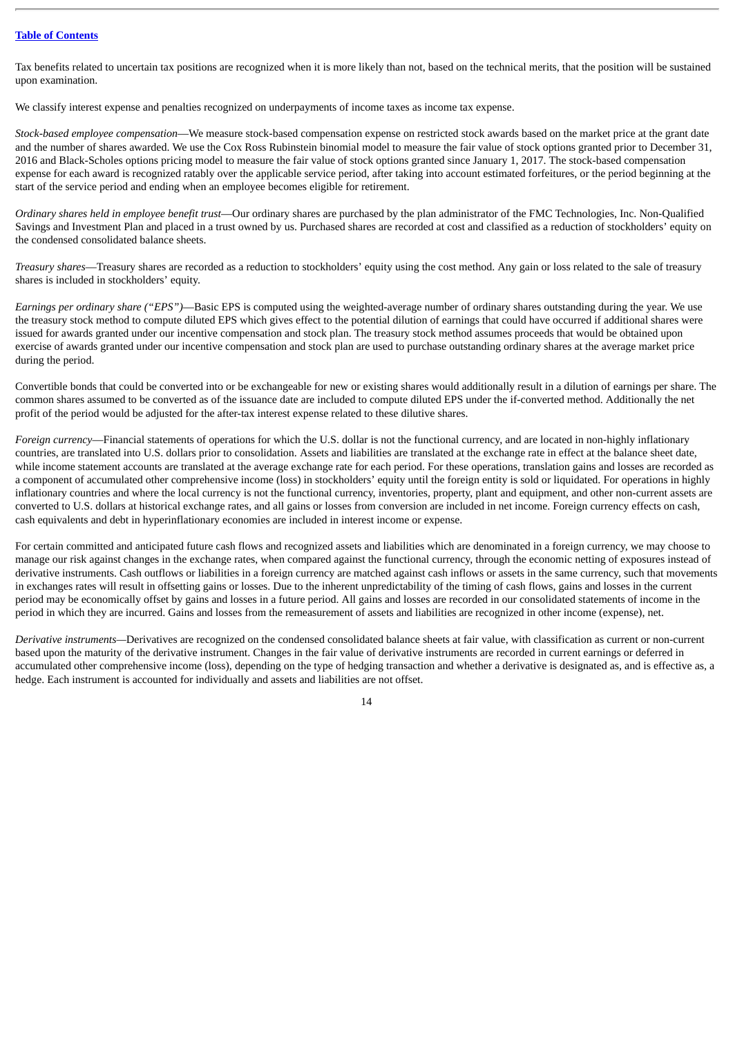Tax benefits related to uncertain tax positions are recognized when it is more likely than not, based on the technical merits, that the position will be sustained upon examination.

We classify interest expense and penalties recognized on underpayments of income taxes as income tax expense.

*Stock-based employee compensation*—We measure stock-based compensation expense on restricted stock awards based on the market price at the grant date and the number of shares awarded. We use the Cox Ross Rubinstein binomial model to measure the fair value of stock options granted prior to December 31, 2016 and Black-Scholes options pricing model to measure the fair value of stock options granted since January 1, 2017. The stock-based compensation expense for each award is recognized ratably over the applicable service period, after taking into account estimated forfeitures, or the period beginning at the start of the service period and ending when an employee becomes eligible for retirement.

*Ordinary shares held in employee benefit trust*—Our ordinary shares are purchased by the plan administrator of the FMC Technologies, Inc. Non-Qualified Savings and Investment Plan and placed in a trust owned by us. Purchased shares are recorded at cost and classified as a reduction of stockholders' equity on the condensed consolidated balance sheets.

*Treasury shares*—Treasury shares are recorded as a reduction to stockholders' equity using the cost method. Any gain or loss related to the sale of treasury shares is included in stockholders' equity.

*Earnings per ordinary share ("EPS")*—Basic EPS is computed using the weighted-average number of ordinary shares outstanding during the year. We use the treasury stock method to compute diluted EPS which gives effect to the potential dilution of earnings that could have occurred if additional shares were issued for awards granted under our incentive compensation and stock plan. The treasury stock method assumes proceeds that would be obtained upon exercise of awards granted under our incentive compensation and stock plan are used to purchase outstanding ordinary shares at the average market price during the period.

Convertible bonds that could be converted into or be exchangeable for new or existing shares would additionally result in a dilution of earnings per share. The common shares assumed to be converted as of the issuance date are included to compute diluted EPS under the if-converted method. Additionally the net profit of the period would be adjusted for the after-tax interest expense related to these dilutive shares.

*Foreign currency*—Financial statements of operations for which the U.S. dollar is not the functional currency, and are located in non-highly inflationary countries, are translated into U.S. dollars prior to consolidation. Assets and liabilities are translated at the exchange rate in effect at the balance sheet date, while income statement accounts are translated at the average exchange rate for each period. For these operations, translation gains and losses are recorded as a component of accumulated other comprehensive income (loss) in stockholders' equity until the foreign entity is sold or liquidated. For operations in highly inflationary countries and where the local currency is not the functional currency, inventories, property, plant and equipment, and other non-current assets are converted to U.S. dollars at historical exchange rates, and all gains or losses from conversion are included in net income. Foreign currency effects on cash, cash equivalents and debt in hyperinflationary economies are included in interest income or expense.

For certain committed and anticipated future cash flows and recognized assets and liabilities which are denominated in a foreign currency, we may choose to manage our risk against changes in the exchange rates, when compared against the functional currency, through the economic netting of exposures instead of derivative instruments. Cash outflows or liabilities in a foreign currency are matched against cash inflows or assets in the same currency, such that movements in exchanges rates will result in offsetting gains or losses. Due to the inherent unpredictability of the timing of cash flows, gains and losses in the current period may be economically offset by gains and losses in a future period. All gains and losses are recorded in our consolidated statements of income in the period in which they are incurred. Gains and losses from the remeasurement of assets and liabilities are recognized in other income (expense), net.

*Derivative instruments—*Derivatives are recognized on the condensed consolidated balance sheets at fair value, with classification as current or non-current based upon the maturity of the derivative instrument. Changes in the fair value of derivative instruments are recorded in current earnings or deferred in accumulated other comprehensive income (loss), depending on the type of hedging transaction and whether a derivative is designated as, and is effective as, a hedge. Each instrument is accounted for individually and assets and liabilities are not offset.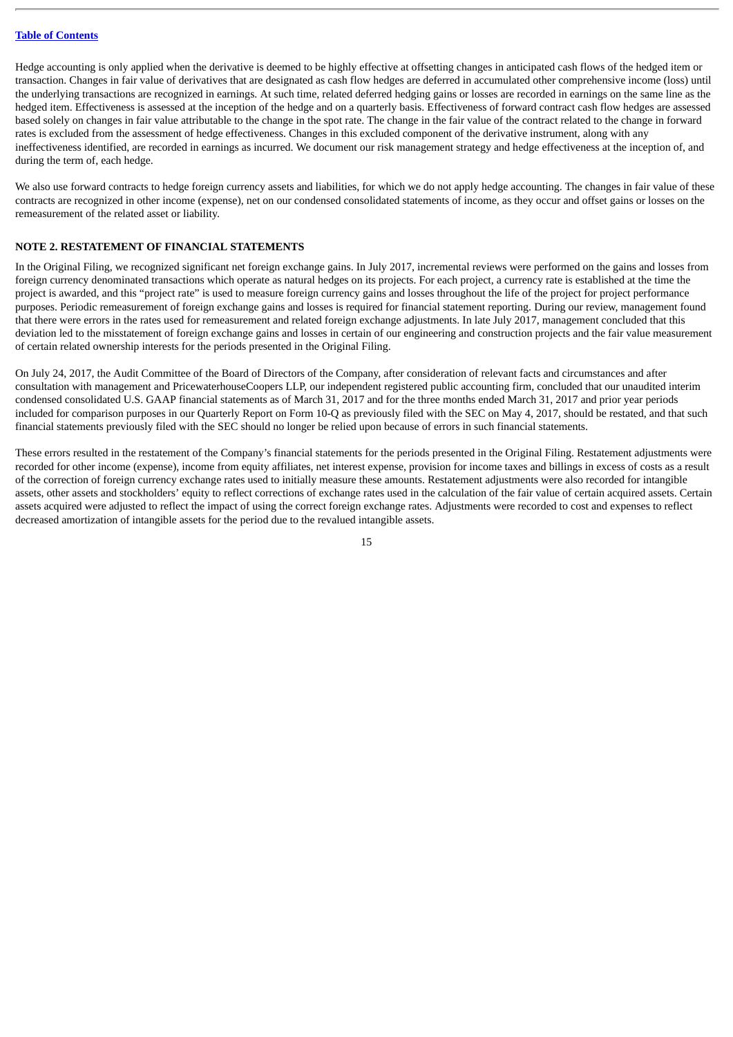Hedge accounting is only applied when the derivative is deemed to be highly effective at offsetting changes in anticipated cash flows of the hedged item or transaction. Changes in fair value of derivatives that are designated as cash flow hedges are deferred in accumulated other comprehensive income (loss) until the underlying transactions are recognized in earnings. At such time, related deferred hedging gains or losses are recorded in earnings on the same line as the hedged item. Effectiveness is assessed at the inception of the hedge and on a quarterly basis. Effectiveness of forward contract cash flow hedges are assessed based solely on changes in fair value attributable to the change in the spot rate. The change in the fair value of the contract related to the change in forward rates is excluded from the assessment of hedge effectiveness. Changes in this excluded component of the derivative instrument, along with any ineffectiveness identified, are recorded in earnings as incurred. We document our risk management strategy and hedge effectiveness at the inception of, and during the term of, each hedge.

We also use forward contracts to hedge foreign currency assets and liabilities, for which we do not apply hedge accounting. The changes in fair value of these contracts are recognized in other income (expense), net on our condensed consolidated statements of income, as they occur and offset gains or losses on the remeasurement of the related asset or liability.

#### **NOTE 2. RESTATEMENT OF FINANCIAL STATEMENTS**

In the Original Filing, we recognized significant net foreign exchange gains. In July 2017, incremental reviews were performed on the gains and losses from foreign currency denominated transactions which operate as natural hedges on its projects. For each project, a currency rate is established at the time the project is awarded, and this "project rate" is used to measure foreign currency gains and losses throughout the life of the project for project performance purposes. Periodic remeasurement of foreign exchange gains and losses is required for financial statement reporting. During our review, management found that there were errors in the rates used for remeasurement and related foreign exchange adjustments. In late July 2017, management concluded that this deviation led to the misstatement of foreign exchange gains and losses in certain of our engineering and construction projects and the fair value measurement of certain related ownership interests for the periods presented in the Original Filing.

On July 24, 2017, the Audit Committee of the Board of Directors of the Company, after consideration of relevant facts and circumstances and after consultation with management and PricewaterhouseCoopers LLP, our independent registered public accounting firm, concluded that our unaudited interim condensed consolidated U.S. GAAP financial statements as of March 31, 2017 and for the three months ended March 31, 2017 and prior year periods included for comparison purposes in our Quarterly Report on Form 10-Q as previously filed with the SEC on May 4, 2017, should be restated, and that such financial statements previously filed with the SEC should no longer be relied upon because of errors in such financial statements.

These errors resulted in the restatement of the Company's financial statements for the periods presented in the Original Filing. Restatement adjustments were recorded for other income (expense), income from equity affiliates, net interest expense, provision for income taxes and billings in excess of costs as a result of the correction of foreign currency exchange rates used to initially measure these amounts. Restatement adjustments were also recorded for intangible assets, other assets and stockholders' equity to reflect corrections of exchange rates used in the calculation of the fair value of certain acquired assets. Certain assets acquired were adjusted to reflect the impact of using the correct foreign exchange rates. Adjustments were recorded to cost and expenses to reflect decreased amortization of intangible assets for the period due to the revalued intangible assets.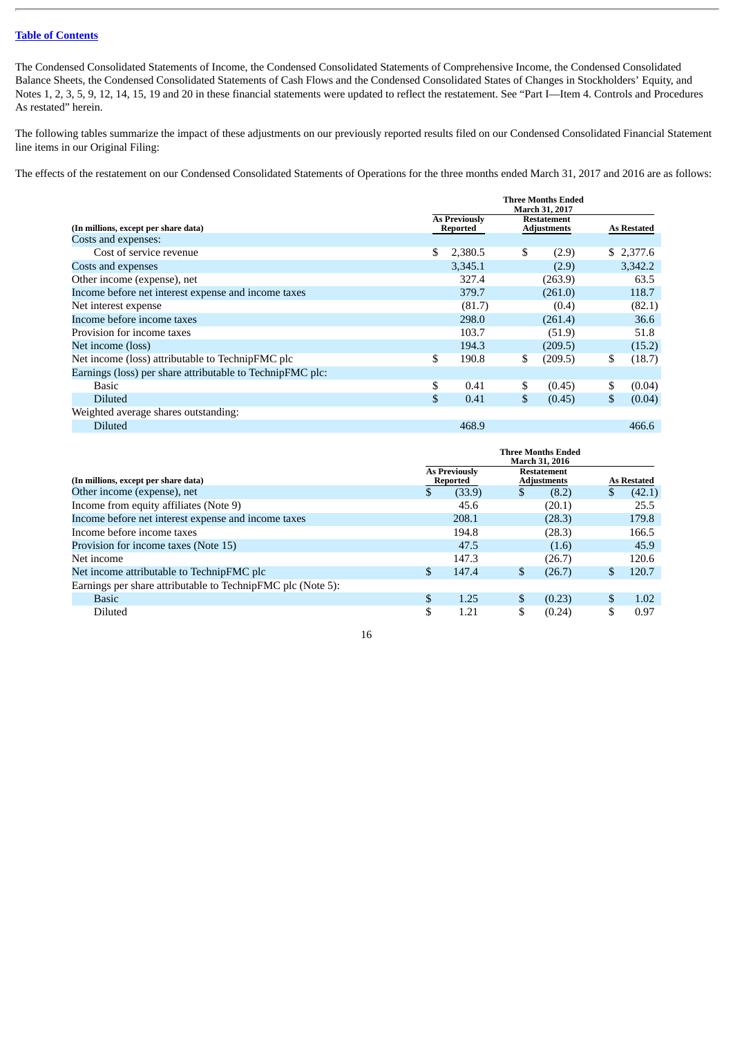The Condensed Consolidated Statements of Income, the Condensed Consolidated Statements of Comprehensive Income, the Condensed Consolidated Balance Sheets, the Condensed Consolidated Statements of Cash Flows and the Condensed Consolidated States of Changes in Stockholders' Equity, and Notes 1, 2, 3, 5, 9, 12, 14, 15, 19 and 20 in these financial statements were updated to reflect the restatement. See "Part I—Item 4. Controls and Procedures As restated" herein.

The following tables summarize the impact of these adjustments on our previously reported results filed on our Condensed Consolidated Financial Statement line items in our Original Filing:

The effects of the restatement on our Condensed Consolidated Statements of Operations for the three months ended March 31, 2017 and 2016 are as follows:

|                                                           | <b>Three Months Ended</b><br>March 31, 2017 |                                  |    |                                          |    |                    |  |
|-----------------------------------------------------------|---------------------------------------------|----------------------------------|----|------------------------------------------|----|--------------------|--|
| (In millions, except per share data)                      |                                             | <b>As Previously</b><br>Reported |    | <b>Restatement</b><br><b>Adjustments</b> |    | <b>As Restated</b> |  |
| Costs and expenses:                                       |                                             |                                  |    |                                          |    |                    |  |
| Cost of service revenue                                   | \$                                          | 2,380.5                          | \$ | (2.9)                                    |    | \$2,377.6          |  |
| Costs and expenses                                        |                                             | 3,345.1                          |    | (2.9)                                    |    | 3,342.2            |  |
| Other income (expense), net                               |                                             | 327.4                            |    | (263.9)                                  |    | 63.5               |  |
| Income before net interest expense and income taxes       |                                             | 379.7                            |    | (261.0)                                  |    | 118.7              |  |
| Net interest expense                                      |                                             | (81.7)                           |    | (0.4)                                    |    | (82.1)             |  |
| Income before income taxes                                |                                             | 298.0                            |    | (261.4)                                  |    | 36.6               |  |
| Provision for income taxes                                |                                             | 103.7                            |    | (51.9)                                   |    | 51.8               |  |
| Net income (loss)                                         |                                             | 194.3                            |    | (209.5)                                  |    | (15.2)             |  |
| Net income (loss) attributable to TechnipFMC plc          | \$                                          | 190.8                            | \$ | (209.5)                                  | \$ | (18.7)             |  |
| Earnings (loss) per share attributable to TechnipFMC plc: |                                             |                                  |    |                                          |    |                    |  |
| Basic                                                     | \$                                          | 0.41                             | \$ | (0.45)                                   | \$ | (0.04)             |  |
| <b>Diluted</b>                                            | $\mathbf{s}$                                | 0.41                             | \$ | (0.45)                                   | \$ | (0.04)             |  |
| Weighted average shares outstanding:                      |                                             |                                  |    |                                          |    |                    |  |
| <b>Diluted</b>                                            |                                             | 468.9                            |    |                                          |    | 466.6              |  |

|                                                             | Three Months Ended<br><b>March 31, 2016</b> |        |     |        |    |        |  |  |  |  |  |  |  |  |                                          |  |  |                    |
|-------------------------------------------------------------|---------------------------------------------|--------|-----|--------|----|--------|--|--|--|--|--|--|--|--|------------------------------------------|--|--|--------------------|
| (In millions, except per share data)                        | <b>As Previously</b><br>Reported            |        |     |        |    |        |  |  |  |  |  |  |  |  | <b>Restatement</b><br><b>Adjustments</b> |  |  | <b>As Restated</b> |
| Other income (expense), net                                 | \$.                                         | (33.9) |     | (8.2)  | S  | (42.1) |  |  |  |  |  |  |  |  |                                          |  |  |                    |
| Income from equity affiliates (Note 9)                      |                                             | 45.6   |     | (20.1) |    | 25.5   |  |  |  |  |  |  |  |  |                                          |  |  |                    |
| Income before net interest expense and income taxes         |                                             | 208.1  |     | (28.3) |    | 179.8  |  |  |  |  |  |  |  |  |                                          |  |  |                    |
| Income before income taxes                                  |                                             | 194.8  |     | (28.3) |    | 166.5  |  |  |  |  |  |  |  |  |                                          |  |  |                    |
| Provision for income taxes (Note 15)                        |                                             | 47.5   |     | (1.6)  |    | 45.9   |  |  |  |  |  |  |  |  |                                          |  |  |                    |
| Net income                                                  |                                             | 147.3  |     | (26.7) |    | 120.6  |  |  |  |  |  |  |  |  |                                          |  |  |                    |
| Net income attributable to TechnipFMC plc                   | \$                                          | 147.4  | S   | (26.7) | \$ | 120.7  |  |  |  |  |  |  |  |  |                                          |  |  |                    |
| Earnings per share attributable to TechnipFMC plc (Note 5): |                                             |        |     |        |    |        |  |  |  |  |  |  |  |  |                                          |  |  |                    |
| <b>Basic</b>                                                | \$                                          | 1.25   | \$. | (0.23) | \$ | 1.02   |  |  |  |  |  |  |  |  |                                          |  |  |                    |
| <b>Diluted</b>                                              | S                                           | 1.21   |     | (0.24) | S  | 0.97   |  |  |  |  |  |  |  |  |                                          |  |  |                    |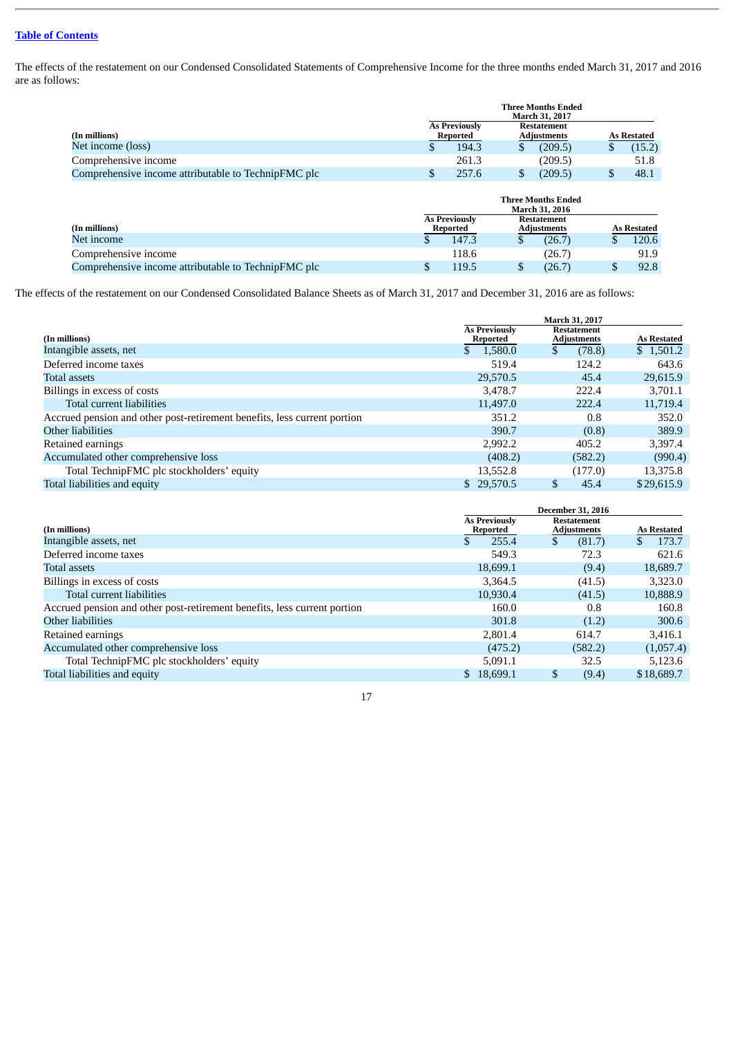The effects of the restatement on our Condensed Consolidated Statements of Comprehensive Income for the three months ended March 31, 2017 and 2016 are as follows:

|                                                     | <b>Three Months Ended</b><br><b>March 31, 2017</b> |                                                                              |  |         |  |                    |  |
|-----------------------------------------------------|----------------------------------------------------|------------------------------------------------------------------------------|--|---------|--|--------------------|--|
| (In millions)                                       |                                                    | <b>As Previously</b><br><b>Restatement</b><br><b>Adjustments</b><br>Reported |  |         |  | <b>As Restated</b> |  |
| Net income (loss)                                   |                                                    | 194.3                                                                        |  | (209.5) |  | (15.2)             |  |
| Comprehensive income                                |                                                    | 261.3                                                                        |  | (209.5) |  | 51.8               |  |
| Comprehensive income attributable to TechnipFMC plc |                                                    | 257.6                                                                        |  | (209.5) |  | 48.1               |  |
|                                                     |                                                    |                                                                              |  |         |  |                    |  |

|                                                     |                                                                | <b>Three Months Ended</b><br><b>March 31, 2016</b> |                    |        |  |       |
|-----------------------------------------------------|----------------------------------------------------------------|----------------------------------------------------|--------------------|--------|--|-------|
| (In millions)                                       | <b>As Previously</b><br>Restatement<br>Adjustments<br>Reported |                                                    | <b>As Restated</b> |        |  |       |
| Net income                                          |                                                                | 147.3                                              |                    | (26.7) |  | 120.6 |
| Comprehensive income                                |                                                                | 118.6                                              |                    | (26.7) |  | 91.9  |
| Comprehensive income attributable to TechnipFMC plc |                                                                | 119.5                                              |                    | (26.7) |  | 92.8  |

The effects of the restatement on our Condensed Consolidated Balance Sheets as of March 31, 2017 and December 31, 2016 are as follows:

|                                                                          | March 31, 2017                   |                                   |                    |  |
|--------------------------------------------------------------------------|----------------------------------|-----------------------------------|--------------------|--|
| (In millions)                                                            | <b>As Previously</b><br>Reported | Restatement<br><b>Adjustments</b> | <b>As Restated</b> |  |
| Intangible assets, net                                                   | 1,580.0                          | (78.8)                            | \$1,501.2          |  |
| Deferred income taxes                                                    | 519.4                            | 124.2                             | 643.6              |  |
| <b>Total assets</b>                                                      | 29,570.5                         | 45.4                              | 29,615.9           |  |
| Billings in excess of costs                                              | 3.478.7                          | 222.4                             | 3,701.1            |  |
| Total current liabilities                                                | 11,497.0                         | 222.4                             | 11,719.4           |  |
| Accrued pension and other post-retirement benefits, less current portion | 351.2                            | 0.8                               | 352.0              |  |
| Other liabilities                                                        | 390.7                            | (0.8)                             | 389.9              |  |
| Retained earnings                                                        | 2,992.2                          | 405.2                             | 3,397.4            |  |
| Accumulated other comprehensive loss                                     | (408.2)                          | (582.2)                           | (990.4)            |  |
| Total TechnipFMC plc stockholders' equity                                | 13,552.8                         | (177.0)                           | 13,375.8           |  |
| Total liabilities and equity                                             | \$29,570.5                       | 45.4                              | \$29,615.9         |  |

|                                                                          | <b>December 31, 2016</b>         |                                          |                    |  |  |
|--------------------------------------------------------------------------|----------------------------------|------------------------------------------|--------------------|--|--|
| (In millions)                                                            | <b>As Previously</b><br>Reported | <b>Restatement</b><br><b>Adjustments</b> | <b>As Restated</b> |  |  |
| Intangible assets, net                                                   | 255.4                            | (81.7)                                   | 173.7              |  |  |
| Deferred income taxes                                                    | 549.3                            | 72.3                                     | 621.6              |  |  |
| <b>Total assets</b>                                                      | 18,699.1                         | (9.4)                                    | 18,689.7           |  |  |
| Billings in excess of costs                                              | 3,364.5                          | (41.5)                                   | 3,323.0            |  |  |
| Total current liabilities                                                | 10,930.4                         | (41.5)                                   | 10,888.9           |  |  |
| Accrued pension and other post-retirement benefits, less current portion | 160.0                            | 0.8                                      | 160.8              |  |  |
| Other liabilities                                                        | 301.8                            | (1.2)                                    | 300.6              |  |  |
| Retained earnings                                                        | 2,801.4                          | 614.7                                    | 3,416.1            |  |  |
| Accumulated other comprehensive loss                                     | (475.2)                          | (582.2)                                  | (1,057.4)          |  |  |
| Total TechnipFMC plc stockholders' equity                                | 5.091.1                          | 32.5                                     | 5,123.6            |  |  |
| Total liabilities and equity                                             | 18.699.1<br>$\mathbb{S}^-$       | \$<br>(9.4)                              | \$18,689.7         |  |  |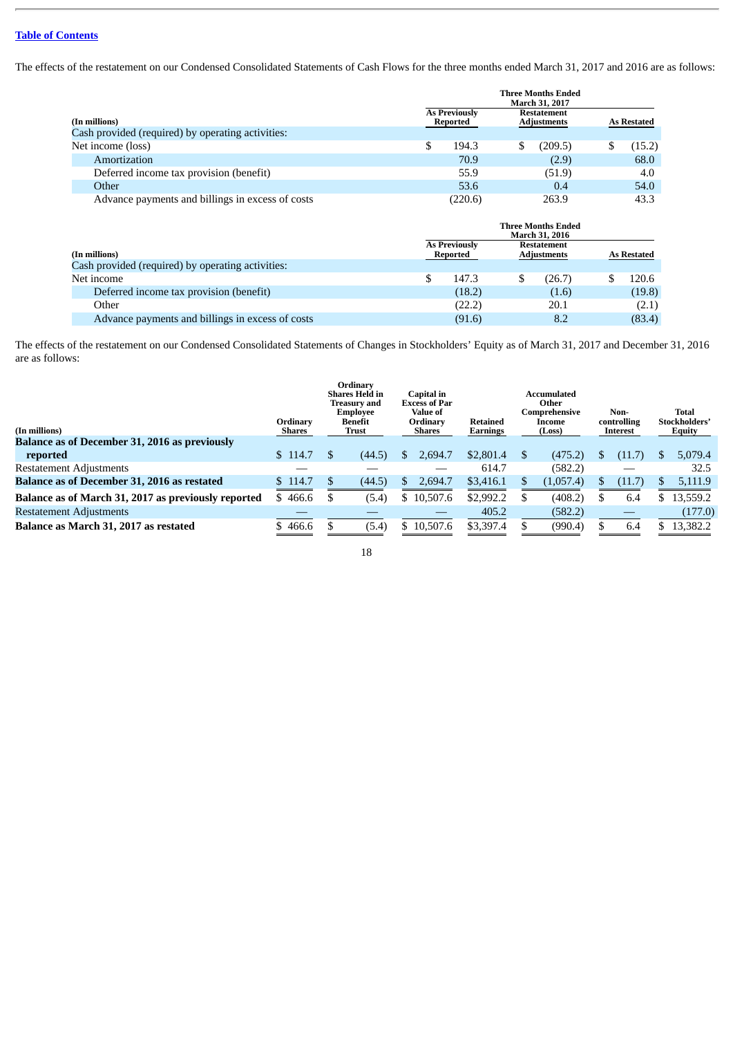The effects of the restatement on our Condensed Consolidated Statements of Cash Flows for the three months ended March 31, 2017 and 2016 are as follows:

|                                                   | <b>Three Months Ended</b><br><b>March 31, 2017</b>                           |                                          |                                                    |                    |                    |
|---------------------------------------------------|------------------------------------------------------------------------------|------------------------------------------|----------------------------------------------------|--------------------|--------------------|
| (In millions)                                     | <b>As Previously</b><br>Reported                                             | <b>Restatement</b><br><b>Adjustments</b> |                                                    |                    | <b>As Restated</b> |
| Cash provided (required) by operating activities: |                                                                              |                                          |                                                    |                    |                    |
| Net income (loss)                                 | \$<br>194.3                                                                  | \$                                       | (209.5)                                            | \$                 | (15.2)             |
| Amortization                                      | 70.9                                                                         |                                          | (2.9)                                              |                    | 68.0               |
| Deferred income tax provision (benefit)           | 55.9                                                                         |                                          | (51.9)                                             |                    | 4.0                |
| Other                                             | 53.6                                                                         |                                          | 0.4                                                |                    | 54.0               |
| Advance payments and billings in excess of costs  | (220.6)                                                                      |                                          | 263.9                                              |                    | 43.3               |
|                                                   |                                                                              |                                          | <b>Three Months Ended</b><br><b>March 31, 2016</b> |                    |                    |
| (In millions)                                     | <b>As Previously</b><br><b>Restatement</b><br><b>Adjustments</b><br>Reported |                                          |                                                    | <b>As Restated</b> |                    |
| Cash provided (required) by operating activities: |                                                                              |                                          |                                                    |                    |                    |
| Net income                                        | \$<br>147.3                                                                  | \$                                       | (26.7)                                             | \$.                | 120.6              |
| Deferred income tax provision (benefit)           | (18.2)                                                                       |                                          | (1.6)                                              |                    | (19.8)             |

The effects of the restatement on our Condensed Consolidated Statements of Changes in Stockholders' Equity as of March 31, 2017 and December 31, 2016 are as follows:

Other (22.2) 20.1 (2.1) Advance payments and billings in excess of costs (91.6) 8.2 (83.4)

| (In millions)                                       | Ordinary<br>Shares | Ordinary<br><b>Shares Held in</b><br><b>Treasury and</b><br><b>Employee</b><br>Benefit<br>Trust |    | Capital in<br><b>Excess of Par</b><br>Value of<br>Ordinary<br><b>Shares</b> | Retained<br>Earnings | Accumulated<br>Other<br>Comprehensive<br>Income<br>(Loss) | Non-<br>controlling<br>Interest |    | Total<br>Stockholders'<br>Equity |
|-----------------------------------------------------|--------------------|-------------------------------------------------------------------------------------------------|----|-----------------------------------------------------------------------------|----------------------|-----------------------------------------------------------|---------------------------------|----|----------------------------------|
| Balance as of December 31, 2016 as previously       |                    |                                                                                                 |    |                                                                             |                      |                                                           |                                 |    |                                  |
| reported                                            | \$114.7            | (44.5)                                                                                          | S  | 2,694.7                                                                     | \$2,801.4            | (475.2)                                                   | (11.7)                          | S. | 5,079.4                          |
| <b>Restatement Adjustments</b>                      |                    |                                                                                                 |    |                                                                             | 614.7                | (582.2)                                                   |                                 |    | 32.5                             |
| Balance as of December 31, 2016 as restated         | \$114.7            | (44.5)                                                                                          |    | 2,694.7                                                                     | \$3,416.1            | (1,057.4)                                                 | (11.7)                          |    | 5,111.9                          |
| Balance as of March 31, 2017 as previously reported | 466.6<br>S.        | (5.4)                                                                                           | S  | 10,507.6                                                                    | \$2,992.2            | (408.2)                                                   | 6.4                             |    | 13,559.2                         |
| <b>Restatement Adjustments</b>                      |                    |                                                                                                 |    |                                                                             | 405.2                | (582.2)                                                   | __                              |    | (177.0)                          |
| Balance as March 31, 2017 as restated               | \$466.6            | (5.4)                                                                                           | S. | 10,507.6                                                                    | \$3,397.4            | (990.4)                                                   | 6.4                             |    | 13,382.2                         |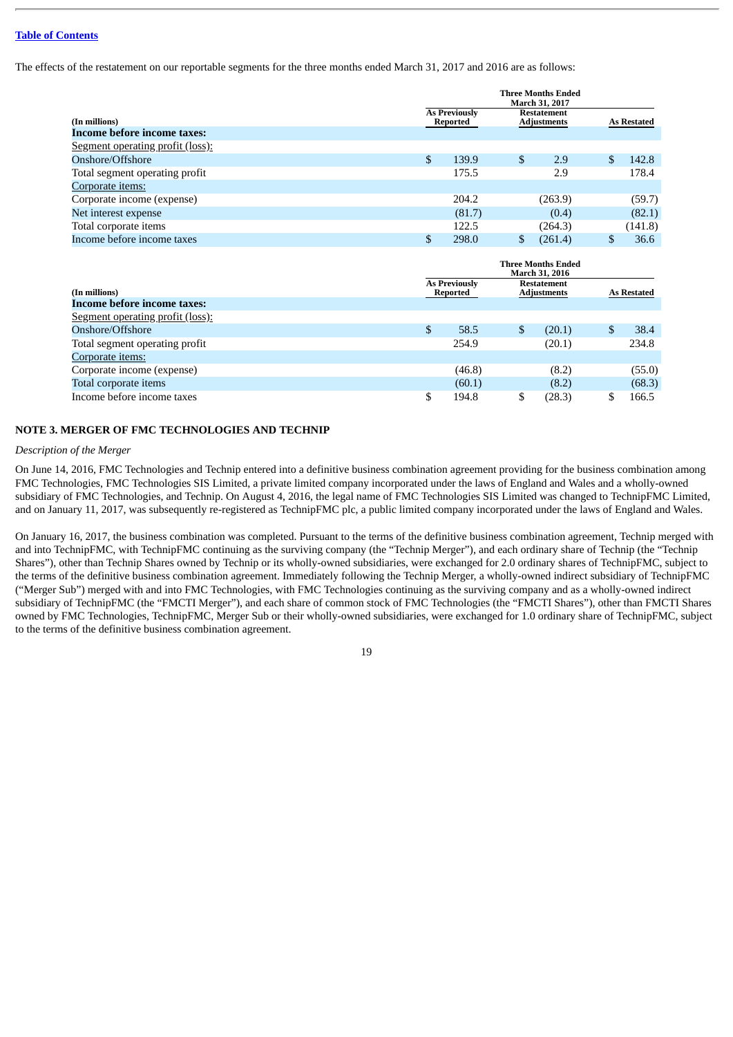The effects of the restatement on our reportable segments for the three months ended March 31, 2017 and 2016 are as follows:

|                                         | <b>Three Months Ended</b><br>March 31, 2017                                               |                                  |                                          |         |              |                    |
|-----------------------------------------|-------------------------------------------------------------------------------------------|----------------------------------|------------------------------------------|---------|--------------|--------------------|
| (In millions)                           |                                                                                           | <b>As Previously</b><br>Reported | <b>Restatement</b><br><b>Adjustments</b> |         |              | <b>As Restated</b> |
| <b>Income before income taxes:</b>      |                                                                                           |                                  |                                          |         |              |                    |
| <b>Segment operating profit (loss):</b> |                                                                                           |                                  |                                          |         |              |                    |
| Onshore/Offshore                        | \$                                                                                        | 139.9                            | \$                                       | 2.9     | $\mathbf{s}$ | 142.8              |
| Total segment operating profit          |                                                                                           | 175.5                            |                                          | 2.9     |              | 178.4              |
| Corporate items:                        |                                                                                           |                                  |                                          |         |              |                    |
| Corporate income (expense)              |                                                                                           | 204.2                            |                                          | (263.9) |              | (59.7)             |
| Net interest expense                    |                                                                                           | (81.7)                           |                                          | (0.4)   |              | (82.1)             |
| Total corporate items                   |                                                                                           | 122.5                            |                                          | (264.3) |              | (141.8)            |
| Income before income taxes              | \$                                                                                        | 298.0                            | \$                                       | (261.4) | $\mathbb{S}$ | 36.6               |
|                                         | Three Months Ended<br><b>March 31, 2016</b><br><b>As Previously</b><br><b>Restatement</b> |                                  |                                          |         |              |                    |
| (In millions)                           | Reported                                                                                  |                                  | <b>Adjustments</b>                       |         |              | As Restated        |
| <b>Income before income taxes:</b>      |                                                                                           |                                  |                                          |         |              |                    |
| <b>Segment operating profit (loss):</b> |                                                                                           |                                  |                                          |         |              |                    |

| <u>Segment operating profit (1033).</u> |        |        |        |
|-----------------------------------------|--------|--------|--------|
| Onshore/Offshore                        | 58.5   | (20.1) | 38.4   |
| Total segment operating profit          | 254.9  | (20.1) | 234.8  |
| Corporate items:                        |        |        |        |
| Corporate income (expense)              | (46.8) | (8.2)  | (55.0) |
| Total corporate items                   | (60.1) | (8.2)  | (68.3) |
| Income before income taxes              | 194.8  | 28.3)  | 166.5  |

## **NOTE 3. MERGER OF FMC TECHNOLOGIES AND TECHNIP**

### *Description of the Merger*

On June 14, 2016, FMC Technologies and Technip entered into a definitive business combination agreement providing for the business combination among FMC Technologies, FMC Technologies SIS Limited, a private limited company incorporated under the laws of England and Wales and a wholly-owned subsidiary of FMC Technologies, and Technip. On August 4, 2016, the legal name of FMC Technologies SIS Limited was changed to TechnipFMC Limited, and on January 11, 2017, was subsequently re-registered as TechnipFMC plc, a public limited company incorporated under the laws of England and Wales.

On January 16, 2017, the business combination was completed. Pursuant to the terms of the definitive business combination agreement, Technip merged with and into TechnipFMC, with TechnipFMC continuing as the surviving company (the "Technip Merger"), and each ordinary share of Technip (the "Technip Shares"), other than Technip Shares owned by Technip or its wholly-owned subsidiaries, were exchanged for 2.0 ordinary shares of TechnipFMC, subject to the terms of the definitive business combination agreement. Immediately following the Technip Merger, a wholly-owned indirect subsidiary of TechnipFMC ("Merger Sub") merged with and into FMC Technologies, with FMC Technologies continuing as the surviving company and as a wholly-owned indirect subsidiary of TechnipFMC (the "FMCTI Merger"), and each share of common stock of FMC Technologies (the "FMCTI Shares"), other than FMCTI Shares owned by FMC Technologies, TechnipFMC, Merger Sub or their wholly-owned subsidiaries, were exchanged for 1.0 ordinary share of TechnipFMC, subject to the terms of the definitive business combination agreement.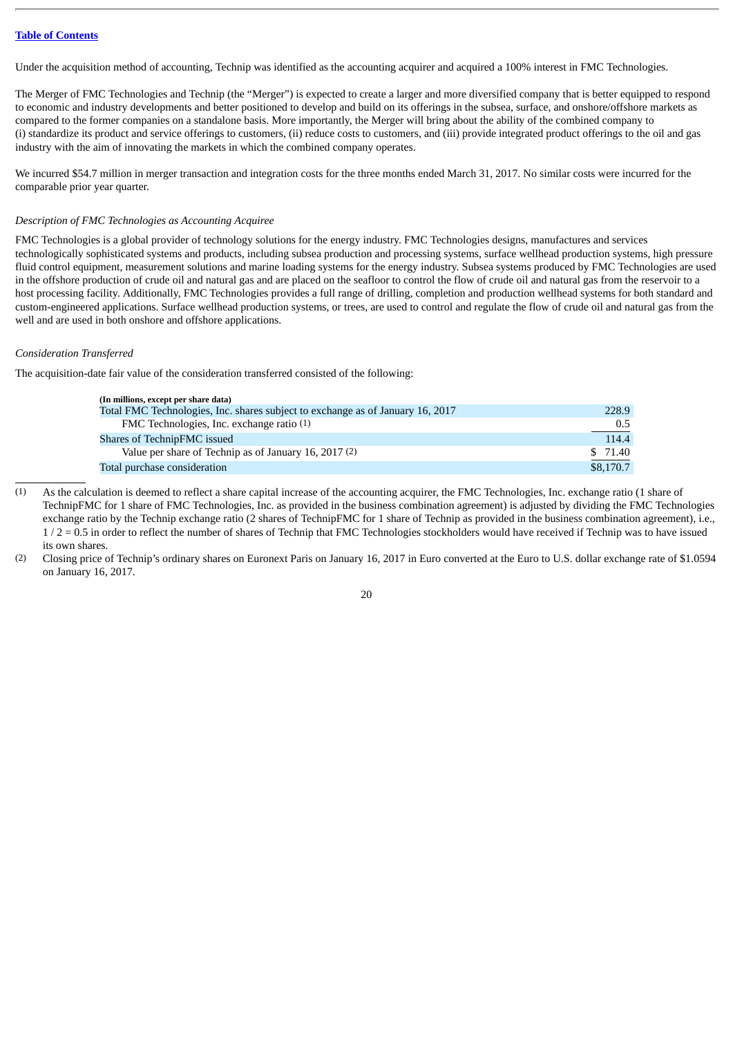Under the acquisition method of accounting, Technip was identified as the accounting acquirer and acquired a 100% interest in FMC Technologies.

The Merger of FMC Technologies and Technip (the "Merger") is expected to create a larger and more diversified company that is better equipped to respond to economic and industry developments and better positioned to develop and build on its offerings in the subsea, surface, and onshore/offshore markets as compared to the former companies on a standalone basis. More importantly, the Merger will bring about the ability of the combined company to (i) standardize its product and service offerings to customers, (ii) reduce costs to customers, and (iii) provide integrated product offerings to the oil and gas industry with the aim of innovating the markets in which the combined company operates.

We incurred \$54.7 million in merger transaction and integration costs for the three months ended March 31, 2017. No similar costs were incurred for the comparable prior year quarter.

#### *Description of FMC Technologies as Accounting Acquiree*

FMC Technologies is a global provider of technology solutions for the energy industry. FMC Technologies designs, manufactures and services technologically sophisticated systems and products, including subsea production and processing systems, surface wellhead production systems, high pressure fluid control equipment, measurement solutions and marine loading systems for the energy industry. Subsea systems produced by FMC Technologies are used in the offshore production of crude oil and natural gas and are placed on the seafloor to control the flow of crude oil and natural gas from the reservoir to a host processing facility. Additionally, FMC Technologies provides a full range of drilling, completion and production wellhead systems for both standard and custom-engineered applications. Surface wellhead production systems, or trees, are used to control and regulate the flow of crude oil and natural gas from the well and are used in both onshore and offshore applications.

#### *Consideration Transferred*

The acquisition-date fair value of the consideration transferred consisted of the following:

| (In millions, except per share data)                                           |               |
|--------------------------------------------------------------------------------|---------------|
| Total FMC Technologies, Inc. shares subject to exchange as of January 16, 2017 | 228.9         |
| FMC Technologies, Inc. exchange ratio (1)                                      | $0.5^{\circ}$ |
| Shares of TechnipFMC issued                                                    | 114.4         |
| Value per share of Technip as of January 16, 2017 (2)                          | \$71.40       |
| Total purchase consideration                                                   | \$8,170.7     |

(1) As the calculation is deemed to reflect a share capital increase of the accounting acquirer, the FMC Technologies, Inc. exchange ratio (1 share of TechnipFMC for 1 share of FMC Technologies, Inc. as provided in the business combination agreement) is adjusted by dividing the FMC Technologies exchange ratio by the Technip exchange ratio (2 shares of TechnipFMC for 1 share of Technip as provided in the business combination agreement), i.e.,  $1/2 = 0.5$  in order to reflect the number of shares of Technip that FMC Technologies stockholders would have received if Technip was to have issued its own shares.

<sup>(2)</sup> Closing price of Technip's ordinary shares on Euronext Paris on January 16, 2017 in Euro converted at the Euro to U.S. dollar exchange rate of \$1.0594 on January 16, 2017.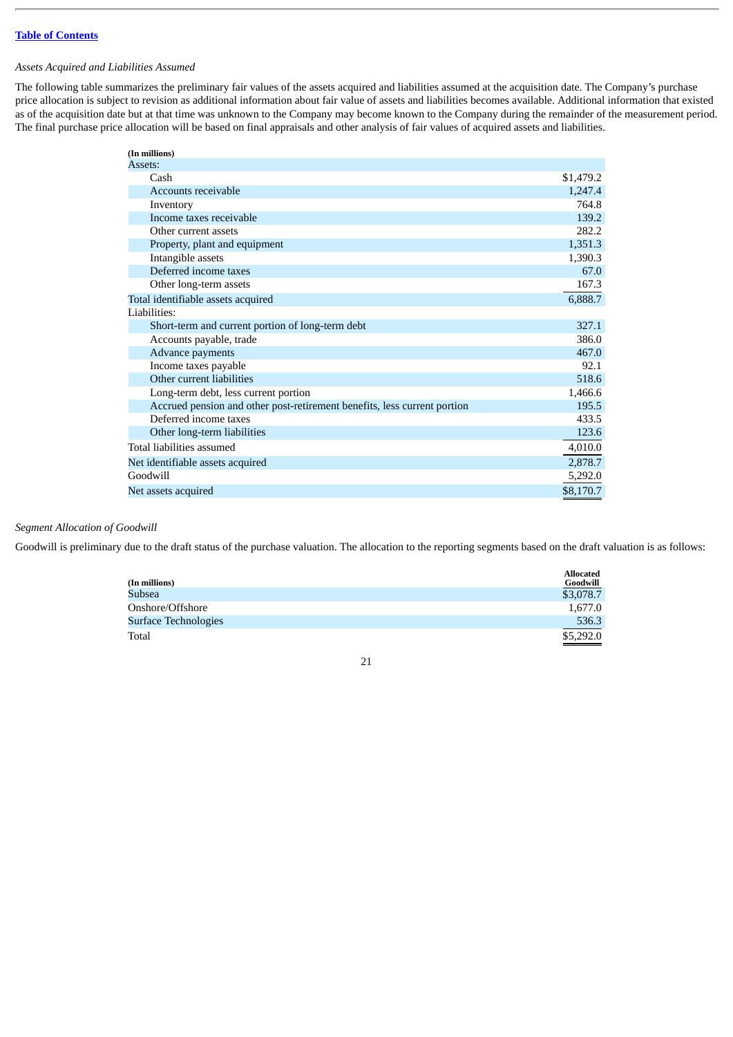## *Assets Acquired and Liabilities Assumed*

The following table summarizes the preliminary fair values of the assets acquired and liabilities assumed at the acquisition date. The Company's purchase price allocation is subject to revision as additional information about fair value of assets and liabilities becomes available. Additional information that existed as of the acquisition date but at that time was unknown to the Company may become known to the Company during the remainder of the measurement period. The final purchase price allocation will be based on final appraisals and other analysis of fair values of acquired assets and liabilities.

| (In millions)                                                            |           |
|--------------------------------------------------------------------------|-----------|
| Assets:                                                                  |           |
| Cash                                                                     | \$1,479.2 |
| Accounts receivable                                                      | 1,247.4   |
| Inventory                                                                | 764.8     |
| Income taxes receivable                                                  | 139.2     |
| Other current assets                                                     | 282.2     |
| Property, plant and equipment                                            | 1,351.3   |
| Intangible assets                                                        | 1,390.3   |
| Deferred income taxes                                                    | 67.0      |
| Other long-term assets                                                   | 167.3     |
| Total identifiable assets acquired                                       | 6,888.7   |
| Liabilities:                                                             |           |
| Short-term and current portion of long-term debt                         | 327.1     |
| Accounts payable, trade                                                  | 386.0     |
| Advance payments                                                         | 467.0     |
| Income taxes payable                                                     | 92.1      |
| Other current liabilities                                                | 518.6     |
| Long-term debt, less current portion                                     | 1,466.6   |
| Accrued pension and other post-retirement benefits, less current portion | 195.5     |
| Deferred income taxes                                                    | 433.5     |
| Other long-term liabilities                                              | 123.6     |
| Total liabilities assumed                                                | 4,010.0   |
| Net identifiable assets acquired                                         | 2,878.7   |
| Goodwill                                                                 | 5,292.0   |
| Net assets acquired                                                      | \$8,170.7 |

## *Segment Allocation of Goodwill*

Goodwill is preliminary due to the draft status of the purchase valuation. The allocation to the reporting segments based on the draft valuation is as follows:

| (In millions)        | <b>Allocated</b><br>Goodwill |
|----------------------|------------------------------|
| Subsea               | \$3,078.7                    |
| Onshore/Offshore     | 1,677.0                      |
| Surface Technologies | 536.3                        |
| Total                | \$5,292.0                    |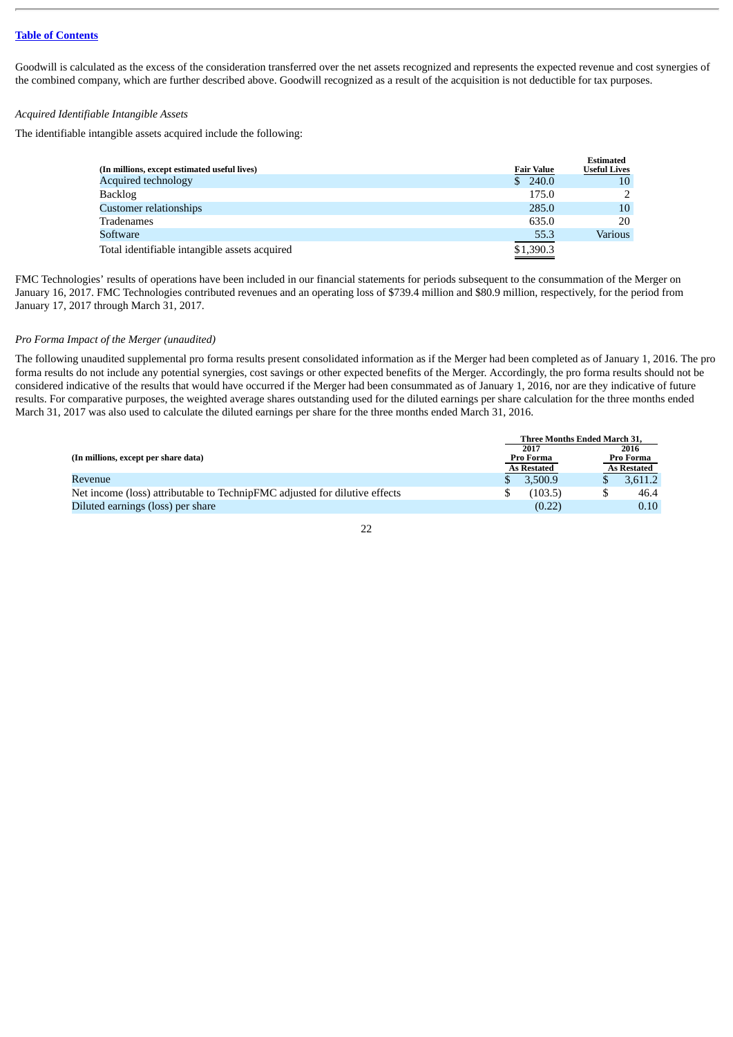Goodwill is calculated as the excess of the consideration transferred over the net assets recognized and represents the expected revenue and cost synergies of the combined company, which are further described above. Goodwill recognized as a result of the acquisition is not deductible for tax purposes.

#### *Acquired Identifiable Intangible Assets*

The identifiable intangible assets acquired include the following:

|                                               |                   | <b>Estimated</b>    |
|-----------------------------------------------|-------------------|---------------------|
| (In millions, except estimated useful lives)  | <b>Fair Value</b> | <b>Useful Lives</b> |
| <b>Acquired technology</b>                    | 240.0<br>S.       | 10                  |
| <b>Backlog</b>                                | 175.0             |                     |
| Customer relationships                        | 285.0             | 10                  |
| Tradenames                                    | 635.0             | 20                  |
| Software                                      | 55.3              | Various             |
| Total identifiable intangible assets acquired | \$1,390.3         |                     |

FMC Technologies' results of operations have been included in our financial statements for periods subsequent to the consummation of the Merger on January 16, 2017. FMC Technologies contributed revenues and an operating loss of \$739.4 million and \$80.9 million, respectively, for the period from January 17, 2017 through March 31, 2017.

#### *Pro Forma Impact of the Merger (unaudited)*

The following unaudited supplemental pro forma results present consolidated information as if the Merger had been completed as of January 1, 2016. The pro forma results do not include any potential synergies, cost savings or other expected benefits of the Merger. Accordingly, the pro forma results should not be considered indicative of the results that would have occurred if the Merger had been consummated as of January 1, 2016, nor are they indicative of future results. For comparative purposes, the weighted average shares outstanding used for the diluted earnings per share calculation for the three months ended March 31, 2017 was also used to calculate the diluted earnings per share for the three months ended March 31, 2016.

|                                                                            |           | <b>Three Months Ended March 31.</b> |           |                    |  |  |
|----------------------------------------------------------------------------|-----------|-------------------------------------|-----------|--------------------|--|--|
|                                                                            |           | 2017                                |           | 2016               |  |  |
| (In millions, except per share data)                                       | Pro Forma |                                     | Pro Forma |                    |  |  |
|                                                                            |           | <b>As Restated</b>                  |           | <b>As Restated</b> |  |  |
| Revenue                                                                    |           | 3.500.9                             |           | 3.611.2            |  |  |
| Net income (loss) attributable to TechnipFMC adjusted for dilutive effects |           | (103.5)                             |           | 46.4               |  |  |
| Diluted earnings (loss) per share                                          |           | (0.22)                              |           | 0.10               |  |  |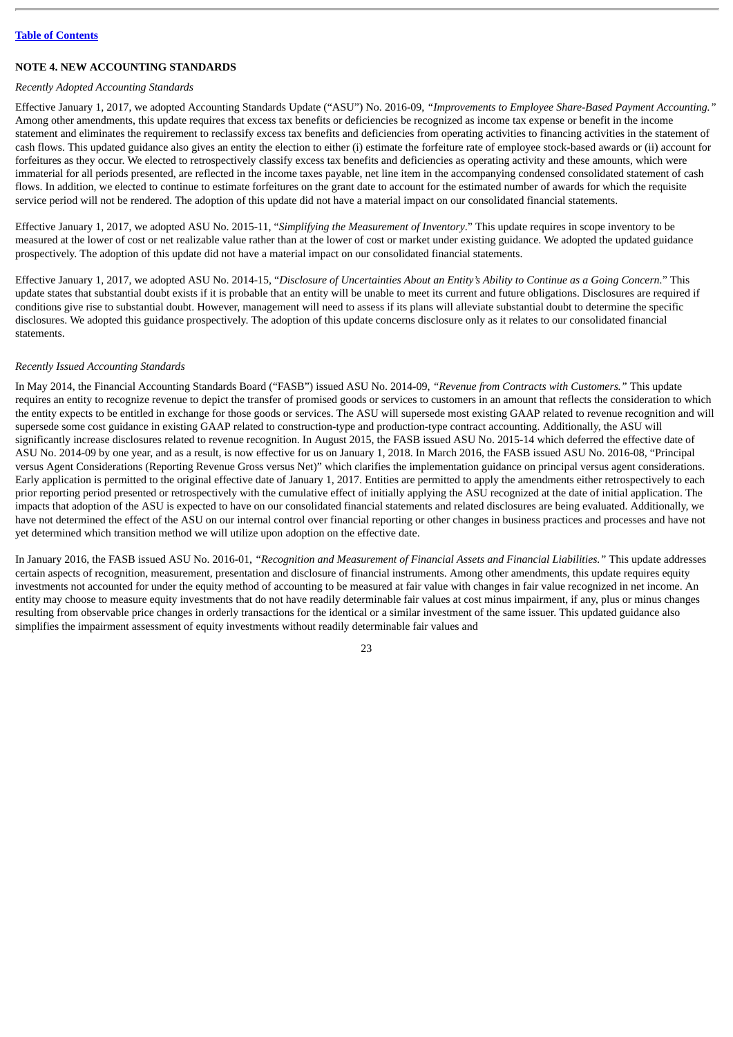## **NOTE 4. NEW ACCOUNTING STANDARDS**

## *Recently Adopted Accounting Standards*

Effective January 1, 2017, we adopted Accounting Standards Update ("ASU") No. 2016-09, *"Improvements to Employee Share-Based Payment Accounting."* Among other amendments, this update requires that excess tax benefits or deficiencies be recognized as income tax expense or benefit in the income statement and eliminates the requirement to reclassify excess tax benefits and deficiencies from operating activities to financing activities in the statement of cash flows. This updated guidance also gives an entity the election to either (i) estimate the forfeiture rate of employee stock-based awards or (ii) account for forfeitures as they occur. We elected to retrospectively classify excess tax benefits and deficiencies as operating activity and these amounts, which were immaterial for all periods presented, are reflected in the income taxes payable, net line item in the accompanying condensed consolidated statement of cash flows. In addition, we elected to continue to estimate forfeitures on the grant date to account for the estimated number of awards for which the requisite service period will not be rendered. The adoption of this update did not have a material impact on our consolidated financial statements.

Effective January 1, 2017, we adopted ASU No. 2015-11, "*Simplifying the Measurement of Inventory*." This update requires in scope inventory to be measured at the lower of cost or net realizable value rather than at the lower of cost or market under existing guidance. We adopted the updated guidance prospectively. The adoption of this update did not have a material impact on our consolidated financial statements.

Effective January 1, 2017, we adopted ASU No. 2014-15, "Disclosure of Uncertainties About an Entity's Ability to Continue as a Goina Concern." This update states that substantial doubt exists if it is probable that an entity will be unable to meet its current and future obligations. Disclosures are required if conditions give rise to substantial doubt. However, management will need to assess if its plans will alleviate substantial doubt to determine the specific disclosures. We adopted this guidance prospectively. The adoption of this update concerns disclosure only as it relates to our consolidated financial statements.

## *Recently Issued Accounting Standards*

In May 2014, the Financial Accounting Standards Board ("FASB") issued ASU No. 2014-09, *"Revenue from Contracts with Customers."* This update requires an entity to recognize revenue to depict the transfer of promised goods or services to customers in an amount that reflects the consideration to which the entity expects to be entitled in exchange for those goods or services. The ASU will supersede most existing GAAP related to revenue recognition and will supersede some cost guidance in existing GAAP related to construction-type and production-type contract accounting. Additionally, the ASU will significantly increase disclosures related to revenue recognition. In August 2015, the FASB issued ASU No. 2015-14 which deferred the effective date of ASU No. 2014-09 by one year, and as a result, is now effective for us on January 1, 2018. In March 2016, the FASB issued ASU No. 2016-08, "Principal versus Agent Considerations (Reporting Revenue Gross versus Net)" which clarifies the implementation guidance on principal versus agent considerations. Early application is permitted to the original effective date of January 1, 2017. Entities are permitted to apply the amendments either retrospectively to each prior reporting period presented or retrospectively with the cumulative effect of initially applying the ASU recognized at the date of initial application. The impacts that adoption of the ASU is expected to have on our consolidated financial statements and related disclosures are being evaluated. Additionally, we have not determined the effect of the ASU on our internal control over financial reporting or other changes in business practices and processes and have not yet determined which transition method we will utilize upon adoption on the effective date.

In January 2016, the FASB issued ASU No. 2016-01, *"Recognition and Measurement of Financial Assets and Financial Liabilities."* This update addresses certain aspects of recognition, measurement, presentation and disclosure of financial instruments. Among other amendments, this update requires equity investments not accounted for under the equity method of accounting to be measured at fair value with changes in fair value recognized in net income. An entity may choose to measure equity investments that do not have readily determinable fair values at cost minus impairment, if any, plus or minus changes resulting from observable price changes in orderly transactions for the identical or a similar investment of the same issuer. This updated guidance also simplifies the impairment assessment of equity investments without readily determinable fair values and

つつ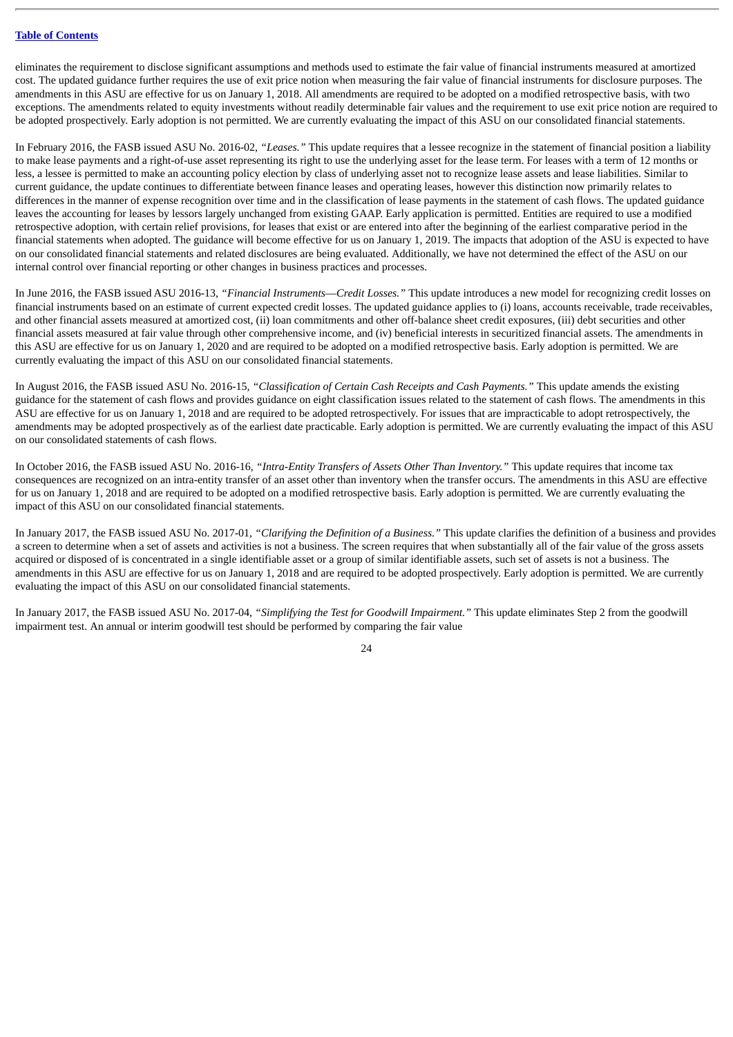eliminates the requirement to disclose significant assumptions and methods used to estimate the fair value of financial instruments measured at amortized cost. The updated guidance further requires the use of exit price notion when measuring the fair value of financial instruments for disclosure purposes. The amendments in this ASU are effective for us on January 1, 2018. All amendments are required to be adopted on a modified retrospective basis, with two exceptions. The amendments related to equity investments without readily determinable fair values and the requirement to use exit price notion are required to be adopted prospectively. Early adoption is not permitted. We are currently evaluating the impact of this ASU on our consolidated financial statements.

In February 2016, the FASB issued ASU No. 2016-02, *"Leases."* This update requires that a lessee recognize in the statement of financial position a liability to make lease payments and a right-of-use asset representing its right to use the underlying asset for the lease term. For leases with a term of 12 months or less, a lessee is permitted to make an accounting policy election by class of underlying asset not to recognize lease assets and lease liabilities. Similar to current guidance, the update continues to differentiate between finance leases and operating leases, however this distinction now primarily relates to differences in the manner of expense recognition over time and in the classification of lease payments in the statement of cash flows. The updated guidance leaves the accounting for leases by lessors largely unchanged from existing GAAP. Early application is permitted. Entities are required to use a modified retrospective adoption, with certain relief provisions, for leases that exist or are entered into after the beginning of the earliest comparative period in the financial statements when adopted. The guidance will become effective for us on January 1, 2019. The impacts that adoption of the ASU is expected to have on our consolidated financial statements and related disclosures are being evaluated. Additionally, we have not determined the effect of the ASU on our internal control over financial reporting or other changes in business practices and processes.

In June 2016, the FASB issued ASU 2016-13, *"Financial Instruments*—*Credit Losses."* This update introduces a new model for recognizing credit losses on financial instruments based on an estimate of current expected credit losses. The updated guidance applies to (i) loans, accounts receivable, trade receivables, and other financial assets measured at amortized cost, (ii) loan commitments and other off-balance sheet credit exposures, (iii) debt securities and other financial assets measured at fair value through other comprehensive income, and (iv) beneficial interests in securitized financial assets. The amendments in this ASU are effective for us on January 1, 2020 and are required to be adopted on a modified retrospective basis. Early adoption is permitted. We are currently evaluating the impact of this ASU on our consolidated financial statements.

In August 2016, the FASB issued ASU No. 2016-15*, "Classification of Certain Cash Receipts and Cash Payments."* This update amends the existing guidance for the statement of cash flows and provides guidance on eight classification issues related to the statement of cash flows. The amendments in this ASU are effective for us on January 1, 2018 and are required to be adopted retrospectively. For issues that are impracticable to adopt retrospectively, the amendments may be adopted prospectively as of the earliest date practicable. Early adoption is permitted. We are currently evaluating the impact of this ASU on our consolidated statements of cash flows.

In October 2016, the FASB issued ASU No. 2016-16, *"Intra-Entity Transfers of Assets Other Than Inventory."* This update requires that income tax consequences are recognized on an intra-entity transfer of an asset other than inventory when the transfer occurs. The amendments in this ASU are effective for us on January 1, 2018 and are required to be adopted on a modified retrospective basis. Early adoption is permitted. We are currently evaluating the impact of this ASU on our consolidated financial statements.

In January 2017, the FASB issued ASU No. 2017-01, *"Clarifying the Definition of a Business."* This update clarifies the definition of a business and provides a screen to determine when a set of assets and activities is not a business. The screen requires that when substantially all of the fair value of the gross assets acquired or disposed of is concentrated in a single identifiable asset or a group of similar identifiable assets, such set of assets is not a business. The amendments in this ASU are effective for us on January 1, 2018 and are required to be adopted prospectively. Early adoption is permitted. We are currently evaluating the impact of this ASU on our consolidated financial statements.

In January 2017, the FASB issued ASU No. 2017-04, *"Simplifying the Test for Goodwill Impairment."* This update eliminates Step 2 from the goodwill impairment test. An annual or interim goodwill test should be performed by comparing the fair value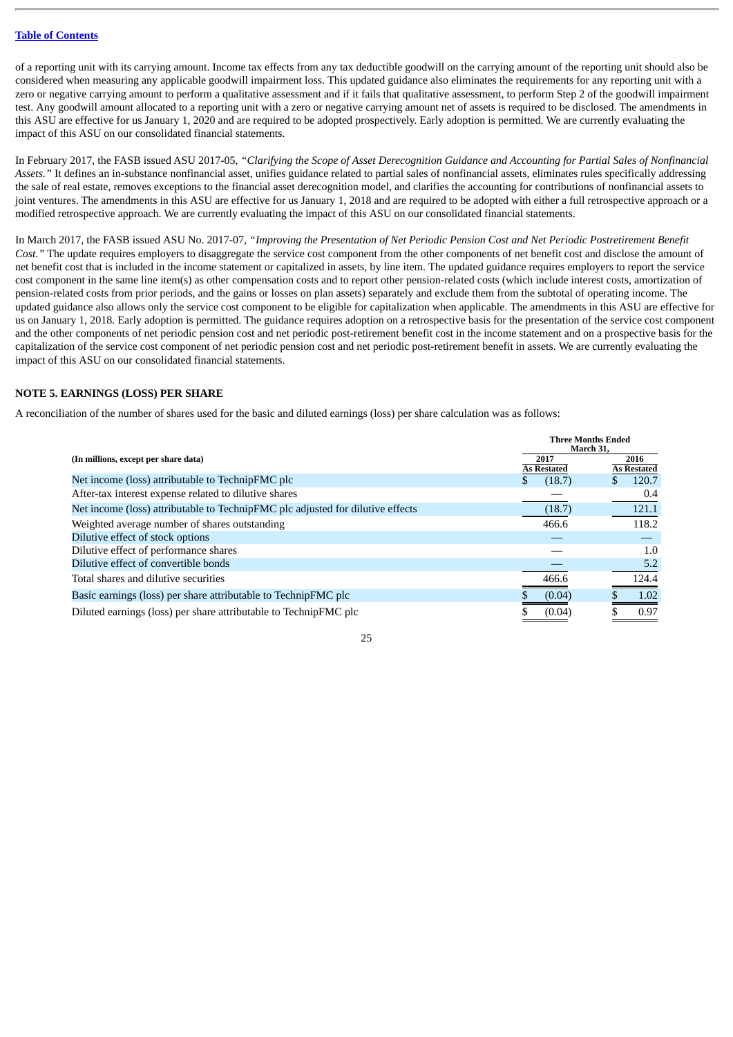of a reporting unit with its carrying amount. Income tax effects from any tax deductible goodwill on the carrying amount of the reporting unit should also be considered when measuring any applicable goodwill impairment loss. This updated guidance also eliminates the requirements for any reporting unit with a zero or negative carrying amount to perform a qualitative assessment and if it fails that qualitative assessment, to perform Step 2 of the goodwill impairment test. Any goodwill amount allocated to a reporting unit with a zero or negative carrying amount net of assets is required to be disclosed. The amendments in this ASU are effective for us January 1, 2020 and are required to be adopted prospectively. Early adoption is permitted. We are currently evaluating the impact of this ASU on our consolidated financial statements.

In February 2017, the FASB issued ASU 2017-05, "Clarifying the Scope of Asset Derecognition Guidance and Accounting for Partial Sales of Nonfinancial *Assets."* It defines an in-substance nonfinancial asset, unifies guidance related to partial sales of nonfinancial assets, eliminates rules specifically addressing the sale of real estate, removes exceptions to the financial asset derecognition model, and clarifies the accounting for contributions of nonfinancial assets to joint ventures. The amendments in this ASU are effective for us January 1, 2018 and are required to be adopted with either a full retrospective approach or a modified retrospective approach. We are currently evaluating the impact of this ASU on our consolidated financial statements.

In March 2017, the FASB issued ASU No. 2017-07, "Improving the Presentation of Net Periodic Pension Cost and Net Periodic Postretirement Benefit *Cost."* The update requires employers to disaggregate the service cost component from the other components of net benefit cost and disclose the amount of net benefit cost that is included in the income statement or capitalized in assets, by line item. The updated guidance requires employers to report the service cost component in the same line item(s) as other compensation costs and to report other pension-related costs (which include interest costs, amortization of pension-related costs from prior periods, and the gains or losses on plan assets) separately and exclude them from the subtotal of operating income. The updated guidance also allows only the service cost component to be eligible for capitalization when applicable. The amendments in this ASU are effective for us on January 1, 2018. Early adoption is permitted. The guidance requires adoption on a retrospective basis for the presentation of the service cost component and the other components of net periodic pension cost and net periodic post-retirement benefit cost in the income statement and on a prospective basis for the capitalization of the service cost component of net periodic pension cost and net periodic post-retirement benefit in assets. We are currently evaluating the impact of this ASU on our consolidated financial statements.

## **NOTE 5. EARNINGS (LOSS) PER SHARE**

A reconciliation of the number of shares used for the basic and diluted earnings (loss) per share calculation was as follows:

|                                                                                | <b>Three Months Ended</b><br>March 31. |                             |  |
|--------------------------------------------------------------------------------|----------------------------------------|-----------------------------|--|
| (In millions, except per share data)                                           | 2017                                   | 2016                        |  |
| Net income (loss) attributable to TechnipFMC plc                               | <b>As Restated</b><br>(18.7)<br>S.     | <b>As Restated</b><br>120.7 |  |
| After-tax interest expense related to dilutive shares                          |                                        | 0.4                         |  |
| Net income (loss) attributable to TechnipFMC plc adjusted for dilutive effects | (18.7)                                 | 121.1                       |  |
| Weighted average number of shares outstanding                                  | 466.6                                  | 118.2                       |  |
| Dilutive effect of stock options                                               |                                        |                             |  |
| Dilutive effect of performance shares                                          |                                        | 1.0                         |  |
| Dilutive effect of convertible bonds                                           |                                        | 5.2                         |  |
| Total shares and dilutive securities                                           | 466.6                                  | 124.4                       |  |
| Basic earnings (loss) per share attributable to TechnipFMC plc                 | (0.04)                                 | 1.02                        |  |
| Diluted earnings (loss) per share attributable to TechnipFMC plc               | (0.04)                                 | 0.97                        |  |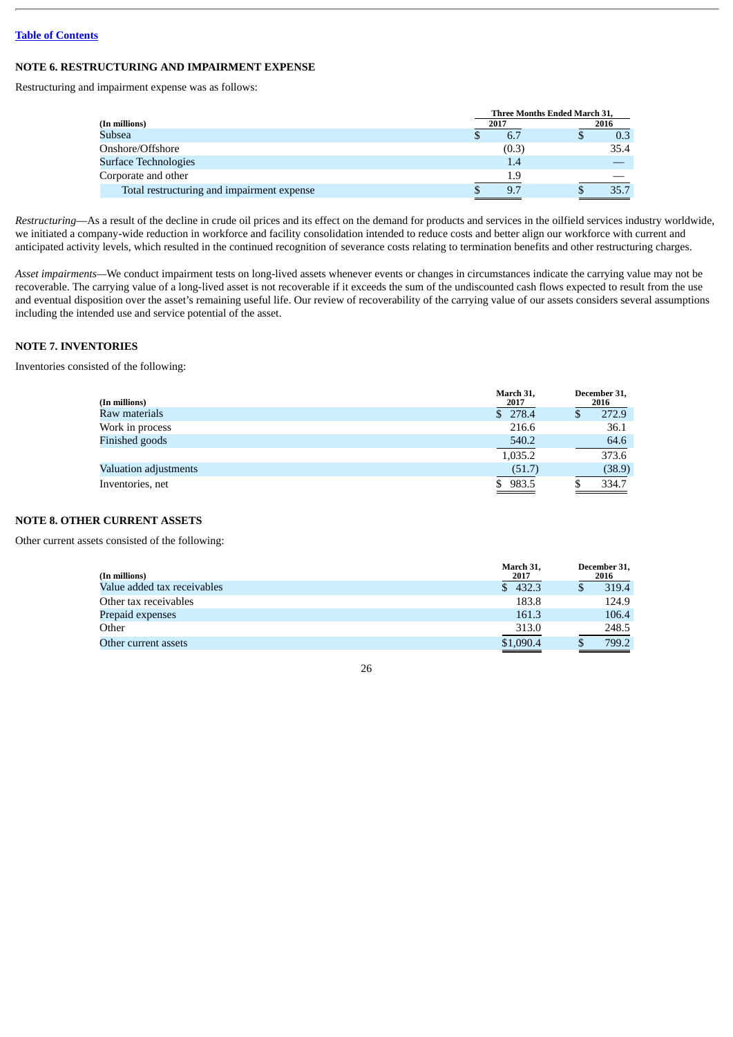## **NOTE 6. RESTRUCTURING AND IMPAIRMENT EXPENSE**

Restructuring and impairment expense was as follows:

|                                            | Three Months Ended March 31, |  |      |  |  |
|--------------------------------------------|------------------------------|--|------|--|--|
| (In millions)                              | 2017                         |  | 2016 |  |  |
| Subsea                                     | 6.7                          |  | 0.3  |  |  |
| Onshore/Offshore                           | (0.3)                        |  | 35.4 |  |  |
| Surface Technologies                       | 1.4                          |  |      |  |  |
| Corporate and other                        | 1.9                          |  |      |  |  |
| Total restructuring and impairment expense | 9.7                          |  | 35.7 |  |  |

*Restructuring*—As a result of the decline in crude oil prices and its effect on the demand for products and services in the oilfield services industry worldwide, we initiated a company-wide reduction in workforce and facility consolidation intended to reduce costs and better align our workforce with current and anticipated activity levels, which resulted in the continued recognition of severance costs relating to termination benefits and other restructuring charges.

*Asset impairments—*We conduct impairment tests on long-lived assets whenever events or changes in circumstances indicate the carrying value may not be recoverable. The carrying value of a long-lived asset is not recoverable if it exceeds the sum of the undiscounted cash flows expected to result from the use and eventual disposition over the asset's remaining useful life. Our review of recoverability of the carrying value of our assets considers several assumptions including the intended use and service potential of the asset.

## **NOTE 7. INVENTORIES**

Inventories consisted of the following:

| (In millions)                | March 31,<br>2017 | December 31,<br>2016 |
|------------------------------|-------------------|----------------------|
| Raw materials                | \$278.4           | 272.9                |
| Work in process              | 216.6             | 36.1                 |
| Finished goods               | 540.2             | 64.6                 |
|                              | 1,035.2           | 373.6                |
| <b>Valuation adjustments</b> | (51.7)            | (38.9)               |
| Inventories, net             | 983.5             | 334.7                |

## **NOTE 8. OTHER CURRENT ASSETS**

Other current assets consisted of the following:

| (In millions)               | March 31,<br>2017 | December 31,<br>2016 |
|-----------------------------|-------------------|----------------------|
| Value added tax receivables | \$432.3           | 319.4                |
| Other tax receivables       | 183.8             | 124.9                |
| Prepaid expenses            | 161.3             | 106.4                |
| Other                       | 313.0             | 248.5                |
| Other current assets        | \$1,090.4         | 799.2                |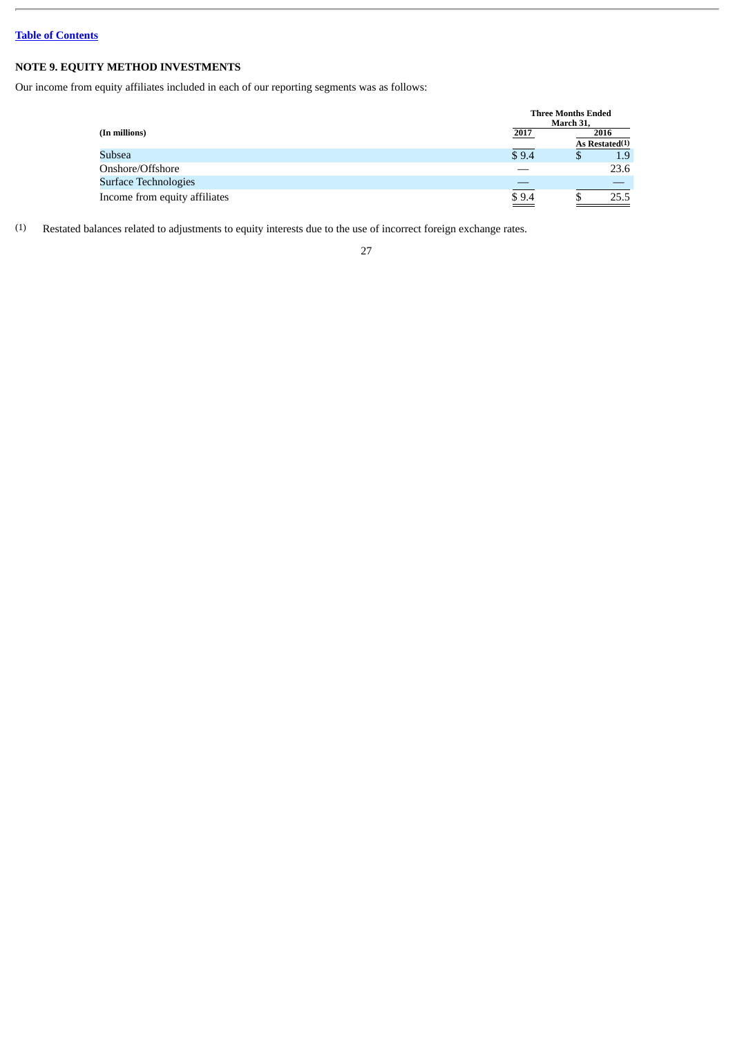## **NOTE 9. EQUITY METHOD INVESTMENTS**

Our income from equity affiliates included in each of our reporting segments was as follows:

|                               |                  | <b>Three Months Ended</b><br>March 31, |                |
|-------------------------------|------------------|----------------------------------------|----------------|
| (In millions)                 | 2017             |                                        | 2016           |
|                               |                  |                                        | As Restated(1) |
| Subsea                        | \$9.4            | \$                                     | 1.9            |
| Onshore/Offshore              |                  |                                        | 23.6           |
| <b>Surface Technologies</b>   |                  |                                        |                |
| Income from equity affiliates | $\frac{$9.4}{2}$ |                                        | 25.5           |

(1) Restated balances related to adjustments to equity interests due to the use of incorrect foreign exchange rates.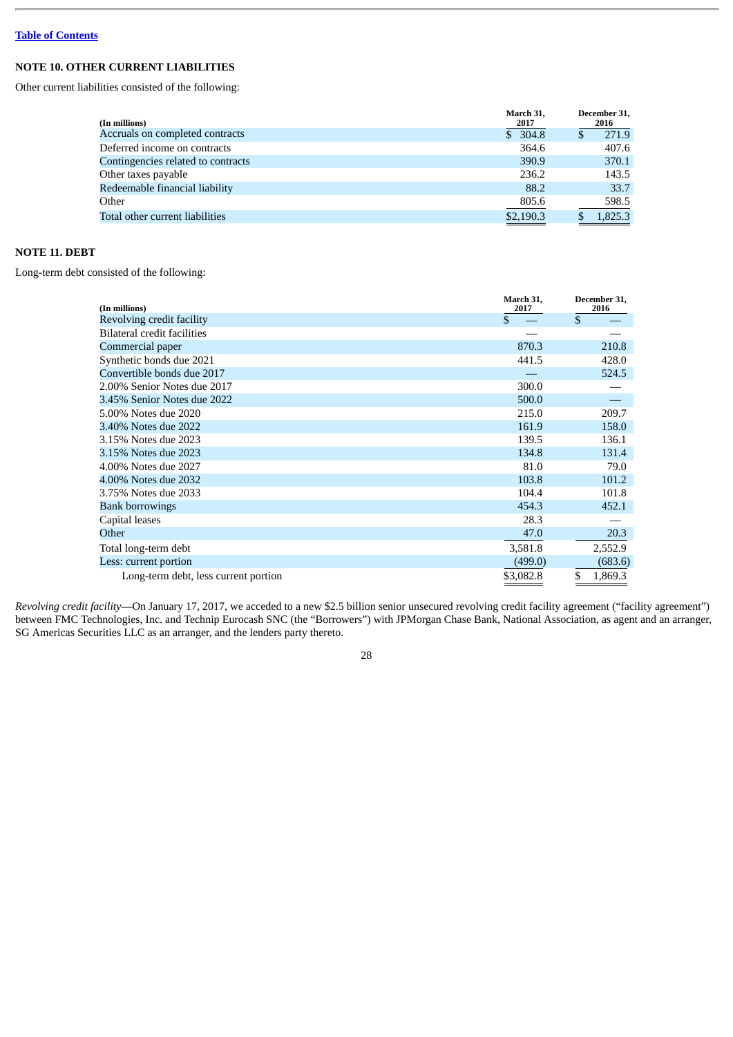## **NOTE 10. OTHER CURRENT LIABILITIES**

Other current liabilities consisted of the following:

| (In millions)                      | March 31,<br>2017 | December 31,<br>2016 |
|------------------------------------|-------------------|----------------------|
| Accruals on completed contracts    | \$304.8           | 271.9                |
| Deferred income on contracts       | 364.6             | 407.6                |
| Contingencies related to contracts | 390.9             | 370.1                |
| Other taxes payable                | 236.2             | 143.5                |
| Redeemable financial liability     | 88.2              | 33.7                 |
| Other                              | 805.6             | 598.5                |
| Total other current liabilities    | \$2,190.3         | 1,825.3              |

## **NOTE 11. DEBT**

Long-term debt consisted of the following:

| (In millions)                        | March 31,<br>2017 | December 31,<br>2016 |  |
|--------------------------------------|-------------------|----------------------|--|
| Revolving credit facility            | \$                | \$                   |  |
| Bilateral credit facilities          |                   |                      |  |
| Commercial paper                     | 870.3             | 210.8                |  |
| Synthetic bonds due 2021             | 441.5             | 428.0                |  |
| Convertible bonds due 2017           |                   | 524.5                |  |
| 2.00% Senior Notes due 2017          | 300.0             |                      |  |
| 3.45% Senior Notes due 2022          | 500.0             |                      |  |
| 5.00% Notes due 2020                 | 215.0             | 209.7                |  |
| 3.40% Notes due 2022                 | 161.9             | 158.0                |  |
| 3.15% Notes due 2023                 | 139.5             | 136.1                |  |
| 3.15% Notes due 2023                 | 134.8             | 131.4                |  |
| 4.00% Notes due 2027                 | 81.0              | 79.0                 |  |
| 4.00% Notes due 2032                 | 103.8             | 101.2                |  |
| 3.75% Notes due 2033                 | 104.4             | 101.8                |  |
| <b>Bank borrowings</b>               | 454.3             | 452.1                |  |
| Capital leases                       | 28.3              |                      |  |
| Other                                | 47.0              | 20.3                 |  |
| Total long-term debt                 | 3,581.8           | 2,552.9              |  |
| Less: current portion                | (499.0)           | (683.6)              |  |
| Long-term debt, less current portion | \$3,082.8         | \$<br>1,869.3        |  |

*Revolving credit facility*—On January 17, 2017, we acceded to a new \$2.5 billion senior unsecured revolving credit facility agreement ("facility agreement") between FMC Technologies, Inc. and Technip Eurocash SNC (the "Borrowers") with JPMorgan Chase Bank, National Association, as agent and an arranger, SG Americas Securities LLC as an arranger, and the lenders party thereto.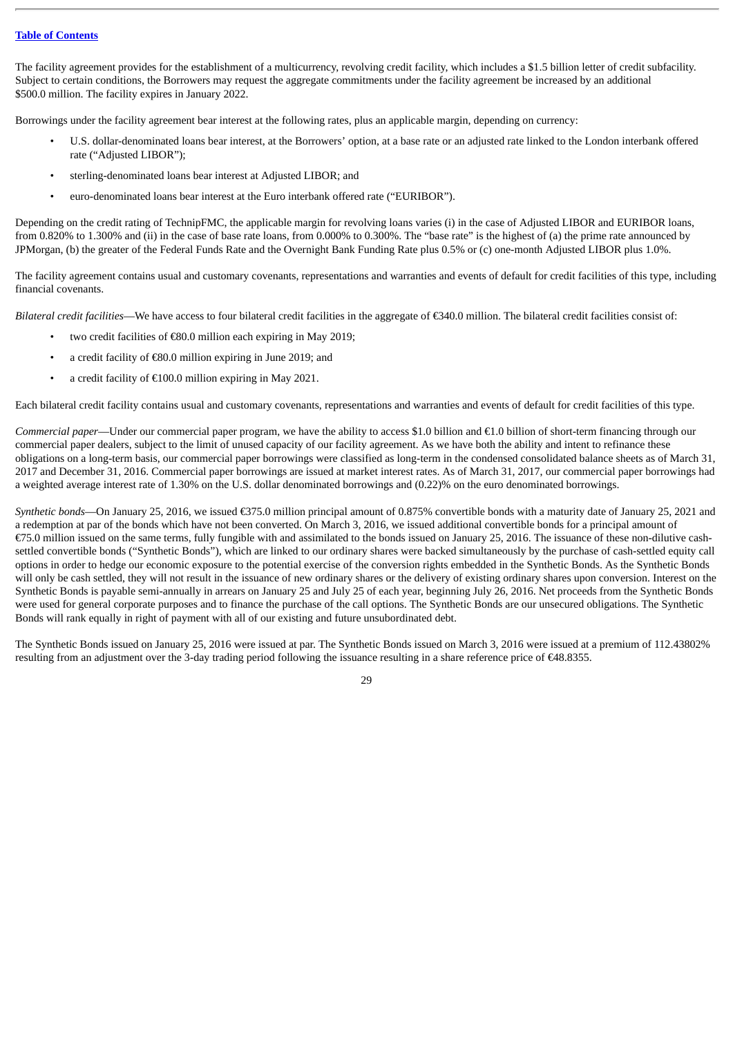The facility agreement provides for the establishment of a multicurrency, revolving credit facility, which includes a \$1.5 billion letter of credit subfacility. Subject to certain conditions, the Borrowers may request the aggregate commitments under the facility agreement be increased by an additional \$500.0 million. The facility expires in January 2022.

Borrowings under the facility agreement bear interest at the following rates, plus an applicable margin, depending on currency:

- U.S. dollar-denominated loans bear interest, at the Borrowers' option, at a base rate or an adjusted rate linked to the London interbank offered rate ("Adjusted LIBOR");
- sterling-denominated loans bear interest at Adjusted LIBOR; and
- euro-denominated loans bear interest at the Euro interbank offered rate ("EURIBOR").

Depending on the credit rating of TechnipFMC, the applicable margin for revolving loans varies (i) in the case of Adjusted LIBOR and EURIBOR loans, from 0.820% to 1.300% and (ii) in the case of base rate loans, from 0.000% to 0.300%. The "base rate" is the highest of (a) the prime rate announced by JPMorgan, (b) the greater of the Federal Funds Rate and the Overnight Bank Funding Rate plus 0.5% or (c) one-month Adjusted LIBOR plus 1.0%.

The facility agreement contains usual and customary covenants, representations and warranties and events of default for credit facilities of this type, including financial covenants.

*Bilateral credit facilities*—We have access to four bilateral credit facilities in the aggregate of €340.0 million. The bilateral credit facilities consist of:

- two credit facilities of €80.0 million each expiring in May 2019;
- a credit facility of €80.0 million expiring in June 2019; and
- a credit facility of €100.0 million expiring in May 2021.

Each bilateral credit facility contains usual and customary covenants, representations and warranties and events of default for credit facilities of this type.

*Commercial paper*—Under our commercial paper program, we have the ability to access \$1.0 billion and  $\epsilon$ 1.0 billion of short-term financing through our commercial paper dealers, subject to the limit of unused capacity of our facility agreement. As we have both the ability and intent to refinance these obligations on a long-term basis, our commercial paper borrowings were classified as long-term in the condensed consolidated balance sheets as of March 31, 2017 and December 31, 2016. Commercial paper borrowings are issued at market interest rates. As of March 31, 2017, our commercial paper borrowings had a weighted average interest rate of 1.30% on the U.S. dollar denominated borrowings and (0.22)% on the euro denominated borrowings.

*Synthetic bonds*—On January 25, 2016, we issued €375.0 million principal amount of 0.875% convertible bonds with a maturity date of January 25, 2021 and a redemption at par of the bonds which have not been converted. On March 3, 2016, we issued additional convertible bonds for a principal amount of €75.0 million issued on the same terms, fully fungible with and assimilated to the bonds issued on January 25, 2016. The issuance of these non-dilutive cashsettled convertible bonds ("Synthetic Bonds"), which are linked to our ordinary shares were backed simultaneously by the purchase of cash-settled equity call options in order to hedge our economic exposure to the potential exercise of the conversion rights embedded in the Synthetic Bonds. As the Synthetic Bonds will only be cash settled, they will not result in the issuance of new ordinary shares or the delivery of existing ordinary shares upon conversion. Interest on the Synthetic Bonds is payable semi-annually in arrears on January 25 and July 25 of each year, beginning July 26, 2016. Net proceeds from the Synthetic Bonds were used for general corporate purposes and to finance the purchase of the call options. The Synthetic Bonds are our unsecured obligations. The Synthetic Bonds will rank equally in right of payment with all of our existing and future unsubordinated debt.

The Synthetic Bonds issued on January 25, 2016 were issued at par. The Synthetic Bonds issued on March 3, 2016 were issued at a premium of 112.43802% resulting from an adjustment over the 3-day trading period following the issuance resulting in a share reference price of €48.8355.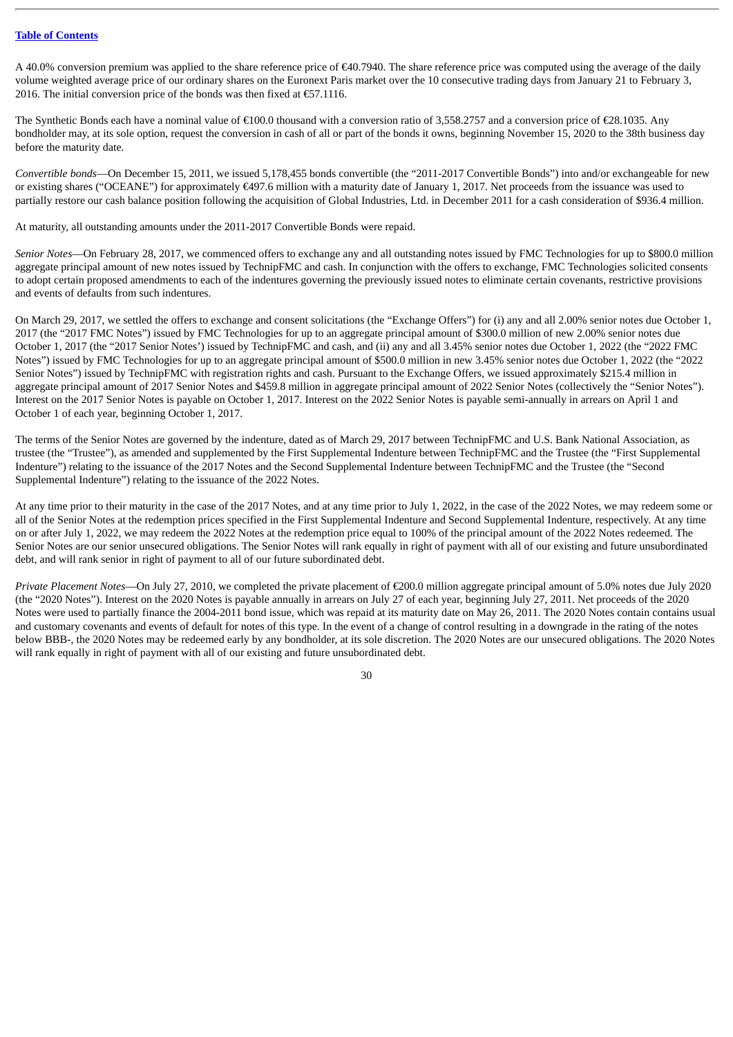A 40.0% conversion premium was applied to the share reference price of  $\epsilon$ 40.7940. The share reference price was computed using the average of the daily volume weighted average price of our ordinary shares on the Euronext Paris market over the 10 consecutive trading days from January 21 to February 3, 2016. The initial conversion price of the bonds was then fixed at  $E$ 57.1116.

The Synthetic Bonds each have a nominal value of €100.0 thousand with a conversion ratio of 3,558.2757 and a conversion price of €28.1035. Any bondholder may, at its sole option, request the conversion in cash of all or part of the bonds it owns, beginning November 15, 2020 to the 38th business day before the maturity date.

*Convertible bonds*—On December 15, 2011, we issued 5,178,455 bonds convertible (the "2011-2017 Convertible Bonds") into and/or exchangeable for new or existing shares ("OCEANE") for approximately €497.6 million with a maturity date of January 1, 2017. Net proceeds from the issuance was used to partially restore our cash balance position following the acquisition of Global Industries, Ltd. in December 2011 for a cash consideration of \$936.4 million.

At maturity, all outstanding amounts under the 2011-2017 Convertible Bonds were repaid.

*Senior Notes*—On February 28, 2017, we commenced offers to exchange any and all outstanding notes issued by FMC Technologies for up to \$800.0 million aggregate principal amount of new notes issued by TechnipFMC and cash. In conjunction with the offers to exchange, FMC Technologies solicited consents to adopt certain proposed amendments to each of the indentures governing the previously issued notes to eliminate certain covenants, restrictive provisions and events of defaults from such indentures.

On March 29, 2017, we settled the offers to exchange and consent solicitations (the "Exchange Offers") for (i) any and all 2.00% senior notes due October 1, 2017 (the "2017 FMC Notes") issued by FMC Technologies for up to an aggregate principal amount of \$300.0 million of new 2.00% senior notes due October 1, 2017 (the "2017 Senior Notes') issued by TechnipFMC and cash, and (ii) any and all 3.45% senior notes due October 1, 2022 (the "2022 FMC Notes") issued by FMC Technologies for up to an aggregate principal amount of \$500.0 million in new 3.45% senior notes due October 1, 2022 (the "2022 Senior Notes") issued by TechnipFMC with registration rights and cash. Pursuant to the Exchange Offers, we issued approximately \$215.4 million in aggregate principal amount of 2017 Senior Notes and \$459.8 million in aggregate principal amount of 2022 Senior Notes (collectively the "Senior Notes"). Interest on the 2017 Senior Notes is payable on October 1, 2017. Interest on the 2022 Senior Notes is payable semi-annually in arrears on April 1 and October 1 of each year, beginning October 1, 2017.

The terms of the Senior Notes are governed by the indenture, dated as of March 29, 2017 between TechnipFMC and U.S. Bank National Association, as trustee (the "Trustee"), as amended and supplemented by the First Supplemental Indenture between TechnipFMC and the Trustee (the "First Supplemental Indenture") relating to the issuance of the 2017 Notes and the Second Supplemental Indenture between TechnipFMC and the Trustee (the "Second Supplemental Indenture") relating to the issuance of the 2022 Notes.

At any time prior to their maturity in the case of the 2017 Notes, and at any time prior to July 1, 2022, in the case of the 2022 Notes, we may redeem some or all of the Senior Notes at the redemption prices specified in the First Supplemental Indenture and Second Supplemental Indenture, respectively. At any time on or after July 1, 2022, we may redeem the 2022 Notes at the redemption price equal to 100% of the principal amount of the 2022 Notes redeemed. The Senior Notes are our senior unsecured obligations. The Senior Notes will rank equally in right of payment with all of our existing and future unsubordinated debt, and will rank senior in right of payment to all of our future subordinated debt.

*Private Placement Notes*—On July 27, 2010, we completed the private placement of €200.0 million aggregate principal amount of 5.0% notes due July 2020 (the "2020 Notes"). Interest on the 2020 Notes is payable annually in arrears on July 27 of each year, beginning July 27, 2011. Net proceeds of the 2020 Notes were used to partially finance the 2004-2011 bond issue, which was repaid at its maturity date on May 26, 2011. The 2020 Notes contain contains usual and customary covenants and events of default for notes of this type. In the event of a change of control resulting in a downgrade in the rating of the notes below BBB-, the 2020 Notes may be redeemed early by any bondholder, at its sole discretion. The 2020 Notes are our unsecured obligations. The 2020 Notes will rank equally in right of payment with all of our existing and future unsubordinated debt.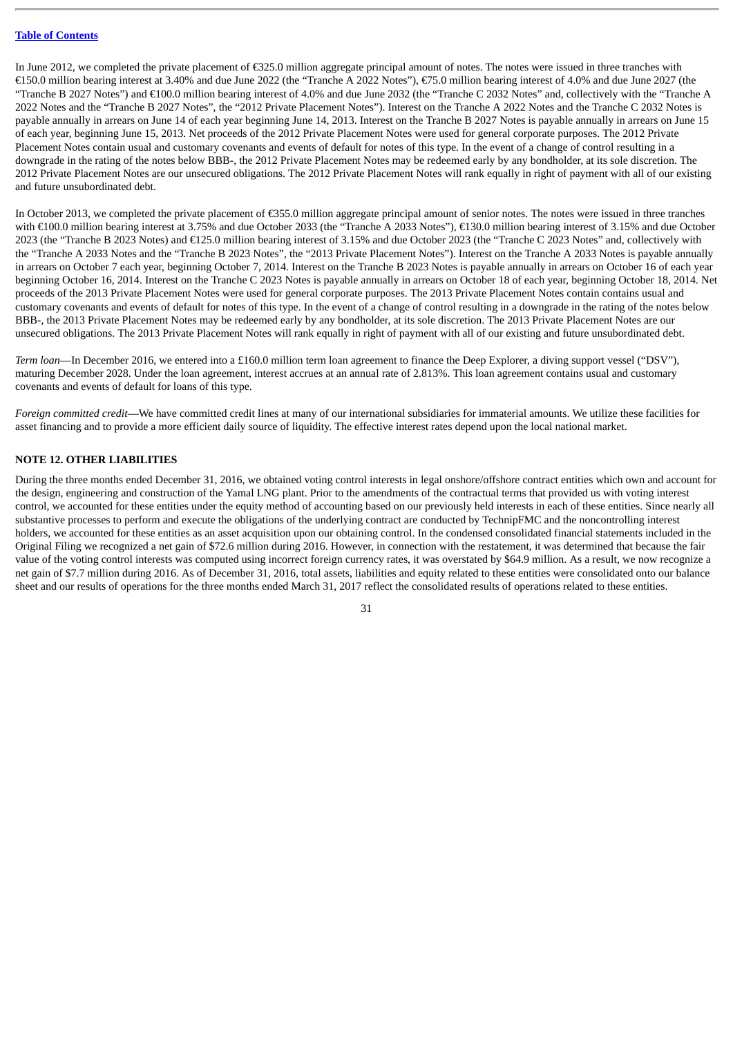In June 2012, we completed the private placement of €325.0 million aggregate principal amount of notes. The notes were issued in three tranches with €150.0 million bearing interest at 3.40% and due June 2022 (the "Tranche A 2022 Notes"), €75.0 million bearing interest of 4.0% and due June 2027 (the "Tranche B 2027 Notes") and  $\epsilon$ 100.0 million bearing interest of 4.0% and due June 2032 (the "Tranche C 2032 Notes" and, collectively with the "Tranche A 2022 Notes and the "Tranche B 2027 Notes", the "2012 Private Placement Notes"). Interest on the Tranche A 2022 Notes and the Tranche C 2032 Notes is payable annually in arrears on June 14 of each year beginning June 14, 2013. Interest on the Tranche B 2027 Notes is payable annually in arrears on June 15 of each year, beginning June 15, 2013. Net proceeds of the 2012 Private Placement Notes were used for general corporate purposes. The 2012 Private Placement Notes contain usual and customary covenants and events of default for notes of this type. In the event of a change of control resulting in a downgrade in the rating of the notes below BBB-, the 2012 Private Placement Notes may be redeemed early by any bondholder, at its sole discretion. The 2012 Private Placement Notes are our unsecured obligations. The 2012 Private Placement Notes will rank equally in right of payment with all of our existing and future unsubordinated debt.

In October 2013, we completed the private placement of €355.0 million aggregate principal amount of senior notes. The notes were issued in three tranches with €100.0 million bearing interest at 3.75% and due October 2033 (the "Tranche A 2033 Notes"), €130.0 million bearing interest of 3.15% and due October 2023 (the "Tranche B 2023 Notes) and €125.0 million bearing interest of 3.15% and due October 2023 (the "Tranche C 2023 Notes" and, collectively with the "Tranche A 2033 Notes and the "Tranche B 2023 Notes", the "2013 Private Placement Notes"). Interest on the Tranche A 2033 Notes is payable annually in arrears on October 7 each year, beginning October 7, 2014. Interest on the Tranche B 2023 Notes is payable annually in arrears on October 16 of each year beginning October 16, 2014. Interest on the Tranche C 2023 Notes is payable annually in arrears on October 18 of each year, beginning October 18, 2014. Net proceeds of the 2013 Private Placement Notes were used for general corporate purposes. The 2013 Private Placement Notes contain contains usual and customary covenants and events of default for notes of this type. In the event of a change of control resulting in a downgrade in the rating of the notes below BBB-, the 2013 Private Placement Notes may be redeemed early by any bondholder, at its sole discretion. The 2013 Private Placement Notes are our unsecured obligations. The 2013 Private Placement Notes will rank equally in right of payment with all of our existing and future unsubordinated debt.

*Term loan*—In December 2016, we entered into a £160.0 million term loan agreement to finance the Deep Explorer, a diving support vessel ("DSV"), maturing December 2028. Under the loan agreement, interest accrues at an annual rate of 2.813%. This loan agreement contains usual and customary covenants and events of default for loans of this type.

*Foreign committed credit*—We have committed credit lines at many of our international subsidiaries for immaterial amounts. We utilize these facilities for asset financing and to provide a more efficient daily source of liquidity. The effective interest rates depend upon the local national market.

#### **NOTE 12. OTHER LIABILITIES**

During the three months ended December 31, 2016, we obtained voting control interests in legal onshore/offshore contract entities which own and account for the design, engineering and construction of the Yamal LNG plant. Prior to the amendments of the contractual terms that provided us with voting interest control, we accounted for these entities under the equity method of accounting based on our previously held interests in each of these entities. Since nearly all substantive processes to perform and execute the obligations of the underlying contract are conducted by TechnipFMC and the noncontrolling interest holders, we accounted for these entities as an asset acquisition upon our obtaining control. In the condensed consolidated financial statements included in the Original Filing we recognized a net gain of \$72.6 million during 2016. However, in connection with the restatement, it was determined that because the fair value of the voting control interests was computed using incorrect foreign currency rates, it was overstated by \$64.9 million. As a result, we now recognize a net gain of \$7.7 million during 2016. As of December 31, 2016, total assets, liabilities and equity related to these entities were consolidated onto our balance sheet and our results of operations for the three months ended March 31, 2017 reflect the consolidated results of operations related to these entities.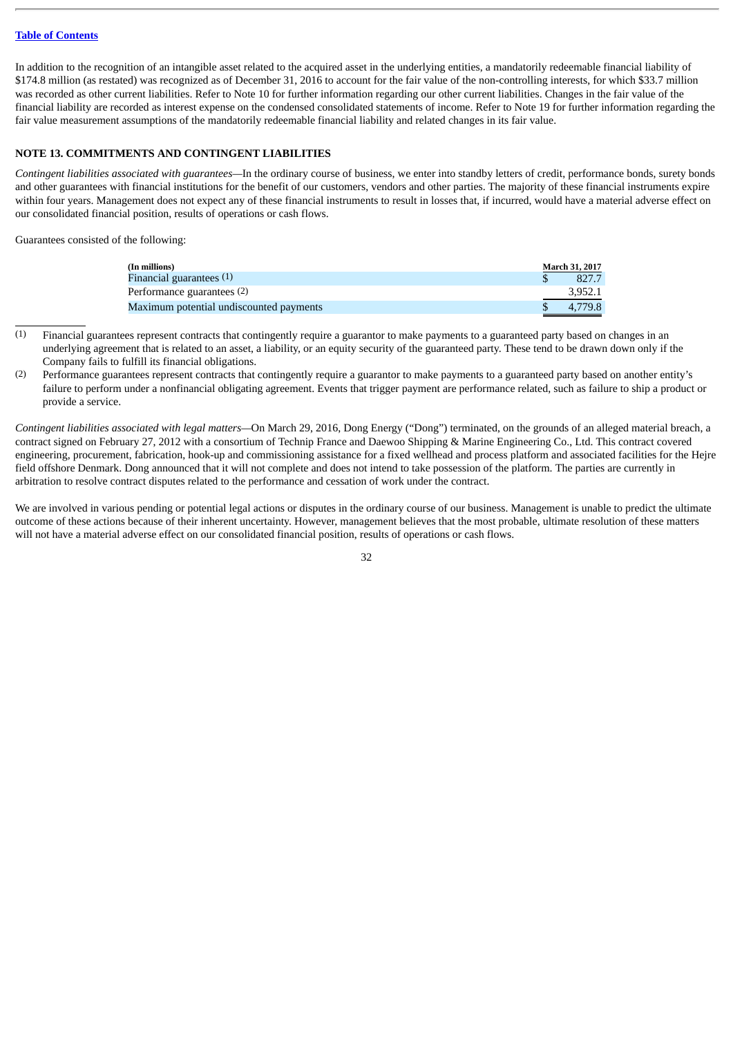In addition to the recognition of an intangible asset related to the acquired asset in the underlying entities, a mandatorily redeemable financial liability of \$174.8 million (as restated) was recognized as of December 31, 2016 to account for the fair value of the non-controlling interests, for which \$33.7 million was recorded as other current liabilities. Refer to Note 10 for further information regarding our other current liabilities. Changes in the fair value of the financial liability are recorded as interest expense on the condensed consolidated statements of income. Refer to Note 19 for further information regarding the fair value measurement assumptions of the mandatorily redeemable financial liability and related changes in its fair value.

#### **NOTE 13. COMMITMENTS AND CONTINGENT LIABILITIES**

*Contingent liabilities associated with guarantees—*In the ordinary course of business, we enter into standby letters of credit, performance bonds, surety bonds and other guarantees with financial institutions for the benefit of our customers, vendors and other parties. The majority of these financial instruments expire within four years. Management does not expect any of these financial instruments to result in losses that, if incurred, would have a material adverse effect on our consolidated financial position, results of operations or cash flows.

Guarantees consisted of the following:

| (In millions)                           | <b>March 31, 2017</b> |
|-----------------------------------------|-----------------------|
| Financial guarantees $(1)$              | 827.7                 |
| Performance guarantees (2)              | 3.952.1               |
| Maximum potential undiscounted payments | 4.779.8               |

- (1) Financial guarantees represent contracts that contingently require a guarantor to make payments to a guaranteed party based on changes in an underlying agreement that is related to an asset, a liability, or an equity security of the guaranteed party. These tend to be drawn down only if the Company fails to fulfill its financial obligations.
- (2) Performance guarantees represent contracts that contingently require a guarantor to make payments to a guaranteed party based on another entity's failure to perform under a nonfinancial obligating agreement. Events that trigger payment are performance related, such as failure to ship a product or provide a service.

*Contingent liabilities associated with legal matters—*On March 29, 2016, Dong Energy ("Dong") terminated, on the grounds of an alleged material breach, a contract signed on February 27, 2012 with a consortium of Technip France and Daewoo Shipping & Marine Engineering Co., Ltd. This contract covered engineering, procurement, fabrication, hook-up and commissioning assistance for a fixed wellhead and process platform and associated facilities for the Hejre field offshore Denmark. Dong announced that it will not complete and does not intend to take possession of the platform. The parties are currently in arbitration to resolve contract disputes related to the performance and cessation of work under the contract.

We are involved in various pending or potential legal actions or disputes in the ordinary course of our business. Management is unable to predict the ultimate outcome of these actions because of their inherent uncertainty. However, management believes that the most probable, ultimate resolution of these matters will not have a material adverse effect on our consolidated financial position, results of operations or cash flows.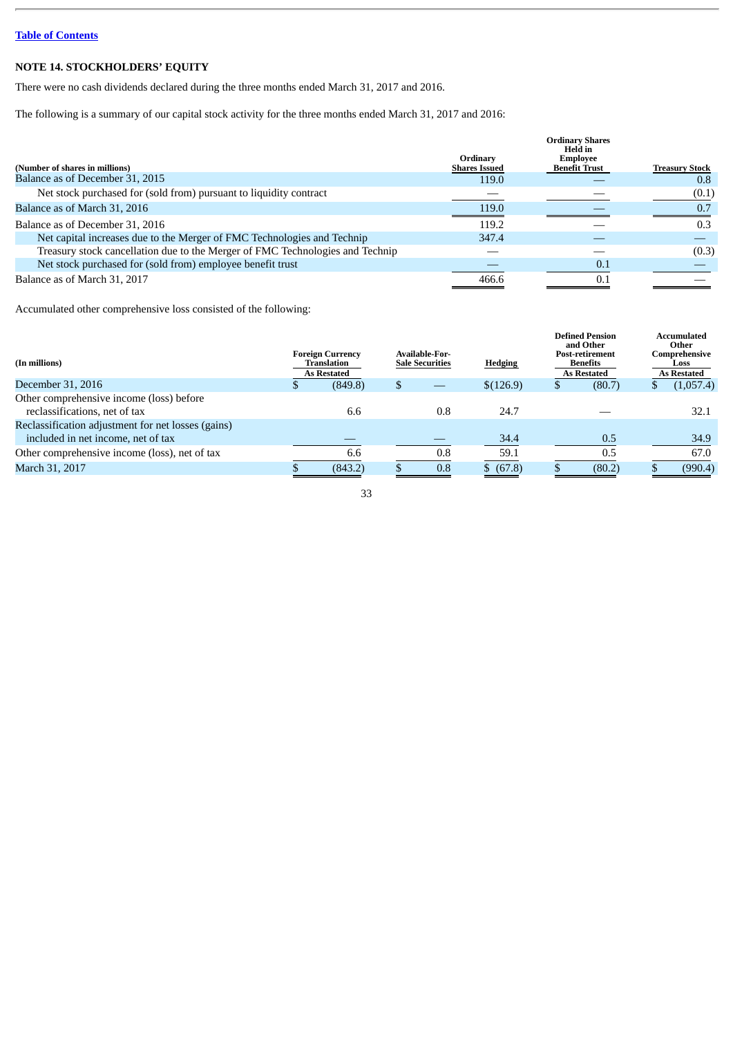## **NOTE 14. STOCKHOLDERS' EQUITY**

There were no cash dividends declared during the three months ended March 31, 2017 and 2016.

The following is a summary of our capital stock activity for the three months ended March 31, 2017 and 2016:

|                                                                               |                                  | <b>Ordinary Shares</b><br>Held in       |                       |
|-------------------------------------------------------------------------------|----------------------------------|-----------------------------------------|-----------------------|
| (Number of shares in millions)                                                | Ordinary<br><b>Shares Issued</b> | <b>Employee</b><br><b>Benefit Trust</b> | <b>Treasury Stock</b> |
| Balance as of December 31, 2015                                               | 119.0                            |                                         | 0.8                   |
| Net stock purchased for (sold from) pursuant to liquidity contract            |                                  |                                         | (0.1)                 |
| Balance as of March 31, 2016                                                  | 119.0                            |                                         | 0.7                   |
| Balance as of December 31, 2016                                               | 119.2                            |                                         | 0.3                   |
| Net capital increases due to the Merger of FMC Technologies and Technip       | 347.4                            |                                         |                       |
| Treasury stock cancellation due to the Merger of FMC Technologies and Technip |                                  |                                         | (0.3)                 |
| Net stock purchased for (sold from) employee benefit trust                    |                                  | 0.1                                     |                       |
| Balance as of March 31, 2017                                                  | 466.6                            | 0.1                                     |                       |

Accumulated other comprehensive loss consisted of the following:

|         |                                                                     |     | <b>Hedging</b>                           |   |        |                                                                                                 | <b>Accumulated</b><br>Other<br>Comprehensive<br>Loss<br><b>As Restated</b> |
|---------|---------------------------------------------------------------------|-----|------------------------------------------|---|--------|-------------------------------------------------------------------------------------------------|----------------------------------------------------------------------------|
| (849.8) |                                                                     |     | \$(126.9)                                | D | (80.7) |                                                                                                 | (1,057.4)                                                                  |
|         |                                                                     |     |                                          |   |        |                                                                                                 |                                                                            |
| 6.6     |                                                                     | 0.8 | 24.7                                     |   |        |                                                                                                 | 32.1                                                                       |
|         |                                                                     |     |                                          |   |        |                                                                                                 |                                                                            |
|         |                                                                     |     | 34.4                                     |   | 0.5    |                                                                                                 | 34.9                                                                       |
| 6.6     |                                                                     | 0.8 | 59.1                                     |   | 0.5    |                                                                                                 | 67.0                                                                       |
| (843.2) |                                                                     | 0.8 | \$ (67.8)                                |   | (80.2) |                                                                                                 | (990.4)                                                                    |
|         | <b>Foreign Currency</b><br><b>Translation</b><br><b>As Restated</b> |     | Available-For-<br><b>Sale Securities</b> |   |        | <b>Defined Pension</b><br>and Other<br>Post-retirement<br><b>Benefits</b><br><b>As Restated</b> |                                                                            |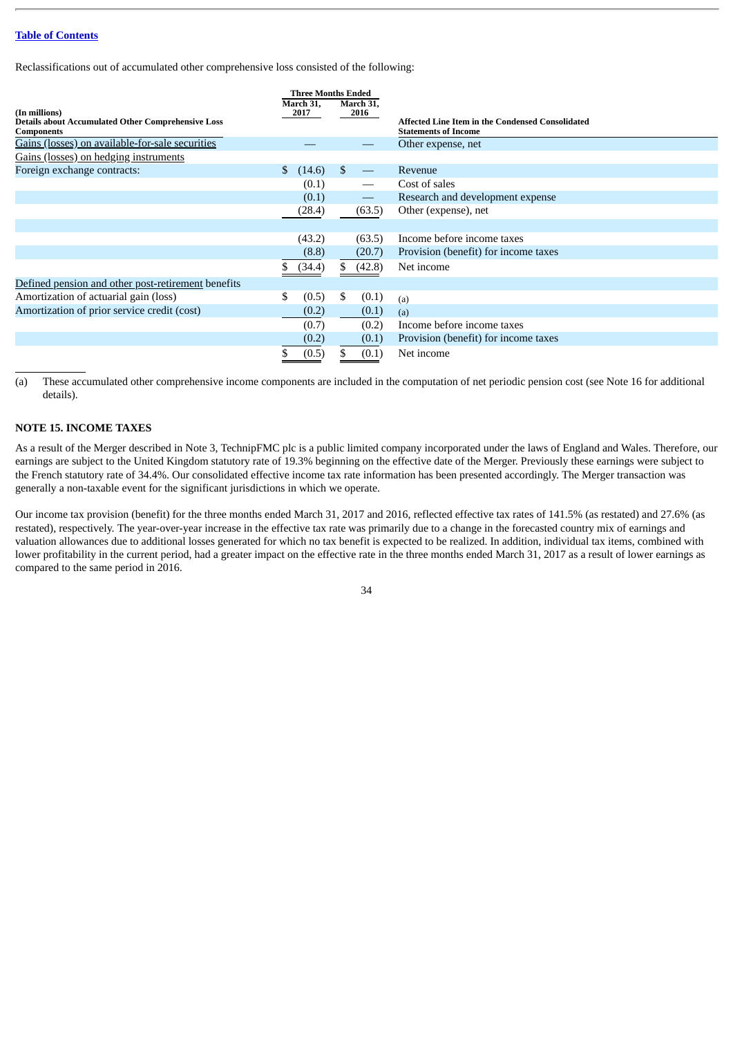Reclassifications out of accumulated other comprehensive loss consisted of the following:

|                                                                                                 |              | <b>Three Months Ended</b><br>March 31, |               | March 31,         |                                                                                 |
|-------------------------------------------------------------------------------------------------|--------------|----------------------------------------|---------------|-------------------|---------------------------------------------------------------------------------|
| (In millions)<br><b>Details about Accumulated Other Comprehensive Loss</b><br><b>Components</b> |              | 2017                                   |               | 2016              | Affected Line Item in the Condensed Consolidated<br><b>Statements of Income</b> |
| Gains (losses) on available-for-sale securities                                                 |              |                                        |               |                   | Other expense, net                                                              |
| Gains (losses) on hedging instruments                                                           |              |                                        |               |                   |                                                                                 |
| Foreign exchange contracts:                                                                     | <sup>S</sup> | (14.6)                                 | <sup>\$</sup> |                   | Revenue                                                                         |
|                                                                                                 |              | (0.1)                                  |               |                   | Cost of sales                                                                   |
|                                                                                                 |              | (0.1)                                  |               | $\qquad \qquad -$ | Research and development expense                                                |
|                                                                                                 |              | (28.4)                                 |               | (63.5)            | Other (expense), net                                                            |
|                                                                                                 |              |                                        |               |                   |                                                                                 |
|                                                                                                 |              | (43.2)                                 |               | (63.5)            | Income before income taxes                                                      |
|                                                                                                 |              | (8.8)                                  |               | (20.7)            | Provision (benefit) for income taxes                                            |
|                                                                                                 |              | (34.4)                                 | S.            | (42.8)            | Net income                                                                      |
| Defined pension and other post-retirement benefits                                              |              |                                        |               |                   |                                                                                 |
| Amortization of actuarial gain (loss)                                                           | \$.          | (0.5)                                  | \$            | (0.1)             | (a)                                                                             |
| Amortization of prior service credit (cost)                                                     |              | (0.2)                                  |               | (0.1)             | (a)                                                                             |
|                                                                                                 |              | (0.7)                                  |               | (0.2)             | Income before income taxes                                                      |
|                                                                                                 |              | (0.2)                                  |               | (0.1)             | Provision (benefit) for income taxes                                            |
|                                                                                                 |              | (0.5)                                  | S.            | (0.1)             | Net income                                                                      |

(a) These accumulated other comprehensive income components are included in the computation of net periodic pension cost (see Note 16 for additional details).

### **NOTE 15. INCOME TAXES**

As a result of the Merger described in Note 3, TechnipFMC plc is a public limited company incorporated under the laws of England and Wales. Therefore, our earnings are subject to the United Kingdom statutory rate of 19.3% beginning on the effective date of the Merger. Previously these earnings were subject to the French statutory rate of 34.4%. Our consolidated effective income tax rate information has been presented accordingly. The Merger transaction was generally a non-taxable event for the significant jurisdictions in which we operate.

Our income tax provision (benefit) for the three months ended March 31, 2017 and 2016, reflected effective tax rates of 141.5% (as restated) and 27.6% (as restated), respectively. The year-over-year increase in the effective tax rate was primarily due to a change in the forecasted country mix of earnings and valuation allowances due to additional losses generated for which no tax benefit is expected to be realized. In addition, individual tax items, combined with lower profitability in the current period, had a greater impact on the effective rate in the three months ended March 31, 2017 as a result of lower earnings as compared to the same period in 2016.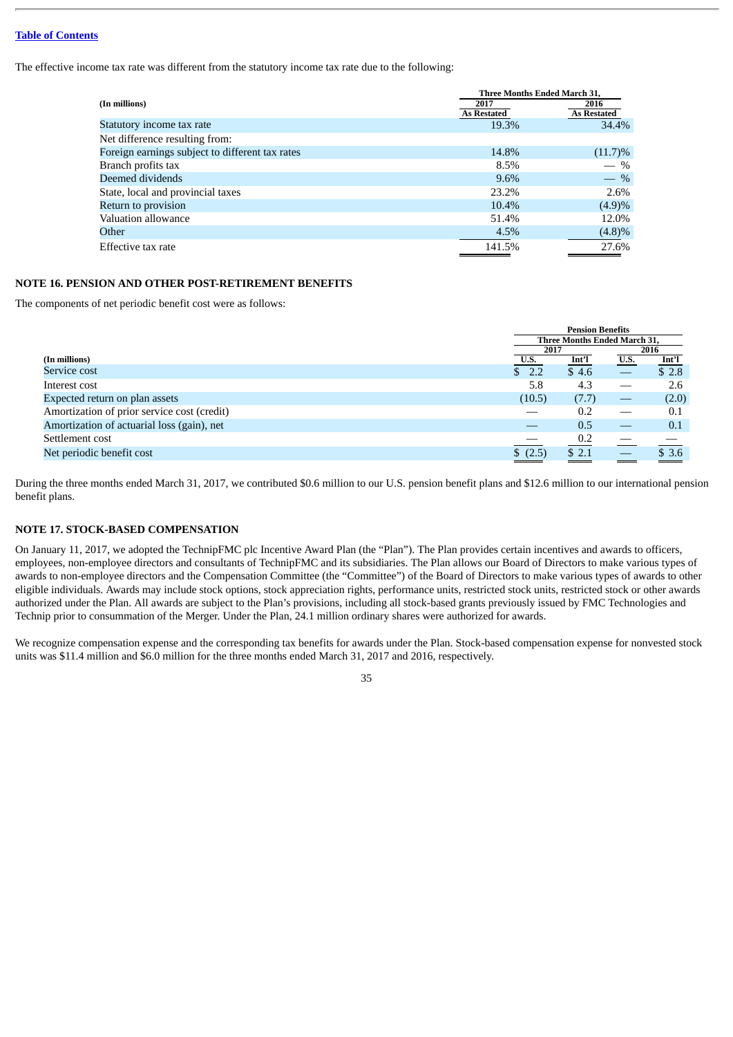The effective income tax rate was different from the statutory income tax rate due to the following:

|                                                 |                            | <b>Three Months Ended March 31.</b> |
|-------------------------------------------------|----------------------------|-------------------------------------|
| (In millions)                                   | 2017<br><b>As Restated</b> | 2016<br><b>As Restated</b>          |
| Statutory income tax rate                       | 19.3%                      | 34.4%                               |
| Net difference resulting from:                  |                            |                                     |
| Foreign earnings subject to different tax rates | 14.8%                      | $(11.7)\%$                          |
| Branch profits tax                              | 8.5%                       | $-$ %                               |
| Deemed dividends                                | $9.6\%$                    | $-$ %                               |
| State, local and provincial taxes               | 23.2%                      | 2.6%                                |
| Return to provision                             | 10.4%                      | (4.9)%                              |
| Valuation allowance                             | 51.4%                      | 12.0%                               |
| Other                                           | 4.5%                       | (4.8)%                              |
| Effective tax rate                              | 141.5%                     | 27.6%                               |

## **NOTE 16. PENSION AND OTHER POST-RETIREMENT BENEFITS**

The components of net periodic benefit cost were as follows:

|                                             |         | <b>Pension Benefits</b><br><b>Three Months Ended March 31.</b> |             |                                 |  |
|---------------------------------------------|---------|----------------------------------------------------------------|-------------|---------------------------------|--|
|                                             |         |                                                                |             |                                 |  |
|                                             |         | 2017                                                           |             |                                 |  |
| (In millions)                               | U.S.    | Int'l                                                          | <b>U.S.</b> |                                 |  |
| Service cost                                | \$2.2   | \$4.6                                                          |             | $\frac{\text{Int}^2}{\$ \ 2.8}$ |  |
| Interest cost                               | 5.8     | 4.3                                                            |             | 2.6                             |  |
| Expected return on plan assets              | (10.5)  | (7.7)                                                          |             | (2.0)                           |  |
| Amortization of prior service cost (credit) |         | 0.2                                                            |             | 0.1                             |  |
| Amortization of actuarial loss (gain), net  |         | 0.5                                                            |             | 0.1                             |  |
| Settlement cost                             |         | 0.2                                                            |             |                                 |  |
| Net periodic benefit cost                   | \$(2.5) | \$2.1                                                          |             | \$3.6                           |  |
|                                             |         |                                                                |             |                                 |  |

During the three months ended March 31, 2017, we contributed \$0.6 million to our U.S. pension benefit plans and \$12.6 million to our international pension benefit plans.

#### **NOTE 17. STOCK-BASED COMPENSATION**

On January 11, 2017, we adopted the TechnipFMC plc Incentive Award Plan (the "Plan"). The Plan provides certain incentives and awards to officers, employees, non-employee directors and consultants of TechnipFMC and its subsidiaries. The Plan allows our Board of Directors to make various types of awards to non-employee directors and the Compensation Committee (the "Committee") of the Board of Directors to make various types of awards to other eligible individuals. Awards may include stock options, stock appreciation rights, performance units, restricted stock units, restricted stock or other awards authorized under the Plan. All awards are subject to the Plan's provisions, including all stock-based grants previously issued by FMC Technologies and Technip prior to consummation of the Merger. Under the Plan, 24.1 million ordinary shares were authorized for awards.

We recognize compensation expense and the corresponding tax benefits for awards under the Plan. Stock-based compensation expense for nonvested stock units was \$11.4 million and \$6.0 million for the three months ended March 31, 2017 and 2016, respectively.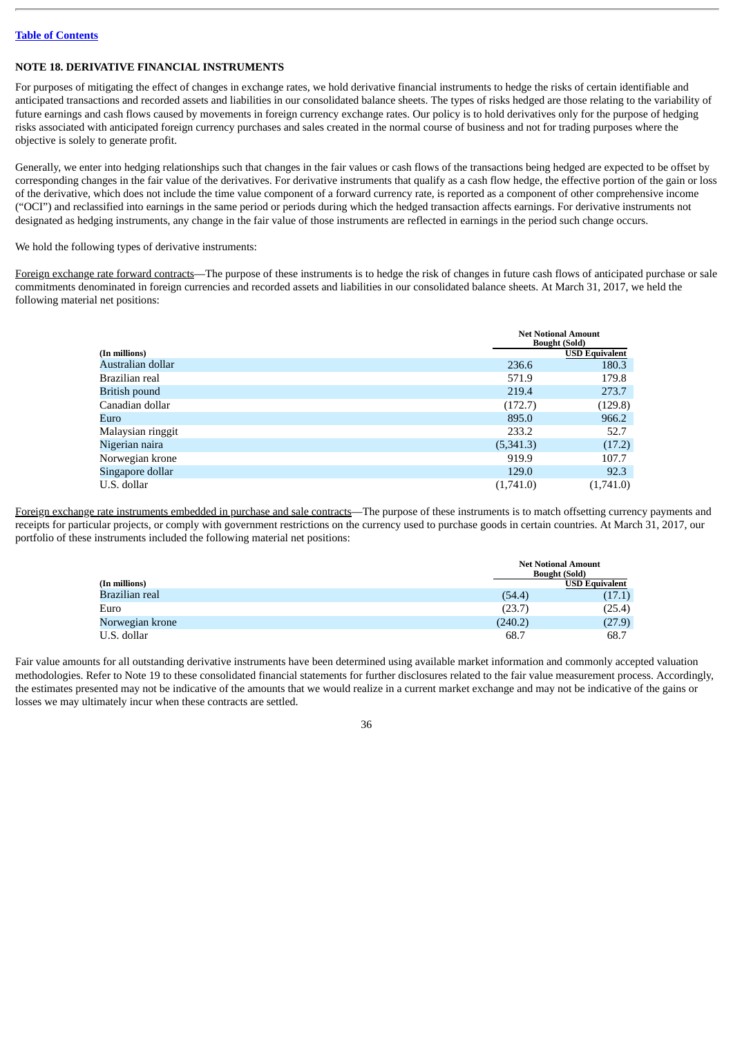# **NOTE 18. DERIVATIVE FINANCIAL INSTRUMENTS**

For purposes of mitigating the effect of changes in exchange rates, we hold derivative financial instruments to hedge the risks of certain identifiable and anticipated transactions and recorded assets and liabilities in our consolidated balance sheets. The types of risks hedged are those relating to the variability of future earnings and cash flows caused by movements in foreign currency exchange rates. Our policy is to hold derivatives only for the purpose of hedging risks associated with anticipated foreign currency purchases and sales created in the normal course of business and not for trading purposes where the objective is solely to generate profit.

Generally, we enter into hedging relationships such that changes in the fair values or cash flows of the transactions being hedged are expected to be offset by corresponding changes in the fair value of the derivatives. For derivative instruments that qualify as a cash flow hedge, the effective portion of the gain or loss of the derivative, which does not include the time value component of a forward currency rate, is reported as a component of other comprehensive income ("OCI") and reclassified into earnings in the same period or periods during which the hedged transaction affects earnings. For derivative instruments not designated as hedging instruments, any change in the fair value of those instruments are reflected in earnings in the period such change occurs.

We hold the following types of derivative instruments:

Foreign exchange rate forward contracts—The purpose of these instruments is to hedge the risk of changes in future cash flows of anticipated purchase or sale commitments denominated in foreign currencies and recorded assets and liabilities in our consolidated balance sheets. At March 31, 2017, we held the following material net positions:

|                   |           | <b>Net Notional Amount</b><br><b>Bought (Sold)</b> |
|-------------------|-----------|----------------------------------------------------|
| (In millions)     |           | <b>USD Equivalent</b>                              |
| Australian dollar | 236.6     | 180.3                                              |
| Brazilian real    | 571.9     | 179.8                                              |
| British pound     | 219.4     | 273.7                                              |
| Canadian dollar   | (172.7)   | (129.8)                                            |
| Euro              | 895.0     | 966.2                                              |
| Malaysian ringgit | 233.2     | 52.7                                               |
| Nigerian naira    | (5,341.3) | (17.2)                                             |
| Norwegian krone   | 919.9     | 107.7                                              |
| Singapore dollar  | 129.0     | 92.3                                               |
| U.S. dollar       | (1,741.0) | (1,741.0)                                          |

Foreign exchange rate instruments embedded in purchase and sale contracts—The purpose of these instruments is to match offsetting currency payments and receipts for particular projects, or comply with government restrictions on the currency used to purchase goods in certain countries. At March 31, 2017, our portfolio of these instruments included the following material net positions:

|                 |         | <b>Net Notional Amount</b><br><b>Bought (Sold)</b> |  |  |  |
|-----------------|---------|----------------------------------------------------|--|--|--|
| (In millions)   |         | <b>USD Equivalent</b>                              |  |  |  |
| Brazilian real  | (54.4)  | (17.1)                                             |  |  |  |
| Euro            | (23.7)  | (25.4)                                             |  |  |  |
| Norwegian krone | (240.2) | (27.9)                                             |  |  |  |
| U.S. dollar     | 68.7    | 68.7                                               |  |  |  |

Fair value amounts for all outstanding derivative instruments have been determined using available market information and commonly accepted valuation methodologies. Refer to Note 19 to these consolidated financial statements for further disclosures related to the fair value measurement process. Accordingly, the estimates presented may not be indicative of the amounts that we would realize in a current market exchange and may not be indicative of the gains or losses we may ultimately incur when these contracts are settled.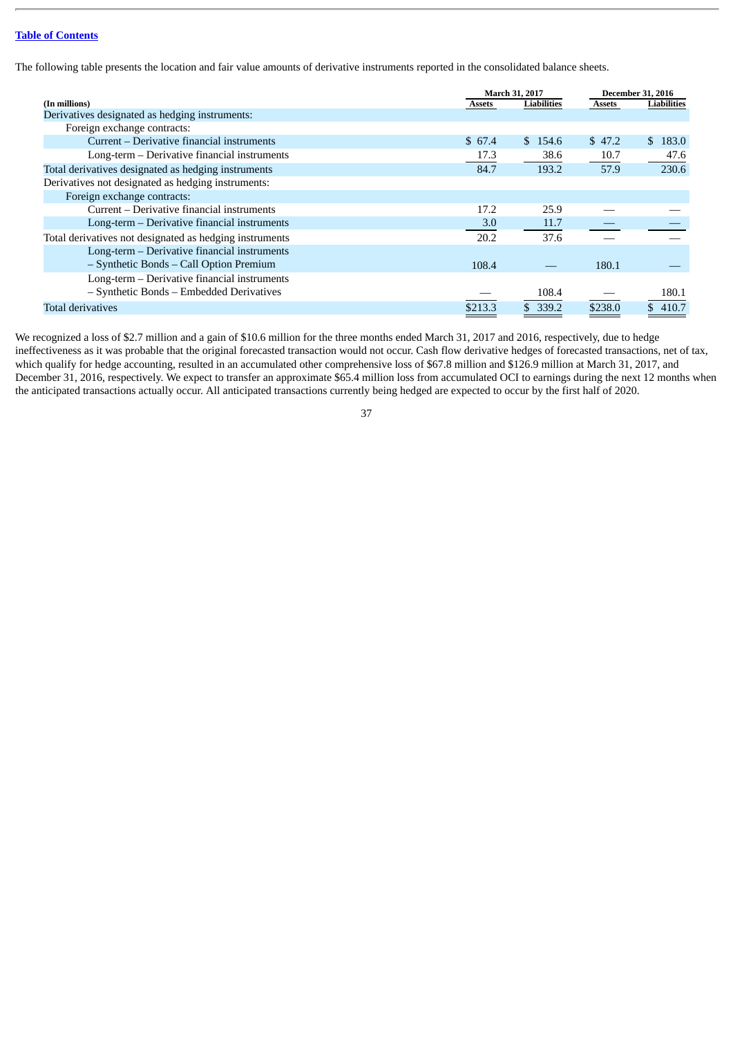The following table presents the location and fair value amounts of derivative instruments reported in the consolidated balance sheets.

|                                                         |               | March 31, 2017     | <b>December 31, 2016</b> |                        |  |
|---------------------------------------------------------|---------------|--------------------|--------------------------|------------------------|--|
| (In millions)                                           | <b>Assets</b> | <b>Liabilities</b> | <b>Assets</b>            | Liabilities            |  |
| Derivatives designated as hedging instruments:          |               |                    |                          |                        |  |
| Foreign exchange contracts:                             |               |                    |                          |                        |  |
| Current – Derivative financial instruments              | \$67.4        | \$154.6            | \$47.2                   | 183.0<br>$\mathcal{S}$ |  |
| Long-term – Derivative financial instruments            | 17.3          | 38.6               | 10.7                     | 47.6                   |  |
| Total derivatives designated as hedging instruments     | 84.7          | 193.2              | 57.9                     | 230.6                  |  |
| Derivatives not designated as hedging instruments:      |               |                    |                          |                        |  |
| Foreign exchange contracts:                             |               |                    |                          |                        |  |
| Current – Derivative financial instruments              | 17.2          | 25.9               |                          |                        |  |
| Long-term – Derivative financial instruments            | 3.0           | 11.7               |                          |                        |  |
| Total derivatives not designated as hedging instruments | 20.2          | 37.6               |                          |                        |  |
| Long-term – Derivative financial instruments            |               |                    |                          |                        |  |
| - Synthetic Bonds - Call Option Premium                 | 108.4         |                    | 180.1                    |                        |  |
| Long-term - Derivative financial instruments            |               |                    |                          |                        |  |
| - Synthetic Bonds - Embedded Derivatives                |               | 108.4              |                          | 180.1                  |  |
| <b>Total derivatives</b>                                | \$213.3       | \$339.2            | \$238.0                  | 410.7                  |  |

We recognized a loss of \$2.7 million and a gain of \$10.6 million for the three months ended March 31, 2017 and 2016, respectively, due to hedge ineffectiveness as it was probable that the original forecasted transaction would not occur. Cash flow derivative hedges of forecasted transactions, net of tax, which qualify for hedge accounting, resulted in an accumulated other comprehensive loss of \$67.8 million and \$126.9 million at March 31, 2017, and December 31, 2016, respectively. We expect to transfer an approximate \$65.4 million loss from accumulated OCI to earnings during the next 12 months when the anticipated transactions actually occur. All anticipated transactions currently being hedged are expected to occur by the first half of 2020.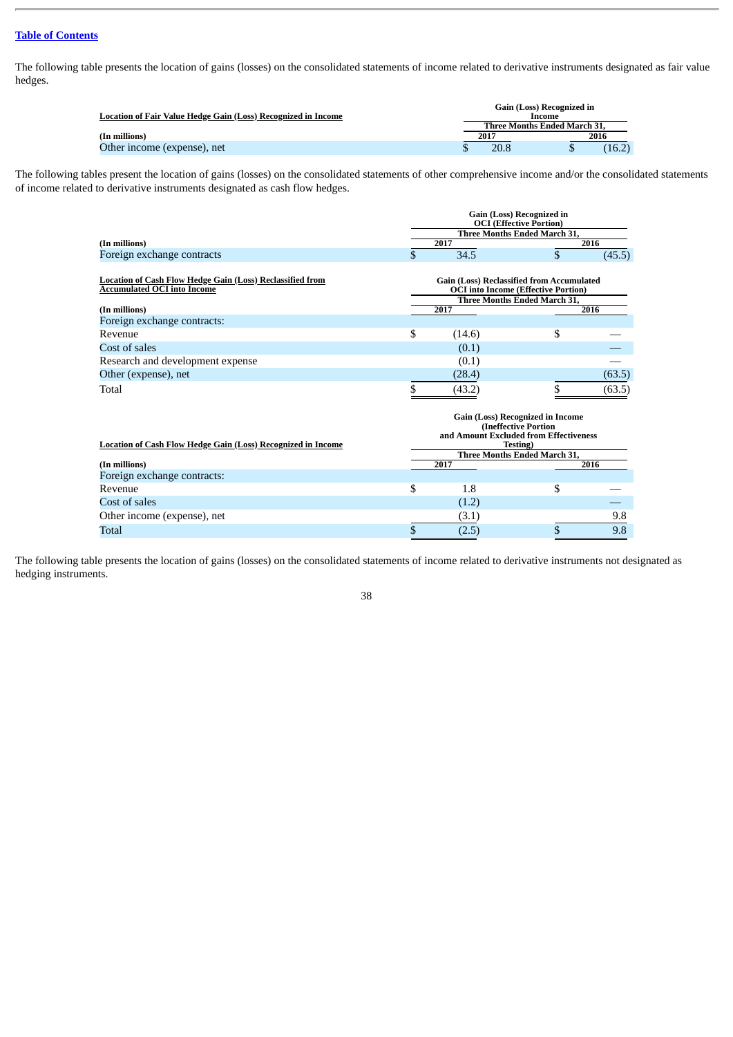The following table presents the location of gains (losses) on the consolidated statements of income related to derivative instruments designated as fair value hedges.

|                                                                      |      | Gain (Loss) Recognized in    |        |  |  |  |  |  |  |
|----------------------------------------------------------------------|------|------------------------------|--------|--|--|--|--|--|--|
| <b>Location of Fair Value Hedge Gain (Loss) Recognized in Income</b> |      | Income                       |        |  |  |  |  |  |  |
|                                                                      |      | Three Months Ended March 31. |        |  |  |  |  |  |  |
| (In millions)                                                        | 2017 | 2016                         |        |  |  |  |  |  |  |
| Other income (expense), net                                          | 20.8 |                              | (16.2) |  |  |  |  |  |  |

The following tables present the location of gains (losses) on the consolidated statements of other comprehensive income and/or the consolidated statements of income related to derivative instruments designated as cash flow hedges.

|                                                                                                                                                        | <b>Gain (Loss) Recognized in</b><br><b>OCI</b> (Effective Portion)                                                     |                                                          |                                                                                   |        |  |
|--------------------------------------------------------------------------------------------------------------------------------------------------------|------------------------------------------------------------------------------------------------------------------------|----------------------------------------------------------|-----------------------------------------------------------------------------------|--------|--|
|                                                                                                                                                        |                                                                                                                        |                                                          | Three Months Ended March 31,                                                      |        |  |
| (In millions)                                                                                                                                          |                                                                                                                        | 2017                                                     |                                                                                   | 2016   |  |
| Foreign exchange contracts                                                                                                                             | \$                                                                                                                     | 34.5                                                     | \$                                                                                | (45.5) |  |
| <b>Location of Cash Flow Hedge Gain (Loss) Reclassified from</b><br><b>Accumulated OCI into Income</b><br>(In millions)<br>Foreign exchange contracts: |                                                                                                                        | <b>Gain (Loss) Reclassified from Accumulated</b><br>2017 | <b>OCI</b> into Income (Effective Portion)<br><b>Three Months Ended March 31.</b> | 2016   |  |
| Revenue                                                                                                                                                | \$                                                                                                                     | (14.6)                                                   | \$                                                                                |        |  |
| Cost of sales                                                                                                                                          |                                                                                                                        | (0.1)                                                    |                                                                                   |        |  |
| Research and development expense                                                                                                                       |                                                                                                                        | (0.1)                                                    |                                                                                   |        |  |
| Other (expense), net                                                                                                                                   |                                                                                                                        | (28.4)                                                   |                                                                                   | (63.5) |  |
| Total                                                                                                                                                  | \$                                                                                                                     | (43.2)                                                   | \$                                                                                | (63.5) |  |
| <b>Location of Cash Flow Hedge Gain (Loss) Recognized in Income</b>                                                                                    | Gain (Loss) Recognized in Income<br>(Ineffective Portion<br>and Amount Excluded from Effectiveness<br><b>Testing</b> ) |                                                          |                                                                                   |        |  |
|                                                                                                                                                        |                                                                                                                        | 2017                                                     | <b>Three Months Ended March 31.</b>                                               | 2016   |  |
| (In millions)<br>Foreign exchange contracts:                                                                                                           |                                                                                                                        |                                                          |                                                                                   |        |  |
|                                                                                                                                                        |                                                                                                                        |                                                          |                                                                                   |        |  |
| Revenue                                                                                                                                                | \$                                                                                                                     | 1.8                                                      | \$                                                                                |        |  |
| Cost of sales                                                                                                                                          |                                                                                                                        | (1.2)                                                    |                                                                                   |        |  |
| Other income (expense), net                                                                                                                            |                                                                                                                        | (3.1)                                                    |                                                                                   | 9.8    |  |
| Total                                                                                                                                                  | \$                                                                                                                     | (2.5)                                                    | \$                                                                                | 9.8    |  |

The following table presents the location of gains (losses) on the consolidated statements of income related to derivative instruments not designated as hedging instruments.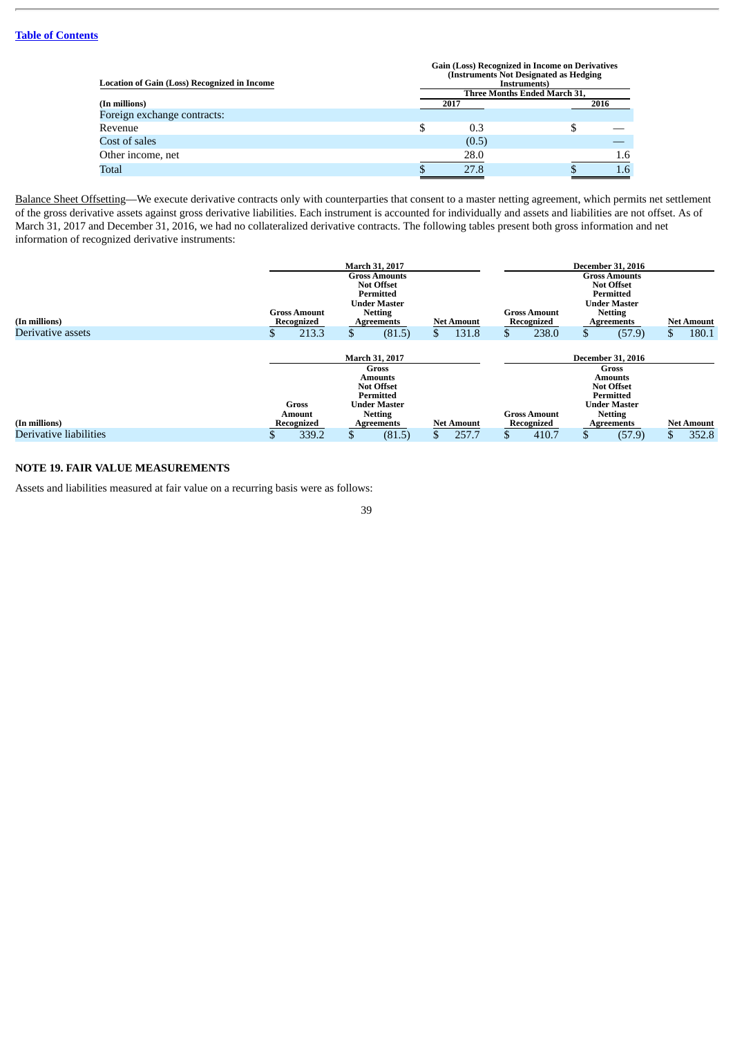| <b>Location of Gain (Loss) Recognized in Income</b> | <b>Gain (Loss) Recognized in Income on Derivatives</b><br>(Instruments Not Designated as Hedging)<br>Instruments) |       |                              |      |  |  |
|-----------------------------------------------------|-------------------------------------------------------------------------------------------------------------------|-------|------------------------------|------|--|--|
|                                                     |                                                                                                                   |       | Three Months Ended March 31, |      |  |  |
| (In millions)                                       |                                                                                                                   | 2017  |                              | 2016 |  |  |
| Foreign exchange contracts:                         |                                                                                                                   |       |                              |      |  |  |
| Revenue                                             |                                                                                                                   | 0.3   |                              |      |  |  |
| Cost of sales                                       |                                                                                                                   | (0.5) |                              |      |  |  |
| Other income, net                                   |                                                                                                                   | 28.0  |                              | 1.6  |  |  |
| Total                                               |                                                                                                                   | 27.8  |                              | 1.6  |  |  |

Balance Sheet Offsetting—We execute derivative contracts only with counterparties that consent to a master netting agreement, which permits net settlement of the gross derivative assets against gross derivative liabilities. Each instrument is accounted for individually and assets and liabilities are not offset. As of March 31, 2017 and December 31, 2016, we had no collateralized derivative contracts. The following tables present both gross information and net information of recognized derivative instruments:

| (In millions)          | March 31, 2017<br><b>Gross Amounts</b><br><b>Not Offset</b><br>Permitted<br><b>Under Master</b><br><b>Netting</b><br><b>Gross Amount</b><br>Recognized<br><b>Net Amount</b><br>Agreements |                        |    |                                                                                                               |    | <b>Gross Amount</b><br>Recognized | <b>December 31, 2016</b><br><b>Gross Amounts</b><br><b>Not Offset</b><br>Permitted<br><b>Under Master</b><br><b>Netting</b><br>Agreements |                                                                                                                         | <b>Net Amount</b> |                   |
|------------------------|-------------------------------------------------------------------------------------------------------------------------------------------------------------------------------------------|------------------------|----|---------------------------------------------------------------------------------------------------------------|----|-----------------------------------|-------------------------------------------------------------------------------------------------------------------------------------------|-------------------------------------------------------------------------------------------------------------------------|-------------------|-------------------|
| Derivative assets      | ЭD.                                                                                                                                                                                       | 213.3                  | \$ | (81.5)                                                                                                        | S. | 131.8                             | \$<br>238.0                                                                                                                               | (57.9)                                                                                                                  | \$.               | 180.1             |
|                        |                                                                                                                                                                                           | <b>Gross</b><br>Amount |    | March 31, 2017<br>Gross<br>Amounts<br><b>Not Offset</b><br>Permitted<br><b>Under Master</b><br><b>Netting</b> |    |                                   | <b>Gross Amount</b>                                                                                                                       | <b>December 31, 2016</b><br>Gross<br>Amounts<br><b>Not Offset</b><br>Permitted<br><b>Under Master</b><br><b>Netting</b> |                   |                   |
| (In millions)          |                                                                                                                                                                                           | Recognized             |    | Agreements                                                                                                    |    | <b>Net Amount</b>                 | Recognized                                                                                                                                | Agreements                                                                                                              |                   | <b>Net Amount</b> |
| Derivative liabilities |                                                                                                                                                                                           | 339.2                  | \$ | (81.5)                                                                                                        |    | 257.7                             | \$<br>410.7                                                                                                                               | (57.9)                                                                                                                  | \$                | 352.8             |

# **NOTE 19. FAIR VALUE MEASUREMENTS**

Assets and liabilities measured at fair value on a recurring basis were as follows: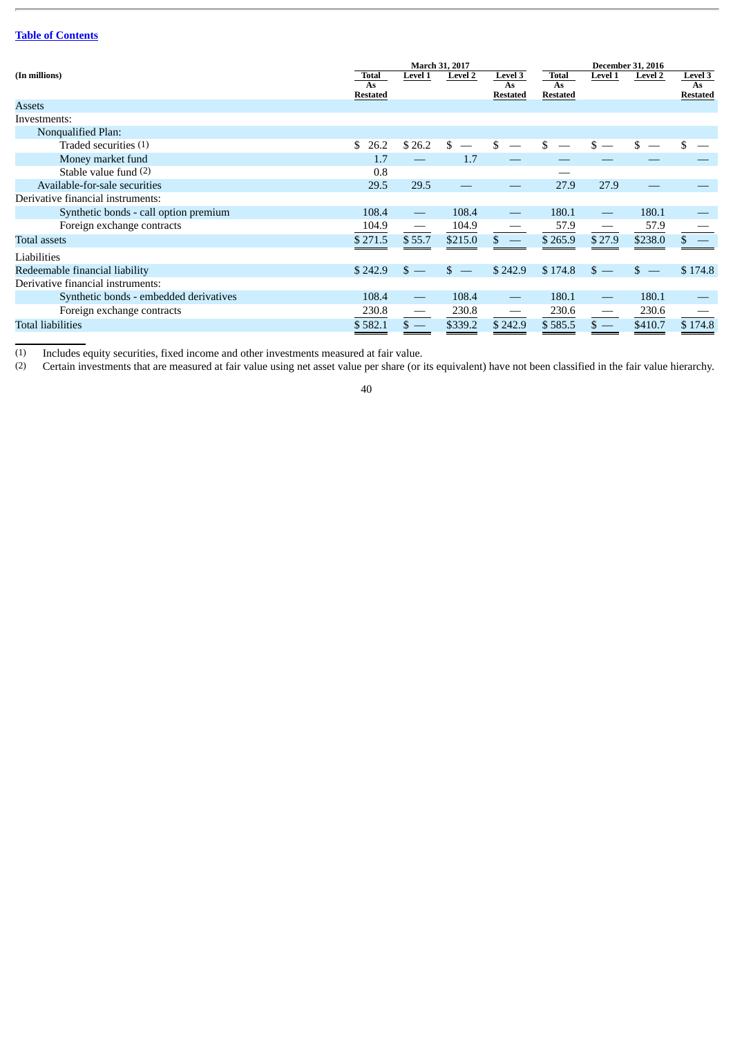|                                        |                                       |         | March 31, 2017 |                                         |                                       |         | <b>December 31, 2016</b> |                                         |
|----------------------------------------|---------------------------------------|---------|----------------|-----------------------------------------|---------------------------------------|---------|--------------------------|-----------------------------------------|
| (In millions)                          | <b>Total</b><br>As<br><b>Restated</b> | Level 1 | <b>Level 2</b> | <b>Level 3</b><br>As<br><b>Restated</b> | <b>Total</b><br>As<br><b>Restated</b> | Level 1 | <b>Level 2</b>           | <b>Level 3</b><br>As<br><b>Restated</b> |
| <b>Assets</b>                          |                                       |         |                |                                         |                                       |         |                          |                                         |
| Investments:                           |                                       |         |                |                                         |                                       |         |                          |                                         |
| Nonqualified Plan:                     |                                       |         |                |                                         |                                       |         |                          |                                         |
| Traded securities (1)                  | 26.2<br>\$.                           | \$26.2  | S              |                                         | \$                                    |         | \$                       |                                         |
| Money market fund                      | 1.7                                   |         | 1.7            |                                         |                                       |         |                          |                                         |
| Stable value fund (2)                  | 0.8                                   |         |                |                                         |                                       |         |                          |                                         |
| Available-for-sale securities          | 29.5                                  | 29.5    |                |                                         | 27.9                                  | 27.9    |                          |                                         |
| Derivative financial instruments:      |                                       |         |                |                                         |                                       |         |                          |                                         |
| Synthetic bonds - call option premium  | 108.4                                 |         | 108.4          |                                         | 180.1                                 |         | 180.1                    |                                         |
| Foreign exchange contracts             | 104.9                                 |         | 104.9          |                                         | 57.9                                  |         | 57.9                     |                                         |
| Total assets                           | \$271.5                               | \$55.7  | \$215.0        |                                         | \$265.9                               | \$27.9  | \$238.0                  |                                         |
| Liabilities                            |                                       |         |                |                                         |                                       |         |                          |                                         |
| Redeemable financial liability         | \$242.9                               |         | \$.            | \$242.9                                 | \$174.8                               | \$.     | $s =$                    | \$174.8                                 |
| Derivative financial instruments:      |                                       |         |                |                                         |                                       |         |                          |                                         |
| Synthetic bonds - embedded derivatives | 108.4                                 |         | 108.4          |                                         | 180.1                                 |         | 180.1                    |                                         |
| Foreign exchange contracts             | 230.8                                 |         | 230.8          | $\hspace{0.05cm}$                       | 230.6                                 |         | 230.6                    |                                         |
| Total liabilities                      | \$582.1                               | $s =$   | \$339.2        | \$242.9                                 | \$585.5                               | $s =$   | \$410.7                  | \$174.8                                 |

(1) Includes equity securities, fixed income and other investments measured at fair value.

Certain investments that are measured at fair value using net asset value per share (or its equivalent) have not been classified in the fair value hierarchy.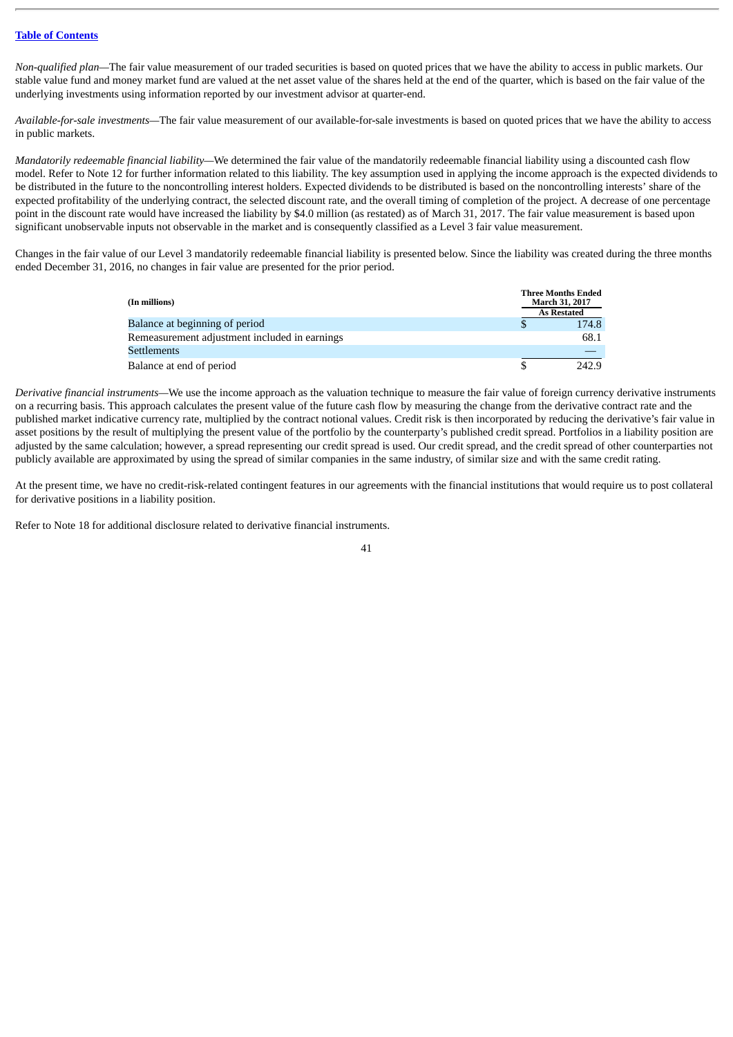*Non-qualified plan—*The fair value measurement of our traded securities is based on quoted prices that we have the ability to access in public markets. Our stable value fund and money market fund are valued at the net asset value of the shares held at the end of the quarter, which is based on the fair value of the underlying investments using information reported by our investment advisor at quarter-end.

*Available-for-sale investments—*The fair value measurement of our available-for-sale investments is based on quoted prices that we have the ability to access in public markets.

*Mandatorily redeemable financial liability—*We determined the fair value of the mandatorily redeemable financial liability using a discounted cash flow model. Refer to Note 12 for further information related to this liability. The key assumption used in applying the income approach is the expected dividends to be distributed in the future to the noncontrolling interest holders. Expected dividends to be distributed is based on the noncontrolling interests' share of the expected profitability of the underlying contract, the selected discount rate, and the overall timing of completion of the project. A decrease of one percentage point in the discount rate would have increased the liability by \$4.0 million (as restated) as of March 31, 2017. The fair value measurement is based upon significant unobservable inputs not observable in the market and is consequently classified as a Level 3 fair value measurement.

Changes in the fair value of our Level 3 mandatorily redeemable financial liability is presented below. Since the liability was created during the three months ended December 31, 2016, no changes in fair value are presented for the prior period.

| (In millions)                                 | <b>Three Months Ended</b><br><b>March 31, 2017</b><br><b>As Restated</b> |
|-----------------------------------------------|--------------------------------------------------------------------------|
| Balance at beginning of period                | 174.8                                                                    |
| Remeasurement adjustment included in earnings | 68.1                                                                     |
| <b>Settlements</b>                            |                                                                          |
| Balance at end of period                      | 242.9                                                                    |

*Derivative financial instruments—*We use the income approach as the valuation technique to measure the fair value of foreign currency derivative instruments on a recurring basis. This approach calculates the present value of the future cash flow by measuring the change from the derivative contract rate and the published market indicative currency rate, multiplied by the contract notional values. Credit risk is then incorporated by reducing the derivative's fair value in asset positions by the result of multiplying the present value of the portfolio by the counterparty's published credit spread. Portfolios in a liability position are adjusted by the same calculation; however, a spread representing our credit spread is used. Our credit spread, and the credit spread of other counterparties not publicly available are approximated by using the spread of similar companies in the same industry, of similar size and with the same credit rating.

At the present time, we have no credit-risk-related contingent features in our agreements with the financial institutions that would require us to post collateral for derivative positions in a liability position.

Refer to Note 18 for additional disclosure related to derivative financial instruments.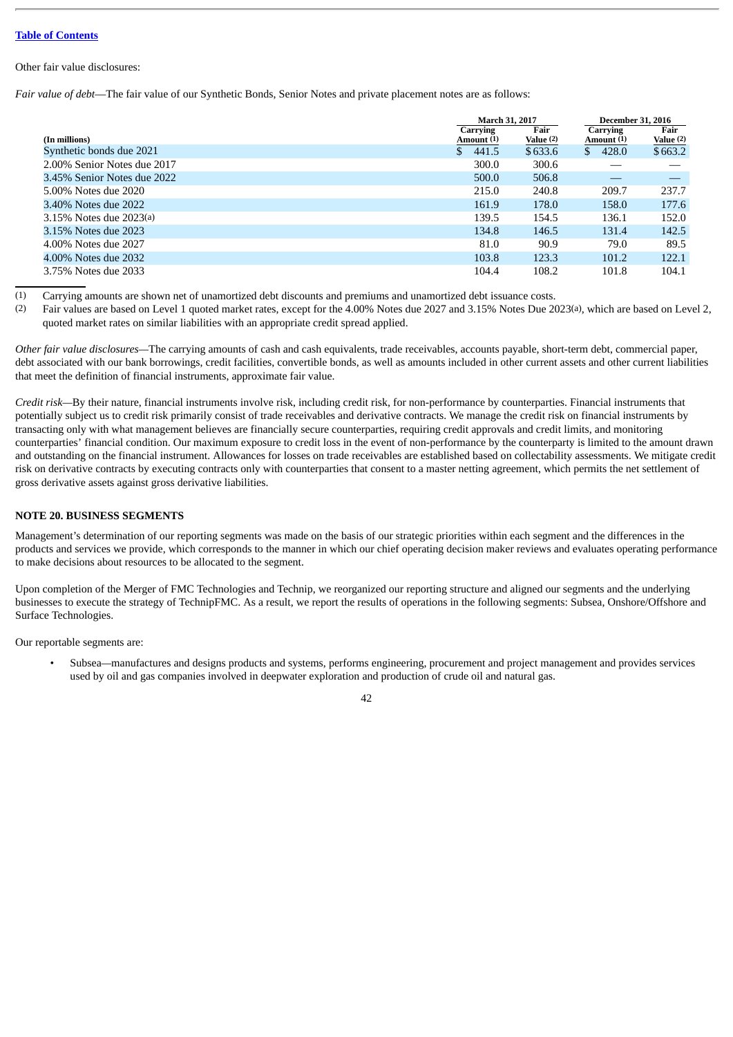### Other fair value disclosures:

*Fair value of debt*—The fair value of our Synthetic Bonds, Senior Notes and private placement notes are as follows:

|                             |                        | <b>March 31, 2017</b> | <b>December 31, 2016</b> |                   |
|-----------------------------|------------------------|-----------------------|--------------------------|-------------------|
| (In millions)               | Carrying<br>Amount (1) | Fair<br>Value (2)     | Carrying<br>Amount (1)   | Fair<br>Value (2) |
| Synthetic bonds due 2021    | \$.<br>441.5           | \$633.6               | 428.0<br>\$              | \$663.2           |
| 2.00% Senior Notes due 2017 | 300.0                  | 300.6                 |                          |                   |
| 3.45% Senior Notes due 2022 | 500.0                  | 506.8                 |                          |                   |
| 5.00% Notes due 2020        | 215.0                  | 240.8                 | 209.7                    | 237.7             |
| 3.40% Notes due 2022        | 161.9                  | 178.0                 | 158.0                    | 177.6             |
| 3.15% Notes due 2023(a)     | 139.5                  | 154.5                 | 136.1                    | 152.0             |
| 3.15% Notes due 2023        | 134.8                  | 146.5                 | 131.4                    | 142.5             |
| 4.00% Notes due 2027        | 81.0                   | 90.9                  | 79.0                     | 89.5              |
| 4.00% Notes due 2032        | 103.8                  | 123.3                 | 101.2                    | 122.1             |
| 3.75% Notes due 2033        | 104.4                  | 108.2                 | 101.8                    | 104.1             |

(1) Carrying amounts are shown net of unamortized debt discounts and premiums and unamortized debt issuance costs.<br>(2) Fair values are based on Level 1 quoted market rates, except for the 4 00% Notes due 2027 and 3 15% Not

Fair values are based on Level 1 quoted market rates, except for the 4.00% Notes due 2027 and 3.15% Notes Due 2023(a), which are based on Level 2, quoted market rates on similar liabilities with an appropriate credit spread applied.

*Other fair value disclosures—*The carrying amounts of cash and cash equivalents, trade receivables, accounts payable, short-term debt, commercial paper, debt associated with our bank borrowings, credit facilities, convertible bonds, as well as amounts included in other current assets and other current liabilities that meet the definition of financial instruments, approximate fair value.

*Credit risk—*By their nature, financial instruments involve risk, including credit risk, for non-performance by counterparties. Financial instruments that potentially subject us to credit risk primarily consist of trade receivables and derivative contracts. We manage the credit risk on financial instruments by transacting only with what management believes are financially secure counterparties, requiring credit approvals and credit limits, and monitoring counterparties' financial condition. Our maximum exposure to credit loss in the event of non-performance by the counterparty is limited to the amount drawn and outstanding on the financial instrument. Allowances for losses on trade receivables are established based on collectability assessments. We mitigate credit risk on derivative contracts by executing contracts only with counterparties that consent to a master netting agreement, which permits the net settlement of gross derivative assets against gross derivative liabilities.

# **NOTE 20. BUSINESS SEGMENTS**

Management's determination of our reporting segments was made on the basis of our strategic priorities within each segment and the differences in the products and services we provide, which corresponds to the manner in which our chief operating decision maker reviews and evaluates operating performance to make decisions about resources to be allocated to the segment.

Upon completion of the Merger of FMC Technologies and Technip, we reorganized our reporting structure and aligned our segments and the underlying businesses to execute the strategy of TechnipFMC. As a result, we report the results of operations in the following segments: Subsea, Onshore/Offshore and Surface Technologies.

Our reportable segments are:

• Subsea*—*manufactures and designs products and systems, performs engineering, procurement and project management and provides services used by oil and gas companies involved in deepwater exploration and production of crude oil and natural gas.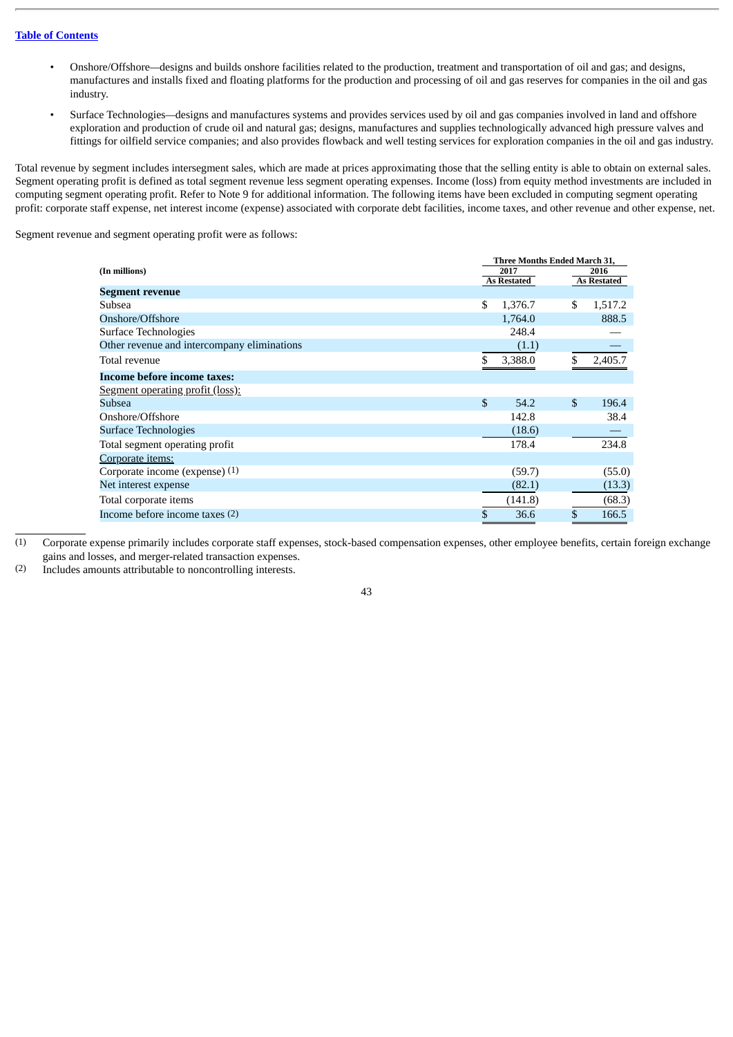- Onshore/Offshore*—*designs and builds onshore facilities related to the production, treatment and transportation of oil and gas; and designs, manufactures and installs fixed and floating platforms for the production and processing of oil and gas reserves for companies in the oil and gas industry.
- Surface Technologies*—*designs and manufactures systems and provides services used by oil and gas companies involved in land and offshore exploration and production of crude oil and natural gas; designs, manufactures and supplies technologically advanced high pressure valves and fittings for oilfield service companies; and also provides flowback and well testing services for exploration companies in the oil and gas industry.

Total revenue by segment includes intersegment sales, which are made at prices approximating those that the selling entity is able to obtain on external sales. Segment operating profit is defined as total segment revenue less segment operating expenses. Income (loss) from equity method investments are included in computing segment operating profit. Refer to Note 9 for additional information. The following items have been excluded in computing segment operating profit: corporate staff expense, net interest income (expense) associated with corporate debt facilities, income taxes, and other revenue and other expense, net.

Segment revenue and segment operating profit were as follows:

|                                             | <b>Three Months Ended March 31,</b> |                    |    |                            |  |  |
|---------------------------------------------|-------------------------------------|--------------------|----|----------------------------|--|--|
| (In millions)                               |                                     | 2017               |    | 2016<br><b>As Restated</b> |  |  |
| Segment revenue                             |                                     | <b>As Restated</b> |    |                            |  |  |
| Subsea                                      | \$                                  | 1,376.7            | \$ | 1,517.2                    |  |  |
| Onshore/Offshore                            |                                     | 1,764.0            |    | 888.5                      |  |  |
| Surface Technologies                        |                                     | 248.4              |    |                            |  |  |
| Other revenue and intercompany eliminations |                                     | (1.1)              |    |                            |  |  |
| Total revenue                               | \$                                  | 3,388.0            |    | 2,405.7                    |  |  |
| Income before income taxes:                 |                                     |                    |    |                            |  |  |
| <b>Segment operating profit (loss):</b>     |                                     |                    |    |                            |  |  |
| Subsea                                      | \$                                  | 54.2               | \$ | 196.4                      |  |  |
| Onshore/Offshore                            |                                     | 142.8              |    | 38.4                       |  |  |
| Surface Technologies                        |                                     | (18.6)             |    |                            |  |  |
| Total segment operating profit              |                                     | 178.4              |    | 234.8                      |  |  |
| Corporate items:                            |                                     |                    |    |                            |  |  |
| Corporate income (expense) (1)              |                                     | (59.7)             |    | (55.0)                     |  |  |
| Net interest expense                        |                                     | (82.1)             |    | (13.3)                     |  |  |
| Total corporate items                       |                                     | (141.8)            |    | (68.3)                     |  |  |
| Income before income taxes $(2)$            | \$                                  | 36.6               | \$ | 166.5                      |  |  |

(1) Corporate expense primarily includes corporate staff expenses, stock-based compensation expenses, other employee benefits, certain foreign exchange gains and losses, and merger-related transaction expenses.

(2) Includes amounts attributable to noncontrolling interests.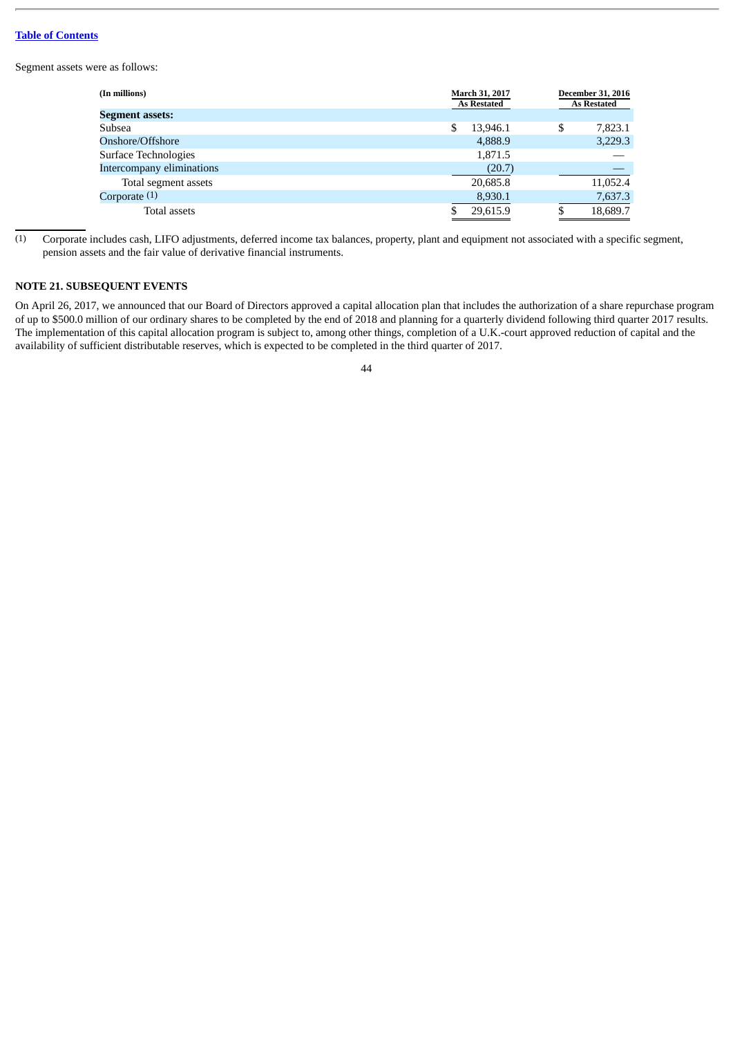Segment assets were as follows:

| (In millions)             | March 31, 2017<br><b>As Restated</b> | <b>December 31, 2016</b><br><b>As Restated</b> |
|---------------------------|--------------------------------------|------------------------------------------------|
| <b>Segment assets:</b>    |                                      |                                                |
| Subsea                    | \$<br>13.946.1                       | \$<br>7,823.1                                  |
| Onshore/Offshore          | 4,888.9                              | 3,229.3                                        |
| Surface Technologies      | 1,871.5                              |                                                |
| Intercompany eliminations | (20.7)                               |                                                |
| Total segment assets      | 20,685.8                             | 11,052.4                                       |
| Corporate $(1)$           | 8,930.1                              | 7,637.3                                        |
| Total assets              | 29,615.9                             | 18,689.7                                       |

(1) Corporate includes cash, LIFO adjustments, deferred income tax balances, property, plant and equipment not associated with a specific segment, pension assets and the fair value of derivative financial instruments.

# **NOTE 21. SUBSEQUENT EVENTS**

On April 26, 2017, we announced that our Board of Directors approved a capital allocation plan that includes the authorization of a share repurchase program of up to \$500.0 million of our ordinary shares to be completed by the end of 2018 and planning for a quarterly dividend following third quarter 2017 results. The implementation of this capital allocation program is subject to, among other things, completion of a U.K.-court approved reduction of capital and the availability of sufficient distributable reserves, which is expected to be completed in the third quarter of 2017.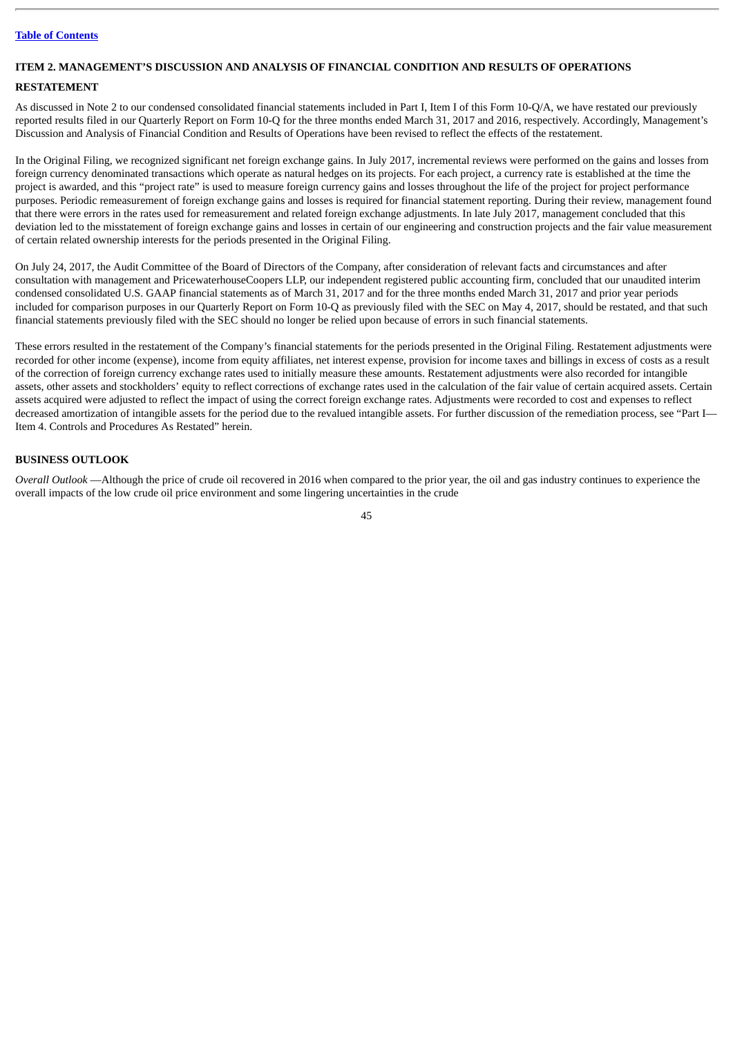### **ITEM 2. MANAGEMENT'S DISCUSSION AND ANALYSIS OF FINANCIAL CONDITION AND RESULTS OF OPERATIONS**

### **RESTATEMENT**

As discussed in Note 2 to our condensed consolidated financial statements included in Part I, Item I of this Form 10-Q/A, we have restated our previously reported results filed in our Quarterly Report on Form 10-Q for the three months ended March 31, 2017 and 2016, respectively. Accordingly, Management's Discussion and Analysis of Financial Condition and Results of Operations have been revised to reflect the effects of the restatement.

In the Original Filing, we recognized significant net foreign exchange gains. In July 2017, incremental reviews were performed on the gains and losses from foreign currency denominated transactions which operate as natural hedges on its projects. For each project, a currency rate is established at the time the project is awarded, and this "project rate" is used to measure foreign currency gains and losses throughout the life of the project for project performance purposes. Periodic remeasurement of foreign exchange gains and losses is required for financial statement reporting. During their review, management found that there were errors in the rates used for remeasurement and related foreign exchange adjustments. In late July 2017, management concluded that this deviation led to the misstatement of foreign exchange gains and losses in certain of our engineering and construction projects and the fair value measurement of certain related ownership interests for the periods presented in the Original Filing.

On July 24, 2017, the Audit Committee of the Board of Directors of the Company, after consideration of relevant facts and circumstances and after consultation with management and PricewaterhouseCoopers LLP, our independent registered public accounting firm, concluded that our unaudited interim condensed consolidated U.S. GAAP financial statements as of March 31, 2017 and for the three months ended March 31, 2017 and prior year periods included for comparison purposes in our Quarterly Report on Form 10-Q as previously filed with the SEC on May 4, 2017, should be restated, and that such financial statements previously filed with the SEC should no longer be relied upon because of errors in such financial statements.

These errors resulted in the restatement of the Company's financial statements for the periods presented in the Original Filing. Restatement adjustments were recorded for other income (expense), income from equity affiliates, net interest expense, provision for income taxes and billings in excess of costs as a result of the correction of foreign currency exchange rates used to initially measure these amounts. Restatement adjustments were also recorded for intangible assets, other assets and stockholders' equity to reflect corrections of exchange rates used in the calculation of the fair value of certain acquired assets. Certain assets acquired were adjusted to reflect the impact of using the correct foreign exchange rates. Adjustments were recorded to cost and expenses to reflect decreased amortization of intangible assets for the period due to the revalued intangible assets. For further discussion of the remediation process, see "Part I— Item 4. Controls and Procedures As Restated" herein.

### **BUSINESS OUTLOOK**

*Overall Outlook* —Although the price of crude oil recovered in 2016 when compared to the prior year, the oil and gas industry continues to experience the overall impacts of the low crude oil price environment and some lingering uncertainties in the crude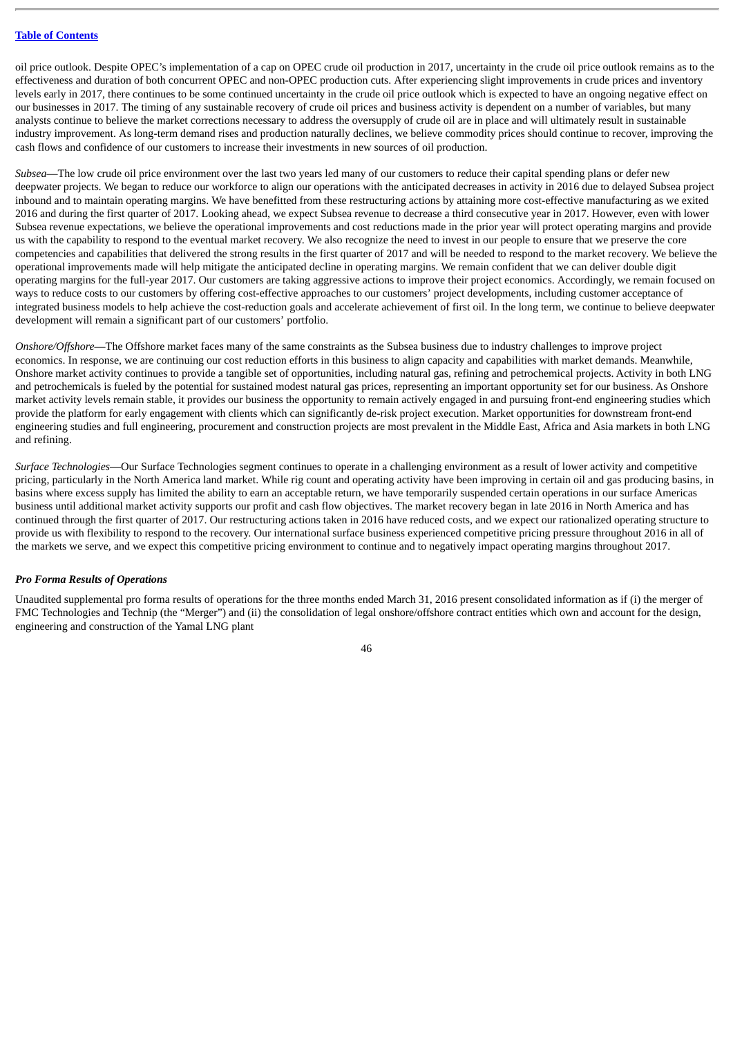oil price outlook. Despite OPEC's implementation of a cap on OPEC crude oil production in 2017, uncertainty in the crude oil price outlook remains as to the effectiveness and duration of both concurrent OPEC and non-OPEC production cuts. After experiencing slight improvements in crude prices and inventory levels early in 2017, there continues to be some continued uncertainty in the crude oil price outlook which is expected to have an ongoing negative effect on our businesses in 2017. The timing of any sustainable recovery of crude oil prices and business activity is dependent on a number of variables, but many analysts continue to believe the market corrections necessary to address the oversupply of crude oil are in place and will ultimately result in sustainable industry improvement. As long-term demand rises and production naturally declines, we believe commodity prices should continue to recover, improving the cash flows and confidence of our customers to increase their investments in new sources of oil production.

*Subsea*—The low crude oil price environment over the last two years led many of our customers to reduce their capital spending plans or defer new deepwater projects. We began to reduce our workforce to align our operations with the anticipated decreases in activity in 2016 due to delayed Subsea project inbound and to maintain operating margins. We have benefitted from these restructuring actions by attaining more cost-effective manufacturing as we exited 2016 and during the first quarter of 2017. Looking ahead, we expect Subsea revenue to decrease a third consecutive year in 2017. However, even with lower Subsea revenue expectations, we believe the operational improvements and cost reductions made in the prior year will protect operating margins and provide us with the capability to respond to the eventual market recovery. We also recognize the need to invest in our people to ensure that we preserve the core competencies and capabilities that delivered the strong results in the first quarter of 2017 and will be needed to respond to the market recovery. We believe the operational improvements made will help mitigate the anticipated decline in operating margins. We remain confident that we can deliver double digit operating margins for the full-year 2017. Our customers are taking aggressive actions to improve their project economics. Accordingly, we remain focused on ways to reduce costs to our customers by offering cost-effective approaches to our customers' project developments, including customer acceptance of integrated business models to help achieve the cost-reduction goals and accelerate achievement of first oil. In the long term, we continue to believe deepwater development will remain a significant part of our customers' portfolio.

*Onshore/Offshore*—The Offshore market faces many of the same constraints as the Subsea business due to industry challenges to improve project economics. In response, we are continuing our cost reduction efforts in this business to align capacity and capabilities with market demands. Meanwhile, Onshore market activity continues to provide a tangible set of opportunities, including natural gas, refining and petrochemical projects. Activity in both LNG and petrochemicals is fueled by the potential for sustained modest natural gas prices, representing an important opportunity set for our business. As Onshore market activity levels remain stable, it provides our business the opportunity to remain actively engaged in and pursuing front-end engineering studies which provide the platform for early engagement with clients which can significantly de-risk project execution. Market opportunities for downstream front-end engineering studies and full engineering, procurement and construction projects are most prevalent in the Middle East, Africa and Asia markets in both LNG and refining.

*Surface Technologies*—Our Surface Technologies segment continues to operate in a challenging environment as a result of lower activity and competitive pricing, particularly in the North America land market. While rig count and operating activity have been improving in certain oil and gas producing basins, in basins where excess supply has limited the ability to earn an acceptable return, we have temporarily suspended certain operations in our surface Americas business until additional market activity supports our profit and cash flow objectives. The market recovery began in late 2016 in North America and has continued through the first quarter of 2017. Our restructuring actions taken in 2016 have reduced costs, and we expect our rationalized operating structure to provide us with flexibility to respond to the recovery. Our international surface business experienced competitive pricing pressure throughout 2016 in all of the markets we serve, and we expect this competitive pricing environment to continue and to negatively impact operating margins throughout 2017.

#### *Pro Forma Results of Operations*

Unaudited supplemental pro forma results of operations for the three months ended March 31, 2016 present consolidated information as if (i) the merger of FMC Technologies and Technip (the "Merger") and (ii) the consolidation of legal onshore/offshore contract entities which own and account for the design, engineering and construction of the Yamal LNG plant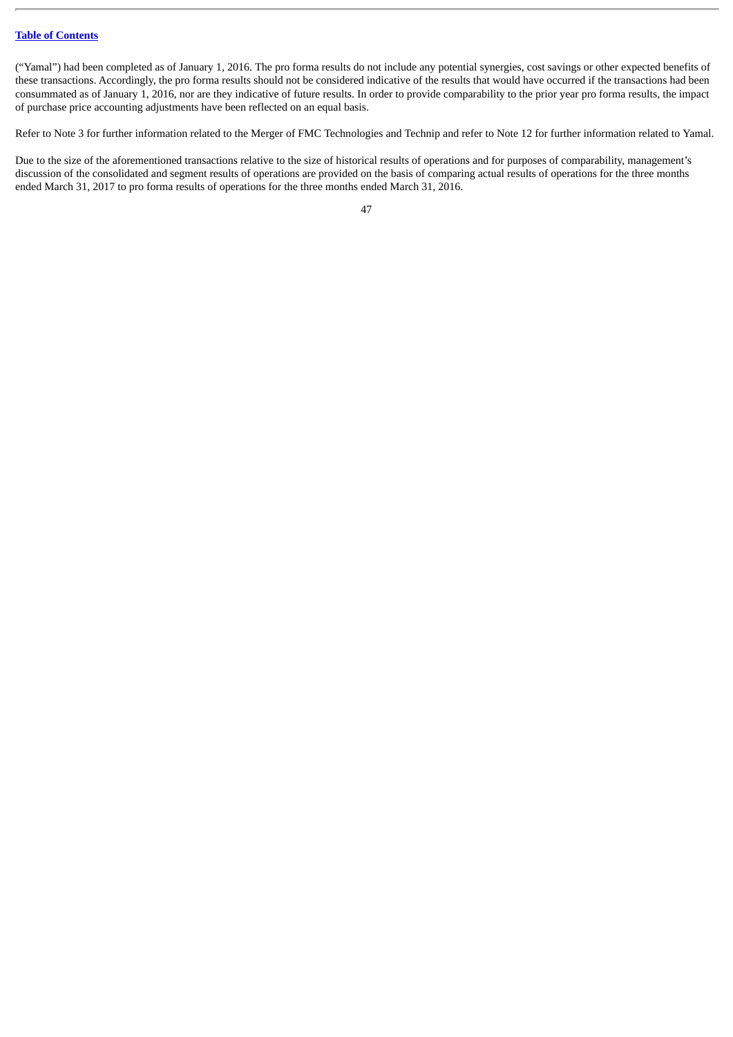("Yamal") had been completed as of January 1, 2016. The pro forma results do not include any potential synergies, cost savings or other expected benefits of these transactions. Accordingly, the pro forma results should not be considered indicative of the results that would have occurred if the transactions had been consummated as of January 1, 2016, nor are they indicative of future results. In order to provide comparability to the prior year pro forma results, the impact of purchase price accounting adjustments have been reflected on an equal basis.

Refer to Note 3 for further information related to the Merger of FMC Technologies and Technip and refer to Note 12 for further information related to Yamal.

Due to the size of the aforementioned transactions relative to the size of historical results of operations and for purposes of comparability, management's discussion of the consolidated and segment results of operations are provided on the basis of comparing actual results of operations for the three months ended March 31, 2017 to pro forma results of operations for the three months ended March 31, 2016.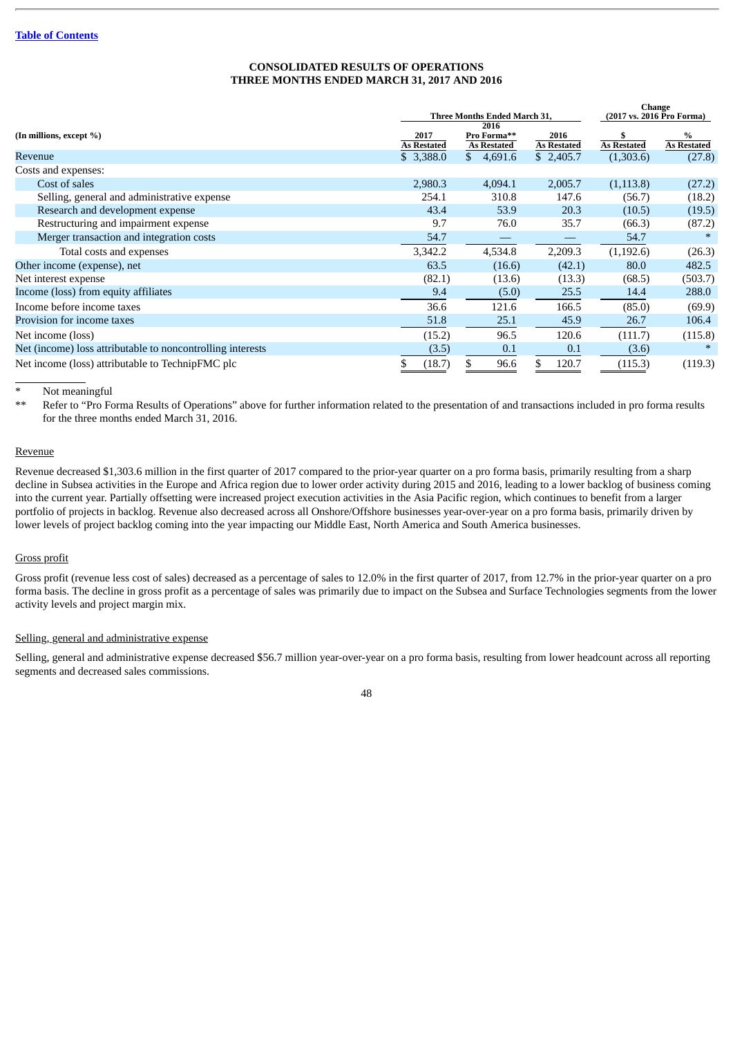# **CONSOLIDATED RESULTS OF OPERATIONS THREE MONTHS ENDED MARCH 31, 2017 AND 2016**

|                                                            |                                      |                                   |                            | <b>Change</b>      |                           |
|------------------------------------------------------------|--------------------------------------|-----------------------------------|----------------------------|--------------------|---------------------------|
|                                                            | Three Months Ended March 31,<br>2016 |                                   |                            |                    | (2017 vs. 2016 Pro Forma) |
| (In millions, except %)                                    | 2017<br><b>As Restated</b>           | Pro Forma**<br><b>As Restated</b> | 2016<br><b>As Restated</b> | <b>As Restated</b> | %<br><b>As Restated</b>   |
| Revenue                                                    | \$3,388.0                            | $\mathbb{S}^-$<br>4,691.6         | \$2,405.7                  | (1,303.6)          | (27.8)                    |
| Costs and expenses:                                        |                                      |                                   |                            |                    |                           |
| Cost of sales                                              | 2,980.3                              | 4,094.1                           | 2,005.7                    | (1, 113.8)         | (27.2)                    |
| Selling, general and administrative expense                | 254.1                                | 310.8                             | 147.6                      | (56.7)             | (18.2)                    |
| Research and development expense                           | 43.4                                 | 53.9                              | 20.3                       | (10.5)             | (19.5)                    |
| Restructuring and impairment expense                       | 9.7                                  | 76.0                              | 35.7                       | (66.3)             | (87.2)                    |
| Merger transaction and integration costs                   | 54.7                                 |                                   |                            | 54.7               |                           |
| Total costs and expenses                                   | 3,342.2                              | 4,534.8                           | 2,209.3                    | (1, 192.6)         | (26.3)                    |
| Other income (expense), net                                | 63.5                                 | (16.6)                            | (42.1)                     | 80.0               | 482.5                     |
| Net interest expense                                       | (82.1)                               | (13.6)                            | (13.3)                     | (68.5)             | (503.7)                   |
| Income (loss) from equity affiliates                       | 9.4                                  | (5.0)                             | 25.5                       | 14.4               | 288.0                     |
| Income before income taxes                                 | 36.6                                 | 121.6                             | 166.5                      | (85.0)             | (69.9)                    |
| Provision for income taxes                                 | 51.8                                 | 25.1                              | 45.9                       | 26.7               | 106.4                     |
| Net income (loss)                                          | (15.2)                               | 96.5                              | 120.6                      | (111.7)            | (115.8)                   |
| Net (income) loss attributable to noncontrolling interests | (3.5)                                | 0.1                               | 0.1                        | (3.6)              |                           |
| Net income (loss) attributable to TechnipFMC plc           | (18.7)<br>S                          | 96.6<br>S                         | \$.<br>120.7               | (115.3)            | (119.3)                   |

Not meaningful

\*\* Refer to "Pro Forma Results of Operations" above for further information related to the presentation of and transactions included in pro forma results for the three months ended March 31, 2016.

### Revenue

Revenue decreased \$1,303.6 million in the first quarter of 2017 compared to the prior-year quarter on a pro forma basis, primarily resulting from a sharp decline in Subsea activities in the Europe and Africa region due to lower order activity during 2015 and 2016, leading to a lower backlog of business coming into the current year. Partially offsetting were increased project execution activities in the Asia Pacific region, which continues to benefit from a larger portfolio of projects in backlog. Revenue also decreased across all Onshore/Offshore businesses year-over-year on a pro forma basis, primarily driven by lower levels of project backlog coming into the year impacting our Middle East, North America and South America businesses.

# Gross profit

Gross profit (revenue less cost of sales) decreased as a percentage of sales to 12.0% in the first quarter of 2017, from 12.7% in the prior-year quarter on a pro forma basis. The decline in gross profit as a percentage of sales was primarily due to impact on the Subsea and Surface Technologies segments from the lower activity levels and project margin mix.

#### Selling, general and administrative expense

Selling, general and administrative expense decreased \$56.7 million year-over-year on a pro forma basis, resulting from lower headcount across all reporting segments and decreased sales commissions.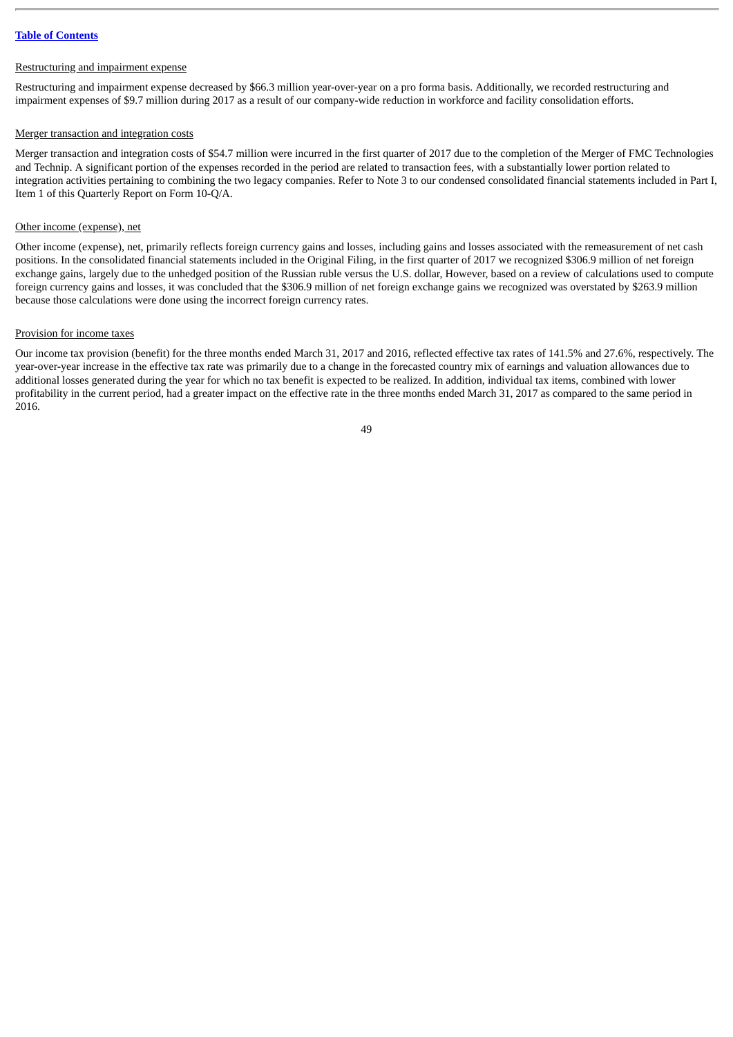#### Restructuring and impairment expense

Restructuring and impairment expense decreased by \$66.3 million year-over-year on a pro forma basis. Additionally, we recorded restructuring and impairment expenses of \$9.7 million during 2017 as a result of our company-wide reduction in workforce and facility consolidation efforts.

#### Merger transaction and integration costs

Merger transaction and integration costs of \$54.7 million were incurred in the first quarter of 2017 due to the completion of the Merger of FMC Technologies and Technip. A significant portion of the expenses recorded in the period are related to transaction fees, with a substantially lower portion related to integration activities pertaining to combining the two legacy companies. Refer to Note 3 to our condensed consolidated financial statements included in Part I, Item 1 of this Quarterly Report on Form 10-Q/A.

#### Other income (expense), net

Other income (expense), net, primarily reflects foreign currency gains and losses, including gains and losses associated with the remeasurement of net cash positions. In the consolidated financial statements included in the Original Filing, in the first quarter of 2017 we recognized \$306.9 million of net foreign exchange gains, largely due to the unhedged position of the Russian ruble versus the U.S. dollar, However, based on a review of calculations used to compute foreign currency gains and losses, it was concluded that the \$306.9 million of net foreign exchange gains we recognized was overstated by \$263.9 million because those calculations were done using the incorrect foreign currency rates.

#### Provision for income taxes

Our income tax provision (benefit) for the three months ended March 31, 2017 and 2016, reflected effective tax rates of 141.5% and 27.6%, respectively. The year-over-year increase in the effective tax rate was primarily due to a change in the forecasted country mix of earnings and valuation allowances due to additional losses generated during the year for which no tax benefit is expected to be realized. In addition, individual tax items, combined with lower profitability in the current period, had a greater impact on the effective rate in the three months ended March 31, 2017 as compared to the same period in 2016.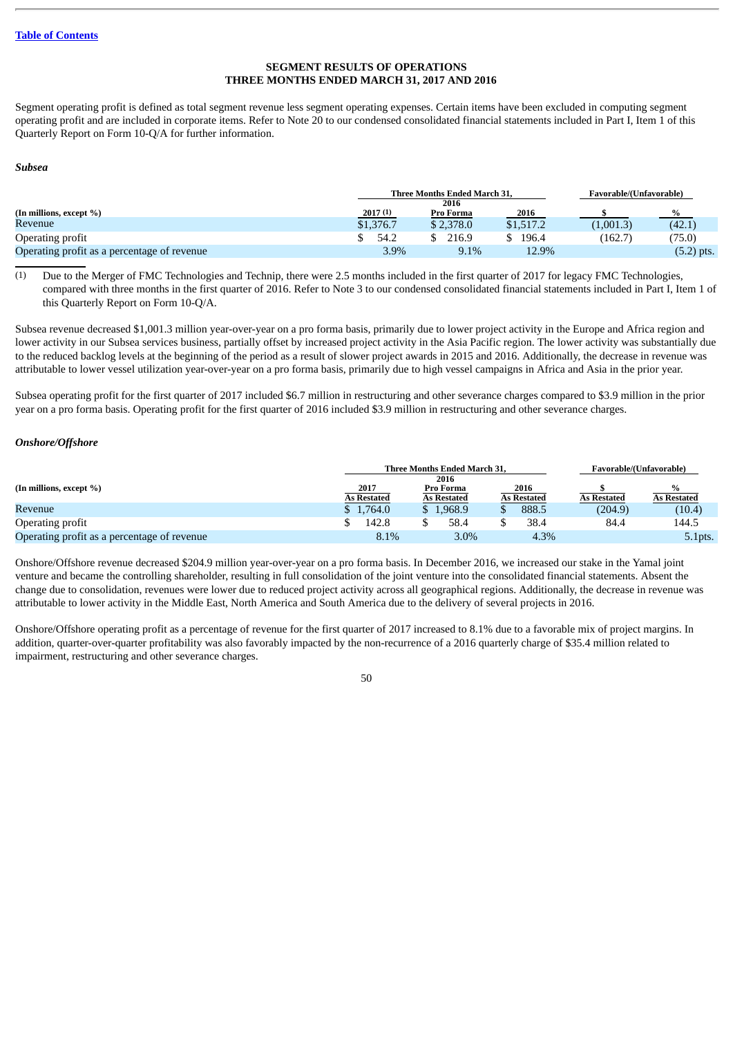# **SEGMENT RESULTS OF OPERATIONS THREE MONTHS ENDED MARCH 31, 2017 AND 2016**

Segment operating profit is defined as total segment revenue less segment operating expenses. Certain items have been excluded in computing segment operating profit and are included in corporate items. Refer to Note 20 to our condensed consolidated financial statements included in Part I, Item 1 of this Quarterly Report on Form 10-Q/A for further information.

#### *Subsea*

|                                             |           | <b>Three Months Ended March 31.</b> |           |           | Favorable/(Unfavorable) |
|---------------------------------------------|-----------|-------------------------------------|-----------|-----------|-------------------------|
|                                             |           | 2016                                |           |           |                         |
| (In millions, except %)                     | 2017(1)   | Pro Forma                           | 2016      |           | $\frac{9}{6}$           |
| Revenue                                     | \$1,376.7 | \$2,378.0                           | \$1,517.2 | (1,001.3) | (42.1)                  |
| Operating profit                            | 54.2      | 216.9                               | 196.4     | (162.7)   | (75.0)                  |
| Operating profit as a percentage of revenue | 3.9%      | 9.1%                                | 12.9%     |           | $(5.2)$ pts.            |

(1) Due to the Merger of FMC Technologies and Technip, there were 2.5 months included in the first quarter of 2017 for legacy FMC Technologies, compared with three months in the first quarter of 2016. Refer to Note 3 to our condensed consolidated financial statements included in Part I, Item 1 of this Quarterly Report on Form 10-Q/A.

Subsea revenue decreased \$1,001.3 million year-over-year on a pro forma basis, primarily due to lower project activity in the Europe and Africa region and lower activity in our Subsea services business, partially offset by increased project activity in the Asia Pacific region. The lower activity was substantially due to the reduced backlog levels at the beginning of the period as a result of slower project awards in 2015 and 2016. Additionally, the decrease in revenue was attributable to lower vessel utilization year-over-year on a pro forma basis, primarily due to high vessel campaigns in Africa and Asia in the prior year.

Subsea operating profit for the first quarter of 2017 included \$6.7 million in restructuring and other severance charges compared to \$3.9 million in the prior year on a pro forma basis. Operating profit for the first quarter of 2016 included \$3.9 million in restructuring and other severance charges.

#### *Onshore/Offshore*

|                                             |                            | <b>Three Months Ended March 31.</b>     | Favorable/(Unfavorable)    |                    |                    |
|---------------------------------------------|----------------------------|-----------------------------------------|----------------------------|--------------------|--------------------|
| (In millions, except %)                     | 2017<br><b>As Restated</b> | 2016<br>Pro Forma<br><b>As Restated</b> | 2016<br><b>As Restated</b> | <b>As Restated</b> | <b>As Restated</b> |
| Revenue                                     | \$1,764.0                  | \$1.968.9                               | 888.5                      | (204.9)            | (10.4)             |
| Operating profit                            | 142.8                      | 58.4                                    | 38.4                       | 84.4               | 144.5              |
| Operating profit as a percentage of revenue | 8.1%                       | $3.0\%$                                 | 4.3%                       |                    | 5.1pts.            |

Onshore/Offshore revenue decreased \$204.9 million year-over-year on a pro forma basis. In December 2016, we increased our stake in the Yamal joint venture and became the controlling shareholder, resulting in full consolidation of the joint venture into the consolidated financial statements. Absent the change due to consolidation, revenues were lower due to reduced project activity across all geographical regions. Additionally, the decrease in revenue was attributable to lower activity in the Middle East, North America and South America due to the delivery of several projects in 2016.

Onshore/Offshore operating profit as a percentage of revenue for the first quarter of 2017 increased to 8.1% due to a favorable mix of project margins. In addition, quarter-over-quarter profitability was also favorably impacted by the non-recurrence of a 2016 quarterly charge of \$35.4 million related to impairment, restructuring and other severance charges.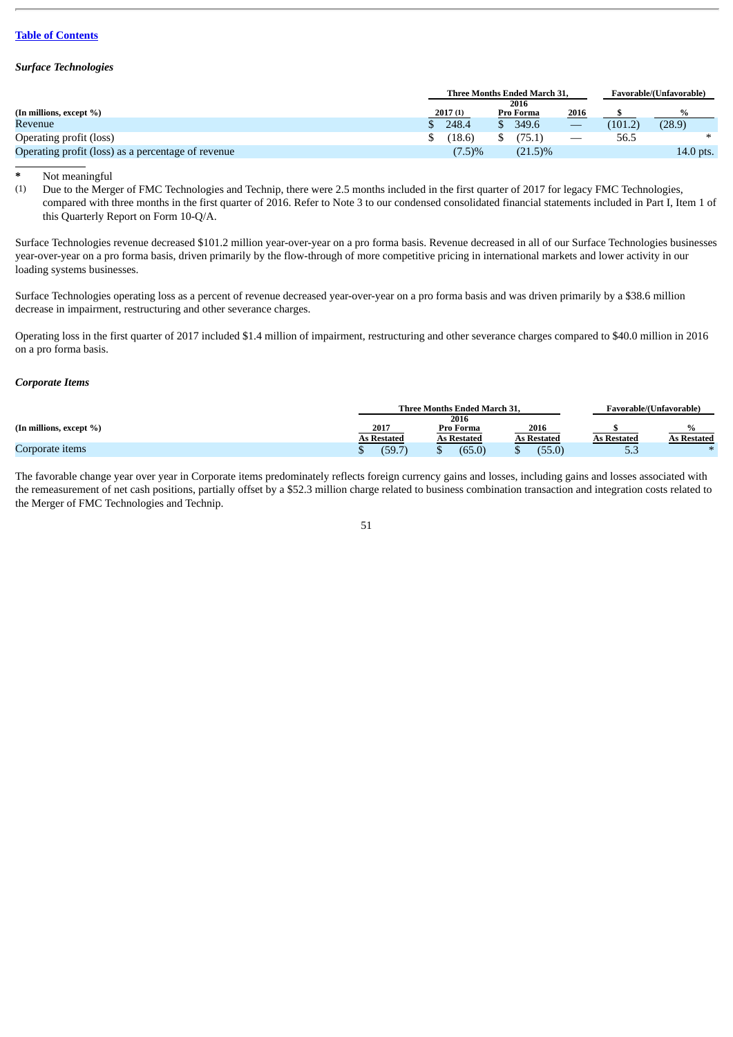### *Surface Technologies*

| <b>Three Months Ended March 31.</b> |           |         |            |           | Favorable/(Unfavorable) |           |
|-------------------------------------|-----------|---------|------------|-----------|-------------------------|-----------|
| 2016                                |           |         |            |           |                         |           |
|                                     |           |         |            |           |                         | %         |
|                                     | 248.4     |         | 349.6      |           | (101.2)                 | (28.9)    |
|                                     | (18.6)    |         | 175.1      |           | 56.5                    | ∗         |
|                                     | $(7.5)\%$ |         | $(21.5)\%$ |           |                         | 14.0 pts. |
|                                     |           | 2017(1) |            | Pro Forma | 2016                    |           |

**\*** Not meaningful

Due to the Merger of FMC Technologies and Technip, there were 2.5 months included in the first quarter of 2017 for legacy FMC Technologies, compared with three months in the first quarter of 2016. Refer to Note 3 to our condensed consolidated financial statements included in Part I, Item 1 of this Quarterly Report on Form 10-Q/A.

Surface Technologies revenue decreased \$101.2 million year-over-year on a pro forma basis. Revenue decreased in all of our Surface Technologies businesses year-over-year on a pro forma basis, driven primarily by the flow-through of more competitive pricing in international markets and lower activity in our loading systems businesses.

Surface Technologies operating loss as a percent of revenue decreased year-over-year on a pro forma basis and was driven primarily by a \$38.6 million decrease in impairment, restructuring and other severance charges.

Operating loss in the first quarter of 2017 included \$1.4 million of impairment, restructuring and other severance charges compared to \$40.0 million in 2016 on a pro forma basis.

#### *Corporate Items*

|                         |             | <b>Three Months Ended March 31.</b> |             | f avorable/(Unfavorable) |             |  |
|-------------------------|-------------|-------------------------------------|-------------|--------------------------|-------------|--|
|                         |             | 2016                                |             |                          |             |  |
| (In millions, except %) | 2017        | Pro Forma                           | 2016        |                          |             |  |
|                         | As Restated | As Restated                         | As Restated | <b>As Restated</b>       | As Restated |  |
| Corporate items         | (59.7)      | (65.0)                              | (55.0)      | ں ، ب                    |             |  |

The favorable change year over year in Corporate items predominately reflects foreign currency gains and losses, including gains and losses associated with the remeasurement of net cash positions, partially offset by a \$52.3 million charge related to business combination transaction and integration costs related to the Merger of FMC Technologies and Technip.

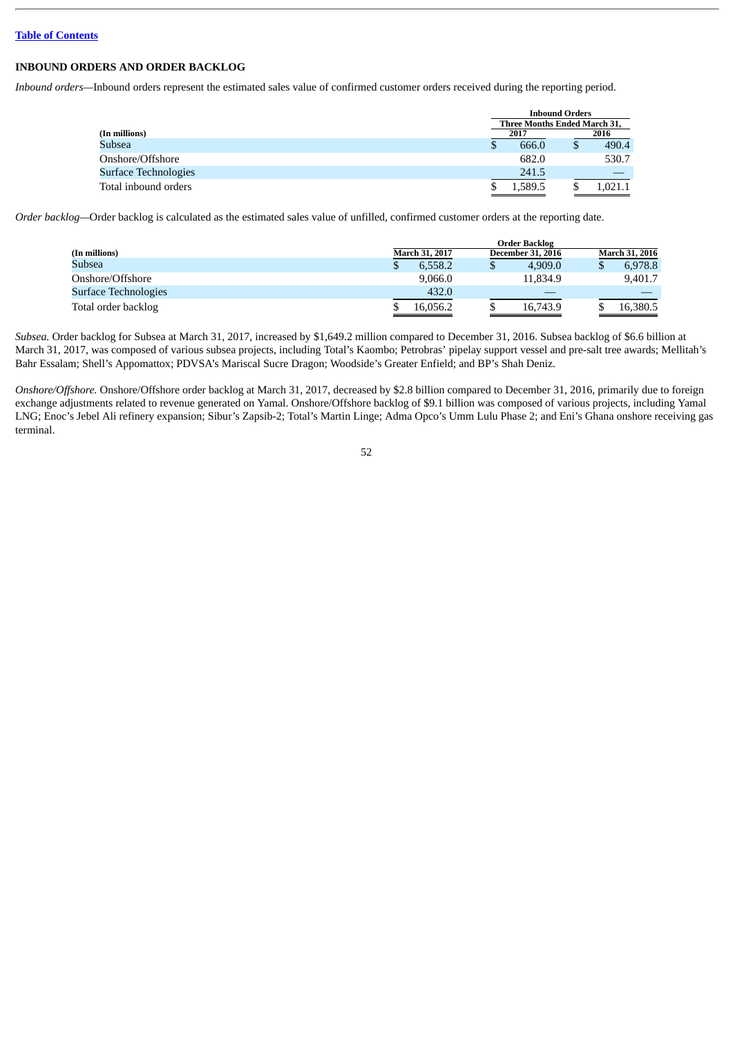# **INBOUND ORDERS AND ORDER BACKLOG**

*Inbound orders—*Inbound orders represent the estimated sales value of confirmed customer orders received during the reporting period.

|                      |                              | <b>Inbound Orders</b> |         |  |  |  |  |  |
|----------------------|------------------------------|-----------------------|---------|--|--|--|--|--|
|                      | Three Months Ended March 31, |                       |         |  |  |  |  |  |
| (In millions)        | 2017                         |                       | 2016    |  |  |  |  |  |
| Subsea               | 666.0                        |                       | 490.4   |  |  |  |  |  |
| Onshore/Offshore     | 682.0                        |                       | 530.7   |  |  |  |  |  |
| Surface Technologies | 241.5                        |                       |         |  |  |  |  |  |
| Total inbound orders | 1.589.5                      |                       | 1.021.1 |  |  |  |  |  |

*Order backlog—*Order backlog is calculated as the estimated sales value of unfilled, confirmed customer orders at the reporting date.

|                      | <b>Order Backlog</b> |                          |         |  |                       |  |  |  |  |
|----------------------|----------------------|--------------------------|---------|--|-----------------------|--|--|--|--|
| (In millions)        | March 31, 2017       | <b>December 31, 2016</b> |         |  | <b>March 31, 2016</b> |  |  |  |  |
| Subsea               | 6.558.2              | Φ                        | 4.909.0 |  | 6.978.8               |  |  |  |  |
| Onshore/Offshore     | 9.066.0              | 11.834.9                 |         |  | 9.401.7               |  |  |  |  |
| Surface Technologies | 432.0                |                          |         |  |                       |  |  |  |  |
| Total order backlog  | 16.056.2             | 16,743.9                 |         |  | 16.380.5              |  |  |  |  |

*Subsea.* Order backlog for Subsea at March 31, 2017, increased by \$1,649.2 million compared to December 31, 2016. Subsea backlog of \$6.6 billion at March 31, 2017, was composed of various subsea projects, including Total's Kaombo; Petrobras' pipelay support vessel and pre-salt tree awards; Mellitah's Bahr Essalam; Shell's Appomattox; PDVSA's Mariscal Sucre Dragon; Woodside's Greater Enfield; and BP's Shah Deniz.

*Onshore/Offshore.* Onshore/Offshore order backlog at March 31, 2017, decreased by \$2.8 billion compared to December 31, 2016, primarily due to foreign exchange adjustments related to revenue generated on Yamal. Onshore/Offshore backlog of \$9.1 billion was composed of various projects, including Yamal LNG; Enoc's Jebel Ali refinery expansion; Sibur's Zapsib-2; Total's Martin Linge; Adma Opco's Umm Lulu Phase 2; and Eni's Ghana onshore receiving gas terminal.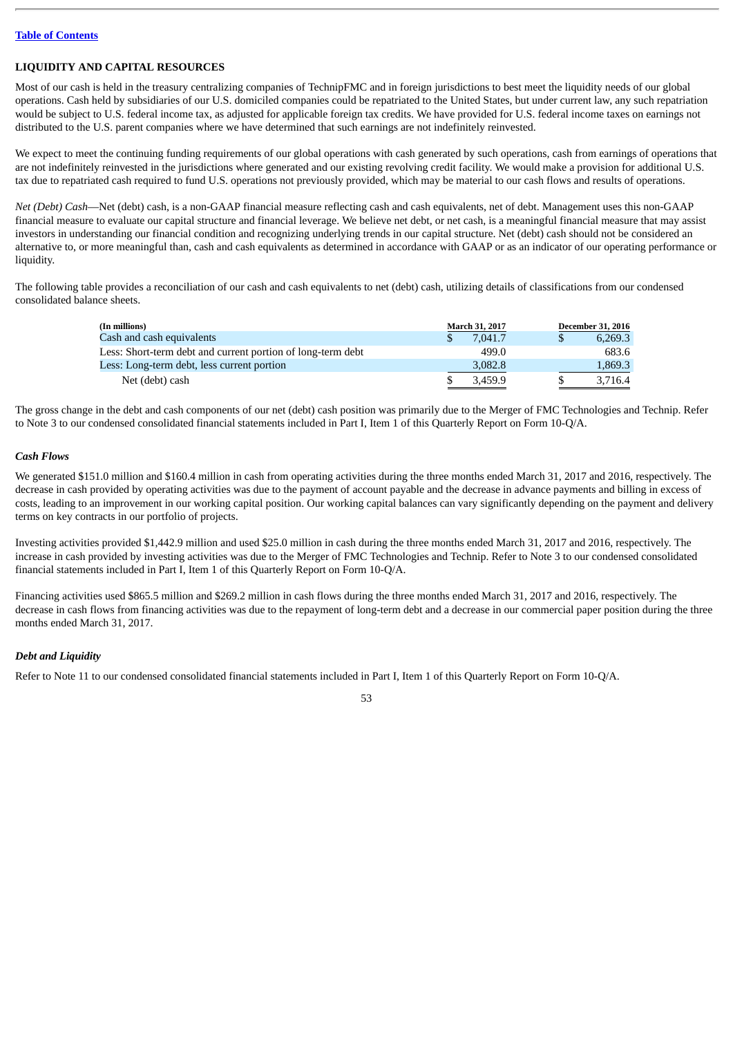# **LIQUIDITY AND CAPITAL RESOURCES**

Most of our cash is held in the treasury centralizing companies of TechnipFMC and in foreign jurisdictions to best meet the liquidity needs of our global operations. Cash held by subsidiaries of our U.S. domiciled companies could be repatriated to the United States, but under current law, any such repatriation would be subject to U.S. federal income tax, as adjusted for applicable foreign tax credits. We have provided for U.S. federal income taxes on earnings not distributed to the U.S. parent companies where we have determined that such earnings are not indefinitely reinvested.

We expect to meet the continuing funding requirements of our global operations with cash generated by such operations, cash from earnings of operations that are not indefinitely reinvested in the jurisdictions where generated and our existing revolving credit facility. We would make a provision for additional U.S. tax due to repatriated cash required to fund U.S. operations not previously provided, which may be material to our cash flows and results of operations.

*Net (Debt) Cash*—Net (debt) cash, is a non-GAAP financial measure reflecting cash and cash equivalents, net of debt. Management uses this non-GAAP financial measure to evaluate our capital structure and financial leverage. We believe net debt, or net cash, is a meaningful financial measure that may assist investors in understanding our financial condition and recognizing underlying trends in our capital structure. Net (debt) cash should not be considered an alternative to, or more meaningful than, cash and cash equivalents as determined in accordance with GAAP or as an indicator of our operating performance or liquidity.

The following table provides a reconciliation of our cash and cash equivalents to net (debt) cash, utilizing details of classifications from our condensed consolidated balance sheets.

| (In millions)                                               | March 31, 2017 | <b>December 31, 2016</b> |
|-------------------------------------------------------------|----------------|--------------------------|
| Cash and cash equivalents                                   | 7.041.7        | 6,269.3                  |
| Less: Short-term debt and current portion of long-term debt | 499.0          | 683.6                    |
| Less: Long-term debt, less current portion                  | 3,082.8        | 1,869.3                  |
| Net (debt) cash                                             | 3.459.9        | 3.716.4                  |

The gross change in the debt and cash components of our net (debt) cash position was primarily due to the Merger of FMC Technologies and Technip. Refer to Note 3 to our condensed consolidated financial statements included in Part I, Item 1 of this Quarterly Report on Form 10-Q/A.

# *Cash Flows*

We generated \$151.0 million and \$160.4 million in cash from operating activities during the three months ended March 31, 2017 and 2016, respectively. The decrease in cash provided by operating activities was due to the payment of account payable and the decrease in advance payments and billing in excess of costs, leading to an improvement in our working capital position. Our working capital balances can vary significantly depending on the payment and delivery terms on key contracts in our portfolio of projects.

Investing activities provided \$1,442.9 million and used \$25.0 million in cash during the three months ended March 31, 2017 and 2016, respectively. The increase in cash provided by investing activities was due to the Merger of FMC Technologies and Technip. Refer to Note 3 to our condensed consolidated financial statements included in Part I, Item 1 of this Quarterly Report on Form 10-Q/A.

Financing activities used \$865.5 million and \$269.2 million in cash flows during the three months ended March 31, 2017 and 2016, respectively. The decrease in cash flows from financing activities was due to the repayment of long-term debt and a decrease in our commercial paper position during the three months ended March 31, 2017.

# *Debt and Liquidity*

Refer to Note 11 to our condensed consolidated financial statements included in Part I, Item 1 of this Quarterly Report on Form 10-Q/A.

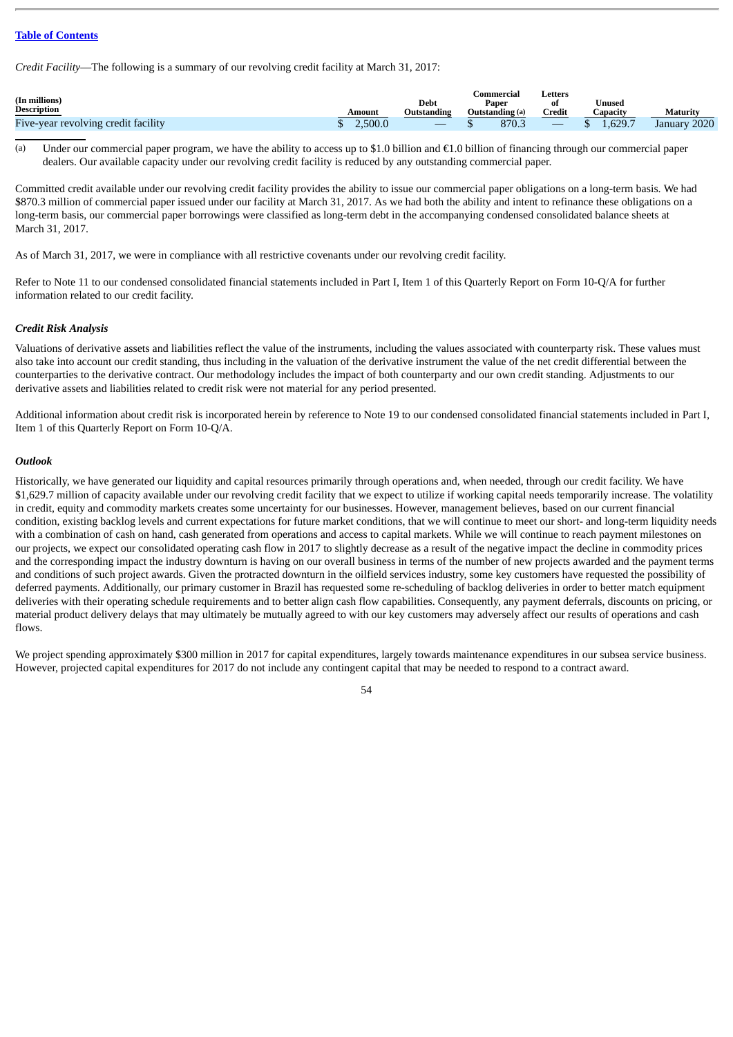*Credit Facility*—The following is a summary of our revolving credit facility at March 31, 2017:

| (In millions)<br><b>Description</b> | Amount  | <b>Debt</b><br>Outstanding | Commercial<br>Paper<br>Outstanding (a) | Letters<br>Credit | <b><i><u>Jnused</u></i></b><br>Capacity | <b>Maturity</b> |
|-------------------------------------|---------|----------------------------|----------------------------------------|-------------------|-----------------------------------------|-----------------|
|                                     |         |                            |                                        |                   |                                         |                 |
| Five-year revolving credit facility | 2.500.0 |                            | 870.3                                  |                   | 1.629.7                                 | January 2020    |

(a) Under our commercial paper program, we have the ability to access up to \$1.0 billion and  $\epsilon$ 1.0 billion of financing through our commercial paper dealers. Our available capacity under our revolving credit facility is reduced by any outstanding commercial paper.

Committed credit available under our revolving credit facility provides the ability to issue our commercial paper obligations on a long-term basis. We had \$870.3 million of commercial paper issued under our facility at March 31, 2017. As we had both the ability and intent to refinance these obligations on a long-term basis, our commercial paper borrowings were classified as long-term debt in the accompanying condensed consolidated balance sheets at March 31, 2017.

As of March 31, 2017, we were in compliance with all restrictive covenants under our revolving credit facility.

Refer to Note 11 to our condensed consolidated financial statements included in Part I, Item 1 of this Quarterly Report on Form 10-Q/A for further information related to our credit facility.

### *Credit Risk Analysis*

Valuations of derivative assets and liabilities reflect the value of the instruments, including the values associated with counterparty risk. These values must also take into account our credit standing, thus including in the valuation of the derivative instrument the value of the net credit differential between the counterparties to the derivative contract. Our methodology includes the impact of both counterparty and our own credit standing. Adjustments to our derivative assets and liabilities related to credit risk were not material for any period presented.

Additional information about credit risk is incorporated herein by reference to Note 19 to our condensed consolidated financial statements included in Part I, Item 1 of this Quarterly Report on Form 10-Q/A.

### *Outlook*

Historically, we have generated our liquidity and capital resources primarily through operations and, when needed, through our credit facility. We have \$1,629.7 million of capacity available under our revolving credit facility that we expect to utilize if working capital needs temporarily increase. The volatility in credit, equity and commodity markets creates some uncertainty for our businesses. However, management believes, based on our current financial condition, existing backlog levels and current expectations for future market conditions, that we will continue to meet our short- and long-term liquidity needs with a combination of cash on hand, cash generated from operations and access to capital markets. While we will continue to reach payment milestones on our projects, we expect our consolidated operating cash flow in 2017 to slightly decrease as a result of the negative impact the decline in commodity prices and the corresponding impact the industry downturn is having on our overall business in terms of the number of new projects awarded and the payment terms and conditions of such project awards. Given the protracted downturn in the oilfield services industry, some key customers have requested the possibility of deferred payments. Additionally, our primary customer in Brazil has requested some re-scheduling of backlog deliveries in order to better match equipment deliveries with their operating schedule requirements and to better align cash flow capabilities. Consequently, any payment deferrals, discounts on pricing, or material product delivery delays that may ultimately be mutually agreed to with our key customers may adversely affect our results of operations and cash flows.

We project spending approximately \$300 million in 2017 for capital expenditures, largely towards maintenance expenditures in our subsea service business. However, projected capital expenditures for 2017 do not include any contingent capital that may be needed to respond to a contract award.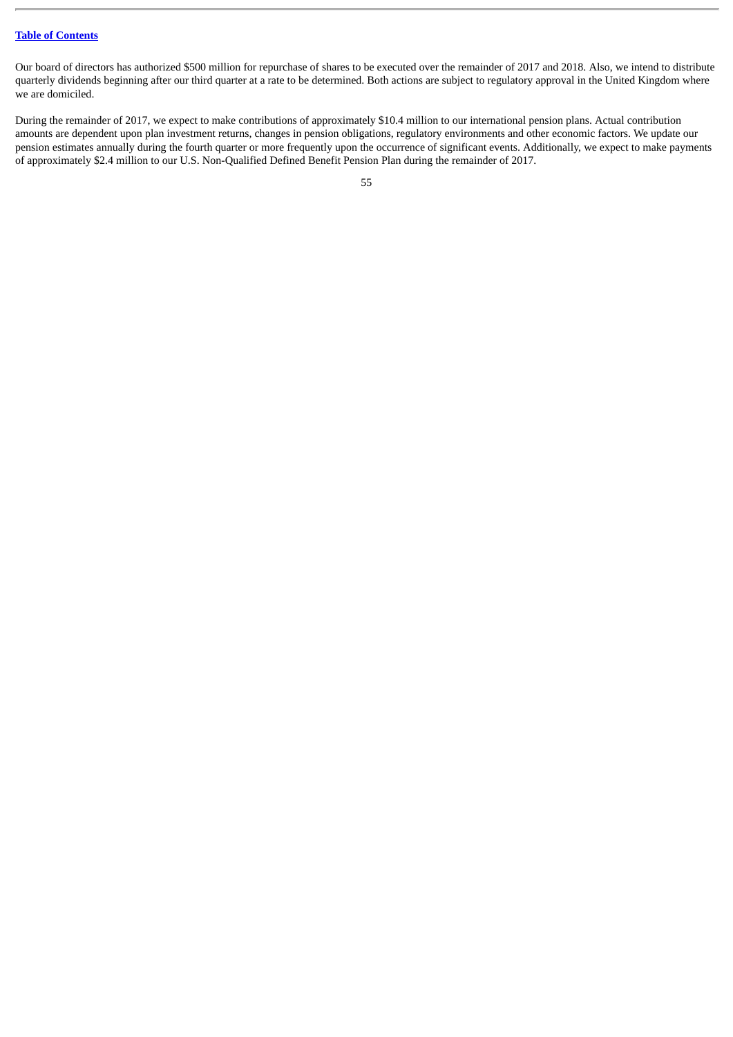Our board of directors has authorized \$500 million for repurchase of shares to be executed over the remainder of 2017 and 2018. Also, we intend to distribute quarterly dividends beginning after our third quarter at a rate to be determined. Both actions are subject to regulatory approval in the United Kingdom where we are domiciled.

During the remainder of 2017, we expect to make contributions of approximately \$10.4 million to our international pension plans. Actual contribution amounts are dependent upon plan investment returns, changes in pension obligations, regulatory environments and other economic factors. We update our pension estimates annually during the fourth quarter or more frequently upon the occurrence of significant events. Additionally, we expect to make payments of approximately \$2.4 million to our U.S. Non-Qualified Defined Benefit Pension Plan during the remainder of 2017.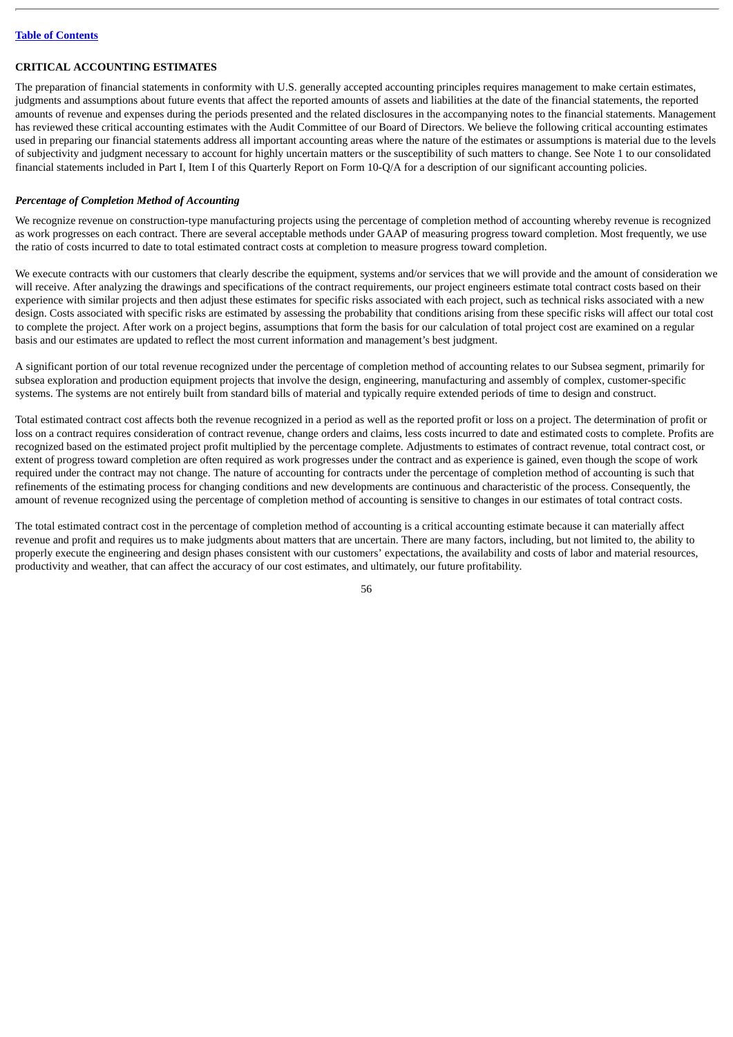# **CRITICAL ACCOUNTING ESTIMATES**

The preparation of financial statements in conformity with U.S. generally accepted accounting principles requires management to make certain estimates, judgments and assumptions about future events that affect the reported amounts of assets and liabilities at the date of the financial statements, the reported amounts of revenue and expenses during the periods presented and the related disclosures in the accompanying notes to the financial statements. Management has reviewed these critical accounting estimates with the Audit Committee of our Board of Directors. We believe the following critical accounting estimates used in preparing our financial statements address all important accounting areas where the nature of the estimates or assumptions is material due to the levels of subjectivity and judgment necessary to account for highly uncertain matters or the susceptibility of such matters to change. See Note 1 to our consolidated financial statements included in Part I, Item I of this Quarterly Report on Form 10-Q/A for a description of our significant accounting policies.

# *Percentage of Completion Method of Accounting*

We recognize revenue on construction-type manufacturing projects using the percentage of completion method of accounting whereby revenue is recognized as work progresses on each contract. There are several acceptable methods under GAAP of measuring progress toward completion. Most frequently, we use the ratio of costs incurred to date to total estimated contract costs at completion to measure progress toward completion.

We execute contracts with our customers that clearly describe the equipment, systems and/or services that we will provide and the amount of consideration we will receive. After analyzing the drawings and specifications of the contract requirements, our project engineers estimate total contract costs based on their experience with similar projects and then adjust these estimates for specific risks associated with each project, such as technical risks associated with a new design. Costs associated with specific risks are estimated by assessing the probability that conditions arising from these specific risks will affect our total cost to complete the project. After work on a project begins, assumptions that form the basis for our calculation of total project cost are examined on a regular basis and our estimates are updated to reflect the most current information and management's best judgment.

A significant portion of our total revenue recognized under the percentage of completion method of accounting relates to our Subsea segment, primarily for subsea exploration and production equipment projects that involve the design, engineering, manufacturing and assembly of complex, customer-specific systems. The systems are not entirely built from standard bills of material and typically require extended periods of time to design and construct.

Total estimated contract cost affects both the revenue recognized in a period as well as the reported profit or loss on a project. The determination of profit or loss on a contract requires consideration of contract revenue, change orders and claims, less costs incurred to date and estimated costs to complete. Profits are recognized based on the estimated project profit multiplied by the percentage complete. Adjustments to estimates of contract revenue, total contract cost, or extent of progress toward completion are often required as work progresses under the contract and as experience is gained, even though the scope of work required under the contract may not change. The nature of accounting for contracts under the percentage of completion method of accounting is such that refinements of the estimating process for changing conditions and new developments are continuous and characteristic of the process. Consequently, the amount of revenue recognized using the percentage of completion method of accounting is sensitive to changes in our estimates of total contract costs.

The total estimated contract cost in the percentage of completion method of accounting is a critical accounting estimate because it can materially affect revenue and profit and requires us to make judgments about matters that are uncertain. There are many factors, including, but not limited to, the ability to properly execute the engineering and design phases consistent with our customers' expectations, the availability and costs of labor and material resources, productivity and weather, that can affect the accuracy of our cost estimates, and ultimately, our future profitability.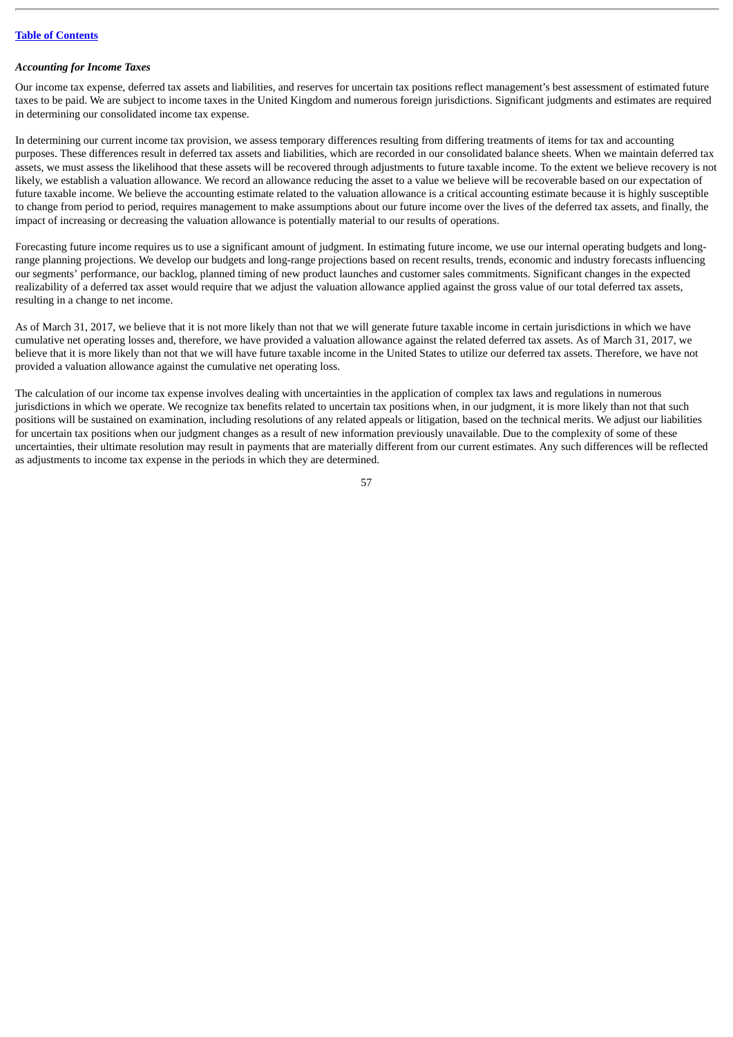#### *Accounting for Income Taxes*

Our income tax expense, deferred tax assets and liabilities, and reserves for uncertain tax positions reflect management's best assessment of estimated future taxes to be paid. We are subject to income taxes in the United Kingdom and numerous foreign jurisdictions. Significant judgments and estimates are required in determining our consolidated income tax expense.

In determining our current income tax provision, we assess temporary differences resulting from differing treatments of items for tax and accounting purposes. These differences result in deferred tax assets and liabilities, which are recorded in our consolidated balance sheets. When we maintain deferred tax assets, we must assess the likelihood that these assets will be recovered through adjustments to future taxable income. To the extent we believe recovery is not likely, we establish a valuation allowance. We record an allowance reducing the asset to a value we believe will be recoverable based on our expectation of future taxable income. We believe the accounting estimate related to the valuation allowance is a critical accounting estimate because it is highly susceptible to change from period to period, requires management to make assumptions about our future income over the lives of the deferred tax assets, and finally, the impact of increasing or decreasing the valuation allowance is potentially material to our results of operations.

Forecasting future income requires us to use a significant amount of judgment. In estimating future income, we use our internal operating budgets and longrange planning projections. We develop our budgets and long-range projections based on recent results, trends, economic and industry forecasts influencing our segments' performance, our backlog, planned timing of new product launches and customer sales commitments. Significant changes in the expected realizability of a deferred tax asset would require that we adjust the valuation allowance applied against the gross value of our total deferred tax assets, resulting in a change to net income.

As of March 31, 2017, we believe that it is not more likely than not that we will generate future taxable income in certain jurisdictions in which we have cumulative net operating losses and, therefore, we have provided a valuation allowance against the related deferred tax assets. As of March 31, 2017, we believe that it is more likely than not that we will have future taxable income in the United States to utilize our deferred tax assets. Therefore, we have not provided a valuation allowance against the cumulative net operating loss.

The calculation of our income tax expense involves dealing with uncertainties in the application of complex tax laws and regulations in numerous jurisdictions in which we operate. We recognize tax benefits related to uncertain tax positions when, in our judgment, it is more likely than not that such positions will be sustained on examination, including resolutions of any related appeals or litigation, based on the technical merits. We adjust our liabilities for uncertain tax positions when our judgment changes as a result of new information previously unavailable. Due to the complexity of some of these uncertainties, their ultimate resolution may result in payments that are materially different from our current estimates. Any such differences will be reflected as adjustments to income tax expense in the periods in which they are determined.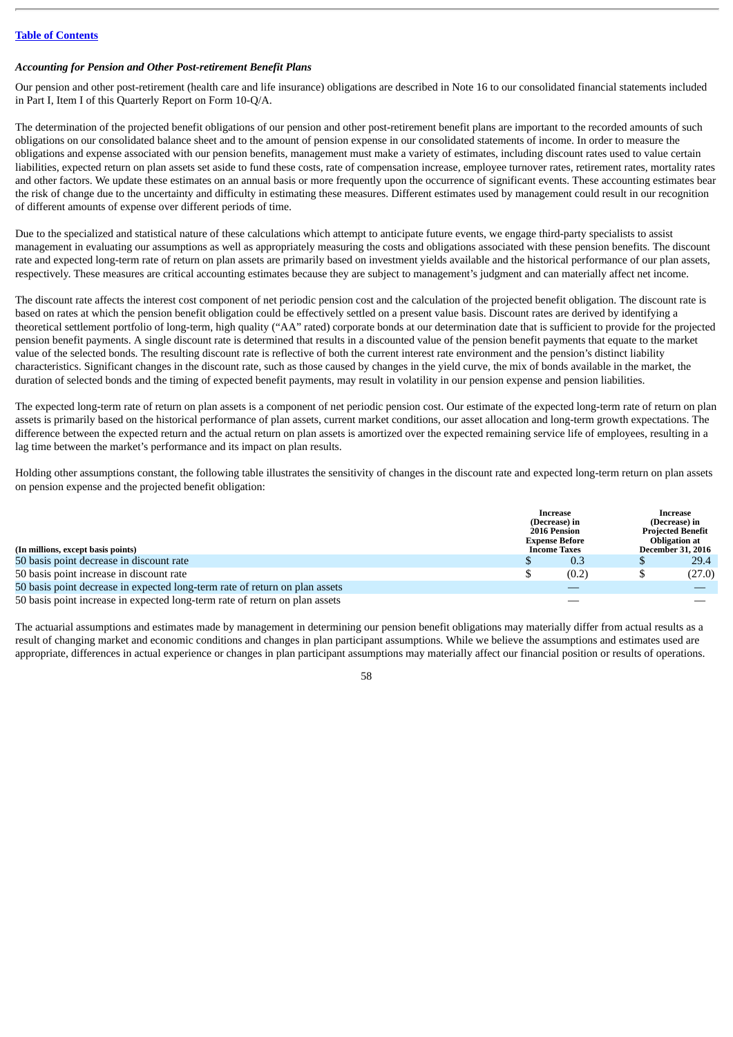#### *Accounting for Pension and Other Post-retirement Benefit Plans*

Our pension and other post-retirement (health care and life insurance) obligations are described in Note 16 to our consolidated financial statements included in Part I, Item I of this Quarterly Report on Form 10-Q/A.

The determination of the projected benefit obligations of our pension and other post-retirement benefit plans are important to the recorded amounts of such obligations on our consolidated balance sheet and to the amount of pension expense in our consolidated statements of income. In order to measure the obligations and expense associated with our pension benefits, management must make a variety of estimates, including discount rates used to value certain liabilities, expected return on plan assets set aside to fund these costs, rate of compensation increase, employee turnover rates, retirement rates, mortality rates and other factors. We update these estimates on an annual basis or more frequently upon the occurrence of significant events. These accounting estimates bear the risk of change due to the uncertainty and difficulty in estimating these measures. Different estimates used by management could result in our recognition of different amounts of expense over different periods of time.

Due to the specialized and statistical nature of these calculations which attempt to anticipate future events, we engage third-party specialists to assist management in evaluating our assumptions as well as appropriately measuring the costs and obligations associated with these pension benefits. The discount rate and expected long-term rate of return on plan assets are primarily based on investment yields available and the historical performance of our plan assets, respectively. These measures are critical accounting estimates because they are subject to management's judgment and can materially affect net income.

The discount rate affects the interest cost component of net periodic pension cost and the calculation of the projected benefit obligation. The discount rate is based on rates at which the pension benefit obligation could be effectively settled on a present value basis. Discount rates are derived by identifying a theoretical settlement portfolio of long-term, high quality ("AA" rated) corporate bonds at our determination date that is sufficient to provide for the projected pension benefit payments. A single discount rate is determined that results in a discounted value of the pension benefit payments that equate to the market value of the selected bonds. The resulting discount rate is reflective of both the current interest rate environment and the pension's distinct liability characteristics. Significant changes in the discount rate, such as those caused by changes in the yield curve, the mix of bonds available in the market, the duration of selected bonds and the timing of expected benefit payments, may result in volatility in our pension expense and pension liabilities.

The expected long-term rate of return on plan assets is a component of net periodic pension cost. Our estimate of the expected long-term rate of return on plan assets is primarily based on the historical performance of plan assets, current market conditions, our asset allocation and long-term growth expectations. The difference between the expected return and the actual return on plan assets is amortized over the expected remaining service life of employees, resulting in a lag time between the market's performance and its impact on plan results.

Holding other assumptions constant, the following table illustrates the sensitivity of changes in the discount rate and expected long-term return on plan assets on pension expense and the projected benefit obligation:

| (In millions, except basis points)                                          | Increase<br>(Decrease) in<br><b>2016 Pension</b><br><b>Expense Before</b><br><b>Income Taxes</b> | Increase<br>(Decrease) in<br><b>Projected Benefit</b><br>Obligation at<br><b>December 31, 2016</b> |        |
|-----------------------------------------------------------------------------|--------------------------------------------------------------------------------------------------|----------------------------------------------------------------------------------------------------|--------|
| 50 basis point decrease in discount rate                                    | 0.3                                                                                              |                                                                                                    | 29.4   |
| 50 basis point increase in discount rate                                    | (0.2)                                                                                            |                                                                                                    | (27.0) |
| 50 basis point decrease in expected long-term rate of return on plan assets |                                                                                                  |                                                                                                    |        |
| 50 basis point increase in expected long-term rate of return on plan assets |                                                                                                  |                                                                                                    |        |

The actuarial assumptions and estimates made by management in determining our pension benefit obligations may materially differ from actual results as a result of changing market and economic conditions and changes in plan participant assumptions. While we believe the assumptions and estimates used are appropriate, differences in actual experience or changes in plan participant assumptions may materially affect our financial position or results of operations.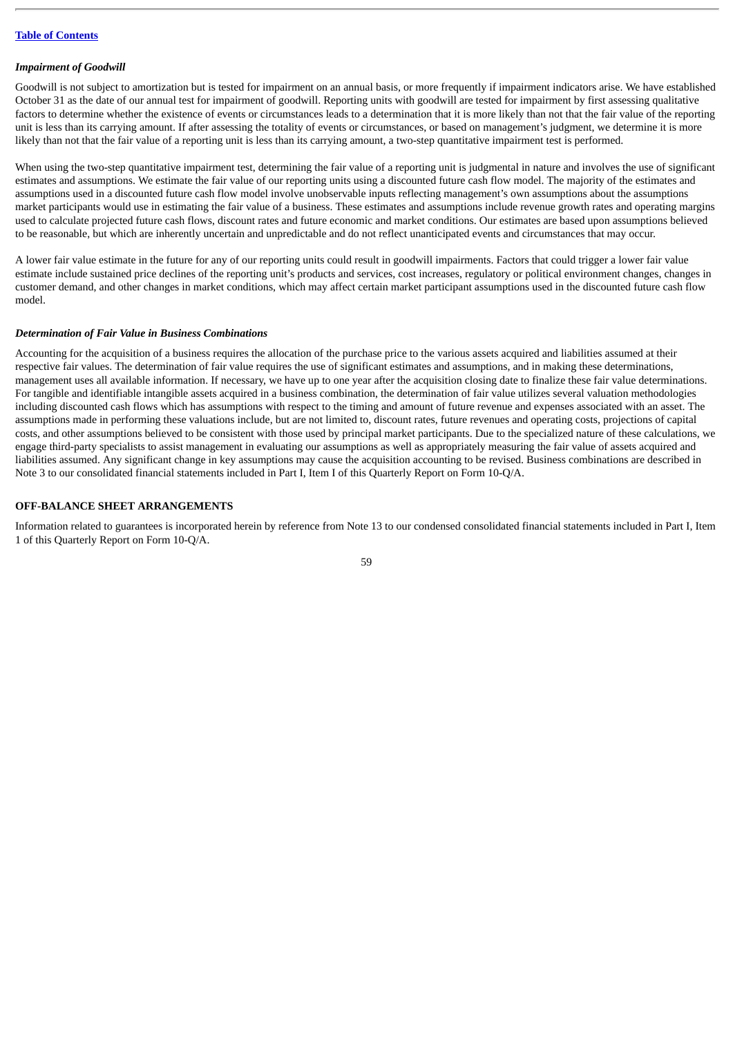#### *Impairment of Goodwill*

Goodwill is not subject to amortization but is tested for impairment on an annual basis, or more frequently if impairment indicators arise. We have established October 31 as the date of our annual test for impairment of goodwill. Reporting units with goodwill are tested for impairment by first assessing qualitative factors to determine whether the existence of events or circumstances leads to a determination that it is more likely than not that the fair value of the reporting unit is less than its carrying amount. If after assessing the totality of events or circumstances, or based on management's judgment, we determine it is more likely than not that the fair value of a reporting unit is less than its carrying amount, a two-step quantitative impairment test is performed.

When using the two-step quantitative impairment test, determining the fair value of a reporting unit is judgmental in nature and involves the use of significant estimates and assumptions. We estimate the fair value of our reporting units using a discounted future cash flow model. The majority of the estimates and assumptions used in a discounted future cash flow model involve unobservable inputs reflecting management's own assumptions about the assumptions market participants would use in estimating the fair value of a business. These estimates and assumptions include revenue growth rates and operating margins used to calculate projected future cash flows, discount rates and future economic and market conditions. Our estimates are based upon assumptions believed to be reasonable, but which are inherently uncertain and unpredictable and do not reflect unanticipated events and circumstances that may occur.

A lower fair value estimate in the future for any of our reporting units could result in goodwill impairments. Factors that could trigger a lower fair value estimate include sustained price declines of the reporting unit's products and services, cost increases, regulatory or political environment changes, changes in customer demand, and other changes in market conditions, which may affect certain market participant assumptions used in the discounted future cash flow model.

#### *Determination of Fair Value in Business Combinations*

Accounting for the acquisition of a business requires the allocation of the purchase price to the various assets acquired and liabilities assumed at their respective fair values. The determination of fair value requires the use of significant estimates and assumptions, and in making these determinations, management uses all available information. If necessary, we have up to one year after the acquisition closing date to finalize these fair value determinations. For tangible and identifiable intangible assets acquired in a business combination, the determination of fair value utilizes several valuation methodologies including discounted cash flows which has assumptions with respect to the timing and amount of future revenue and expenses associated with an asset. The assumptions made in performing these valuations include, but are not limited to, discount rates, future revenues and operating costs, projections of capital costs, and other assumptions believed to be consistent with those used by principal market participants. Due to the specialized nature of these calculations, we engage third-party specialists to assist management in evaluating our assumptions as well as appropriately measuring the fair value of assets acquired and liabilities assumed. Any significant change in key assumptions may cause the acquisition accounting to be revised. Business combinations are described in Note 3 to our consolidated financial statements included in Part I, Item I of this Quarterly Report on Form 10-Q/A.

# **OFF-BALANCE SHEET ARRANGEMENTS**

Information related to guarantees is incorporated herein by reference from Note 13 to our condensed consolidated financial statements included in Part I, Item 1 of this Quarterly Report on Form 10-Q/A.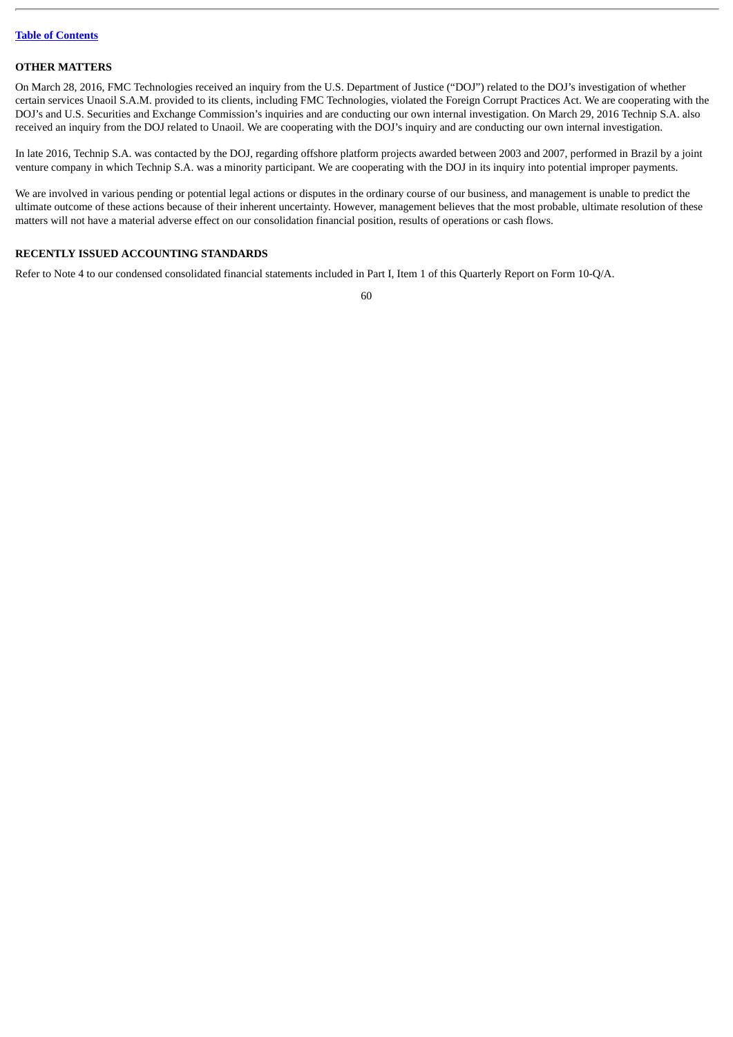## **OTHER MATTERS**

On March 28, 2016, FMC Technologies received an inquiry from the U.S. Department of Justice ("DOJ") related to the DOJ's investigation of whether certain services Unaoil S.A.M. provided to its clients, including FMC Technologies, violated the Foreign Corrupt Practices Act. We are cooperating with the DOJ's and U.S. Securities and Exchange Commission's inquiries and are conducting our own internal investigation. On March 29, 2016 Technip S.A. also received an inquiry from the DOJ related to Unaoil. We are cooperating with the DOJ's inquiry and are conducting our own internal investigation.

In late 2016, Technip S.A. was contacted by the DOJ, regarding offshore platform projects awarded between 2003 and 2007, performed in Brazil by a joint venture company in which Technip S.A. was a minority participant. We are cooperating with the DOJ in its inquiry into potential improper payments.

We are involved in various pending or potential legal actions or disputes in the ordinary course of our business, and management is unable to predict the ultimate outcome of these actions because of their inherent uncertainty. However, management believes that the most probable, ultimate resolution of these matters will not have a material adverse effect on our consolidation financial position, results of operations or cash flows.

# **RECENTLY ISSUED ACCOUNTING STANDARDS**

Refer to Note 4 to our condensed consolidated financial statements included in Part I, Item 1 of this Quarterly Report on Form 10-Q/A.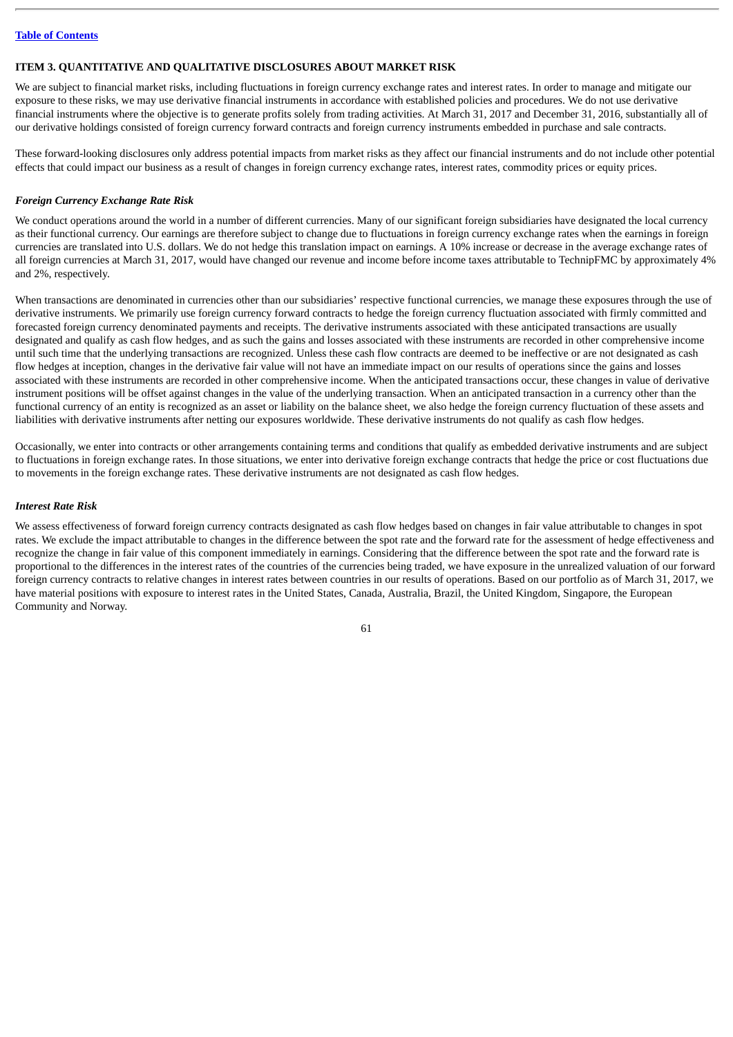## **ITEM 3. QUANTITATIVE AND QUALITATIVE DISCLOSURES ABOUT MARKET RISK**

We are subject to financial market risks, including fluctuations in foreign currency exchange rates and interest rates. In order to manage and mitigate our exposure to these risks, we may use derivative financial instruments in accordance with established policies and procedures. We do not use derivative financial instruments where the objective is to generate profits solely from trading activities. At March 31, 2017 and December 31, 2016, substantially all of our derivative holdings consisted of foreign currency forward contracts and foreign currency instruments embedded in purchase and sale contracts.

These forward-looking disclosures only address potential impacts from market risks as they affect our financial instruments and do not include other potential effects that could impact our business as a result of changes in foreign currency exchange rates, interest rates, commodity prices or equity prices.

#### *Foreign Currency Exchange Rate Risk*

We conduct operations around the world in a number of different currencies. Many of our significant foreign subsidiaries have designated the local currency as their functional currency. Our earnings are therefore subject to change due to fluctuations in foreign currency exchange rates when the earnings in foreign currencies are translated into U.S. dollars. We do not hedge this translation impact on earnings. A 10% increase or decrease in the average exchange rates of all foreign currencies at March 31, 2017, would have changed our revenue and income before income taxes attributable to TechnipFMC by approximately 4% and 2%, respectively.

When transactions are denominated in currencies other than our subsidiaries' respective functional currencies, we manage these exposures through the use of derivative instruments. We primarily use foreign currency forward contracts to hedge the foreign currency fluctuation associated with firmly committed and forecasted foreign currency denominated payments and receipts. The derivative instruments associated with these anticipated transactions are usually designated and qualify as cash flow hedges, and as such the gains and losses associated with these instruments are recorded in other comprehensive income until such time that the underlying transactions are recognized. Unless these cash flow contracts are deemed to be ineffective or are not designated as cash flow hedges at inception, changes in the derivative fair value will not have an immediate impact on our results of operations since the gains and losses associated with these instruments are recorded in other comprehensive income. When the anticipated transactions occur, these changes in value of derivative instrument positions will be offset against changes in the value of the underlying transaction. When an anticipated transaction in a currency other than the functional currency of an entity is recognized as an asset or liability on the balance sheet, we also hedge the foreign currency fluctuation of these assets and liabilities with derivative instruments after netting our exposures worldwide. These derivative instruments do not qualify as cash flow hedges.

Occasionally, we enter into contracts or other arrangements containing terms and conditions that qualify as embedded derivative instruments and are subject to fluctuations in foreign exchange rates. In those situations, we enter into derivative foreign exchange contracts that hedge the price or cost fluctuations due to movements in the foreign exchange rates. These derivative instruments are not designated as cash flow hedges.

## *Interest Rate Risk*

We assess effectiveness of forward foreign currency contracts designated as cash flow hedges based on changes in fair value attributable to changes in spot rates. We exclude the impact attributable to changes in the difference between the spot rate and the forward rate for the assessment of hedge effectiveness and recognize the change in fair value of this component immediately in earnings. Considering that the difference between the spot rate and the forward rate is proportional to the differences in the interest rates of the countries of the currencies being traded, we have exposure in the unrealized valuation of our forward foreign currency contracts to relative changes in interest rates between countries in our results of operations. Based on our portfolio as of March 31, 2017, we have material positions with exposure to interest rates in the United States, Canada, Australia, Brazil, the United Kingdom, Singapore, the European Community and Norway.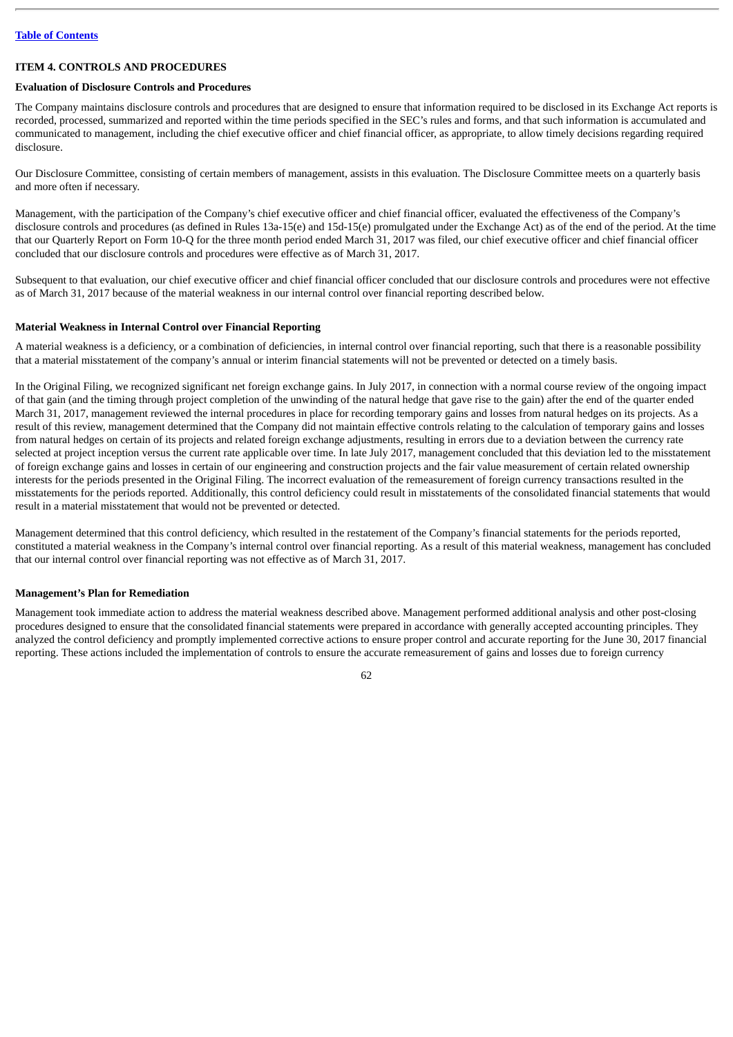# **ITEM 4. CONTROLS AND PROCEDURES**

# **Evaluation of Disclosure Controls and Procedures**

The Company maintains disclosure controls and procedures that are designed to ensure that information required to be disclosed in its Exchange Act reports is recorded, processed, summarized and reported within the time periods specified in the SEC's rules and forms, and that such information is accumulated and communicated to management, including the chief executive officer and chief financial officer, as appropriate, to allow timely decisions regarding required disclosure.

Our Disclosure Committee, consisting of certain members of management, assists in this evaluation. The Disclosure Committee meets on a quarterly basis and more often if necessary.

Management, with the participation of the Company's chief executive officer and chief financial officer, evaluated the effectiveness of the Company's disclosure controls and procedures (as defined in Rules 13a-15(e) and 15d-15(e) promulgated under the Exchange Act) as of the end of the period. At the time that our Quarterly Report on Form 10-Q for the three month period ended March 31, 2017 was filed, our chief executive officer and chief financial officer concluded that our disclosure controls and procedures were effective as of March 31, 2017.

Subsequent to that evaluation, our chief executive officer and chief financial officer concluded that our disclosure controls and procedures were not effective as of March 31, 2017 because of the material weakness in our internal control over financial reporting described below.

### **Material Weakness in Internal Control over Financial Reporting**

A material weakness is a deficiency, or a combination of deficiencies, in internal control over financial reporting, such that there is a reasonable possibility that a material misstatement of the company's annual or interim financial statements will not be prevented or detected on a timely basis.

In the Original Filing, we recognized significant net foreign exchange gains. In July 2017, in connection with a normal course review of the ongoing impact of that gain (and the timing through project completion of the unwinding of the natural hedge that gave rise to the gain) after the end of the quarter ended March 31, 2017, management reviewed the internal procedures in place for recording temporary gains and losses from natural hedges on its projects. As a result of this review, management determined that the Company did not maintain effective controls relating to the calculation of temporary gains and losses from natural hedges on certain of its projects and related foreign exchange adjustments, resulting in errors due to a deviation between the currency rate selected at project inception versus the current rate applicable over time. In late July 2017, management concluded that this deviation led to the misstatement of foreign exchange gains and losses in certain of our engineering and construction projects and the fair value measurement of certain related ownership interests for the periods presented in the Original Filing. The incorrect evaluation of the remeasurement of foreign currency transactions resulted in the misstatements for the periods reported. Additionally, this control deficiency could result in misstatements of the consolidated financial statements that would result in a material misstatement that would not be prevented or detected.

Management determined that this control deficiency, which resulted in the restatement of the Company's financial statements for the periods reported, constituted a material weakness in the Company's internal control over financial reporting. As a result of this material weakness, management has concluded that our internal control over financial reporting was not effective as of March 31, 2017.

# **Management's Plan for Remediation**

Management took immediate action to address the material weakness described above. Management performed additional analysis and other post-closing procedures designed to ensure that the consolidated financial statements were prepared in accordance with generally accepted accounting principles. They analyzed the control deficiency and promptly implemented corrective actions to ensure proper control and accurate reporting for the June 30, 2017 financial reporting. These actions included the implementation of controls to ensure the accurate remeasurement of gains and losses due to foreign currency

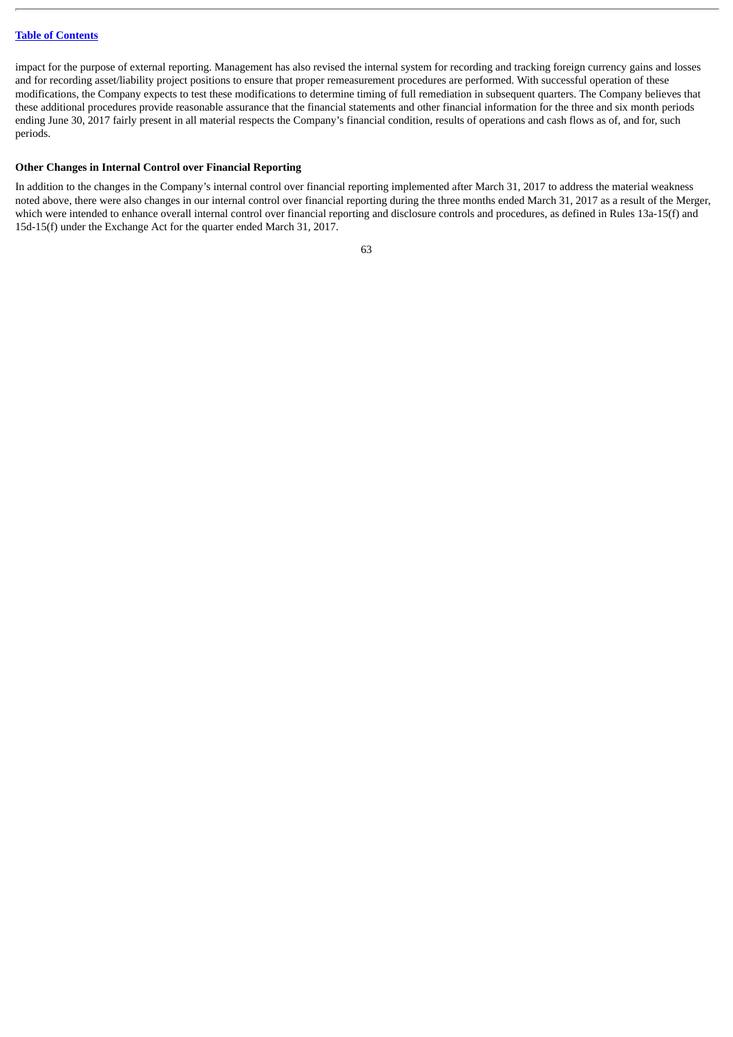impact for the purpose of external reporting. Management has also revised the internal system for recording and tracking foreign currency gains and losses and for recording asset/liability project positions to ensure that proper remeasurement procedures are performed. With successful operation of these modifications, the Company expects to test these modifications to determine timing of full remediation in subsequent quarters. The Company believes that these additional procedures provide reasonable assurance that the financial statements and other financial information for the three and six month periods ending June 30, 2017 fairly present in all material respects the Company's financial condition, results of operations and cash flows as of, and for, such periods.

## **Other Changes in Internal Control over Financial Reporting**

In addition to the changes in the Company's internal control over financial reporting implemented after March 31, 2017 to address the material weakness noted above, there were also changes in our internal control over financial reporting during the three months ended March 31, 2017 as a result of the Merger, which were intended to enhance overall internal control over financial reporting and disclosure controls and procedures, as defined in Rules 13a-15(f) and 15d-15(f) under the Exchange Act for the quarter ended March 31, 2017.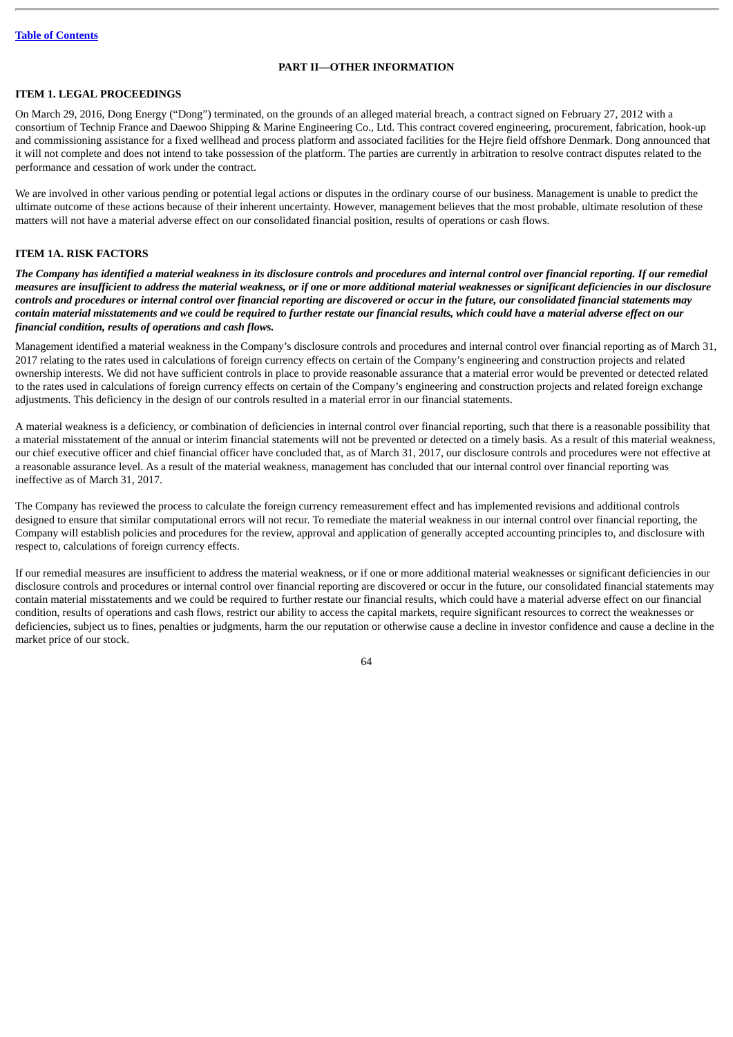## **PART II—OTHER INFORMATION**

# **ITEM 1. LEGAL PROCEEDINGS**

On March 29, 2016, Dong Energy ("Dong") terminated, on the grounds of an alleged material breach, a contract signed on February 27, 2012 with a consortium of Technip France and Daewoo Shipping & Marine Engineering Co., Ltd. This contract covered engineering, procurement, fabrication, hook-up and commissioning assistance for a fixed wellhead and process platform and associated facilities for the Hejre field offshore Denmark. Dong announced that it will not complete and does not intend to take possession of the platform. The parties are currently in arbitration to resolve contract disputes related to the performance and cessation of work under the contract.

We are involved in other various pending or potential legal actions or disputes in the ordinary course of our business. Management is unable to predict the ultimate outcome of these actions because of their inherent uncertainty. However, management believes that the most probable, ultimate resolution of these matters will not have a material adverse effect on our consolidated financial position, results of operations or cash flows.

# **ITEM 1A. RISK FACTORS**

The Company has identified a material weakness in its disclosure controls and procedures and internal control over financial reportina. If our remedial measures are insufficient to address the material weakness, or if one or more additional material weaknesses or significant deficiencies in our disclosure controls and procedures or internal control over financial reporting are discovered or occur in the future, our consolidated financial statements may contain material misstatements and we could be required to further restate our financial results, which could have a material adverse effect on our *financial condition, results of operations and cash flows.*

Management identified a material weakness in the Company's disclosure controls and procedures and internal control over financial reporting as of March 31, 2017 relating to the rates used in calculations of foreign currency effects on certain of the Company's engineering and construction projects and related ownership interests. We did not have sufficient controls in place to provide reasonable assurance that a material error would be prevented or detected related to the rates used in calculations of foreign currency effects on certain of the Company's engineering and construction projects and related foreign exchange adjustments. This deficiency in the design of our controls resulted in a material error in our financial statements.

A material weakness is a deficiency, or combination of deficiencies in internal control over financial reporting, such that there is a reasonable possibility that a material misstatement of the annual or interim financial statements will not be prevented or detected on a timely basis. As a result of this material weakness, our chief executive officer and chief financial officer have concluded that, as of March 31, 2017, our disclosure controls and procedures were not effective at a reasonable assurance level. As a result of the material weakness, management has concluded that our internal control over financial reporting was ineffective as of March 31, 2017.

The Company has reviewed the process to calculate the foreign currency remeasurement effect and has implemented revisions and additional controls designed to ensure that similar computational errors will not recur. To remediate the material weakness in our internal control over financial reporting, the Company will establish policies and procedures for the review, approval and application of generally accepted accounting principles to, and disclosure with respect to, calculations of foreign currency effects.

If our remedial measures are insufficient to address the material weakness, or if one or more additional material weaknesses or significant deficiencies in our disclosure controls and procedures or internal control over financial reporting are discovered or occur in the future, our consolidated financial statements may contain material misstatements and we could be required to further restate our financial results, which could have a material adverse effect on our financial condition, results of operations and cash flows, restrict our ability to access the capital markets, require significant resources to correct the weaknesses or deficiencies, subject us to fines, penalties or judgments, harm the our reputation or otherwise cause a decline in investor confidence and cause a decline in the market price of our stock.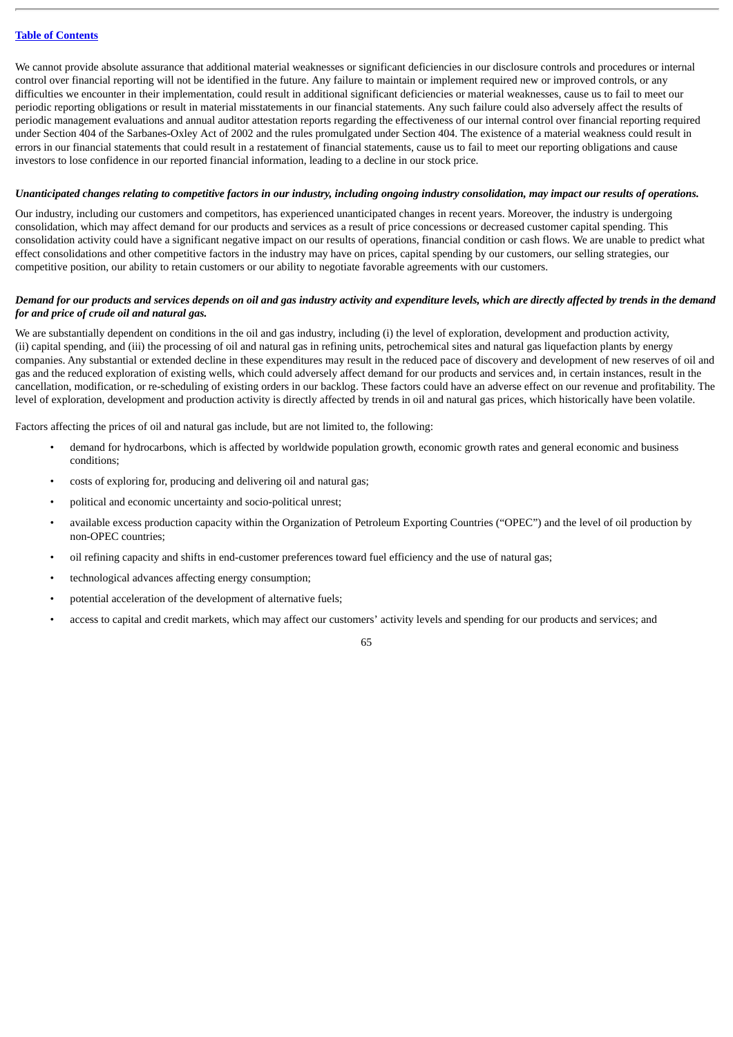We cannot provide absolute assurance that additional material weaknesses or significant deficiencies in our disclosure controls and procedures or internal control over financial reporting will not be identified in the future. Any failure to maintain or implement required new or improved controls, or any difficulties we encounter in their implementation, could result in additional significant deficiencies or material weaknesses, cause us to fail to meet our periodic reporting obligations or result in material misstatements in our financial statements. Any such failure could also adversely affect the results of periodic management evaluations and annual auditor attestation reports regarding the effectiveness of our internal control over financial reporting required under Section 404 of the Sarbanes-Oxley Act of 2002 and the rules promulgated under Section 404. The existence of a material weakness could result in errors in our financial statements that could result in a restatement of financial statements, cause us to fail to meet our reporting obligations and cause investors to lose confidence in our reported financial information, leading to a decline in our stock price.

#### Unanticipated changes relating to competitive factors in our industry, including ongoing industry consolidation, may impact our results of operations.

Our industry, including our customers and competitors, has experienced unanticipated changes in recent years. Moreover, the industry is undergoing consolidation, which may affect demand for our products and services as a result of price concessions or decreased customer capital spending. This consolidation activity could have a significant negative impact on our results of operations, financial condition or cash flows. We are unable to predict what effect consolidations and other competitive factors in the industry may have on prices, capital spending by our customers, our selling strategies, our competitive position, our ability to retain customers or our ability to negotiate favorable agreements with our customers.

# Demand for our products and services depends on oil and gas industry activity and expenditure levels, which are directly affected by trends in the demand *for and price of crude oil and natural gas.*

We are substantially dependent on conditions in the oil and gas industry, including (i) the level of exploration, development and production activity, (ii) capital spending, and (iii) the processing of oil and natural gas in refining units, petrochemical sites and natural gas liquefaction plants by energy companies. Any substantial or extended decline in these expenditures may result in the reduced pace of discovery and development of new reserves of oil and gas and the reduced exploration of existing wells, which could adversely affect demand for our products and services and, in certain instances, result in the cancellation, modification, or re-scheduling of existing orders in our backlog. These factors could have an adverse effect on our revenue and profitability. The level of exploration, development and production activity is directly affected by trends in oil and natural gas prices, which historically have been volatile.

Factors affecting the prices of oil and natural gas include, but are not limited to, the following:

- demand for hydrocarbons, which is affected by worldwide population growth, economic growth rates and general economic and business conditions;
- costs of exploring for, producing and delivering oil and natural gas;
- political and economic uncertainty and socio-political unrest;
- available excess production capacity within the Organization of Petroleum Exporting Countries ("OPEC") and the level of oil production by non-OPEC countries;
- oil refining capacity and shifts in end-customer preferences toward fuel efficiency and the use of natural gas;
- technological advances affecting energy consumption;
- potential acceleration of the development of alternative fuels;
- access to capital and credit markets, which may affect our customers' activity levels and spending for our products and services; and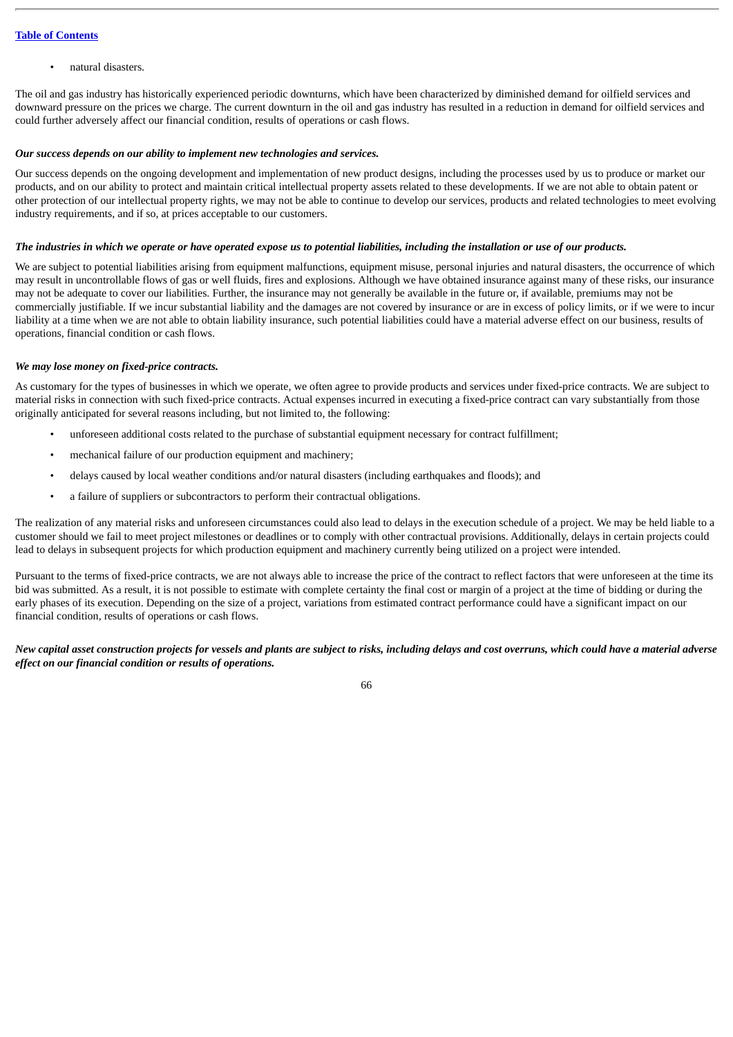• natural disasters.

The oil and gas industry has historically experienced periodic downturns, which have been characterized by diminished demand for oilfield services and downward pressure on the prices we charge. The current downturn in the oil and gas industry has resulted in a reduction in demand for oilfield services and could further adversely affect our financial condition, results of operations or cash flows.

### *Our success depends on our ability to implement new technologies and services.*

Our success depends on the ongoing development and implementation of new product designs, including the processes used by us to produce or market our products, and on our ability to protect and maintain critical intellectual property assets related to these developments. If we are not able to obtain patent or other protection of our intellectual property rights, we may not be able to continue to develop our services, products and related technologies to meet evolving industry requirements, and if so, at prices acceptable to our customers.

# The industries in which we operate or have operated expose us to potential liabilities, including the installation or use of our products.

We are subject to potential liabilities arising from equipment malfunctions, equipment misuse, personal injuries and natural disasters, the occurrence of which may result in uncontrollable flows of gas or well fluids, fires and explosions. Although we have obtained insurance against many of these risks, our insurance may not be adequate to cover our liabilities. Further, the insurance may not generally be available in the future or, if available, premiums may not be commercially justifiable. If we incur substantial liability and the damages are not covered by insurance or are in excess of policy limits, or if we were to incur liability at a time when we are not able to obtain liability insurance, such potential liabilities could have a material adverse effect on our business, results of operations, financial condition or cash flows.

### *We may lose money on fixed-price contracts.*

As customary for the types of businesses in which we operate, we often agree to provide products and services under fixed-price contracts. We are subject to material risks in connection with such fixed-price contracts. Actual expenses incurred in executing a fixed-price contract can vary substantially from those originally anticipated for several reasons including, but not limited to, the following:

- unforeseen additional costs related to the purchase of substantial equipment necessary for contract fulfillment;
- mechanical failure of our production equipment and machinery;
- delays caused by local weather conditions and/or natural disasters (including earthquakes and floods); and
- a failure of suppliers or subcontractors to perform their contractual obligations.

The realization of any material risks and unforeseen circumstances could also lead to delays in the execution schedule of a project. We may be held liable to a customer should we fail to meet project milestones or deadlines or to comply with other contractual provisions. Additionally, delays in certain projects could lead to delays in subsequent projects for which production equipment and machinery currently being utilized on a project were intended.

Pursuant to the terms of fixed-price contracts, we are not always able to increase the price of the contract to reflect factors that were unforeseen at the time its bid was submitted. As a result, it is not possible to estimate with complete certainty the final cost or margin of a project at the time of bidding or during the early phases of its execution. Depending on the size of a project, variations from estimated contract performance could have a significant impact on our financial condition, results of operations or cash flows.

New capital asset construction projects for vessels and plants are subject to risks, including delays and cost overruns, which could have a material adverse *effect on our financial condition or results of operations.*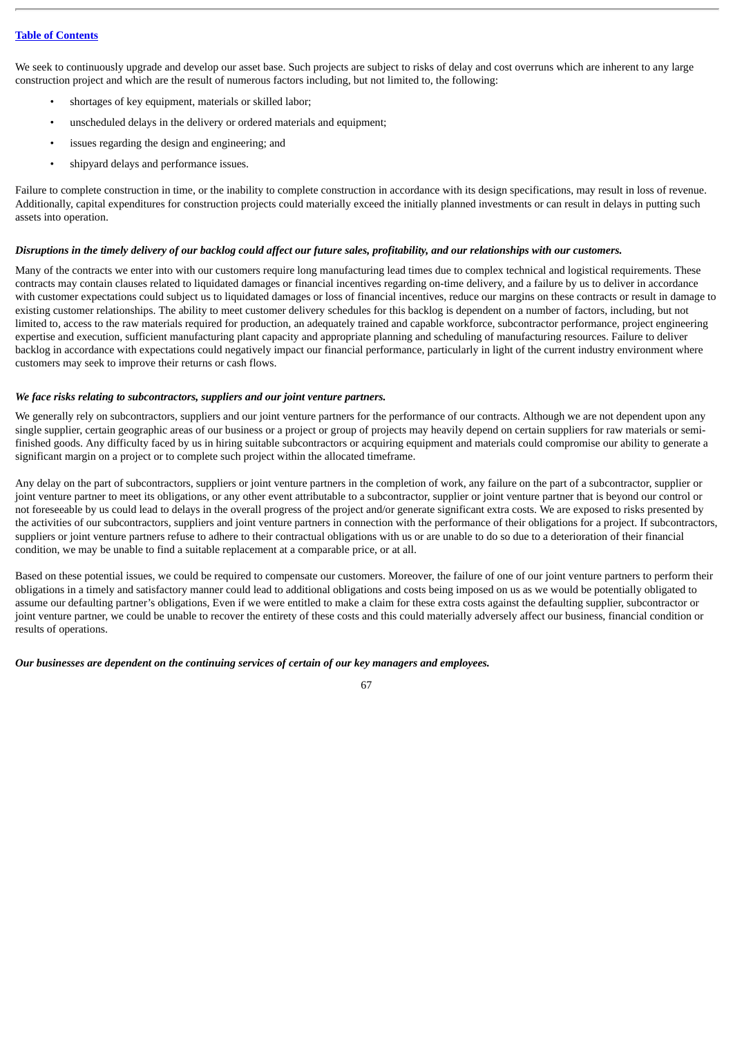We seek to continuously upgrade and develop our asset base. Such projects are subject to risks of delay and cost overruns which are inherent to any large construction project and which are the result of numerous factors including, but not limited to, the following:

- shortages of key equipment, materials or skilled labor;
- unscheduled delays in the delivery or ordered materials and equipment;
- issues regarding the design and engineering; and
- shipyard delays and performance issues.

Failure to complete construction in time, or the inability to complete construction in accordance with its design specifications, may result in loss of revenue. Additionally, capital expenditures for construction projects could materially exceed the initially planned investments or can result in delays in putting such assets into operation.

# Disruptions in the timely delivery of our backlog could affect our future sales, profitability, and our relationships with our customers.

Many of the contracts we enter into with our customers require long manufacturing lead times due to complex technical and logistical requirements. These contracts may contain clauses related to liquidated damages or financial incentives regarding on-time delivery, and a failure by us to deliver in accordance with customer expectations could subject us to liquidated damages or loss of financial incentives, reduce our margins on these contracts or result in damage to existing customer relationships. The ability to meet customer delivery schedules for this backlog is dependent on a number of factors, including, but not limited to, access to the raw materials required for production, an adequately trained and capable workforce, subcontractor performance, project engineering expertise and execution, sufficient manufacturing plant capacity and appropriate planning and scheduling of manufacturing resources. Failure to deliver backlog in accordance with expectations could negatively impact our financial performance, particularly in light of the current industry environment where customers may seek to improve their returns or cash flows.

## *We face risks relating to subcontractors, suppliers and our joint venture partners.*

We generally rely on subcontractors, suppliers and our joint venture partners for the performance of our contracts. Although we are not dependent upon any single supplier, certain geographic areas of our business or a project or group of projects may heavily depend on certain suppliers for raw materials or semifinished goods. Any difficulty faced by us in hiring suitable subcontractors or acquiring equipment and materials could compromise our ability to generate a significant margin on a project or to complete such project within the allocated timeframe.

Any delay on the part of subcontractors, suppliers or joint venture partners in the completion of work, any failure on the part of a subcontractor, supplier or joint venture partner to meet its obligations, or any other event attributable to a subcontractor, supplier or joint venture partner that is beyond our control or not foreseeable by us could lead to delays in the overall progress of the project and/or generate significant extra costs. We are exposed to risks presented by the activities of our subcontractors, suppliers and joint venture partners in connection with the performance of their obligations for a project. If subcontractors, suppliers or joint venture partners refuse to adhere to their contractual obligations with us or are unable to do so due to a deterioration of their financial condition, we may be unable to find a suitable replacement at a comparable price, or at all.

Based on these potential issues, we could be required to compensate our customers. Moreover, the failure of one of our joint venture partners to perform their obligations in a timely and satisfactory manner could lead to additional obligations and costs being imposed on us as we would be potentially obligated to assume our defaulting partner's obligations, Even if we were entitled to make a claim for these extra costs against the defaulting supplier, subcontractor or joint venture partner, we could be unable to recover the entirety of these costs and this could materially adversely affect our business, financial condition or results of operations.

67

#### *Our businesses are dependent on the continuing services of certain of our key managers and employees.*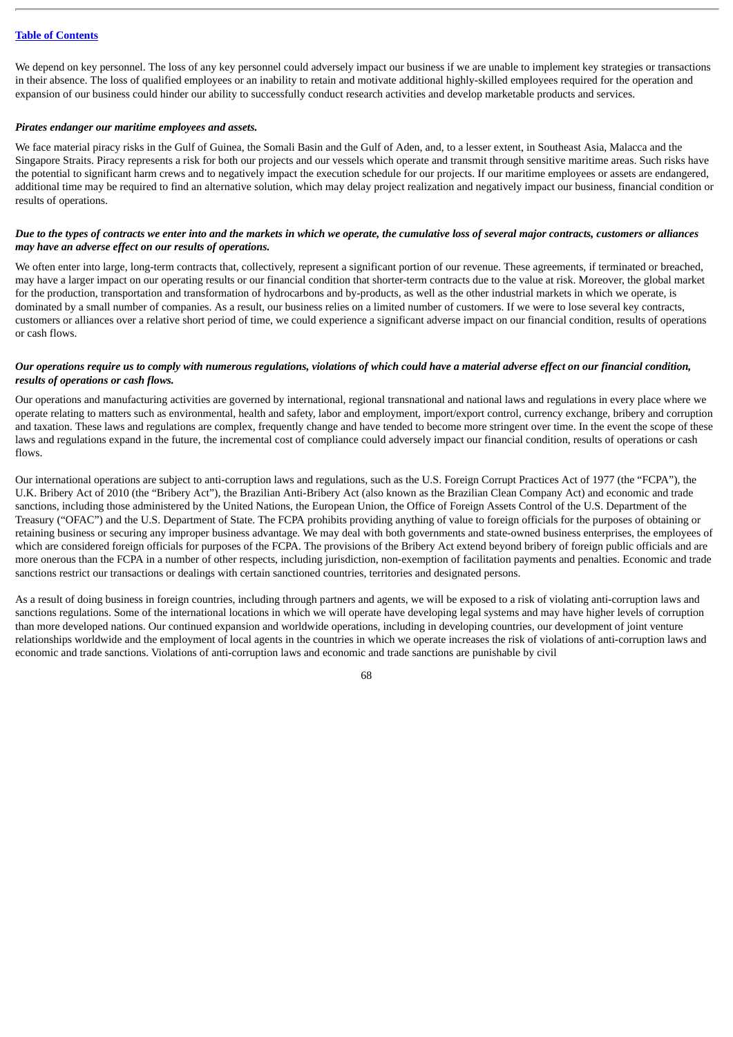We depend on key personnel. The loss of any key personnel could adversely impact our business if we are unable to implement key strategies or transactions in their absence. The loss of qualified employees or an inability to retain and motivate additional highly-skilled employees required for the operation and expansion of our business could hinder our ability to successfully conduct research activities and develop marketable products and services.

### *Pirates endanger our maritime employees and assets.*

We face material piracy risks in the Gulf of Guinea, the Somali Basin and the Gulf of Aden, and, to a lesser extent, in Southeast Asia, Malacca and the Singapore Straits. Piracy represents a risk for both our projects and our vessels which operate and transmit through sensitive maritime areas. Such risks have the potential to significant harm crews and to negatively impact the execution schedule for our projects. If our maritime employees or assets are endangered, additional time may be required to find an alternative solution, which may delay project realization and negatively impact our business, financial condition or results of operations.

## Due to the types of contracts we enter into and the markets in which we operate, the cumulative loss of several major contracts, customers or alliances *may have an adverse effect on our results of operations.*

We often enter into large, long-term contracts that, collectively, represent a significant portion of our revenue. These agreements, if terminated or breached, may have a larger impact on our operating results or our financial condition that shorter-term contracts due to the value at risk. Moreover, the global market for the production, transportation and transformation of hydrocarbons and by-products, as well as the other industrial markets in which we operate, is dominated by a small number of companies. As a result, our business relies on a limited number of customers. If we were to lose several key contracts, customers or alliances over a relative short period of time, we could experience a significant adverse impact on our financial condition, results of operations or cash flows.

# Our operations require us to comply with numerous regulations, violations of which could have a material adverse effect on our financial condition, *results of operations or cash flows.*

Our operations and manufacturing activities are governed by international, regional transnational and national laws and regulations in every place where we operate relating to matters such as environmental, health and safety, labor and employment, import/export control, currency exchange, bribery and corruption and taxation. These laws and regulations are complex, frequently change and have tended to become more stringent over time. In the event the scope of these laws and regulations expand in the future, the incremental cost of compliance could adversely impact our financial condition, results of operations or cash flows.

Our international operations are subject to anti-corruption laws and regulations, such as the U.S. Foreign Corrupt Practices Act of 1977 (the "FCPA"), the U.K. Bribery Act of 2010 (the "Bribery Act"), the Brazilian Anti-Bribery Act (also known as the Brazilian Clean Company Act) and economic and trade sanctions, including those administered by the United Nations, the European Union, the Office of Foreign Assets Control of the U.S. Department of the Treasury ("OFAC") and the U.S. Department of State. The FCPA prohibits providing anything of value to foreign officials for the purposes of obtaining or retaining business or securing any improper business advantage. We may deal with both governments and state-owned business enterprises, the employees of which are considered foreign officials for purposes of the FCPA. The provisions of the Bribery Act extend beyond bribery of foreign public officials and are more onerous than the FCPA in a number of other respects, including jurisdiction, non-exemption of facilitation payments and penalties. Economic and trade sanctions restrict our transactions or dealings with certain sanctioned countries, territories and designated persons.

As a result of doing business in foreign countries, including through partners and agents, we will be exposed to a risk of violating anti-corruption laws and sanctions regulations. Some of the international locations in which we will operate have developing legal systems and may have higher levels of corruption than more developed nations. Our continued expansion and worldwide operations, including in developing countries, our development of joint venture relationships worldwide and the employment of local agents in the countries in which we operate increases the risk of violations of anti-corruption laws and economic and trade sanctions. Violations of anti-corruption laws and economic and trade sanctions are punishable by civil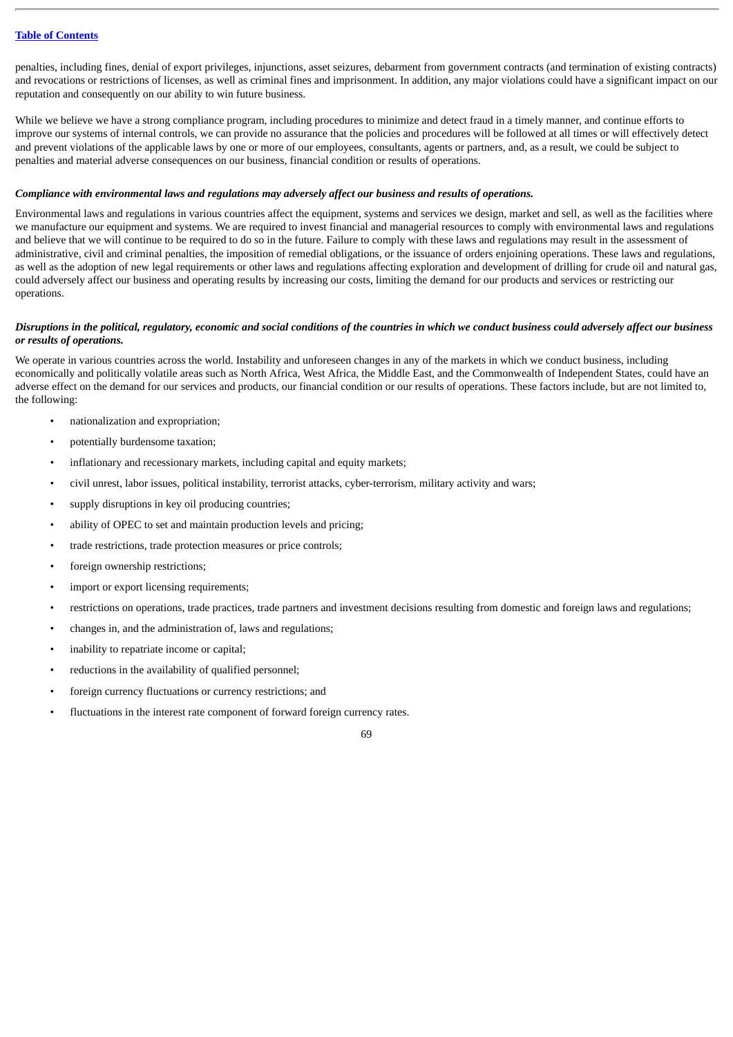penalties, including fines, denial of export privileges, injunctions, asset seizures, debarment from government contracts (and termination of existing contracts) and revocations or restrictions of licenses, as well as criminal fines and imprisonment. In addition, any major violations could have a significant impact on our reputation and consequently on our ability to win future business.

While we believe we have a strong compliance program, including procedures to minimize and detect fraud in a timely manner, and continue efforts to improve our systems of internal controls, we can provide no assurance that the policies and procedures will be followed at all times or will effectively detect and prevent violations of the applicable laws by one or more of our employees, consultants, agents or partners, and, as a result, we could be subject to penalties and material adverse consequences on our business, financial condition or results of operations.

### *Compliance with environmental laws and regulations may adversely affect our business and results of operations.*

Environmental laws and regulations in various countries affect the equipment, systems and services we design, market and sell, as well as the facilities where we manufacture our equipment and systems. We are required to invest financial and managerial resources to comply with environmental laws and regulations and believe that we will continue to be required to do so in the future. Failure to comply with these laws and regulations may result in the assessment of administrative, civil and criminal penalties, the imposition of remedial obligations, or the issuance of orders enjoining operations. These laws and regulations, as well as the adoption of new legal requirements or other laws and regulations affecting exploration and development of drilling for crude oil and natural gas, could adversely affect our business and operating results by increasing our costs, limiting the demand for our products and services or restricting our operations.

### Disruptions in the political, regulatory, economic and social conditions of the countries in which we conduct business could adversely affect our business *or results of operations.*

We operate in various countries across the world. Instability and unforeseen changes in any of the markets in which we conduct business, including economically and politically volatile areas such as North Africa, West Africa, the Middle East, and the Commonwealth of Independent States, could have an adverse effect on the demand for our services and products, our financial condition or our results of operations. These factors include, but are not limited to, the following:

- nationalization and expropriation;
- potentially burdensome taxation;
- inflationary and recessionary markets, including capital and equity markets;
- civil unrest, labor issues, political instability, terrorist attacks, cyber-terrorism, military activity and wars;
- supply disruptions in key oil producing countries;
- ability of OPEC to set and maintain production levels and pricing;
- trade restrictions, trade protection measures or price controls;
- foreign ownership restrictions;
- import or export licensing requirements;
- restrictions on operations, trade practices, trade partners and investment decisions resulting from domestic and foreign laws and regulations;
- changes in, and the administration of, laws and regulations;
- inability to repatriate income or capital;
- reductions in the availability of qualified personnel;
- foreign currency fluctuations or currency restrictions; and
- fluctuations in the interest rate component of forward foreign currency rates.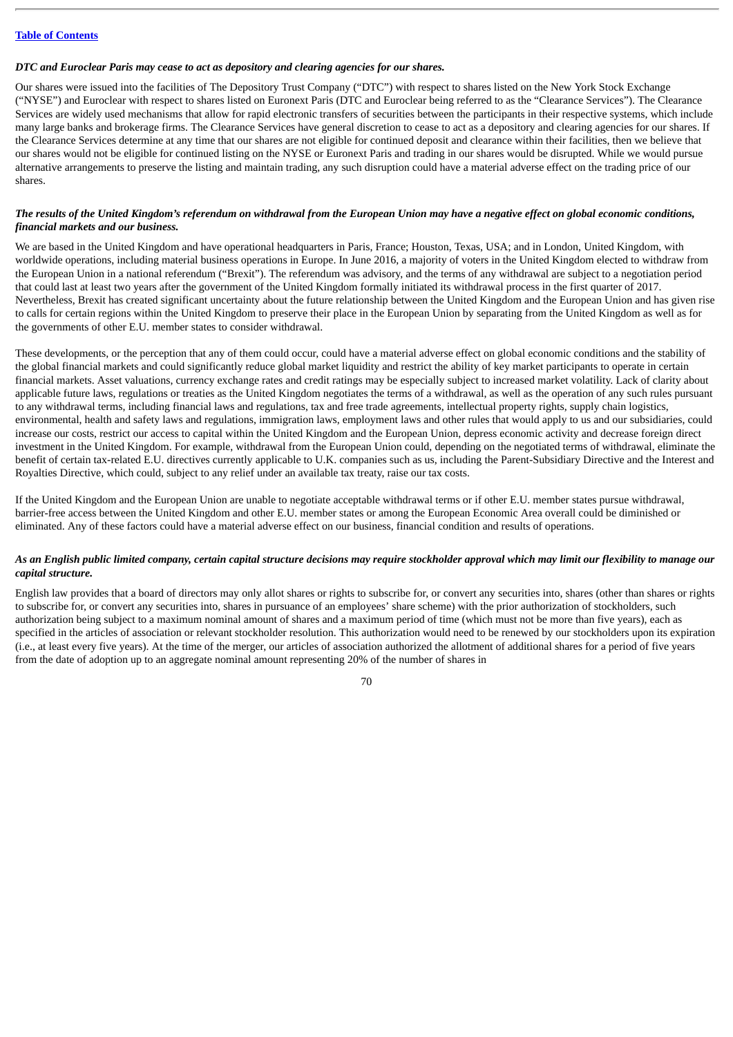### *DTC and Euroclear Paris may cease to act as depository and clearing agencies for our shares.*

Our shares were issued into the facilities of The Depository Trust Company ("DTC") with respect to shares listed on the New York Stock Exchange ("NYSE") and Euroclear with respect to shares listed on Euronext Paris (DTC and Euroclear being referred to as the "Clearance Services"). The Clearance Services are widely used mechanisms that allow for rapid electronic transfers of securities between the participants in their respective systems, which include many large banks and brokerage firms. The Clearance Services have general discretion to cease to act as a depository and clearing agencies for our shares. If the Clearance Services determine at any time that our shares are not eligible for continued deposit and clearance within their facilities, then we believe that our shares would not be eligible for continued listing on the NYSE or Euronext Paris and trading in our shares would be disrupted. While we would pursue alternative arrangements to preserve the listing and maintain trading, any such disruption could have a material adverse effect on the trading price of our shares.

# The results of the United Kingdom's referendum on withdrawal from the European Union may have a negative effect on global economic conditions, *financial markets and our business.*

We are based in the United Kingdom and have operational headquarters in Paris, France; Houston, Texas, USA; and in London, United Kingdom, with worldwide operations, including material business operations in Europe. In June 2016, a majority of voters in the United Kingdom elected to withdraw from the European Union in a national referendum ("Brexit"). The referendum was advisory, and the terms of any withdrawal are subject to a negotiation period that could last at least two years after the government of the United Kingdom formally initiated its withdrawal process in the first quarter of 2017. Nevertheless, Brexit has created significant uncertainty about the future relationship between the United Kingdom and the European Union and has given rise to calls for certain regions within the United Kingdom to preserve their place in the European Union by separating from the United Kingdom as well as for the governments of other E.U. member states to consider withdrawal.

These developments, or the perception that any of them could occur, could have a material adverse effect on global economic conditions and the stability of the global financial markets and could significantly reduce global market liquidity and restrict the ability of key market participants to operate in certain financial markets. Asset valuations, currency exchange rates and credit ratings may be especially subject to increased market volatility. Lack of clarity about applicable future laws, regulations or treaties as the United Kingdom negotiates the terms of a withdrawal, as well as the operation of any such rules pursuant to any withdrawal terms, including financial laws and regulations, tax and free trade agreements, intellectual property rights, supply chain logistics, environmental, health and safety laws and regulations, immigration laws, employment laws and other rules that would apply to us and our subsidiaries, could increase our costs, restrict our access to capital within the United Kingdom and the European Union, depress economic activity and decrease foreign direct investment in the United Kingdom. For example, withdrawal from the European Union could, depending on the negotiated terms of withdrawal, eliminate the benefit of certain tax-related E.U. directives currently applicable to U.K. companies such as us, including the Parent-Subsidiary Directive and the Interest and Royalties Directive, which could, subject to any relief under an available tax treaty, raise our tax costs.

If the United Kingdom and the European Union are unable to negotiate acceptable withdrawal terms or if other E.U. member states pursue withdrawal, barrier-free access between the United Kingdom and other E.U. member states or among the European Economic Area overall could be diminished or eliminated. Any of these factors could have a material adverse effect on our business, financial condition and results of operations.

# As an English public limited company, certain capital structure decisions may require stockholder approval which may limit our flexibility to manage our *capital structure.*

English law provides that a board of directors may only allot shares or rights to subscribe for, or convert any securities into, shares (other than shares or rights to subscribe for, or convert any securities into, shares in pursuance of an employees' share scheme) with the prior authorization of stockholders, such authorization being subject to a maximum nominal amount of shares and a maximum period of time (which must not be more than five years), each as specified in the articles of association or relevant stockholder resolution. This authorization would need to be renewed by our stockholders upon its expiration (i.e., at least every five years). At the time of the merger, our articles of association authorized the allotment of additional shares for a period of five years from the date of adoption up to an aggregate nominal amount representing 20% of the number of shares in

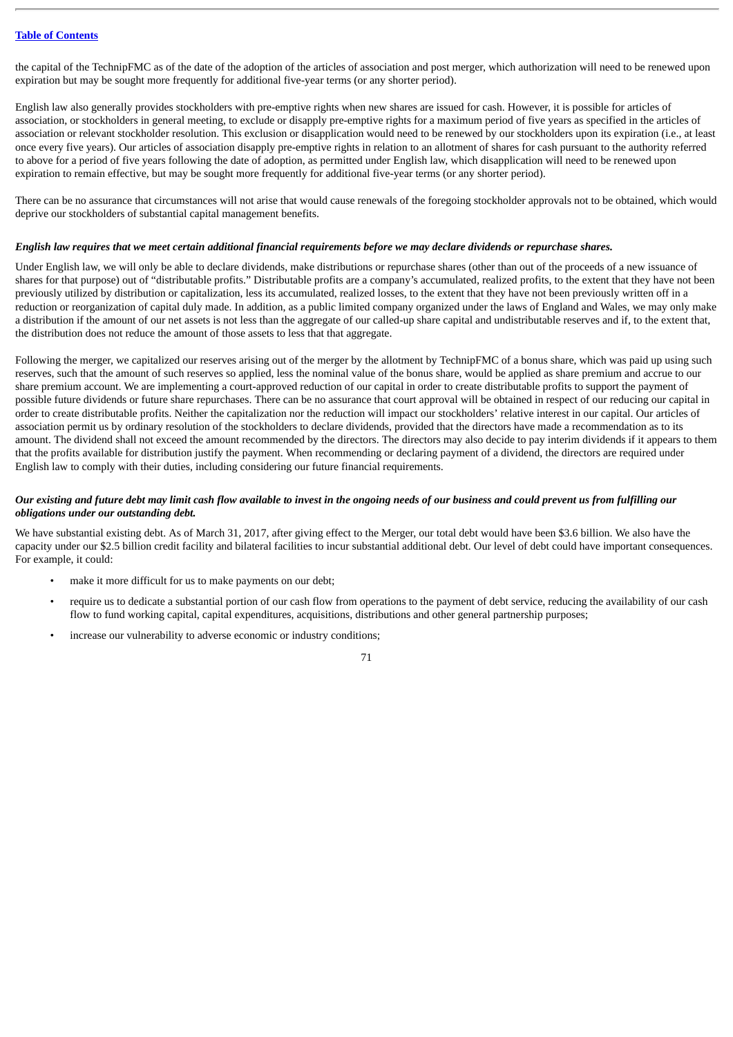the capital of the TechnipFMC as of the date of the adoption of the articles of association and post merger, which authorization will need to be renewed upon expiration but may be sought more frequently for additional five-year terms (or any shorter period).

English law also generally provides stockholders with pre-emptive rights when new shares are issued for cash. However, it is possible for articles of association, or stockholders in general meeting, to exclude or disapply pre-emptive rights for a maximum period of five years as specified in the articles of association or relevant stockholder resolution. This exclusion or disapplication would need to be renewed by our stockholders upon its expiration (i.e., at least once every five years). Our articles of association disapply pre-emptive rights in relation to an allotment of shares for cash pursuant to the authority referred to above for a period of five years following the date of adoption, as permitted under English law, which disapplication will need to be renewed upon expiration to remain effective, but may be sought more frequently for additional five-year terms (or any shorter period).

There can be no assurance that circumstances will not arise that would cause renewals of the foregoing stockholder approvals not to be obtained, which would deprive our stockholders of substantial capital management benefits.

#### English law requires that we meet certain additional financial requirements before we may declare dividends or repurchase shares.

Under English law, we will only be able to declare dividends, make distributions or repurchase shares (other than out of the proceeds of a new issuance of shares for that purpose) out of "distributable profits." Distributable profits are a company's accumulated, realized profits, to the extent that they have not been previously utilized by distribution or capitalization, less its accumulated, realized losses, to the extent that they have not been previously written off in a reduction or reorganization of capital duly made. In addition, as a public limited company organized under the laws of England and Wales, we may only make a distribution if the amount of our net assets is not less than the aggregate of our called-up share capital and undistributable reserves and if, to the extent that, the distribution does not reduce the amount of those assets to less that that aggregate.

Following the merger, we capitalized our reserves arising out of the merger by the allotment by TechnipFMC of a bonus share, which was paid up using such reserves, such that the amount of such reserves so applied, less the nominal value of the bonus share, would be applied as share premium and accrue to our share premium account. We are implementing a court-approved reduction of our capital in order to create distributable profits to support the payment of possible future dividends or future share repurchases. There can be no assurance that court approval will be obtained in respect of our reducing our capital in order to create distributable profits. Neither the capitalization nor the reduction will impact our stockholders' relative interest in our capital. Our articles of association permit us by ordinary resolution of the stockholders to declare dividends, provided that the directors have made a recommendation as to its amount. The dividend shall not exceed the amount recommended by the directors. The directors may also decide to pay interim dividends if it appears to them that the profits available for distribution justify the payment. When recommending or declaring payment of a dividend, the directors are required under English law to comply with their duties, including considering our future financial requirements.

# Our existing and future debt may limit cash flow available to invest in the ongoing needs of our business and could prevent us from fulfilling our *obligations under our outstanding debt.*

We have substantial existing debt. As of March 31, 2017, after giving effect to the Merger, our total debt would have been \$3.6 billion. We also have the capacity under our \$2.5 billion credit facility and bilateral facilities to incur substantial additional debt. Our level of debt could have important consequences. For example, it could:

- make it more difficult for us to make payments on our debt;
- require us to dedicate a substantial portion of our cash flow from operations to the payment of debt service, reducing the availability of our cash flow to fund working capital, capital expenditures, acquisitions, distributions and other general partnership purposes;
- increase our vulnerability to adverse economic or industry conditions;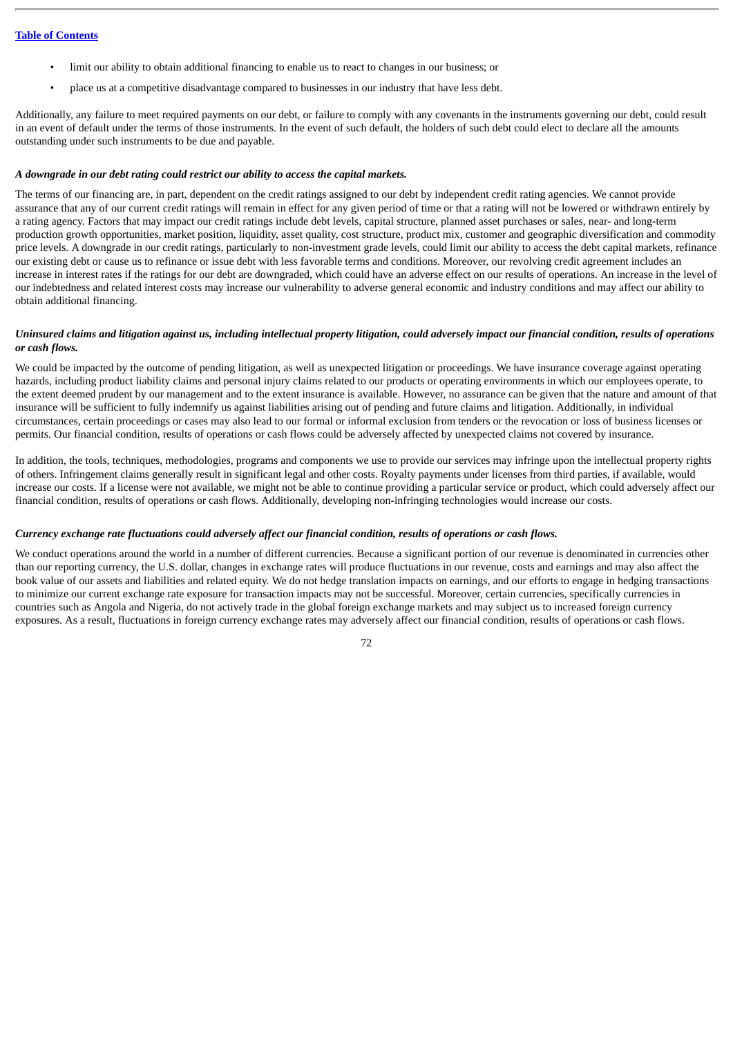- limit our ability to obtain additional financing to enable us to react to changes in our business; or
- place us at a competitive disadvantage compared to businesses in our industry that have less debt.

Additionally, any failure to meet required payments on our debt, or failure to comply with any covenants in the instruments governing our debt, could result in an event of default under the terms of those instruments. In the event of such default, the holders of such debt could elect to declare all the amounts outstanding under such instruments to be due and payable.

#### *A downgrade in our debt rating could restrict our ability to access the capital markets.*

The terms of our financing are, in part, dependent on the credit ratings assigned to our debt by independent credit rating agencies. We cannot provide assurance that any of our current credit ratings will remain in effect for any given period of time or that a rating will not be lowered or withdrawn entirely by a rating agency. Factors that may impact our credit ratings include debt levels, capital structure, planned asset purchases or sales, near- and long-term production growth opportunities, market position, liquidity, asset quality, cost structure, product mix, customer and geographic diversification and commodity price levels. A downgrade in our credit ratings, particularly to non-investment grade levels, could limit our ability to access the debt capital markets, refinance our existing debt or cause us to refinance or issue debt with less favorable terms and conditions. Moreover, our revolving credit agreement includes an increase in interest rates if the ratings for our debt are downgraded, which could have an adverse effect on our results of operations. An increase in the level of our indebtedness and related interest costs may increase our vulnerability to adverse general economic and industry conditions and may affect our ability to obtain additional financing.

#### Uninsured claims and litigation against us, including intellectual property litigation, could adversely impact our financial condition, results of operations *or cash flows.*

We could be impacted by the outcome of pending litigation, as well as unexpected litigation or proceedings. We have insurance coverage against operating hazards, including product liability claims and personal injury claims related to our products or operating environments in which our employees operate, to the extent deemed prudent by our management and to the extent insurance is available. However, no assurance can be given that the nature and amount of that insurance will be sufficient to fully indemnify us against liabilities arising out of pending and future claims and litigation. Additionally, in individual circumstances, certain proceedings or cases may also lead to our formal or informal exclusion from tenders or the revocation or loss of business licenses or permits. Our financial condition, results of operations or cash flows could be adversely affected by unexpected claims not covered by insurance.

In addition, the tools, techniques, methodologies, programs and components we use to provide our services may infringe upon the intellectual property rights of others. Infringement claims generally result in significant legal and other costs. Royalty payments under licenses from third parties, if available, would increase our costs. If a license were not available, we might not be able to continue providing a particular service or product, which could adversely affect our financial condition, results of operations or cash flows. Additionally, developing non-infringing technologies would increase our costs.

## Currency exchange rate fluctuations could adversely affect our financial condition, results of operations or cash flows.

We conduct operations around the world in a number of different currencies. Because a significant portion of our revenue is denominated in currencies other than our reporting currency, the U.S. dollar, changes in exchange rates will produce fluctuations in our revenue, costs and earnings and may also affect the book value of our assets and liabilities and related equity. We do not hedge translation impacts on earnings, and our efforts to engage in hedging transactions to minimize our current exchange rate exposure for transaction impacts may not be successful. Moreover, certain currencies, specifically currencies in countries such as Angola and Nigeria, do not actively trade in the global foreign exchange markets and may subject us to increased foreign currency exposures. As a result, fluctuations in foreign currency exchange rates may adversely affect our financial condition, results of operations or cash flows.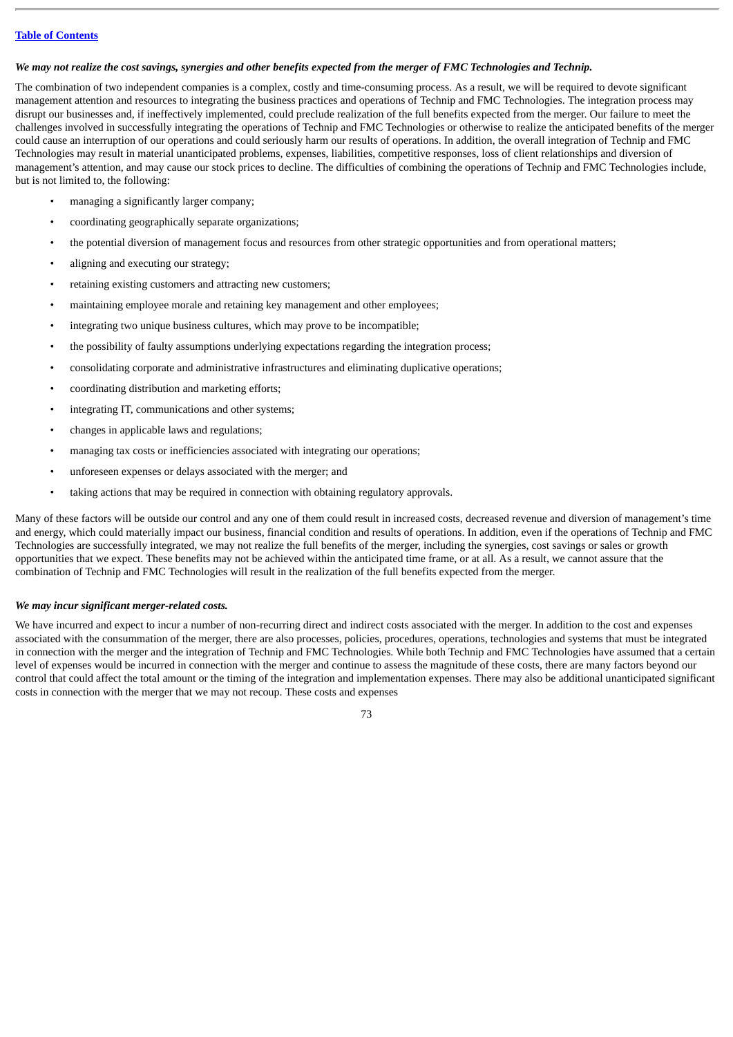#### We may not realize the cost savings, synergies and other benefits expected from the merger of FMC Technologies and Technip.

The combination of two independent companies is a complex, costly and time-consuming process. As a result, we will be required to devote significant management attention and resources to integrating the business practices and operations of Technip and FMC Technologies. The integration process may disrupt our businesses and, if ineffectively implemented, could preclude realization of the full benefits expected from the merger. Our failure to meet the challenges involved in successfully integrating the operations of Technip and FMC Technologies or otherwise to realize the anticipated benefits of the merger could cause an interruption of our operations and could seriously harm our results of operations. In addition, the overall integration of Technip and FMC Technologies may result in material unanticipated problems, expenses, liabilities, competitive responses, loss of client relationships and diversion of management's attention, and may cause our stock prices to decline. The difficulties of combining the operations of Technip and FMC Technologies include, but is not limited to, the following:

- managing a significantly larger company;
- coordinating geographically separate organizations;
- the potential diversion of management focus and resources from other strategic opportunities and from operational matters;
- aligning and executing our strategy;
- retaining existing customers and attracting new customers;
- maintaining employee morale and retaining key management and other employees;
- integrating two unique business cultures, which may prove to be incompatible;
- the possibility of faulty assumptions underlying expectations regarding the integration process;
- consolidating corporate and administrative infrastructures and eliminating duplicative operations;
- coordinating distribution and marketing efforts;
- integrating IT, communications and other systems;
- changes in applicable laws and regulations;
- managing tax costs or inefficiencies associated with integrating our operations;
- unforeseen expenses or delays associated with the merger; and
- taking actions that may be required in connection with obtaining regulatory approvals.

Many of these factors will be outside our control and any one of them could result in increased costs, decreased revenue and diversion of management's time and energy, which could materially impact our business, financial condition and results of operations. In addition, even if the operations of Technip and FMC Technologies are successfully integrated, we may not realize the full benefits of the merger, including the synergies, cost savings or sales or growth opportunities that we expect. These benefits may not be achieved within the anticipated time frame, or at all. As a result, we cannot assure that the combination of Technip and FMC Technologies will result in the realization of the full benefits expected from the merger.

## *We may incur significant merger-related costs.*

We have incurred and expect to incur a number of non-recurring direct and indirect costs associated with the merger. In addition to the cost and expenses associated with the consummation of the merger, there are also processes, policies, procedures, operations, technologies and systems that must be integrated in connection with the merger and the integration of Technip and FMC Technologies. While both Technip and FMC Technologies have assumed that a certain level of expenses would be incurred in connection with the merger and continue to assess the magnitude of these costs, there are many factors beyond our control that could affect the total amount or the timing of the integration and implementation expenses. There may also be additional unanticipated significant costs in connection with the merger that we may not recoup. These costs and expenses

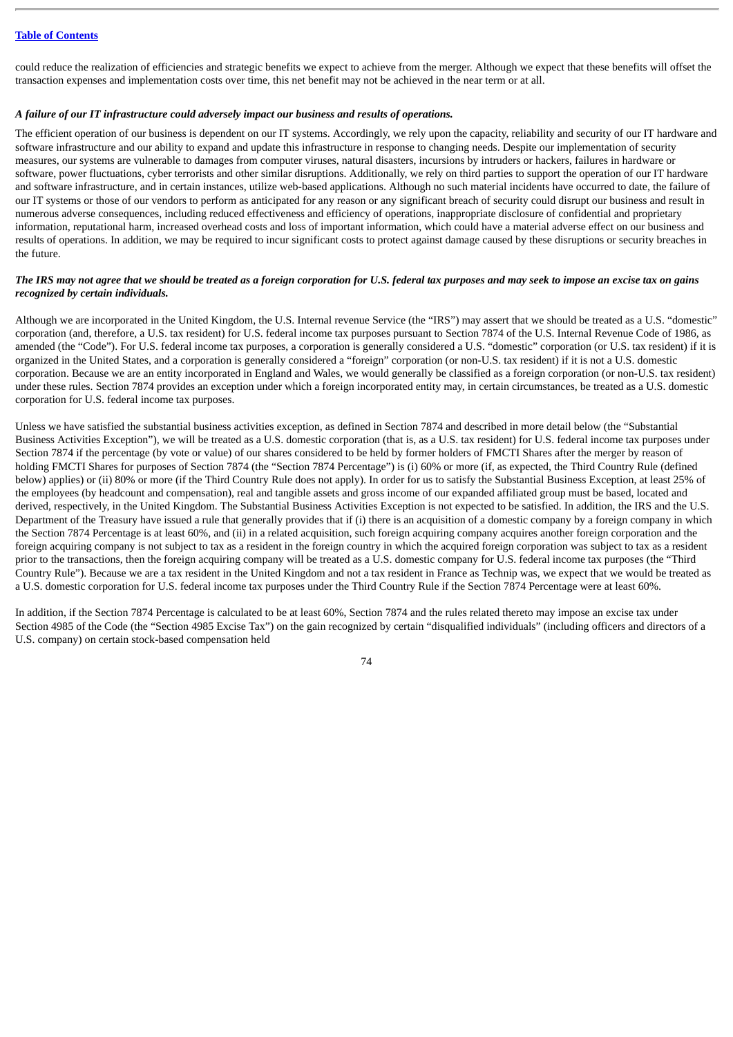could reduce the realization of efficiencies and strategic benefits we expect to achieve from the merger. Although we expect that these benefits will offset the transaction expenses and implementation costs over time, this net benefit may not be achieved in the near term or at all.

### *A failure of our IT infrastructure could adversely impact our business and results of operations.*

The efficient operation of our business is dependent on our IT systems. Accordingly, we rely upon the capacity, reliability and security of our IT hardware and software infrastructure and our ability to expand and update this infrastructure in response to changing needs. Despite our implementation of security measures, our systems are vulnerable to damages from computer viruses, natural disasters, incursions by intruders or hackers, failures in hardware or software, power fluctuations, cyber terrorists and other similar disruptions. Additionally, we rely on third parties to support the operation of our IT hardware and software infrastructure, and in certain instances, utilize web-based applications. Although no such material incidents have occurred to date, the failure of our IT systems or those of our vendors to perform as anticipated for any reason or any significant breach of security could disrupt our business and result in numerous adverse consequences, including reduced effectiveness and efficiency of operations, inappropriate disclosure of confidential and proprietary information, reputational harm, increased overhead costs and loss of important information, which could have a material adverse effect on our business and results of operations. In addition, we may be required to incur significant costs to protect against damage caused by these disruptions or security breaches in the future.

## The IRS may not agree that we should be treated as a foreian corporation for U.S. federal tax purposes and may seek to impose an excise tax on gains *recognized by certain individuals.*

Although we are incorporated in the United Kingdom, the U.S. Internal revenue Service (the "IRS") may assert that we should be treated as a U.S. "domestic" corporation (and, therefore, a U.S. tax resident) for U.S. federal income tax purposes pursuant to Section 7874 of the U.S. Internal Revenue Code of 1986, as amended (the "Code"). For U.S. federal income tax purposes, a corporation is generally considered a U.S. "domestic" corporation (or U.S. tax resident) if it is organized in the United States, and a corporation is generally considered a "foreign" corporation (or non-U.S. tax resident) if it is not a U.S. domestic corporation. Because we are an entity incorporated in England and Wales, we would generally be classified as a foreign corporation (or non-U.S. tax resident) under these rules. Section 7874 provides an exception under which a foreign incorporated entity may, in certain circumstances, be treated as a U.S. domestic corporation for U.S. federal income tax purposes.

Unless we have satisfied the substantial business activities exception, as defined in Section 7874 and described in more detail below (the "Substantial Business Activities Exception"), we will be treated as a U.S. domestic corporation (that is, as a U.S. tax resident) for U.S. federal income tax purposes under Section 7874 if the percentage (by vote or value) of our shares considered to be held by former holders of FMCTI Shares after the merger by reason of holding FMCTI Shares for purposes of Section 7874 (the "Section 7874 Percentage") is (i) 60% or more (if, as expected, the Third Country Rule (defined below) applies) or (ii) 80% or more (if the Third Country Rule does not apply). In order for us to satisfy the Substantial Business Exception, at least 25% of the employees (by headcount and compensation), real and tangible assets and gross income of our expanded affiliated group must be based, located and derived, respectively, in the United Kingdom. The Substantial Business Activities Exception is not expected to be satisfied. In addition, the IRS and the U.S. Department of the Treasury have issued a rule that generally provides that if (i) there is an acquisition of a domestic company by a foreign company in which the Section 7874 Percentage is at least 60%, and (ii) in a related acquisition, such foreign acquiring company acquires another foreign corporation and the foreign acquiring company is not subject to tax as a resident in the foreign country in which the acquired foreign corporation was subject to tax as a resident prior to the transactions, then the foreign acquiring company will be treated as a U.S. domestic company for U.S. federal income tax purposes (the "Third Country Rule"). Because we are a tax resident in the United Kingdom and not a tax resident in France as Technip was, we expect that we would be treated as a U.S. domestic corporation for U.S. federal income tax purposes under the Third Country Rule if the Section 7874 Percentage were at least 60%.

In addition, if the Section 7874 Percentage is calculated to be at least 60%, Section 7874 and the rules related thereto may impose an excise tax under Section 4985 of the Code (the "Section 4985 Excise Tax") on the gain recognized by certain "disqualified individuals" (including officers and directors of a U.S. company) on certain stock-based compensation held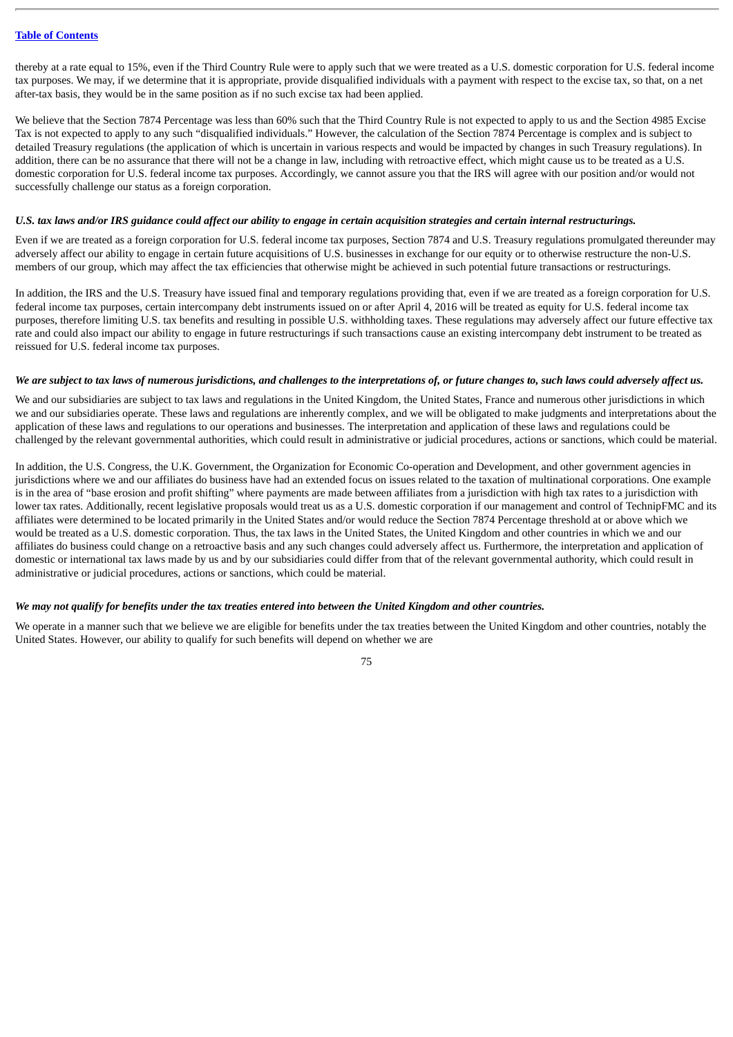thereby at a rate equal to 15%, even if the Third Country Rule were to apply such that we were treated as a U.S. domestic corporation for U.S. federal income tax purposes. We may, if we determine that it is appropriate, provide disqualified individuals with a payment with respect to the excise tax, so that, on a net after-tax basis, they would be in the same position as if no such excise tax had been applied.

We believe that the Section 7874 Percentage was less than 60% such that the Third Country Rule is not expected to apply to us and the Section 4985 Excise Tax is not expected to apply to any such "disqualified individuals." However, the calculation of the Section 7874 Percentage is complex and is subject to detailed Treasury regulations (the application of which is uncertain in various respects and would be impacted by changes in such Treasury regulations). In addition, there can be no assurance that there will not be a change in law, including with retroactive effect, which might cause us to be treated as a U.S. domestic corporation for U.S. federal income tax purposes. Accordingly, we cannot assure you that the IRS will agree with our position and/or would not successfully challenge our status as a foreign corporation.

#### U.S. tax laws and/or IRS guidance could affect our ability to engage in certain acquisition strategies and certain internal restructurings.

Even if we are treated as a foreign corporation for U.S. federal income tax purposes, Section 7874 and U.S. Treasury regulations promulgated thereunder may adversely affect our ability to engage in certain future acquisitions of U.S. businesses in exchange for our equity or to otherwise restructure the non-U.S. members of our group, which may affect the tax efficiencies that otherwise might be achieved in such potential future transactions or restructurings.

In addition, the IRS and the U.S. Treasury have issued final and temporary regulations providing that, even if we are treated as a foreign corporation for U.S. federal income tax purposes, certain intercompany debt instruments issued on or after April 4, 2016 will be treated as equity for U.S. federal income tax purposes, therefore limiting U.S. tax benefits and resulting in possible U.S. withholding taxes. These regulations may adversely affect our future effective tax rate and could also impact our ability to engage in future restructurings if such transactions cause an existing intercompany debt instrument to be treated as reissued for U.S. federal income tax purposes.

### We are subject to tax laws of numerous jurisdictions, and challenges to the interpretations of, or future changes to, such laws could adversely affect us.

We and our subsidiaries are subject to tax laws and regulations in the United Kingdom, the United States, France and numerous other jurisdictions in which we and our subsidiaries operate. These laws and regulations are inherently complex, and we will be obligated to make judgments and interpretations about the application of these laws and regulations to our operations and businesses. The interpretation and application of these laws and regulations could be challenged by the relevant governmental authorities, which could result in administrative or judicial procedures, actions or sanctions, which could be material.

In addition, the U.S. Congress, the U.K. Government, the Organization for Economic Co-operation and Development, and other government agencies in jurisdictions where we and our affiliates do business have had an extended focus on issues related to the taxation of multinational corporations. One example is in the area of "base erosion and profit shifting" where payments are made between affiliates from a jurisdiction with high tax rates to a jurisdiction with lower tax rates. Additionally, recent legislative proposals would treat us as a U.S. domestic corporation if our management and control of TechnipFMC and its affiliates were determined to be located primarily in the United States and/or would reduce the Section 7874 Percentage threshold at or above which we would be treated as a U.S. domestic corporation. Thus, the tax laws in the United States, the United Kingdom and other countries in which we and our affiliates do business could change on a retroactive basis and any such changes could adversely affect us. Furthermore, the interpretation and application of domestic or international tax laws made by us and by our subsidiaries could differ from that of the relevant governmental authority, which could result in administrative or judicial procedures, actions or sanctions, which could be material.

## We may not qualify for benefits under the tax treaties entered into between the United Kingdom and other countries.

We operate in a manner such that we believe we are eligible for benefits under the tax treaties between the United Kingdom and other countries, notably the United States. However, our ability to qualify for such benefits will depend on whether we are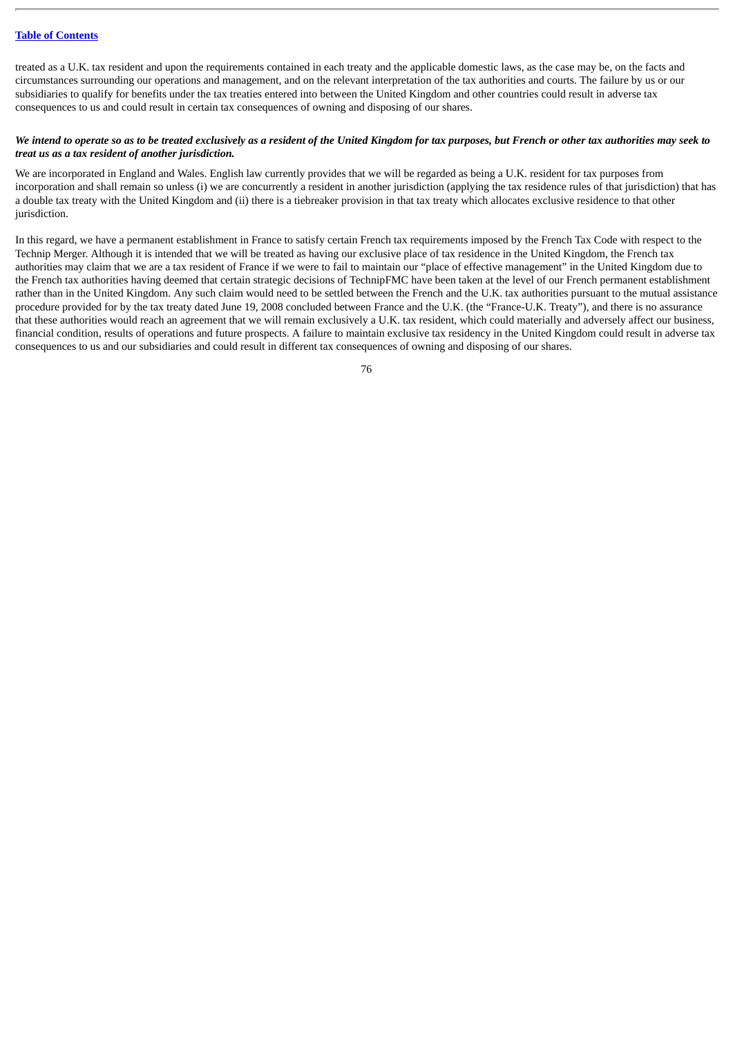treated as a U.K. tax resident and upon the requirements contained in each treaty and the applicable domestic laws, as the case may be, on the facts and circumstances surrounding our operations and management, and on the relevant interpretation of the tax authorities and courts. The failure by us or our subsidiaries to qualify for benefits under the tax treaties entered into between the United Kingdom and other countries could result in adverse tax consequences to us and could result in certain tax consequences of owning and disposing of our shares.

## We intend to operate so as to be treated exclusively as a resident of the United Kingdom for tax purposes, but French or other tax authorities may seek to *treat us as a tax resident of another jurisdiction.*

We are incorporated in England and Wales. English law currently provides that we will be regarded as being a U.K. resident for tax purposes from incorporation and shall remain so unless (i) we are concurrently a resident in another jurisdiction (applying the tax residence rules of that jurisdiction) that has a double tax treaty with the United Kingdom and (ii) there is a tiebreaker provision in that tax treaty which allocates exclusive residence to that other jurisdiction.

In this regard, we have a permanent establishment in France to satisfy certain French tax requirements imposed by the French Tax Code with respect to the Technip Merger. Although it is intended that we will be treated as having our exclusive place of tax residence in the United Kingdom, the French tax authorities may claim that we are a tax resident of France if we were to fail to maintain our "place of effective management" in the United Kingdom due to the French tax authorities having deemed that certain strategic decisions of TechnipFMC have been taken at the level of our French permanent establishment rather than in the United Kingdom. Any such claim would need to be settled between the French and the U.K. tax authorities pursuant to the mutual assistance procedure provided for by the tax treaty dated June 19, 2008 concluded between France and the U.K. (the "France-U.K. Treaty"), and there is no assurance that these authorities would reach an agreement that we will remain exclusively a U.K. tax resident, which could materially and adversely affect our business, financial condition, results of operations and future prospects. A failure to maintain exclusive tax residency in the United Kingdom could result in adverse tax consequences to us and our subsidiaries and could result in different tax consequences of owning and disposing of our shares.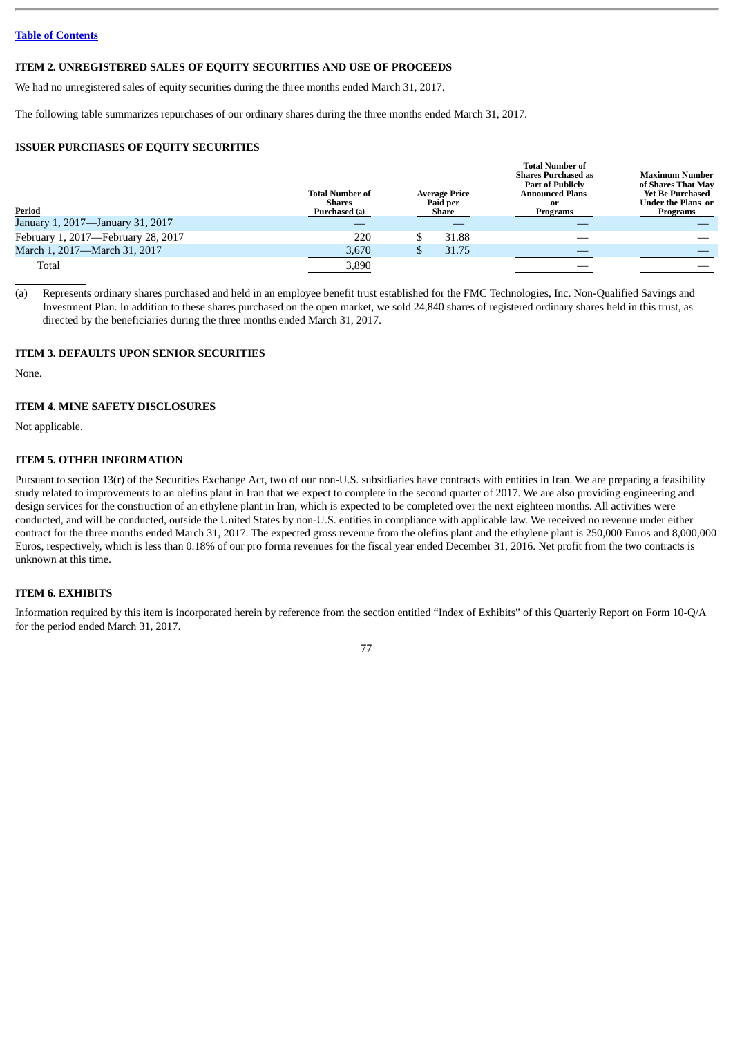#### **ITEM 2. UNREGISTERED SALES OF EQUITY SECURITIES AND USE OF PROCEEDS**

We had no unregistered sales of equity securities during the three months ended March 31, 2017.

The following table summarizes repurchases of our ordinary shares during the three months ended March 31, 2017.

## **ISSUER PURCHASES OF EQUITY SECURITIES**

| Period                             | <b>Total Number of</b><br><b>Shares</b><br>Purchased (a) | <b>Average Price</b><br>Paid per<br>Share |       | <b>Total Number of</b><br><b>Shares Purchased as</b><br><b>Part of Publicly</b><br><b>Announced Plans</b><br>0r<br>Programs | Maximum Number<br>of Shares That May<br><b>Yet Be Purchased</b><br>Under the Plans  or<br>Programs |
|------------------------------------|----------------------------------------------------------|-------------------------------------------|-------|-----------------------------------------------------------------------------------------------------------------------------|----------------------------------------------------------------------------------------------------|
| January 1, 2017—January 31, 2017   |                                                          |                                           |       |                                                                                                                             |                                                                                                    |
| February 1, 2017-February 28, 2017 | 220                                                      |                                           | 31.88 | _                                                                                                                           |                                                                                                    |
| March 1, 2017—March 31, 2017       | 3,670                                                    |                                           | 31.75 |                                                                                                                             |                                                                                                    |
| Total                              | 3,890                                                    |                                           |       |                                                                                                                             |                                                                                                    |

(a) Represents ordinary shares purchased and held in an employee benefit trust established for the FMC Technologies, Inc. Non-Qualified Savings and Investment Plan. In addition to these shares purchased on the open market, we sold 24,840 shares of registered ordinary shares held in this trust, as directed by the beneficiaries during the three months ended March 31, 2017.

## **ITEM 3. DEFAULTS UPON SENIOR SECURITIES**

None.

### **ITEM 4. MINE SAFETY DISCLOSURES**

Not applicable.

### **ITEM 5. OTHER INFORMATION**

Pursuant to section 13(r) of the Securities Exchange Act, two of our non-U.S. subsidiaries have contracts with entities in Iran. We are preparing a feasibility study related to improvements to an olefins plant in Iran that we expect to complete in the second quarter of 2017. We are also providing engineering and design services for the construction of an ethylene plant in Iran, which is expected to be completed over the next eighteen months. All activities were conducted, and will be conducted, outside the United States by non-U.S. entities in compliance with applicable law. We received no revenue under either contract for the three months ended March 31, 2017. The expected gross revenue from the olefins plant and the ethylene plant is 250,000 Euros and 8,000,000 Euros, respectively, which is less than 0.18% of our pro forma revenues for the fiscal year ended December 31, 2016. Net profit from the two contracts is unknown at this time.

# **ITEM 6. EXHIBITS**

Information required by this item is incorporated herein by reference from the section entitled "Index of Exhibits" of this Quarterly Report on Form 10-Q/A for the period ended March 31, 2017.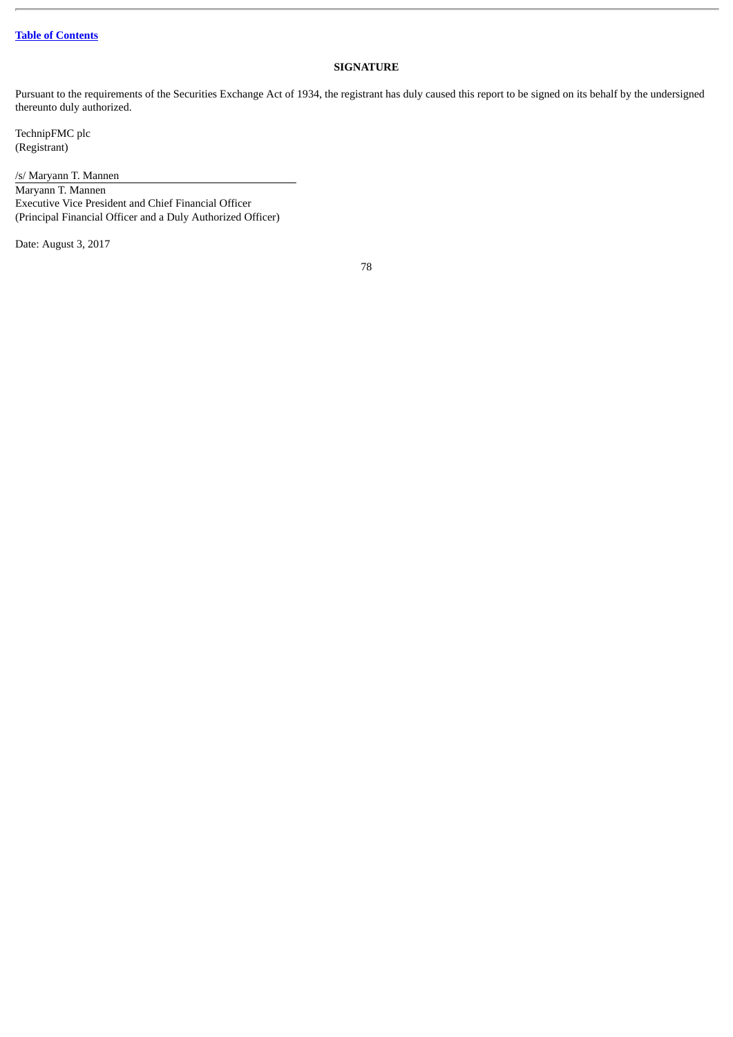# **SIGNATURE**

Pursuant to the requirements of the Securities Exchange Act of 1934, the registrant has duly caused this report to be signed on its behalf by the undersigned thereunto duly authorized.

TechnipFMC plc (Registrant)

/s/ Maryann T. Mannen

Maryann T. Mannen Executive Vice President and Chief Financial Officer (Principal Financial Officer and a Duly Authorized Officer)

Date: August 3, 2017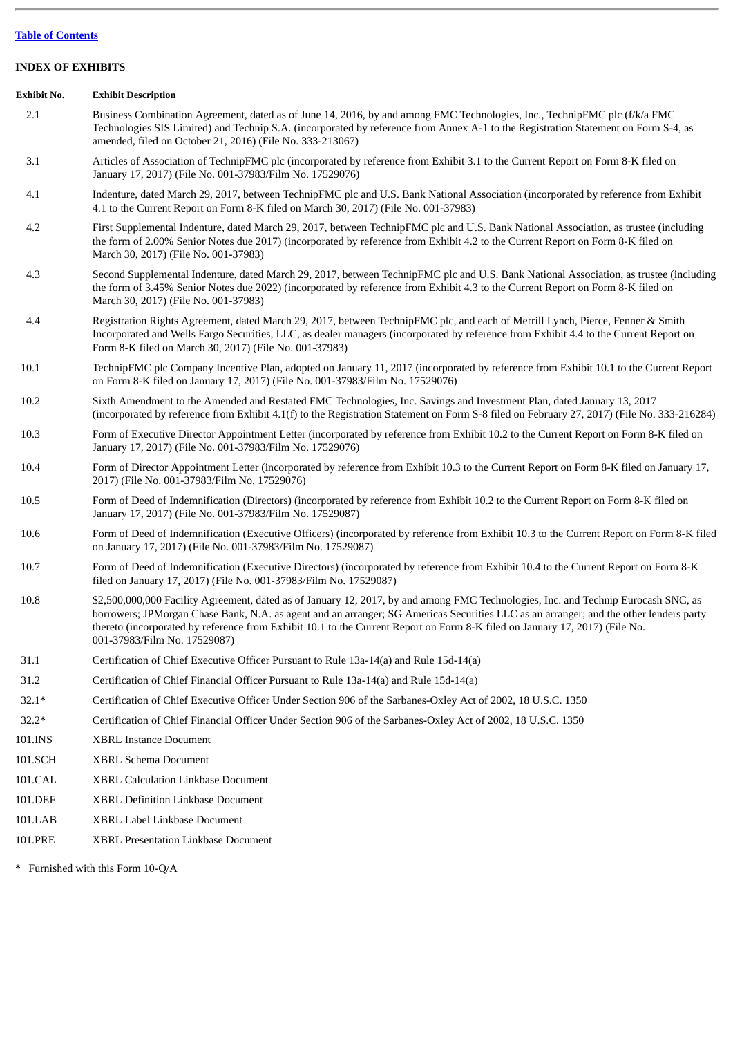## **INDEX OF EXHIBITS**

#### **Exhibit No. Exhibit Description**

- 2.1 Business Combination Agreement, dated as of June 14, 2016, by and among FMC Technologies, Inc., TechnipFMC plc (f/k/a FMC Technologies SIS Limited) and Technip S.A. (incorporated by reference from Annex A-1 to the Registration Statement on Form S-4, as amended, filed on October 21, 2016) (File No. 333-213067)
- 3.1 Articles of Association of TechnipFMC plc (incorporated by reference from Exhibit 3.1 to the Current Report on Form 8-K filed on January 17, 2017) (File No. 001-37983/Film No. 17529076)
- 4.1 Indenture, dated March 29, 2017, between TechnipFMC plc and U.S. Bank National Association (incorporated by reference from Exhibit 4.1 to the Current Report on Form 8-K filed on March 30, 2017) (File No. 001-37983)
- 4.2 First Supplemental Indenture, dated March 29, 2017, between TechnipFMC plc and U.S. Bank National Association, as trustee (including the form of 2.00% Senior Notes due 2017) (incorporated by reference from Exhibit 4.2 to the Current Report on Form 8-K filed on March 30, 2017) (File No. 001-37983)
- 4.3 Second Supplemental Indenture, dated March 29, 2017, between TechnipFMC plc and U.S. Bank National Association, as trustee (including the form of 3.45% Senior Notes due 2022) (incorporated by reference from Exhibit 4.3 to the Current Report on Form 8-K filed on March 30, 2017) (File No. 001-37983)
- 4.4 Registration Rights Agreement, dated March 29, 2017, between TechnipFMC plc, and each of Merrill Lynch, Pierce, Fenner & Smith Incorporated and Wells Fargo Securities, LLC, as dealer managers (incorporated by reference from Exhibit 4.4 to the Current Report on Form 8-K filed on March 30, 2017) (File No. 001-37983)
- 10.1 TechnipFMC plc Company Incentive Plan, adopted on January 11, 2017 (incorporated by reference from Exhibit 10.1 to the Current Report on Form 8-K filed on January 17, 2017) (File No. 001-37983/Film No. 17529076)
- 10.2 Sixth Amendment to the Amended and Restated FMC Technologies, Inc. Savings and Investment Plan, dated January 13, 2017 (incorporated by reference from Exhibit 4.1(f) to the Registration Statement on Form S-8 filed on February 27, 2017) (File No. 333-216284)
- 10.3 Form of Executive Director Appointment Letter (incorporated by reference from Exhibit 10.2 to the Current Report on Form 8-K filed on January 17, 2017) (File No. 001-37983/Film No. 17529076)
- 10.4 Form of Director Appointment Letter (incorporated by reference from Exhibit 10.3 to the Current Report on Form 8-K filed on January 17, 2017) (File No. 001-37983/Film No. 17529076)
- 10.5 Form of Deed of Indemnification (Directors) (incorporated by reference from Exhibit 10.2 to the Current Report on Form 8-K filed on January 17, 2017) (File No. 001-37983/Film No. 17529087)
- 10.6 Form of Deed of Indemnification (Executive Officers) (incorporated by reference from Exhibit 10.3 to the Current Report on Form 8-K filed on January 17, 2017) (File No. 001-37983/Film No. 17529087)
- 10.7 Form of Deed of Indemnification (Executive Directors) (incorporated by reference from Exhibit 10.4 to the Current Report on Form 8-K filed on January 17, 2017) (File No. 001-37983/Film No. 17529087)
- 10.8 \$2,500,000,000 Facility Agreement, dated as of January 12, 2017, by and among FMC Technologies, Inc. and Technip Eurocash SNC, as borrowers; JPMorgan Chase Bank, N.A. as agent and an arranger; SG Americas Securities LLC as an arranger; and the other lenders party thereto (incorporated by reference from Exhibit 10.1 to the Current Report on Form 8-K filed on January 17, 2017) (File No. 001-37983/Film No. 17529087)
- 31.1 Certification of Chief Executive Officer Pursuant to Rule 13a-14(a) and Rule 15d-14(a)
- 31.2 Certification of Chief Financial Officer Pursuant to Rule 13a-14(a) and Rule 15d-14(a)
- 32.1\* Certification of Chief Executive Officer Under Section 906 of the Sarbanes-Oxley Act of 2002, 18 U.S.C. 1350
- 32.2\* Certification of Chief Financial Officer Under Section 906 of the Sarbanes-Oxley Act of 2002, 18 U.S.C. 1350
- 101.INS XBRL Instance Document
- 101.SCH XBRL Schema Document
- 101.CAL XBRL Calculation Linkbase Document
- 101.DEF XBRL Definition Linkbase Document
- 101.LAB XBRL Label Linkbase Document
- 101.PRE XBRL Presentation Linkbase Document

\* Furnished with this Form 10-Q/A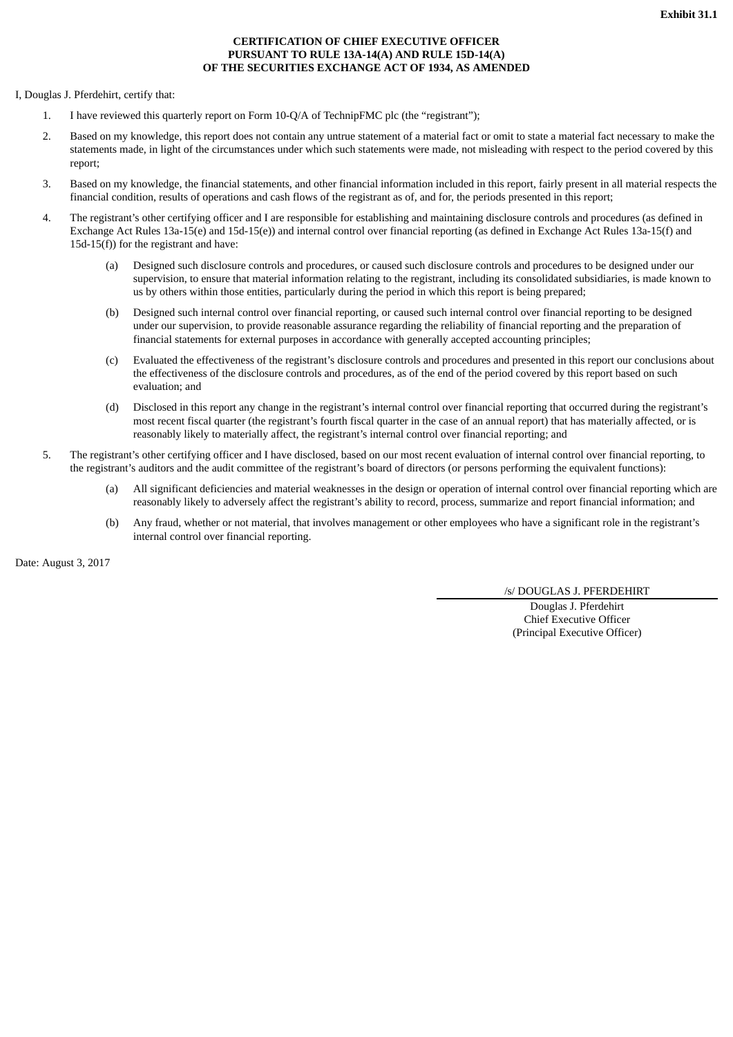## **CERTIFICATION OF CHIEF EXECUTIVE OFFICER PURSUANT TO RULE 13A-14(A) AND RULE 15D-14(A) OF THE SECURITIES EXCHANGE ACT OF 1934, AS AMENDED**

I, Douglas J. Pferdehirt, certify that:

- 1. I have reviewed this quarterly report on Form 10-Q/A of TechnipFMC plc (the "registrant");
- 2. Based on my knowledge, this report does not contain any untrue statement of a material fact or omit to state a material fact necessary to make the statements made, in light of the circumstances under which such statements were made, not misleading with respect to the period covered by this report;
- 3. Based on my knowledge, the financial statements, and other financial information included in this report, fairly present in all material respects the financial condition, results of operations and cash flows of the registrant as of, and for, the periods presented in this report;
- 4. The registrant's other certifying officer and I are responsible for establishing and maintaining disclosure controls and procedures (as defined in Exchange Act Rules 13a-15(e) and 15d-15(e)) and internal control over financial reporting (as defined in Exchange Act Rules 13a-15(f) and  $15d-15(f)$ ) for the registrant and have:
	- (a) Designed such disclosure controls and procedures, or caused such disclosure controls and procedures to be designed under our supervision, to ensure that material information relating to the registrant, including its consolidated subsidiaries, is made known to us by others within those entities, particularly during the period in which this report is being prepared;
	- (b) Designed such internal control over financial reporting, or caused such internal control over financial reporting to be designed under our supervision, to provide reasonable assurance regarding the reliability of financial reporting and the preparation of financial statements for external purposes in accordance with generally accepted accounting principles;
	- (c) Evaluated the effectiveness of the registrant's disclosure controls and procedures and presented in this report our conclusions about the effectiveness of the disclosure controls and procedures, as of the end of the period covered by this report based on such evaluation; and
	- (d) Disclosed in this report any change in the registrant's internal control over financial reporting that occurred during the registrant's most recent fiscal quarter (the registrant's fourth fiscal quarter in the case of an annual report) that has materially affected, or is reasonably likely to materially affect, the registrant's internal control over financial reporting; and
- 5. The registrant's other certifying officer and I have disclosed, based on our most recent evaluation of internal control over financial reporting, to the registrant's auditors and the audit committee of the registrant's board of directors (or persons performing the equivalent functions):
	- (a) All significant deficiencies and material weaknesses in the design or operation of internal control over financial reporting which are reasonably likely to adversely affect the registrant's ability to record, process, summarize and report financial information; and
	- (b) Any fraud, whether or not material, that involves management or other employees who have a significant role in the registrant's internal control over financial reporting.

Date: August 3, 2017

/s/ DOUGLAS J. PFERDEHIRT

Douglas J. Pferdehirt Chief Executive Officer (Principal Executive Officer)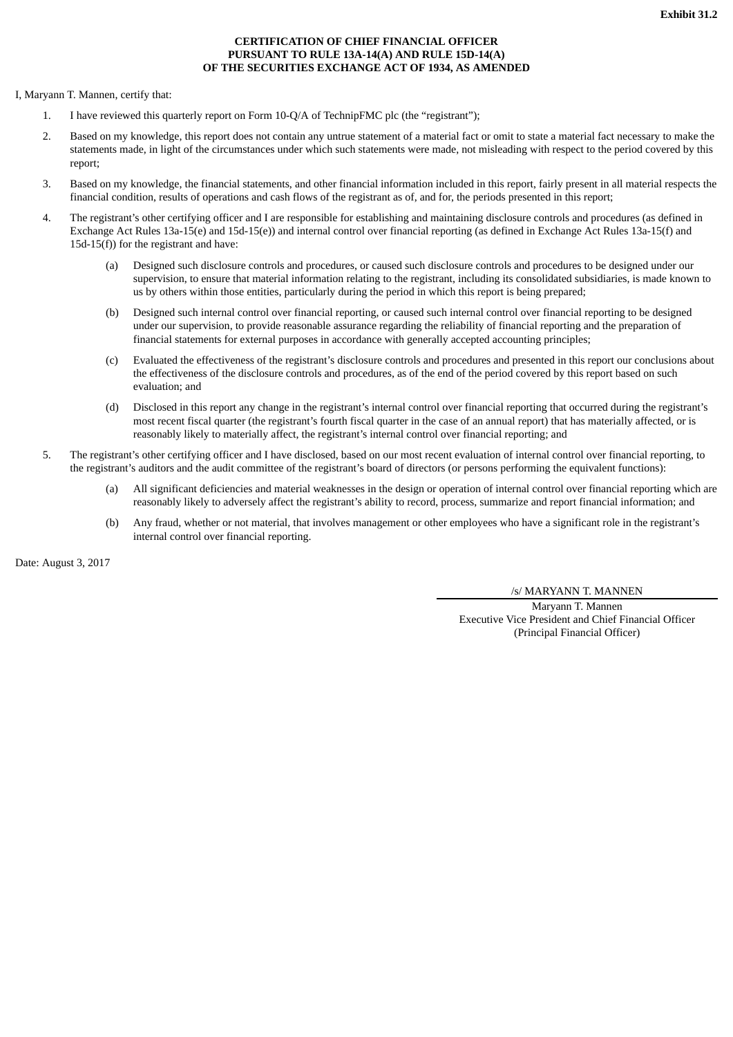## **CERTIFICATION OF CHIEF FINANCIAL OFFICER PURSUANT TO RULE 13A-14(A) AND RULE 15D-14(A) OF THE SECURITIES EXCHANGE ACT OF 1934, AS AMENDED**

I, Maryann T. Mannen, certify that:

- 1. I have reviewed this quarterly report on Form 10-Q/A of TechnipFMC plc (the "registrant");
- 2. Based on my knowledge, this report does not contain any untrue statement of a material fact or omit to state a material fact necessary to make the statements made, in light of the circumstances under which such statements were made, not misleading with respect to the period covered by this report;
- 3. Based on my knowledge, the financial statements, and other financial information included in this report, fairly present in all material respects the financial condition, results of operations and cash flows of the registrant as of, and for, the periods presented in this report;
- 4. The registrant's other certifying officer and I are responsible for establishing and maintaining disclosure controls and procedures (as defined in Exchange Act Rules 13a-15(e) and 15d-15(e)) and internal control over financial reporting (as defined in Exchange Act Rules 13a-15(f) and  $15d-15(f)$ ) for the registrant and have:
	- (a) Designed such disclosure controls and procedures, or caused such disclosure controls and procedures to be designed under our supervision, to ensure that material information relating to the registrant, including its consolidated subsidiaries, is made known to us by others within those entities, particularly during the period in which this report is being prepared;
	- (b) Designed such internal control over financial reporting, or caused such internal control over financial reporting to be designed under our supervision, to provide reasonable assurance regarding the reliability of financial reporting and the preparation of financial statements for external purposes in accordance with generally accepted accounting principles;
	- (c) Evaluated the effectiveness of the registrant's disclosure controls and procedures and presented in this report our conclusions about the effectiveness of the disclosure controls and procedures, as of the end of the period covered by this report based on such evaluation; and
	- (d) Disclosed in this report any change in the registrant's internal control over financial reporting that occurred during the registrant's most recent fiscal quarter (the registrant's fourth fiscal quarter in the case of an annual report) that has materially affected, or is reasonably likely to materially affect, the registrant's internal control over financial reporting; and
- 5. The registrant's other certifying officer and I have disclosed, based on our most recent evaluation of internal control over financial reporting, to the registrant's auditors and the audit committee of the registrant's board of directors (or persons performing the equivalent functions):
	- (a) All significant deficiencies and material weaknesses in the design or operation of internal control over financial reporting which are reasonably likely to adversely affect the registrant's ability to record, process, summarize and report financial information; and
	- (b) Any fraud, whether or not material, that involves management or other employees who have a significant role in the registrant's internal control over financial reporting.

Date: August 3, 2017

/s/ MARYANN T. MANNEN

Maryann T. Mannen Executive Vice President and Chief Financial Officer (Principal Financial Officer)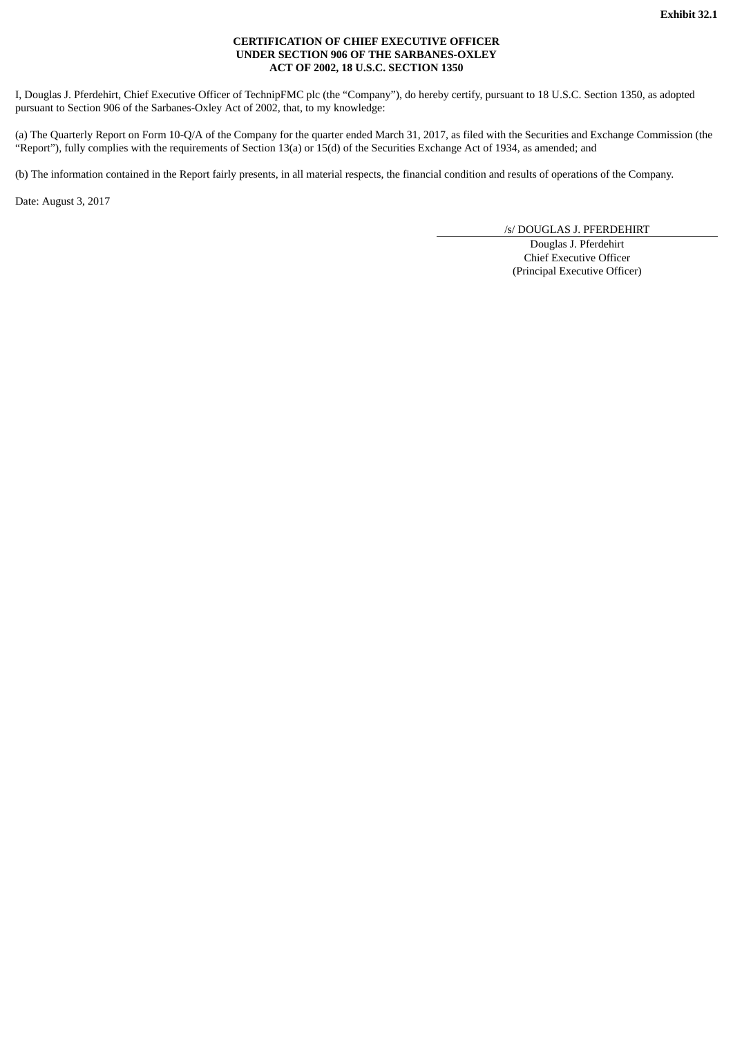## **CERTIFICATION OF CHIEF EXECUTIVE OFFICER UNDER SECTION 906 OF THE SARBANES-OXLEY ACT OF 2002, 18 U.S.C. SECTION 1350**

I, Douglas J. Pferdehirt, Chief Executive Officer of TechnipFMC plc (the "Company"), do hereby certify, pursuant to 18 U.S.C. Section 1350, as adopted pursuant to Section 906 of the Sarbanes-Oxley Act of 2002, that, to my knowledge:

(a) The Quarterly Report on Form 10-Q/A of the Company for the quarter ended March 31, 2017, as filed with the Securities and Exchange Commission (the "Report"), fully complies with the requirements of Section 13(a) or 15(d) of the Securities Exchange Act of 1934, as amended; and

(b) The information contained in the Report fairly presents, in all material respects, the financial condition and results of operations of the Company.

Date: August 3, 2017

/s/ DOUGLAS J. PFERDEHIRT

Douglas J. Pferdehirt Chief Executive Officer (Principal Executive Officer)